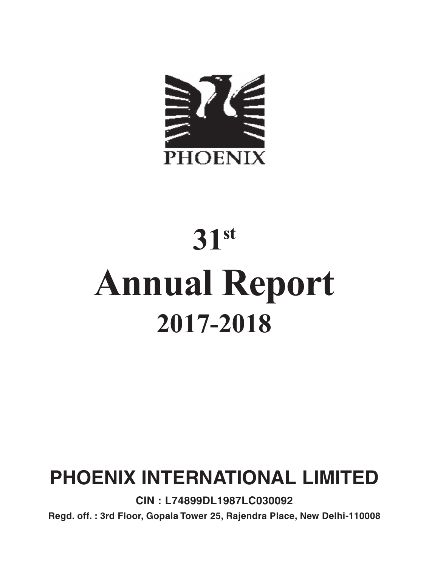

# **31st Annual Report 2017-2018**

## **PHOENIX INTERNATIONAL LIMITED**

**CIN : L74899DL1987LC030092**

**Regd. off. : 3rd Floor, Gopala Tower 25, Rajendra Place, New Delhi-110008**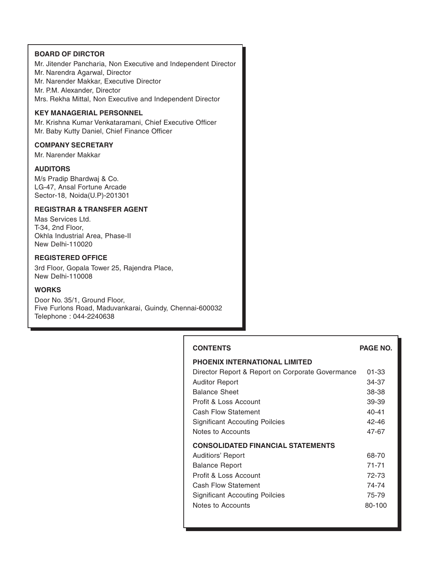#### **BOARD OF DIRCTOR**

Mr. Jitender Pancharia, Non Executive and Independent Director Mr. Narendra Agarwal, Director Mr. Narender Makkar, Executive Director Mr. P.M. Alexander, Director Mrs. Rekha Mittal, Non Executive and Independent Director

#### **KEY MANAGERIAL PERSONNEL**

Mr. Krishna Kumar Venkataramani, Chief Executive Officer Mr. Baby Kutty Daniel, Chief Finance Officer

#### **COMPANY SECRETARY**

Mr. Narender Makkar

#### **AUDITORS**

M/s Pradip Bhardwaj & Co. LG-47, Ansal Fortune Arcade Sector-18, Noida(U.P)-201301

#### **REGISTRAR & TRANSFER AGENT**

Mas Services Ltd. T-34, 2nd Floor, Okhla Industrial Area, Phase-II New Delhi-110020

#### **REGISTERED OFFICE**

3rd Floor, Gopala Tower 25, Rajendra Place, New Delhi-110008

#### **WORKS**

Door No. 35/1, Ground Floor, Five Furlons Road, Maduvankarai, Guindy, Chennai-600032 Telephone : 044-2240638

## **CONTENTS PAGE NO. PHOENIX INTERNATIONAL LIMITED** Director Report & Report on Corporate Govermance 01-33 Auditor Report 34-37 Balance Sheet 38-38 Profit & Loss Account 39-39 Cash Flow Statement 40-41 Significant Accouting Poilcies 42-46 Notes to Accounts 47-67 **CONSOLIDATED FINANCIAL STATEMENTS** Auditiors' Report 68-70 Balance Report 71-71 Profit & Loss Account 72-73 Cash Flow Statement 74-74 Significant Accouting Poilcies 75-79 Notes to Accounts and the SO-100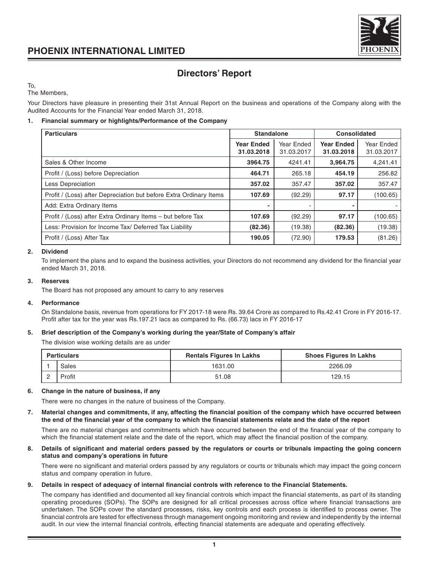

## **Directors' Report**

To,

The Members,

Your Directors have pleasure in presenting their 31st Annual Report on the business and operations of the Company along with the Audited Accounts for the Financial Year ended March 31, 2018.

#### **1. Financial summary or highlights/Performance of the Company**

| <b>Particulars</b>                                                 | <b>Standalone</b>               |                          | <b>Consolidated</b>             |                          |
|--------------------------------------------------------------------|---------------------------------|--------------------------|---------------------------------|--------------------------|
|                                                                    | <b>Year Ended</b><br>31.03.2018 | Year Ended<br>31.03.2017 | <b>Year Ended</b><br>31.03.2018 | Year Ended<br>31.03.2017 |
| Sales & Other Income                                               | 3964.75                         | 4241.41                  | 3,964.75                        | 4.241.41                 |
| Profit / (Loss) before Depreciation                                | 464.71                          | 265.18                   | 454.19                          | 256.82                   |
| Less Depreciation                                                  | 357.02                          | 357.47                   | 357.02                          | 357.47                   |
| Profit / (Loss) after Depreciation but before Extra Ordinary Items | 107.69                          | (92.29)                  | 97.17                           | (100.65)                 |
| Add: Extra Ordinary Items                                          |                                 |                          |                                 |                          |
| Profit / (Loss) after Extra Ordinary Items - but before Tax        | 107.69                          | (92.29)                  | 97.17                           | (100.65)                 |
| Less: Provision for Income Tax/ Deferred Tax Liability             | (82.36)                         | (19.38)                  | (82.36)                         | (19.38)                  |
| Profit / (Loss) After Tax                                          | 190.05                          | (72.90)                  | 179.53                          | (81.26)                  |

#### **2. Dividend**

To implement the plans and to expand the business activities, your Directors do not recommend any dividend for the financial year ended March 31, 2018.

#### **3. Reserves**

The Board has not proposed any amount to carry to any reserves

#### **4. Performance**

On Standalone basis, revenue from operations for FY 2017-18 were Rs. 39.64 Crore as compared to Rs.42.41 Crore in FY 2016-17. Profit after tax for the year was Rs.197.21 lacs as compared to Rs. (66.73) lacs in FY 2016-17

#### **5. Brief description of the Company's working during the year/State of Company's affair**

The division wise working details are as under

| <b>Particulars</b> |        | <b>Rentals Figures In Lakhs</b> | <b>Shoes Figures In Lakhs</b> |
|--------------------|--------|---------------------------------|-------------------------------|
|                    | Sales  | 1631.00                         | 2266.09                       |
|                    | Profit | 51.08                           | 129.15                        |

#### **6. Change in the nature of business, if any**

There were no changes in the nature of business of the Company.

**7. Material changes and commitments, if any, affecting the financial position of the company which have occurred between the end of the financial year of the company to which the financial statements relate and the date of the report**

There are no material changes and commitments which have occurred between the end of the financial year of the company to which the financial statement relate and the date of the report, which may affect the financial position of the company.

#### **8. Details of significant and material orders passed by the regulators or courts or tribunals impacting the going concern status and company's operations in future**

There were no significant and material orders passed by any regulators or courts or tribunals which may impact the going concern status and company operation in future.

#### **9. Details in respect of adequacy of internal financial controls with reference to the Financial Statements.**

The company has identified and documented all key financial controls which impact the financial statements, as part of its standing operating procedures (SOPs). The SOPs are designed for all critical processes across office where financial transactions are undertaken. The SOPs cover the standard processes, risks, key controls and each process is identified to process owner. The financial controls are tested for effectiveness through management ongoing monitoring and review and independently by the internal audit. In our view the internal financial controls, effecting financial statements are adequate and operating effectively.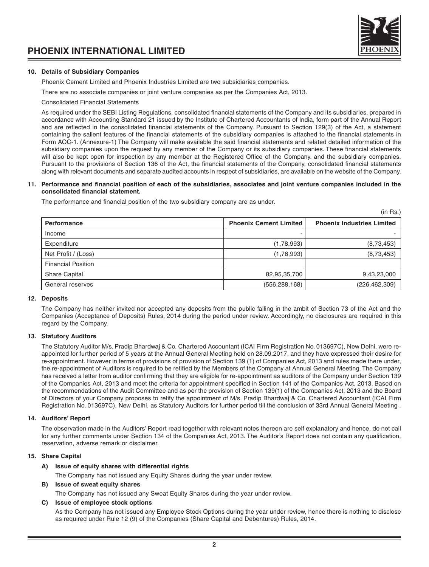



#### **10. Details of Subsidiary Companies**

Phoenix Cement Limited and Phoenix Industries Limited are two subsidiaries companies.

There are no associate companies or joint venture companies as per the Companies Act, 2013.

Consolidated Financial Statements

As required under the SEBI Listing Regulations, consolidated financial statements of the Company and its subsidiaries, prepared in accordance with Accounting Standard 21 issued by the Institute of Chartered Accountants of India, form part of the Annual Report and are reflected in the consolidated financial statements of the Company. Pursuant to Section 129(3) of the Act, a statement containing the salient features of the financial statements of the subsidiary companies is attached to the financial statements in Form AOC-1. (Annexure-1) The Company will make available the said financial statements and related detailed information of the subsidiary companies upon the request by any member of the Company or its subsidiary companies. These financial statements will also be kept open for inspection by any member at the Registered Office of the Company. and the subsidiary companies. Pursuant to the provisions of Section 136 of the Act, the financial statements of the Company, consolidated financial statements along with relevant documents and separate audited accounts in respect of subsidiaries, are available on the website of the Company.

#### **11. Performance and financial position of each of the subsidiaries, associates and joint venture companies included in the consolidated financial statement.**

The performance and financial position of the two subsidiary company are as under.

|                           |                               | (in Rs.)                          |
|---------------------------|-------------------------------|-----------------------------------|
| Performance               | <b>Phoenix Cement Limited</b> | <b>Phoenix Industries Limited</b> |
| Income                    |                               |                                   |
| Expenditure               | (1,78,993)                    | (8,73,453)                        |
| Net Profit / (Loss)       | (1,78,993)                    | (8,73,453)                        |
| <b>Financial Position</b> |                               |                                   |
| <b>Share Capital</b>      | 82,95,35,700                  | 9,43,23,000                       |
| General reserves          | (556, 288, 168)               | (226, 462, 309)                   |

#### **12. Deposits**

The Company has neither invited nor accepted any deposits from the public falling in the ambit of Section 73 of the Act and the Companies (Acceptance of Deposits) Rules, 2014 during the period under review. Accordingly, no disclosures are required in this regard by the Company.

#### **13. Statutory Auditors**

The Statutory Auditor M/s. Pradip Bhardwaj & Co, Chartered Accountant (ICAI Firm Registration No. 013697C), New Delhi, were reappointed for further period of 5 years at the Annual General Meeting held on 28.09.2017, and they have expressed their desire for re-appointment. However in terms of provisions of provision of Section 139 (1) of Companies Act, 2013 and rules made there under, the re-appointment of Auditors is required to be retified by the Members of the Company at Annual General Meeting. The Company has received a letter from auditor confirming that they are eligible for re-appointment as auditors of the Company under Section 139 of the Companies Act, 2013 and meet the criteria for appointment specified in Section 141 of the Companies Act, 2013. Based on the recommendations of the Audit Committee and as per the provision of Section 139(1) of the Companies Act, 2013 and the Board of Directors of your Company proposes to retify the appointment of M/s. Pradip Bhardwaj & Co, Chartered Accountant (ICAI Firm Registration No. 013697C), New Delhi, as Statutory Auditors for further period till the conclusion of 33rd Annual General Meeting .

#### **14. Auditors' Report**

The observation made in the Auditors' Report read together with relevant notes thereon are self explanatory and hence, do not call for any further comments under Section 134 of the Companies Act, 2013. The Auditor's Report does not contain any qualification, reservation, adverse remark or disclaimer.

#### **15. Share Capital**

#### **A) Issue of equity shares with differential rights**

The Company has not issued any Equity Shares during the year under review.

#### **B) Issue of sweat equity shares**

The Company has not issued any Sweat Equity Shares during the year under review.

#### **C) Issue of employee stock options**

As the Company has not issued any Employee Stock Options during the year under review, hence there is nothing to disclose as required under Rule 12 (9) of the Companies (Share Capital and Debentures) Rules, 2014.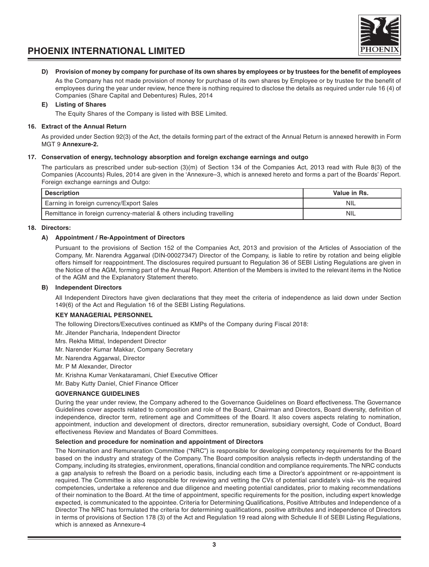



#### **D) Provision of money by company for purchase of its own shares by employees or by trustees for the benefit of employees**

As the Company has not made provision of money for purchase of its own shares by Employee or by trustee for the benefit of employees during the year under review, hence there is nothing required to disclose the details as required under rule 16 (4) of Companies (Share Capital and Debentures) Rules, 2014

#### **E) Listing of Shares**

The Equity Shares of the Company is listed with BSE Limited.

#### **16. Extract of the Annual Return**

As provided under Section 92(3) of the Act, the details forming part of the extract of the Annual Return is annexed herewith in Form MGT 9 **Annexure-2.**

#### **17. Conservation of energy, technology absorption and foreign exchange earnings and outgo**

The particulars as prescribed under sub-section (3)(m) of Section 134 of the Companies Act, 2013 read with Rule 8(3) of the Companies (Accounts) Rules, 2014 are given in the 'Annexure–3, which is annexed hereto and forms a part of the Boards' Report. Foreign exchange earnings and Outgo:

| Description                                                           | Value in Rs. |
|-----------------------------------------------------------------------|--------------|
| Earning in foreign currency/Export Sales                              | NIL          |
| Remittance in foreign currency-material & others including travelling | NIL          |

#### **18. Directors:**

#### **A) Appointment / Re-Appointment of Directors**

Pursuant to the provisions of Section 152 of the Companies Act, 2013 and provision of the Articles of Association of the Company, Mr. Narendra Aggarwal (DIN-00027347) Director of the Company, is liable to retire by rotation and being eligible offers himself for reappointment. The disclosures required pursuant to Regulation 36 of SEBI Listing Regulations are given in the Notice of the AGM, forming part of the Annual Report. Attention of the Members is invited to the relevant items in the Notice of the AGM and the Explanatory Statement thereto.

#### **B) Independent Directors**

All Independent Directors have given declarations that they meet the criteria of independence as laid down under Section 149(6) of the Act and Regulation 16 of the SEBI Listing Regulations.

#### **KEY MANAGERIAL PERSONNEL**

The following Directors/Executives continued as KMPs of the Company during Fiscal 2018:

Mr. Jitender Pancharia, Independent Director

Mrs. Rekha Mittal, Independent Director

Mr. Narender Kumar Makkar, Company Secretary

Mr. Narendra Aggarwal, Director

Mr. P M Alexander, Director

Mr. Krishna Kumar Venkataramani, Chief Executive Officer

Mr. Baby Kutty Daniel, Chief Finance Officer

#### **GOVERNANCE GUIDELINES**

During the year under review, the Company adhered to the Governance Guidelines on Board effectiveness. The Governance Guidelines cover aspects related to composition and role of the Board, Chairman and Directors, Board diversity, definition of independence, director term, retirement age and Committees of the Board. It also covers aspects relating to nomination, appointment, induction and development of directors, director remuneration, subsidiary oversight, Code of Conduct, Board effectiveness Review and Mandates of Board Committees.

#### **Selection and procedure for nomination and appointment of Directors**

The Nomination and Remuneration Committee ("NRC") is responsible for developing competency requirements for the Board based on the industry and strategy of the Company. The Board composition analysis reflects in-depth understanding of the Company, including its strategies, environment, operations, financial condition and compliance requirements. The NRC conducts a gap analysis to refresh the Board on a periodic basis, including each time a Director's appointment or re-appointment is required. The Committee is also responsible for reviewing and vetting the CVs of potential candidate's visà- vis the required competencies, undertake a reference and due diligence and meeting potential candidates, prior to making recommendations of their nomination to the Board. At the time of appointment, specific requirements for the position, including expert knowledge expected, is communicated to the appointee. Criteria for Determining Qualifications, Positive Attributes and Independence of a Director The NRC has formulated the criteria for determining qualifications, positive attributes and independence of Directors in terms of provisions of Section 178 (3) of the Act and Regulation 19 read along with Schedule II of SEBI Listing Regulations, which is annexed as Annexure-4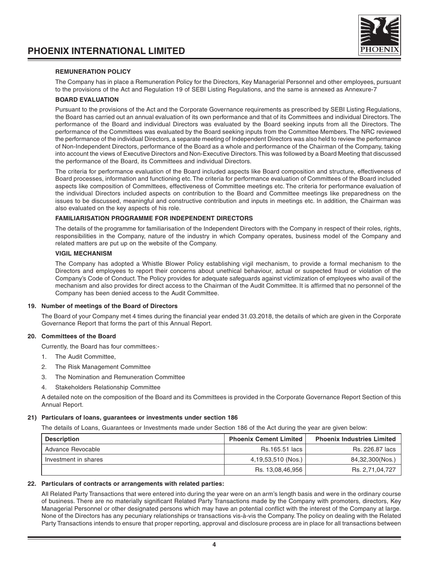



#### **REMUNERATION POLICY**

The Company has in place a Remuneration Policy for the Directors, Key Managerial Personnel and other employees, pursuant to the provisions of the Act and Regulation 19 of SEBI Listing Regulations, and the same is annexed as Annexure-7

#### **BOARD EVALUATION**

Pursuant to the provisions of the Act and the Corporate Governance requirements as prescribed by SEBI Listing Regulations, the Board has carried out an annual evaluation of its own performance and that of its Committees and individual Directors. The performance of the Board and individual Directors was evaluated by the Board seeking inputs from all the Directors. The performance of the Committees was evaluated by the Board seeking inputs from the Committee Members. The NRC reviewed the performance of the individual Directors, a separate meeting of Independent Directors was also held to review the performance of Non-Independent Directors, performance of the Board as a whole and performance of the Chairman of the Company, taking into account the views of Executive Directors and Non-Executive Directors. This was followed by a Board Meeting that discussed the performance of the Board, its Committees and individual Directors.

The criteria for performance evaluation of the Board included aspects like Board composition and structure, effectiveness of Board processes, information and functioning etc. The criteria for performance evaluation of Committees of the Board included aspects like composition of Committees, effectiveness of Committee meetings etc. The criteria for performance evaluation of the individual Directors included aspects on contribution to the Board and Committee meetings like preparedness on the issues to be discussed, meaningful and constructive contribution and inputs in meetings etc. In addition, the Chairman was also evaluated on the key aspects of his role.

#### **FAMILIARISATION PROGRAMME FOR INDEPENDENT DIRECTORS**

The details of the programme for familiarisation of the Independent Directors with the Company in respect of their roles, rights, responsibilities in the Company, nature of the industry in which Company operates, business model of the Company and related matters are put up on the website of the Company.

#### **VIGIL MECHANISM**

The Company has adopted a Whistle Blower Policy establishing vigil mechanism, to provide a formal mechanism to the Directors and employees to report their concerns about unethical behaviour, actual or suspected fraud or violation of the Company's Code of Conduct. The Policy provides for adequate safeguards against victimization of employees who avail of the mechanism and also provides for direct access to the Chairman of the Audit Committee. It is affirmed that no personnel of the Company has been denied access to the Audit Committee.

#### **19. Number of meetings of the Board of Directors**

The Board of your Company met 4 times during the financial year ended 31.03.2018, the details of which are given in the Corporate Governance Report that forms the part of this Annual Report.

#### **20. Committees of the Board**

Currently, the Board has four committees:-

- 1. The Audit Committee,
- 2. The Risk Management Committee
- 3. The Nomination and Remuneration Committee
- 4. Stakeholders Relationship Committee

A detailed note on the composition of the Board and its Committees is provided in the Corporate Governance Report Section of this Annual Report.

#### **21) Particulars of loans, guarantees or investments under section 186**

The details of Loans, Guarantees or Investments made under Section 186 of the Act during the year are given below:

| <b>Description</b>   | <b>Phoenix Cement Limited</b> | <b>Phoenix Industries Limited</b> |
|----------------------|-------------------------------|-----------------------------------|
| Advance Revocable    | Rs.165.51 lacs I              | Rs. 226.87 lacs                   |
| Investment in shares | 4,19,53,510 (Nos.)            | 84,32,300(Nos.)                   |
|                      | Rs. 13,08,46,956              | Rs. 2.71.04.727                   |

#### **22. Particulars of contracts or arrangements with related parties:**

All Related Party Transactions that were entered into during the year were on an arm's length basis and were in the ordinary course of business. There are no materially significant Related Party Transactions made by the Company with promoters, directors, Key Managerial Personnel or other designated persons which may have an potential conflict with the interest of the Company at large. None of the Directors has any pecuniary relationships or transactions vis-à-vis the Company. The policy on dealing with the Related Party Transactions intends to ensure that proper reporting, approval and disclosure process are in place for all transactions between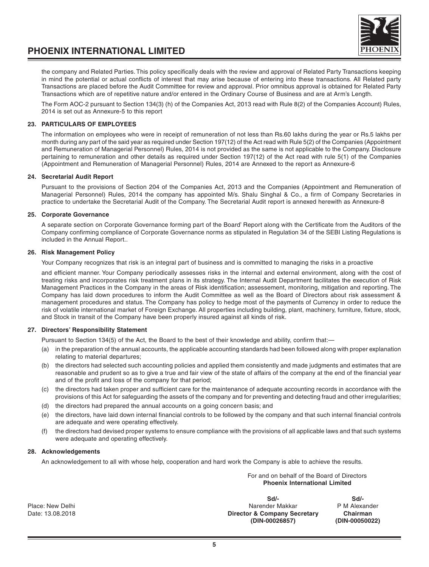the company and Related Parties. This policy specifically deals with the review and approval of Related Party Transactions keeping in mind the potential or actual conflicts of interest that may arise because of entering into these transactions. All Related party Transactions are placed before the Audit Committee for review and approval. Prior omnibus approval is obtained for Related Party Transactions which are of repetitive nature and/or entered in the Ordinary Course of Business and are at Arm's Length.

The Form AOC-2 pursuant to Section 134(3) (h) of the Companies Act, 2013 read with Rule 8(2) of the Companies Account) Rules, 2014 is set out as Annexure-5 to this report

#### **23. PARTICULARS OF EMPLOYEES**

The information on employees who were in receipt of remuneration of not less than Rs.60 lakhs during the year or Rs.5 lakhs per month during any part of the said year as required under Section 197(12) of the Act read with Rule 5(2) of the Companies (Appointment and Remuneration of Managerial Personnel) Rules, 2014 is not provided as the same is not applicable to the Company. Disclosure pertaining to remuneration and other details as required under Section 197(12) of the Act read with rule 5(1) of the Companies (Appointment and Remuneration of Managerial Personnel) Rules, 2014 are Annexed to the report as Annexure-6

#### **24. Secretarial Audit Report**

Pursuant to the provisions of Section 204 of the Companies Act, 2013 and the Companies (Appointment and Remuneration of Managerial Personnel) Rules, 2014 the company has appointed M/s. Shalu Singhal & Co., a firm of Company Secretaries in practice to undertake the Secretarial Audit of the Company. The Secretarial Audit report is annexed herewith as Annexure-8

#### **25. Corporate Governance**

A separate section on Corporate Governance forming part of the Board' Report along with the Certificate from the Auditors of the Company confirming compliance of Corporate Governance norms as stipulated in Regulation 34 of the SEBI Listing Regulations is included in the Annual Report..

#### **26. Risk Management Policy**

Your Company recognizes that risk is an integral part of business and is committed to managing the risks in a proactive

and efficient manner. Your Company periodically assesses risks in the internal and external environment, along with the cost of treating risks and incorporates risk treatment plans in its strategy. The Internal Audit Department facilitates the execution of Risk Management Practices in the Company in the areas of Risk identification; assessement, monitoring, mitigation and reporting. The Company has laid down procedures to inform the Audit Committee as well as the Board of Directors about risk assessment & management procedures and status. The Company has policy to hedge most of the payments of Currency in order to reduce the risk of volatile international market of Foreign Exchange. All properties including building, plant, machinery, furniture, fixture, stock, and Stock in transit of the Company have been properly insured against all kinds of risk.

#### **27. Directors' Responsibility Statement**

Pursuant to Section 134(5) of the Act, the Board to the best of their knowledge and ability, confirm that:—

- (a) in the preparation of the annual accounts, the applicable accounting standards had been followed along with proper explanation relating to material departures;
- (b) the directors had selected such accounting policies and applied them consistently and made judgments and estimates that are reasonable and prudent so as to give a true and fair view of the state of affairs of the company at the end of the financial year and of the profit and loss of the company for that period;
- (c) the directors had taken proper and sufficient care for the maintenance of adequate accounting records in accordance with the provisions of this Act for safeguarding the assets of the company and for preventing and detecting fraud and other irregularities;
- (d) the directors had prepared the annual accounts on a going concern basis; and
- (e) the directors, have laid down internal financial controls to be followed by the company and that such internal financial controls are adequate and were operating effectively.
- (f) the directors had devised proper systems to ensure compliance with the provisions of all applicable laws and that such systems were adequate and operating effectively.

#### **28. Acknowledgements**

An acknowledgement to all with whose help, cooperation and hard work the Company is able to achieve the results.

For and on behalf of the Board of Directors **Phoenix International Limited**

**Sd/- Sd/-** Place: New Delhi **Place: New Delhi Narender Makkar** PM Alexander PM Alexander PM Alexander Chairman Director & Company Secretary Chairman **(DIN-00026857) (DIN-00050022)**

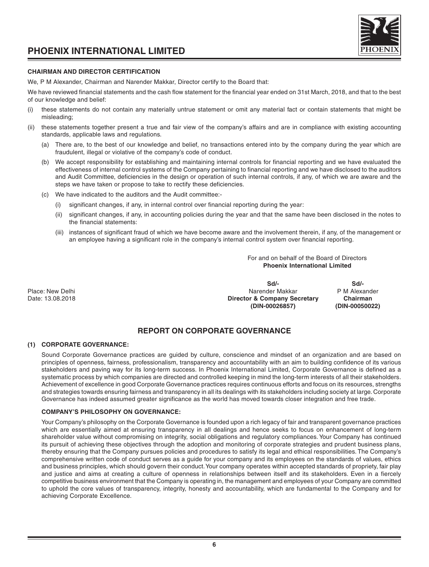



#### **CHAIRMAN AND DIRECTOR CERTIFICATION**

We, P M Alexander, Chairman and Narender Makkar, Director certify to the Board that:

We have reviewed financial statements and the cash flow statement for the financial year ended on 31st March, 2018, and that to the best of our knowledge and belief:

- these statements do not contain any materially untrue statement or omit any material fact or contain statements that might be misleading;
- (ii) these statements together present a true and fair view of the company's affairs and are in compliance with existing accounting standards, applicable laws and regulations.
	- (a) There are, to the best of our knowledge and belief, no transactions entered into by the company during the year which are fraudulent, illegal or violative of the company's code of conduct.
	- (b) We accept responsibility for establishing and maintaining internal controls for financial reporting and we have evaluated the effectiveness of internal control systems of the Company pertaining to financial reporting and we have disclosed to the auditors and Audit Committee, deficiencies in the design or operation of such internal controls, if any, of which we are aware and the steps we have taken or propose to take to rectify these deficiencies.
	- (c) We have indicated to the auditors and the Audit committee:-
		- (i) significant changes, if any, in internal control over financial reporting during the year:
		- (ii) significant changes, if any, in accounting policies during the year and that the same have been disclosed in the notes to the financial statements:
		- (iii) instances of significant fraud of which we have become aware and the involvement therein, if any, of the management or an employee having a significant role in the company's internal control system over financial reporting.

For and on behalf of the Board of Directors **Phoenix International Limited**

**Sd/- Sd/-** Place: New Delhi Narender Makkar P M Alexander Makkar P M Alexander Date: 13.08.2018 **Director & Company Secretary Chairman (DIN-00026857) (DIN-00050022)**

#### **REPORT ON CORPORATE GOVERNANCE**

#### **(1) CORPORATE GOVERNANCE:**

Sound Corporate Governance practices are guided by culture, conscience and mindset of an organization and are based on principles of openness, fairness, professionalism, transparency and accountability with an aim to building confidence of its various stakeholders and paving way for its long-term success. In Phoenix International Limited, Corporate Governance is defined as a systematic process by which companies are directed and controlled keeping in mind the long-term interests of all their stakeholders. Achievement of excellence in good Corporate Governance practices requires continuous efforts and focus on its resources, strengths and strategies towards ensuring fairness and transparency in all its dealings with its stakeholders including society at large. Corporate Governance has indeed assumed greater significance as the world has moved towards closer integration and free trade.

#### **COMPANY'S PHILOSOPHY ON GOVERNANCE:**

Your Company's philosophy on the Corporate Governance is founded upon a rich legacy of fair and transparent governance practices which are essentially aimed at ensuring transparency in all dealings and hence seeks to focus on enhancement of long-term shareholder value without compromising on integrity, social obligations and regulatory compliances. Your Company has continued its pursuit of achieving these objectives through the adoption and monitoring of corporate strategies and prudent business plans, thereby ensuring that the Company pursues policies and procedures to satisfy its legal and ethical responsibilities. The Company's comprehensive written code of conduct serves as a guide for your company and its employees on the standards of values, ethics and business principles, which should govern their conduct. Your company operates within accepted standards of propriety, fair play and justice and aims at creating a culture of openness in relationships between itself and its stakeholders. Even in a fiercely competitive business environment that the Company is operating in, the management and employees of your Company are committed to uphold the core values of transparency, integrity, honesty and accountability, which are fundamental to the Company and for achieving Corporate Excellence.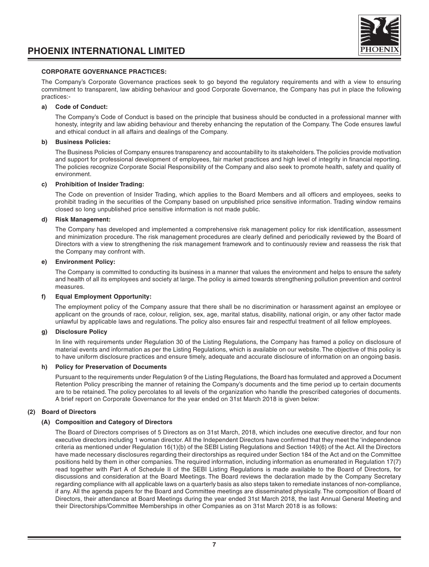

#### **CORPORATE GOVERNANCE PRACTICES:**

The Company's Corporate Governance practices seek to go beyond the regulatory requirements and with a view to ensuring commitment to transparent, law abiding behaviour and good Corporate Governance, the Company has put in place the following practices:-

#### **a) Code of Conduct:**

The Company's Code of Conduct is based on the principle that business should be conducted in a professional manner with honesty, integrity and law abiding behaviour and thereby enhancing the reputation of the Company. The Code ensures lawful and ethical conduct in all affairs and dealings of the Company.

#### **b) Business Policies:**

The Business Policies of Company ensures transparency and accountability to its stakeholders. The policies provide motivation and support for professional development of employees, fair market practices and high level of integrity in financial reporting. The policies recognize Corporate Social Responsibility of the Company and also seek to promote health, safety and quality of environment.

#### **c) Prohibition of Insider Trading:**

The Code on prevention of Insider Trading, which applies to the Board Members and all officers and employees, seeks to prohibit trading in the securities of the Company based on unpublished price sensitive information. Trading window remains closed so long unpublished price sensitive information is not made public.

#### **d) Risk Management:**

The Company has developed and implemented a comprehensive risk management policy for risk identification, assessment and minimization procedure. The risk management procedures are clearly defined and periodically reviewed by the Board of Directors with a view to strengthening the risk management framework and to continuously review and reassess the risk that the Company may confront with.

#### **e) Environment Policy:**

The Company is committed to conducting its business in a manner that values the environment and helps to ensure the safety and health of all its employees and society at large. The policy is aimed towards strengthening pollution prevention and control measures.

#### **f) Equal Employment Opportunity:**

The employment policy of the Company assure that there shall be no discrimination or harassment against an employee or applicant on the grounds of race, colour, religion, sex, age, marital status, disability, national origin, or any other factor made unlawful by applicable laws and regulations. The policy also ensures fair and respectful treatment of all fellow employees.

#### **g) Disclosure Policy**

In line with requirements under Regulation 30 of the Listing Regulations, the Company has framed a policy on disclosure of material events and information as per the Listing Regulations, which is available on our website. The objective of this policy is to have uniform disclosure practices and ensure timely, adequate and accurate disclosure of information on an ongoing basis.

#### **h) Policy for Preservation of Documents**

Pursuant to the requirements under Regulation 9 of the Listing Regulations, the Board has formulated and approved a Document Retention Policy prescribing the manner of retaining the Company's documents and the time period up to certain documents are to be retained. The policy percolates to all levels of the organization who handle the prescribed categories of documents. A brief report on Corporate Governance for the year ended on 31st March 2018 is given below:

#### **(2) Board of Directors**

#### **(A) Composition and Category of Directors**

The Board of Directors comprises of 5 Directors as on 31st March, 2018, which includes one executive director, and four non executive directors including 1 woman director. All the Independent Directors have confirmed that they meet the 'independence criteria as mentioned under Regulation 16(1)(b) of the SEBI Listing Regulations and Section 149(6) of the Act. All the Directors have made necessary disclosures regarding their directorships as required under Section 184 of the Act and on the Committee positions held by them in other companies. The required information, including information as enumerated in Regulation 17(7) read together with Part A of Schedule II of the SEBI Listing Regulations is made available to the Board of Directors, for discussions and consideration at the Board Meetings. The Board reviews the declaration made by the Company Secretary regarding compliance with all applicable laws on a quarterly basis as also steps taken to remediate instances of non-compliance, if any. All the agenda papers for the Board and Committee meetings are disseminated physically. The composition of Board of Directors, their attendance at Board Meetings during the year ended 31st March 2018, the last Annual General Meeting and their Directorships/Committee Memberships in other Companies as on 31st March 2018 is as follows: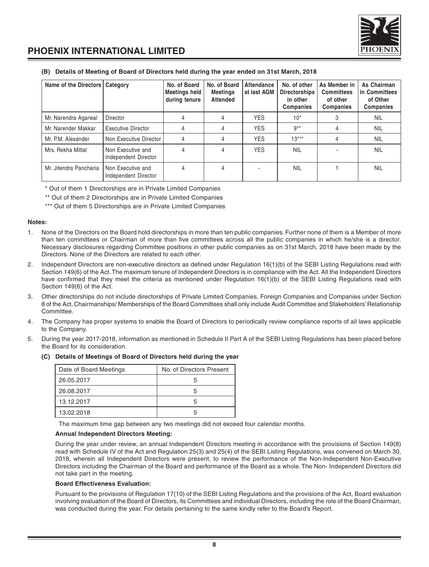

#### **(B) Details of Meeting of Board of Directors held during the year ended on 31st March, 2018**

| Name of the Directors   Category |                                           | No. of Board<br>Meetings held<br>during tenure | No. of Board<br><b>Meetings</b><br><b>Attended</b> | <b>Attendance</b><br>at last AGM | No. of other<br><b>Directorships</b><br>in other<br><b>Companies</b> | As Member in<br><b>Committees</b><br>of other<br><b>Companies</b> | As Chairman<br>in Committees<br>of Other<br><b>Companies</b> |
|----------------------------------|-------------------------------------------|------------------------------------------------|----------------------------------------------------|----------------------------------|----------------------------------------------------------------------|-------------------------------------------------------------------|--------------------------------------------------------------|
| Mr. Narendra Agarwal             | Director                                  | 4                                              | 4                                                  | <b>YES</b>                       | $10*$                                                                |                                                                   | <b>NIL</b>                                                   |
| Mr. Narender Makkar              | <b>Executive Director</b>                 | 4                                              | 4                                                  | <b>YES</b>                       | $9***$                                                               |                                                                   | <b>NIL</b>                                                   |
| Mr. P.M. Alexander               | Non Executive Director                    | 4                                              | 4                                                  | <b>YES</b>                       | $13***$                                                              | 4                                                                 | <b>NIL</b>                                                   |
| Mrs. Rekha Mittal                | Non Executive and<br>Independent Director | 4                                              | 4                                                  | <b>YES</b>                       | <b>NIL</b>                                                           |                                                                   | <b>NIL</b>                                                   |
| Mr. Jitendra Pancharia           | Non Executive and<br>Independent Director | 4                                              | 4                                                  |                                  | <b>NIL</b>                                                           |                                                                   | <b>NIL</b>                                                   |

\* Out of them 1 Directorships are in Private Limited Companies

\*\* Out of them 2 Directorships are in Private Limited Companies

\*\*\* Out of them 5 Directorships are in Private Limited Companies

#### **Notes:**

- 1. None of the Directors on the Board hold directorships in more than ten public companies. Further none of them is a Member of more than ten committees or Chairman of more than five committees across all the public companies in which he/she is a director. Necessary disclosures regarding Committee positions in other public companies as on 31st March, 2018 have been made by the Directors. None of the Directors are related to each other.
- 2. Independent Directors are non-executive directors as defined under Regulation 16(1)(b) of the SEBI Listing Regulations read with Section 149(6) of the Act. The maximum tenure of Independent Directors is in compliance with the Act. All the Independent Directors have confirmed that they meet the criteria as mentioned under Regulation 16(1)(b) of the SEBI Listing Regulations read with Section 149(6) of the Act.
- 3. Other directorships do not include directorships of Private Limited Companies, Foreign Companies and Companies under Section 8 of the Act. Chairmanships/ Memberships of the Board Committees shall only include Audit Committee and Stakeholders' Relationship Committee.
- 4. The Company has proper systems to enable the Board of Directors to periodically review compliance reports of all laws applicable to the Company.
- 5. During the year 2017-2018, information as mentioned in Schedule II Part A of the SEBI Listing Regulations has been placed before the Board for its consideration.

| Date of Board Meetings | No. of Directors Present |
|------------------------|--------------------------|
| 26.05.2017             |                          |
| 26.08.2017             | 5                        |
| 13.12.2017             |                          |
| 13.02.2018             | ᡃ                        |

#### **(C) Details of Meetings of Board of Directors held during the year**

The maximum time gap between any two meetings did not exceed four calendar months.

#### **Annual Independent Directors Meeting:**

During the year under review, an annual Independent Directors meeting in accordance with the provisions of Section 149(8) read with Schedule IV of the Act and Regulation 25(3) and 25(4) of the SEBI Listing Regulations, was convened on March 30, 2018, wherein all Independent Directors were present, to review the performance of the Non-Independent Non-Executive Directors including the Chairman of the Board and performance of the Board as a whole. The Non- Independent Directors did not take part in the meeting.

#### **Board Effectiveness Evaluation:**

Pursuant to the provisions of Regulation 17(10) of the SEBI Listing Regulations and the provisions of the Act, Board evaluation involving evaluation of the Board of Directors, its Committees and individual Directors, including the role of the Board Chairman, was conducted during the year. For details pertaining to the same kindly refer to the Board's Report.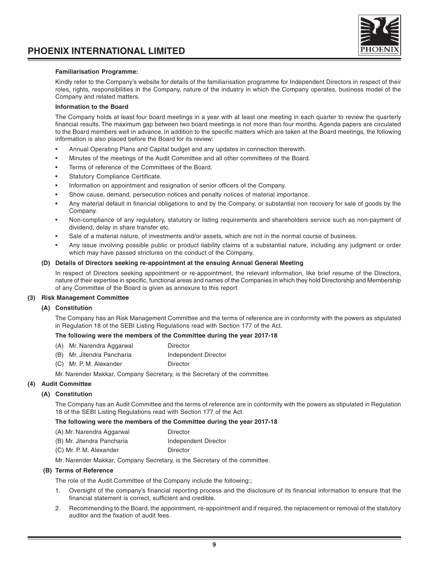#### **Familiarisation Programme:**

Kindly refer to the Company's website for details of the familiarisation programme for Independent Directors in respect of their roles, rights, responsibilities in the Company, nature of the industry in which the Company operates, business model of the Company and related matters.

#### **Information to the Board**

The Company holds at least four board meetings in a year with at least one meeting in each quarter to review the quarterly financial results. The maximum gap between two board meetings is not more than four months. Agenda papers are circulated to the Board members well in advance. In addition to the specific matters which are taken at the Board meetings, the following information is also placed before the Board for its review:

- Annual Operating Plans and Capital budget and any updates in connection therewith.
- Minutes of the meetings of the Audit Committee and all other committees of the Board.
- Terms of reference of the Committees of the Board.
- Statutory Compliance Certificate.
- Information on appointment and resignation of senior officers of the Company.
- Show cause, demand, persecution notices and penalty notices of material importance.
- Any material default in financial obligations to and by the Company, or substantial non recovery for sale of goods by the Company.
- Non-compliance of any regulatory, statutory or listing requirements and shareholders service such as non-payment of dividend, delay in share transfer etc.
- Sale of a material nature, of investments and/or assets, which are not in the normal course of business.
- Any issue involving possible public or product liability claims of a substantial nature, including any judgment or order which may have passed strictures on the conduct of the Company.

#### **(D) Details of Directors seeking re-appointment at the ensuing Annual General Meeting**

In respect of Directors seeking appointment or re-appointment, the relevant information, like brief resume of the Directors, nature of their expertise in specific, functional areas and names of the Companies in which they hold Directorship and Membership of any Committee of the Board is given as annexure to this report.

#### **(3) Risk Management Committee**

#### **(A) Constitution**

The Company has an Risk Management Committee and the terms of reference are in conformity with the powers as stipulated in Regulation 18 of the SEBI Listing Regulations read with Section 177 of the Act.

#### **The following were the members of the Committee during the year 2017-18**

- (A) Mr. Narendra Aggarwal Director
- (B) Mr. Jitendra Pancharia Independent Director
- (C) Mr. P. M. Alexander Director

Mr. Narender Makkar, Company Secretary, is the Secretary of the committee.

#### **(4) Audit Committee**

#### **(A) Constitution**

The Company has an Audit Committee and the terms of reference are in conformity with the powers as stipulated in Regulation 18 of the SEBI Listing Regulations read with Section 177 of the Act.

#### **The following were the members of the Committee during the year 2017-18**

| (A) Mr. Narendra Aggarwal  | Director             |
|----------------------------|----------------------|
| (B) Mr. Jitendra Pancharia | Independent Director |
| (C) Mr. P. M. Alexander    | Director             |

Mr. Narender Makkar, Company Secretary, is the Secretary of the committee.

#### **(B) Terms of Reference**

The role of the Audit Committee of the Company include the following:;

- 1. Oversight of the company's financial reporting process and the disclosure of its financial information to ensure that the financial statement is correct, sufficient and credible.
- 2. Recommending to the Board, the appointment, re-appointment and if required, the replacement or removal of the statutory auditor and the fixation of audit fees.

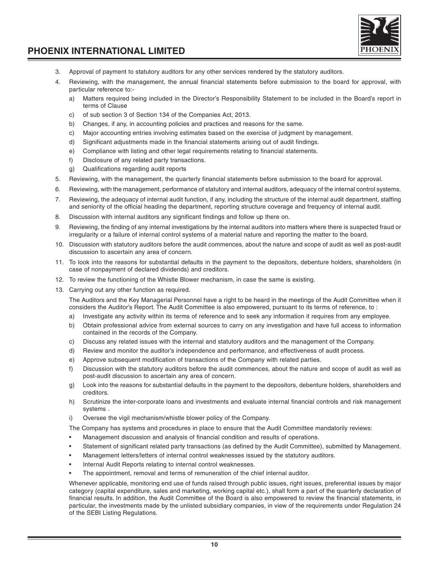

- 3. Approval of payment to statutory auditors for any other services rendered by the statutory auditors.
- 4. Reviewing, with the management, the annual financial statements before submission to the board for approval, with particular reference to:
	- a) Matters required being included in the Director's Responsibility Statement to be included in the Board's report in terms of Clause
	- c) of sub section 3 of Section 134 of the Companies Act, 2013.
	- b) Changes, if any, in accounting policies and practices and reasons for the same.
	- c) Major accounting entries involving estimates based on the exercise of judgment by management.
	- d) Significant adjustments made in the financial statements arising out of audit findings.
	- e) Compliance with listing and other legal requirements relating to financial statements.
	- f) Disclosure of any related party transactions.
	- g) Qualifications regarding audit reports
- 5. Reviewing, with the management, the quarterly financial statements before submission to the board for approval.
- 6. Reviewing, with the management, performance of statutory and internal auditors, adequacy of the internal control systems.
- 7. Reviewing, the adequacy of internal audit function, if any, including the structure of the internal audit department, staffing and seniority of the official heading the department, reporting structure coverage and frequency of internal audit.
- 8. Discussion with internal auditors any significant findings and follow up there on.
- 9. Reviewing, the finding of any internal investigations by the internal auditors into matters where there is suspected fraud or irregularity or a failure of internal control systems of a material nature and reporting the matter to the board.
- 10. Discussion with statutory auditors before the audit commences, about the nature and scope of audit as well as post-audit discussion to ascertain any area of concern.
- 11. To look into the reasons for substantial defaults in the payment to the depositors, debenture holders, shareholders (in case of nonpayment of declared dividends) and creditors.
- 12. To review the functioning of the Whistle Blower mechanism, in case the same is existing.
- 13. Carrying out any other function as required.

The Auditors and the Key Managerial Personnel have a right to be heard in the meetings of the Audit Committee when it considers the Auditor's Report. The Audit Committee is also empowered, pursuant to its terms of reference, to :

- a) Investigate any activity within its terms of reference and to seek any information it requires from any employee.
- b) Obtain professional advice from external sources to carry on any investigation and have full access to information contained in the records of the Company.
- c) Discuss any related issues with the internal and statutory auditors and the management of the Company.
- d) Review and monitor the auditor's independence and performance, and effectiveness of audit process.
- e) Approve subsequent modification of transactions of the Company with related parties.
- f) Discussion with the statutory auditors before the audit commences, about the nature and scope of audit as well as post-audit discussion to ascertain any area of concern.
- g) Look into the reasons for substantial defaults in the payment to the depositors, debenture holders, shareholders and creditors.
- h) Scrutinize the inter-corporate loans and investments and evaluate internal financial controls and risk management systems .
- i) Oversee the vigil mechanism/whistle blower policy of the Company.

The Company has systems and procedures in place to ensure that the Audit Committee mandatorily reviews:

- Management discussion and analysis of financial condition and results of operations.
- Statement of significant related party transactions (as defined by the Audit Committee), submitted by Management.
- Management letters/letters of internal control weaknesses issued by the statutory auditors.
- Internal Audit Reports relating to internal control weaknesses.
- The appointment, removal and terms of remuneration of the chief internal auditor.

Whenever applicable, monitoring end use of funds raised through public issues, right issues, preferential issues by major category (capital expenditure, sales and marketing, working capital etc.), shall form a part of the quarterly declaration of financial results. In addition, the Audit Committee of the Board is also empowered to review the financial statements, in particular, the investments made by the unlisted subsidiary companies, in view of the requirements under Regulation 24 of the SEBI Listing Regulations.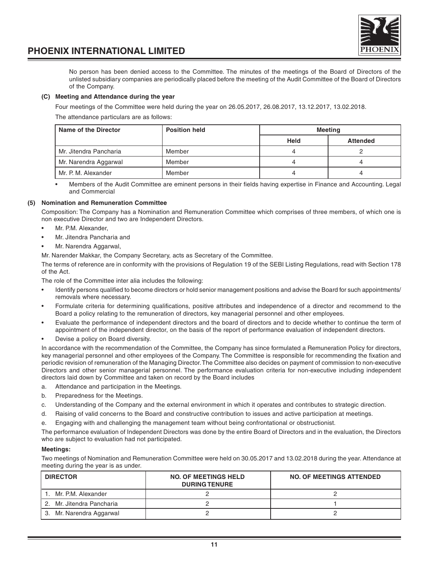

No person has been denied access to the Committee. The minutes of the meetings of the Board of Directors of the unlisted subsidiary companies are periodically placed before the meeting of the Audit Committee of the Board of Directors of the Company.

#### **(C) Meeting and Attendance during the year**

Four meetings of the Committee were held during the year on 26.05.2017, 26.08.2017, 13.12.2017, 13.02.2018.

The attendance particulars are as follows:

| Name of the Director   | <b>Position held</b> | <b>Meeting</b> |                 |
|------------------------|----------------------|----------------|-----------------|
|                        |                      | Held           | <b>Attended</b> |
| Mr. Jitendra Pancharia | Member               |                |                 |
| Mr. Narendra Aggarwal  | Member               |                |                 |
| Mr. P. M. Alexander    | Member               |                |                 |

• Members of the Audit Committee are eminent persons in their fields having expertise in Finance and Accounting. Legal and Commercial

#### **(5) Nomination and Remuneration Committee**

Composition: The Company has a Nomination and Remuneration Committee which comprises of three members, of which one is non executive Director and two are Independent Directors.

- Mr. P.M. Alexander.
- Mr. Jitendra Pancharia and
- Mr. Narendra Aggarwal,

Mr. Narender Makkar, the Company Secretary, acts as Secretary of the Committee.

The terms of reference are in conformity with the provisions of Regulation 19 of the SEBI Listing Regulations, read with Section 178 of the Act.

The role of the Committee inter alia includes the following:

- Identify persons qualified to become directors or hold senior management positions and advise the Board for such appointments/ removals where necessary.
- Formulate criteria for determining qualifications, positive attributes and independence of a director and recommend to the Board a policy relating to the remuneration of directors, key managerial personnel and other employees.
- Evaluate the performance of independent directors and the board of directors and to decide whether to continue the term of appointment of the independent director, on the basis of the report of performance evaluation of independent directors.
- Devise a policy on Board diversity.

In accordance with the recommendation of the Committee, the Company has since formulated a Remuneration Policy for directors, key managerial personnel and other employees of the Company. The Committee is responsible for recommending the fixation and periodic revision of remuneration of the Managing Director. The Committee also decides on payment of commission to non-executive Directors and other senior managerial personnel. The performance evaluation criteria for non-executive including independent directors laid down by Committee and taken on record by the Board includes

- a. Attendance and participation in the Meetings.
- b. Preparedness for the Meetings.
- c. Understanding of the Company and the external environment in which it operates and contributes to strategic direction.
- d. Raising of valid concerns to the Board and constructive contribution to issues and active participation at meetings.
- e. Engaging with and challenging the management team without being confrontational or obstructionist.

The performance evaluation of Independent Directors was done by the entire Board of Directors and in the evaluation, the Directors who are subject to evaluation had not participated.

#### **Meetings:**

Two meetings of Nomination and Remuneration Committee were held on 30.05.2017 and 13.02.2018 during the year. Attendance at meeting during the year is as under.

| <b>DIRECTOR</b>           | <b>NO. OF MEETINGS HELD</b><br><b>DURING TENURE</b> | <b>NO. OF MEETINGS ATTENDED</b> |
|---------------------------|-----------------------------------------------------|---------------------------------|
| Mr. P.M. Alexander        |                                                     |                                 |
| 2. Mr. Jitendra Pancharia |                                                     |                                 |
| 3. Mr. Narendra Aggarwal  |                                                     |                                 |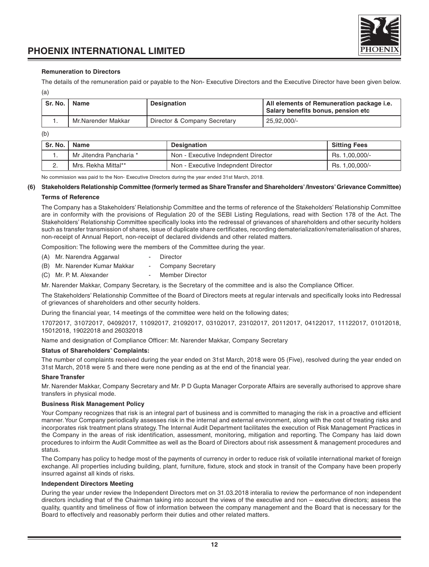

#### **Remuneration to Directors**

The details of the remuneration paid or payable to the Non- Executive Directors and the Executive Director have been given below. (a)

| Sr. No. | Name               | <b>Designation</b>           | All elements of Remuneration package i.e.<br>Salary benefits bonus, pension etc |
|---------|--------------------|------------------------------|---------------------------------------------------------------------------------|
|         | Mr.Narender Makkar | Director & Company Secretary | 25,92,000/-                                                                     |

(b)

| Sr. No.   Name |                         | <b>Designation</b>                  | <b>Sitting Fees</b> |
|----------------|-------------------------|-------------------------------------|---------------------|
|                | Mr Jitendra Pancharia * | Non - Executive Indepndent Director | Rs. 1.00.000/-      |
|                | Mrs. Rekha Mittal**     | Non - Executive Indepndent Director | Rs. 1,00,000/-      |

No commission was paid to the Non- Executive Directors during the year ended 31st March, 2018.

#### **(6) Stakeholders Relationship Committee (formerly termed as Share Transfer and Shareholders' /Investors' Grievance Committee)**

#### **Terms of Reference**

The Company has a Stakeholders' Relationship Committee and the terms of reference of the Stakeholders' Relationship Committee are in conformity with the provisions of Regulation 20 of the SEBI Listing Regulations, read with Section 178 of the Act. The Stakeholders' Relationship Committee specifically looks into the redressal of grievances of shareholders and other security holders such as transfer transmission of shares, issue of duplicate share certificates, recording dematerialization/rematerialisation of shares, non-receipt of Annual Report, non-receipt of declared dividends and other related matters.

Composition: The following were the members of the Committee during the year.

- (A) Mr. Narendra Aggarwal Director
- (B) Mr. Narender Kumar Makkar Company Secretary
- (C) Mr. P. M. Alexander Member Director

Mr. Narender Makkar, Company Secretary, is the Secretary of the committee and is also the Compliance Officer.

The Stakeholders' Relationship Committee of the Board of Directors meets at regular intervals and specifically looks into Redressal of grievances of shareholders and other security holders.

During the financial year, 14 meetings of the committee were held on the following dates;

17072017, 31072017, 04092017, 11092017, 21092017, 03102017, 23102017, 20112017, 04122017, 11122017, 01012018, 15012018, 19022018 and 26032018

Name and designation of Compliance Officer: Mr. Narender Makkar, Company Secretary

#### **Status of Shareholders' Complaints:**

The number of complaints received during the year ended on 31st March, 2018 were 05 (Five), resolved during the year ended on 31st March, 2018 were 5 and there were none pending as at the end of the financial year.

#### **Share Transfer**

Mr. Narender Makkar, Company Secretary and Mr. P D Gupta Manager Corporate Affairs are severally authorised to approve share transfers in physical mode.

#### **Business Risk Management Policy**

Your Company recognizes that risk is an integral part of business and is committed to managing the risk in a proactive and efficient manner. Your Company periodically assesses risk in the internal and external environment, along with the cost of treating risks and incorporates risk treatment plans strategy. The Internal Audit Department facilitates the execution of Risk Management Practices in the Company in the areas of risk identification, assessment, monitoring, mitigation and reporting. The Company has laid down procedures to infoirm the Audit Committee as well as the Board of Directors about risk assessment & management procedures and status.

The Company has policy to hedge most of the payments of currency in order to reduce risk of voilatile international market of foreign exchange. All properties including building, plant, furniture, fixture, stock and stock in transit of the Company have been properly insurred against all kinds of risks.

#### **Independent Directors Meeting**

During the year under review the Independent Directors met on 31.03.2018 interalia to review the performance of non independent directors including that of the Chairman taking into account the views of the executive and non – executive directors; assess the quality, quantity and timeliness of flow of information between the company management and the Board that is necessary for the Board to effectively and reasonably perform their duties and other related matters.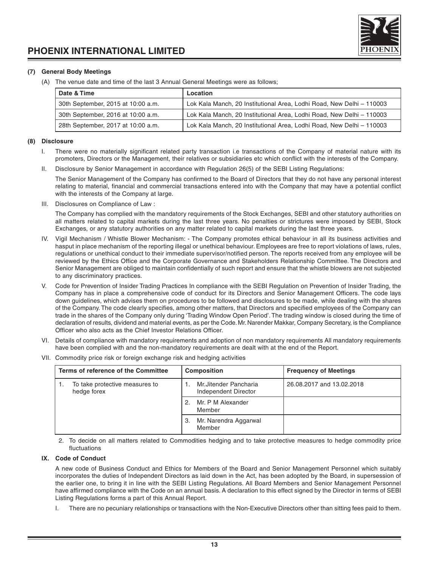

#### **(7) General Body Meetings**

(A) The venue date and time of the last 3 Annual General Meetings were as follows;

| Date & Time                        | Location                                                              |
|------------------------------------|-----------------------------------------------------------------------|
| 30th September, 2015 at 10:00 a.m. | Lok Kala Manch, 20 Institutional Area, Lodhi Road, New Delhi - 110003 |
| 30th September, 2016 at 10:00 a.m. | Lok Kala Manch, 20 Institutional Area, Lodhi Road, New Delhi - 110003 |
| 28th September, 2017 at 10:00 a.m. | Lok Kala Manch, 20 Institutional Area, Lodhi Road, New Delhi - 110003 |

#### **(8) Disclosure**

- I. There were no materially significant related party transaction i.e transactions of the Company of material nature with its promoters, Directors or the Management, their relatives or subsidiaries etc which conflict with the interests of the Company.
- II. Disclosure by Senior Management in accordance with Regulation 26(5) of the SEBI Listing Regulations:

The Senior Management of the Company has confirmed to the Board of Directors that they do not have any personal interest relating to material, financial and commercial transactions entered into with the Company that may have a potential conflict with the interests of the Company at large.

III. Disclosures on Compliance of Law :

The Company has complied with the mandatory requirements of the Stock Exchanges, SEBI and other statutory authorities on all matters related to capital markets during the last three years. No penalties or strictures were imposed by SEBI, Stock Exchanges, or any statutory authorities on any matter related to capital markets during the last three years.

- IV. Vigil Mechanism / Whistle Blower Mechanism: The Company promotes ethical behaviour in all its business activities and hasput in place mechanism of the reporting illegal or unethical behaviour. Employees are free to report violations of laws, rules, regulations or unethical conduct to their immediate supervisor/notified person. The reports received from any employee will be reviewed by the Ethics Office and the Corporate Governance and Stakeholders Relationship Committee. The Directors and Senior Management are obliged to maintain confidentially of such report and ensure that the whistle blowers are not subjected to any discriminatory practices.
- V. Code for Prevention of Insider Trading Practices In compliance with the SEBI Regulation on Prevention of Insider Trading, the Company has in place a comprehensive code of conduct for its Directors and Senior Management Officers. The code lays down guidelines, which advises them on procedures to be followed and disclosures to be made, while dealing with the shares of the Company. The code clearly specifies, among other matters, that Directors and specified employees of the Company can trade in the shares of the Company only during 'Trading Window Open Period'. The trading window is closed during the time of declaration of results, dividend and material events, as per the Code. Mr. Narender Makkar, Company Secretary, is the Compliance Officer who also acts as the Chief Investor Relations Officer.
- VI. Details of compliance with mandatory requirements and adoption of non mandatory requirements All mandatory requirements have been complied with and the non-mandatory requirements are dealt with at the end of the Report.
- VII. Commodity price risk or foreign exchange risk and hedging activities

| Terms of reference of the Committee |                                               | <b>Composition</b> |                                               | <b>Frequency of Meetings</b> |
|-------------------------------------|-----------------------------------------------|--------------------|-----------------------------------------------|------------------------------|
|                                     | To take protective measures to<br>hedge forex |                    | Mr.Jitender Pancharia<br>Independent Director | 26.08.2017 and 13.02.2018    |
|                                     |                                               | 2.                 | Mr. P M Alexander<br>Member                   |                              |
|                                     |                                               | З.                 | Mr. Narendra Aggarwal<br>Member               |                              |

2. To decide on all matters related to Commodities hedging and to take protective measures to hedge commodity price fluctuations

#### **IX. Code of Conduct**

A new code of Business Conduct and Ethics for Members of the Board and Senior Management Personnel which suitably incorporates the duties of Independent Directors as laid down in the Act, has been adopted by the Board, in supersession of the earlier one, to bring it in line with the SEBI Listing Regulations. All Board Members and Senior Management Personnel have affirmed compliance with the Code on an annual basis. A declaration to this effect signed by the Director in terms of SEBI Listing Regulations forms a part of this Annual Report.

There are no pecuniary relationships or transactions with the Non-Executive Directors other than sitting fees paid to them.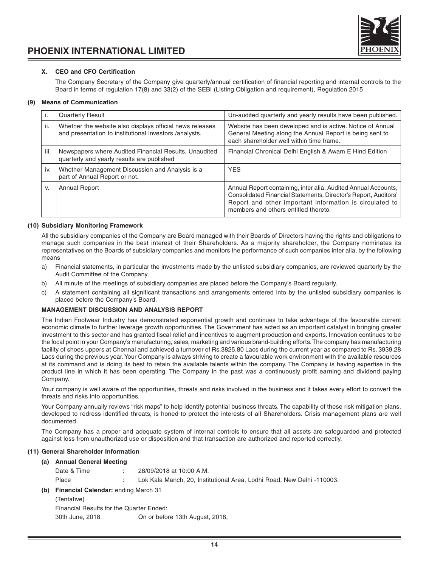

#### **X. CEO and CFO Certification**

The Company Secretary of the Company give quarterly/annual certification of financial reporting and internal controls to the Board in terms of regulation 17(8) and 33(2) of the SEBI (Listing Obligation and requirement), Regulation 2015

#### **(9) Means of Communication**

|      | <b>Quarterly Result</b>                                                                                            | Un-audited quarterly and yearly results have been published.                                                                                                                                                                         |
|------|--------------------------------------------------------------------------------------------------------------------|--------------------------------------------------------------------------------------------------------------------------------------------------------------------------------------------------------------------------------------|
| ii.  | Whether the website also displays official news releases<br>and presentation to institutional investors /analysts. | Website has been developed and is active. Notice of Annual<br>General Meeting along the Annual Report is being sent to<br>each shareholder well within time frame.                                                                   |
| iii. | Newspapers where Audited Financial Results, Unaudited<br>quarterly and yearly results are published                | Financial Chronical Delhi English & Awam E Hind Edition                                                                                                                                                                              |
| iv.  | Whether Management Discussion and Analysis is a<br>part of Annual Report or not.                                   | <b>YES</b>                                                                                                                                                                                                                           |
| V.   | <b>Annual Report</b>                                                                                               | Annual Report containing, inter alia, Audited Annual Accounts,<br>Consolidated Financial Statements, Director's Report, Auditors'<br>Report and other important information is circulated to<br>members and others entitled thereto. |

#### **(10) Subsidiary Monitoring Framework**

All the subsidiary companies of the Company are Board managed with their Boards of Directors having the rights and obligations to manage such companies in the best interest of their Shareholders. As a majority shareholder, the Company nominates its representatives on the Boards of subsidiary companies and monitors the performance of such companies inter alia, by the following means

- a) Financial statements, in particular the investments made by the unlisted subsidiary companies, are reviewed quarterly by the Audit Committee of the Company.
- b) All minute of the meetings of subsidiary companies are placed before the Company's Board regularly.
- c) A statement containing all significant transactions and arrangements entered into by the unlisted subsidiary companies is placed before the Company's Board.

#### **MANAGEMENT DISCUSSION AND ANALYSIS REPORT**

The Indian Footwear Industry has demonstrated exponential growth and continues to take advantage of the favourable current economic climate to further leverage growth opportunities. The Government has acted as an important catalyst in bringing greater investment to this sector and has granted fiscal relief and incentives to augment production and exports. Innovation continues to be the focal point in your Company's manufacturing, sales, marketing and various brand-building efforts. The company has manufacturing facility of shoes uppers at Chennai and achieved a turnover of Rs.3825.80 Lacs during the current year as compared to Rs. 3939.28 Lacs during the previous year. Your Company is always striving to create a favourable work environment with the available resources at its command and is doing its best to retain the available talents within the company. The Company is having expertise in the product line in which it has been operating. The Company in the past was a continuously profit earning and dividend paying Company.

Your company is well aware of the opportunities, threats and risks involved in the business and it takes every effort to convert the threats and risks into opportunities.

Your Company annually reviews "risk maps" to help identify potential business threats. The capability of these risk mitigation plans, developed to redress identified threats, is honed to protect the interests of all Shareholders. Crisis management plans are well documented.

The Company has a proper and adequate system of internal controls to ensure that all assets are safeguarded and protected against loss from unauthorized use or disposition and that transaction are authorized and reported correctly.

Delhi -110003.

#### **(11) General Shareholder Information**

#### **(a) Annual General Meeting**

| Date & Time | 28/09/2018 at 10:00 A.M.                                |
|-------------|---------------------------------------------------------|
| Place       | Lok Kala Manch, 20. Institutional Area, Lodhi Road, New |

**(b) Financial Calendar:** ending March 31

(Tentative)

Financial Results for the Quarter Ended:

30th June, 2018 On or before 13th August, 2018,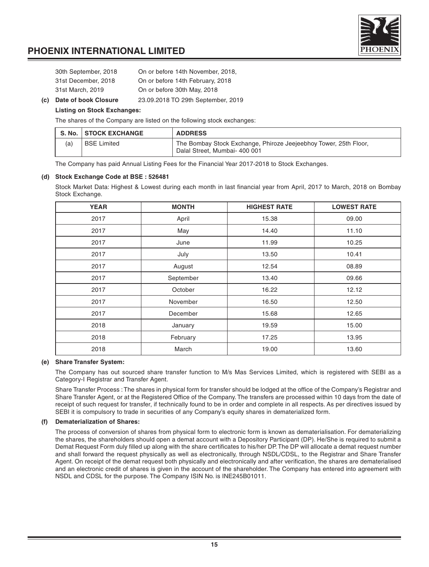| 30th September, 2018 | On or before 14th November, 2018. |
|----------------------|-----------------------------------|
| 31st December, 2018  | On or before 14th February, 2018  |
| 31st March, 2019     | On or before 30th May, 2018       |

**(c) Date of book Closure** 23.09.2018 TO 29th September, 2019

#### **Listing on Stock Exchanges:**

The shares of the Company are listed on the following stock exchanges:

|     | S. No.   STOCK EXCHANGE | <b>ADDRESS</b>                                                                                    |
|-----|-------------------------|---------------------------------------------------------------------------------------------------|
| (a) | <b>BSE Limited</b>      | The Bombay Stock Exchange, Phiroze Jeejeebhoy Tower, 25th Floor,<br>Dalal Street, Mumbai- 400 001 |

The Company has paid Annual Listing Fees for the Financial Year 2017-2018 to Stock Exchanges.

#### **(d) Stock Exchange Code at BSE : 526481**

Stock Market Data: Highest & Lowest during each month in last financial year from April, 2017 to March, 2018 on Bombay Stock Exchange.

| <b>YEAR</b> | <b>MONTH</b> | <b>HIGHEST RATE</b> | <b>LOWEST RATE</b> |
|-------------|--------------|---------------------|--------------------|
| 2017        | April        | 15.38               | 09.00              |
| 2017        | May          | 14.40               | 11.10              |
| 2017        | June         | 11.99               | 10.25              |
| 2017        | July         | 13.50               | 10.41              |
| 2017        | August       | 12.54               | 08.89              |
| 2017        | September    | 13.40               | 09.66              |
| 2017        | October      | 16.22               | 12.12              |
| 2017        | November     | 16.50               | 12.50              |
| 2017        | December     | 15.68               | 12.65              |
| 2018        | January      | 19.59               | 15.00              |
| 2018        | February     | 17.25               | 13.95              |
| 2018        | March        | 19.00               | 13.60              |

#### **(e) Share Transfer System:**

The Company has out sourced share transfer function to M/s Mas Services Limited, which is registered with SEBI as a Category-I Registrar and Transfer Agent.

Share Transfer Process : The shares in physical form for transfer should be lodged at the office of the Company's Registrar and Share Transfer Agent, or at the Registered Office of the Company. The transfers are processed within 10 days from the date of receipt of such request for transfer, if technically found to be in order and complete in all respects. As per directives issued by SEBI it is compulsory to trade in securities of any Company's equity shares in dematerialized form.

#### **(f) Dematerialization of Shares:**

The process of conversion of shares from physical form to electronic form is known as dematerialisation. For dematerializing the shares, the shareholders should open a demat account with a Depository Participant (DP). He/She is required to submit a Demat Request Form duly filled up along with the share certificates to his/her DP. The DP will allocate a demat request number and shall forward the request physically as well as electronically, through NSDL/CDSL, to the Registrar and Share Transfer Agent. On receipt of the demat request both physically and electronically and after verification, the shares are dematerialised and an electronic credit of shares is given in the account of the shareholder. The Company has entered into agreement with NSDL and CDSL for the purpose. The Company ISIN No. is INE245B01011.

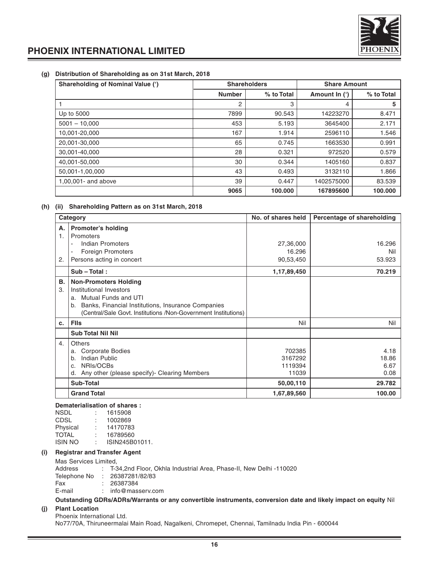

#### **(g) Distribution of Shareholding as on 31st March, 2018**

| <b>Shareholding of Nominal Value (')</b> |               | <b>Shareholders</b> | <b>Share Amount</b> |            |  |
|------------------------------------------|---------------|---------------------|---------------------|------------|--|
|                                          | <b>Number</b> | % to Total          | Amount In (')       | % to Total |  |
|                                          | 2             | 3                   | 4                   | 5          |  |
| Up to 5000                               | 7899          | 90.543              | 14223270            | 8.471      |  |
| $5001 - 10,000$                          | 453           | 5.193               | 3645400             | 2.171      |  |
| 10.001-20.000                            | 167           | 1.914               | 2596110             | 1.546      |  |
| 20.001-30.000                            | 65            | 0.745               | 1663530             | 0.991      |  |
| 30.001-40.000                            | 28            | 0.321               | 972520              | 0.579      |  |
| 40,001-50,000                            | 30            | 0.344               | 1405160             | 0.837      |  |
| 50,001-1,00,000                          | 43            | 0.493               | 3132110             | 1.866      |  |
| 1,00,001- and above                      | 39            | 0.447               | 1402575000          | 83.539     |  |
|                                          | 9065          | 100.000             | 167895600           | 100,000    |  |

#### **(h) (ii) Shareholding Pattern as on 31st March, 2018**

|          | Category                                                                                                                                                                                                            | No. of shares held                    | Percentage of shareholding    |
|----------|---------------------------------------------------------------------------------------------------------------------------------------------------------------------------------------------------------------------|---------------------------------------|-------------------------------|
| Α.<br>1. | Promoter's holding<br>Promoters                                                                                                                                                                                     |                                       |                               |
|          | Indian Promoters<br>$\overline{\phantom{0}}$                                                                                                                                                                        | 27,36,000                             | 16.296                        |
|          | <b>Foreign Promoters</b>                                                                                                                                                                                            | 16.296                                | Nil                           |
| 2.       | Persons acting in concert                                                                                                                                                                                           | 90,53,450                             | 53.923                        |
|          | $Sub - Total:$                                                                                                                                                                                                      | 1,17,89,450                           | 70.219                        |
| В.<br>3. | <b>Non-Promoters Holding</b><br>Institutional Investors<br>Mutual Funds and UTI<br>a.<br>Banks, Financial Institutions, Insurance Companies<br>b.<br>(Central/Sale Govt. Institutions /Non-Government Institutions) |                                       |                               |
| c.       | <b>Flis</b>                                                                                                                                                                                                         | Nil                                   | Nil                           |
|          | <b>Sub Total Nil Nil</b>                                                                                                                                                                                            |                                       |                               |
| 4.       | <b>Others</b><br><b>Corporate Bodies</b><br>a.<br>Indian Public<br>b.<br>NRIs/OCBs<br>C.<br>Any other (please specify) - Clearing Members<br>d.                                                                     | 702385<br>3167292<br>1119394<br>11039 | 4.18<br>18.86<br>6.67<br>0.08 |
|          | Sub-Total                                                                                                                                                                                                           | 50,00,110                             | 29.782                        |
|          | <b>Grand Total</b>                                                                                                                                                                                                  | 1,67,89,560                           | 100.00                        |

#### **Dematerialisation of shares :**

|                |    | DEINGLEFIGHSGLIUH UL SHGLES. |
|----------------|----|------------------------------|
| <b>NSDL</b>    |    | 1615908                      |
| CDSL           | ÷  | 1002869                      |
| Physical       | ÷  | 14170783                     |
| <b>TOTAL</b>   | ÷. | 16789560                     |
| <b>ISIN NO</b> |    | ISIN245B01011.               |
|                |    |                              |

#### **(i) Registrar and Transfer Agent**

| Mas Services Limited. |                                                                      |
|-----------------------|----------------------------------------------------------------------|
| Address               | . T-34.2nd Floor. Okhla Industrial Area. Phase-II. New Delhi -110020 |
|                       | Telephone No : 26387281/82/83                                        |

| Fax    | 26387384         |
|--------|------------------|
| E-mail | info@masserv.com |

#### **Outstanding GDRs/ADRs/Warrants or any convertible instruments, conversion date and likely impact on equity** Nil

#### **(j) Plant Location**

Phoenix International Ltd. No77/70A, Thiruneermalai Main Road, Nagalkeni, Chromepet, Chennai, Tamilnadu India Pin - 600044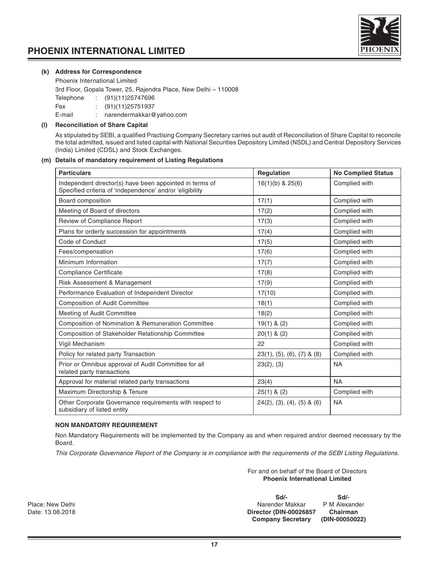

#### **(k) Address for Correspondence**

Phoenix International Limited

3rd Floor, Gopala Tower, 25, Rajendra Place, New Delhi – 110008

Telephone : (91)(11)25747696

Fax : (91)(11)25751937

E-mail : narendermakkar@yahoo.com

#### **(l) Reconciliation of Share Capital**

As stipulated by SEBI, a qualified Practising Company Secretary carries out audit of Reconciliation of Share Capital to reconcile the total admitted, issued and listed capital with National Securities Depository Limited (NSDL) and Central Depository Services (India) Limited (CDSL) and Stock Exchanges.

#### **(m) Details of mandatory requirement of Listing Regulations**

| <b>Particulars</b>                                                                                                  | Regulation                     | <b>No Complied Status</b> |
|---------------------------------------------------------------------------------------------------------------------|--------------------------------|---------------------------|
| Independent director(s) have been appointed in terms of<br>Specified criteria of 'independence' and/or 'eligibility | $16(1)(b)$ & $25(6)$           | Complied with             |
| Board composition                                                                                                   | 17(1)                          | Complied with             |
| Meeting of Board of directors                                                                                       | 17(2)                          | Complied with             |
| Review of Compliance Report                                                                                         | 17(3)                          | Complied with             |
| Plans for orderly succession for appointments                                                                       | 17(4)                          | Complied with             |
| Code of Conduct                                                                                                     | 17(5)                          | Complied with             |
| Fees/compensation                                                                                                   | 17(6)                          | Complied with             |
| Minimum Information                                                                                                 | 17(7)                          | Complied with             |
| Compliance Certificate                                                                                              | 17(8)                          | Complied with             |
| Risk Assessment & Management                                                                                        | 17(9)                          | Complied with             |
| Performance Evaluation of Independent Director                                                                      | 17(10)                         | Complied with             |
| <b>Composition of Audit Committee</b>                                                                               | 18(1)                          | Complied with             |
| Meeting of Audit Committee                                                                                          | 18(2)                          | Complied with             |
| Composition of Nomination & Remuneration Committee                                                                  | $19(1)$ & (2)                  | Complied with             |
| Composition of Stakeholder Relationship Committee                                                                   | $20(1)$ & $(2)$                | Complied with             |
| Vigil Mechanism                                                                                                     | 22                             | Complied with             |
| Policy for related party Transaction                                                                                | $23(1), (5), (6), (7)$ & $(8)$ | Complied with             |
| Prior or Omnibus approval of Audit Committee for all<br>related party transactions                                  | 23(2), (3)                     | <b>NA</b>                 |
| Approval for material related party transactions                                                                    | 23(4)                          | <b>NA</b>                 |
| Maximum Directorship & Tenure                                                                                       | $25(1)$ & $(2)$                | Complied with             |
| Other Corporate Governance requirements with respect to<br>subsidiary of listed entity                              | $24(2)$ , (3), (4), (5) & (6)  | <b>NA</b>                 |

#### **NON MANDATORY REQUIREMENT**

Non Mandatory Requirements will be implemented by the Company as and when required and/or deemed necessary by the Board.

This Corporate Governance Report of the Company is in compliance with the requirements of the SEBI Listing Regulations.

For and on behalf of the Board of Directors **Phoenix International Limited**

**Sd/- Sd/- Sd/- Contains Sd/- Contains Sd/- Contains Sd/- Contains Sd/- Contains Sd/- Contains Sd/- Contains Sd/- Contains Sd/- Contains Sd/- Contains Sd/- Contains Sd/- Contains Sd/- Contains** Place: New Delhi Narender Makkar P M Alexander Makkar P M Alexander Makkar P M Alexander Makkar P M Alexander Makkar Date: 13.08.2018 **Director (DIN-00026857 Chairman Company Secretary (DIN-00050022)**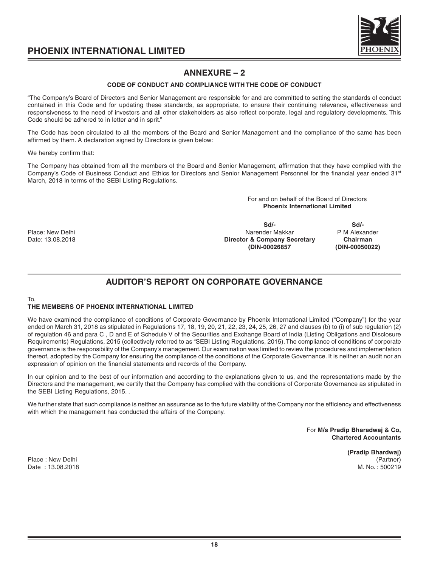

## **ANNEXURE – 2**

#### **CODE OF CONDUCT AND COMPLIANCE WITH THE CODE OF CONDUCT**

"The Company's Board of Directors and Senior Management are responsible for and are committed to setting the standards of conduct contained in this Code and for updating these standards, as appropriate, to ensure their continuing relevance, effectiveness and responsiveness to the need of investors and all other stakeholders as also reflect corporate, legal and regulatory developments. This Code should be adhered to in letter and in sprit."

The Code has been circulated to all the members of the Board and Senior Management and the compliance of the same has been affirmed by them. A declaration signed by Directors is given below:

We hereby confirm that:

The Company has obtained from all the members of the Board and Senior Management, affirmation that they have complied with the Company's Code of Business Conduct and Ethics for Directors and Senior Management Personnel for the financial year ended 31<sup>st</sup> March, 2018 in terms of the SEBI Listing Regulations.

> For and on behalf of the Board of Directors **Phoenix International Limited**

**Sd/- Sd/-** Place: New Delhi Narender Makkar Narender Makkar P M Alexander Makkar P M Alexander Date: 13.08.2018 **Director & Company Secretary Chairman**

**(DIN-00026857 (DIN-00050022)**

## **AUDITOR'S REPORT ON CORPORATE GOVERNANCE**

## To,

#### **THE MEMBERS OF PHOENIX INTERNATIONAL LIMITED**

We have examined the compliance of conditions of Corporate Governance by Phoenix International Limited ("Company") for the year ended on March 31, 2018 as stipulated in Regulations 17, 18, 19, 20, 21, 22, 23, 24, 25, 26, 27 and clauses (b) to (i) of sub regulation (2) of regulation 46 and para C , D and E of Schedule V of the Securities and Exchange Board of India (Listing Obligations and Disclosure Requirements) Regulations, 2015 (collectively referred to as "SEBI Listing Regulations, 2015). The compliance of conditions of corporate governance is the responsibility of the Company's management. Our examination was limited to review the procedures and implementation thereof, adopted by the Company for ensuring the compliance of the conditions of the Corporate Governance. It is neither an audit nor an expression of opinion on the financial statements and records of the Company.

In our opinion and to the best of our information and according to the explanations given to us, and the representations made by the Directors and the management, we certify that the Company has complied with the conditions of Corporate Governance as stipulated in the SEBI Listing Regulations, 2015. .

We further state that such compliance is neither an assurance as to the future viability of the Company nor the efficiency and effectiveness with which the management has conducted the affairs of the Company.

> For **M/s Pradip Bharadwaj & Co, Chartered Accountants**

> > **(Pradip Bhardwaj)**

Place : New Delhi (Partner) Date : 13.08.2018 M. No. : 500219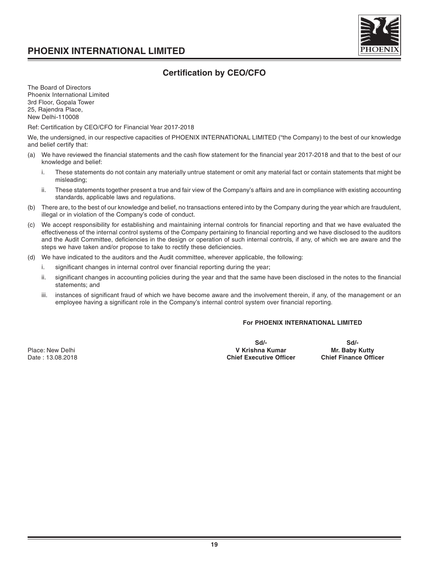

### **Certification by CEO/CFO**

The Board of Directors Phoenix International Limited 3rd Floor, Gopala Tower 25, Rajendra Place, New Delhi-110008

Ref: Certification by CEO/CFO for Financial Year 2017-2018

We, the undersigned, in our respective capacities of PHOENIX INTERNATIONAL LIMITED ("the Company) to the best of our knowledge and belief certify that:

- (a) We have reviewed the financial statements and the cash flow statement for the financial year 2017-2018 and that to the best of our knowledge and belief:
	- i. These statements do not contain any materially untrue statement or omit any material fact or contain statements that might be misleading;
	- ii. These statements together present a true and fair view of the Company's affairs and are in compliance with existing accounting standards, applicable laws and regulations.
- (b) There are, to the best of our knowledge and belief, no transactions entered into by the Company during the year which are fraudulent, illegal or in violation of the Company's code of conduct.
- (c) We accept responsibility for establishing and maintaining internal controls for financial reporting and that we have evaluated the effectiveness of the internal control systems of the Company pertaining to financial reporting and we have disclosed to the auditors and the Audit Committee, deficiencies in the design or operation of such internal controls, if any, of which we are aware and the steps we have taken and/or propose to take to rectify these deficiencies.
- (d) We have indicated to the auditors and the Audit committee, wherever applicable, the following:
	- i. significant changes in internal control over financial reporting during the year;
	- ii. significant changes in accounting policies during the year and that the same have been disclosed in the notes to the financial statements; and
	- iii. instances of significant fraud of which we have become aware and the involvement therein, if any, of the management or an employee having a significant role in the Company's internal control system over financial reporting.

#### **For PHOENIX INTERNATIONAL LIMITED**

**Sd/- Sd/-** Place: New Delhi **New York Constructs Are all the Constructs Are Mr. Baby Kutty V Krishna Kumar Mr. Baby Kutty**<br> **Chief Executive Officer** Chief Finance Officer Chief Finance Officer Chief Finance Officer **Chief Executive Officer**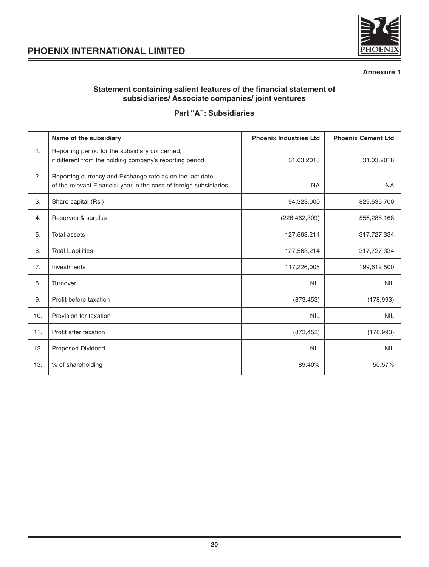

#### **Annexure 1**

#### **Statement containing salient features of the financial statement of subsidiaries/ Associate companies/ joint ventures**

## **Part "A": Subsidiaries**

|     | Name of the subsidiary                                                                                                          | <b>Phoenix Industries Ltd</b> | <b>Phoenix Cement Ltd</b> |
|-----|---------------------------------------------------------------------------------------------------------------------------------|-------------------------------|---------------------------|
| 1.  | Reporting period for the subsidiary concerned,<br>if different from the holding company's reporting period                      | 31.03.2018                    | 31.03.2018                |
| 2.  | Reporting currency and Exchange rate as on the last date<br>of the relevant Financial year in the case of foreign subsidiaries. | <b>NA</b>                     | <b>NA</b>                 |
| 3.  | Share capital (Rs.)                                                                                                             | 94,323,000                    | 829,535,700               |
| 4.  | Reserves & surplus                                                                                                              | (226, 462, 309)               | 556,288,168               |
| 5.  | <b>Total assets</b>                                                                                                             | 127,563,214                   | 317,727,334               |
| 6.  | <b>Total Liabilities</b>                                                                                                        | 127,563,214                   | 317,727,334               |
| 7.  | Investments                                                                                                                     | 117,226,005                   | 199,612,500               |
| 8.  | Turnover                                                                                                                        | <b>NIL</b>                    | <b>NIL</b>                |
| 9.  | Profit before taxation                                                                                                          | (873, 453)                    | (178, 993)                |
| 10. | Provision for taxation                                                                                                          | <b>NIL</b>                    | <b>NIL</b>                |
| 11. | Profit after taxation                                                                                                           | (873, 453)                    | (178, 993)                |
| 12. | Proposed Dividend                                                                                                               | <b>NIL</b>                    | <b>NIL</b>                |
| 13. | % of shareholding                                                                                                               | 89.40%                        | 50.57%                    |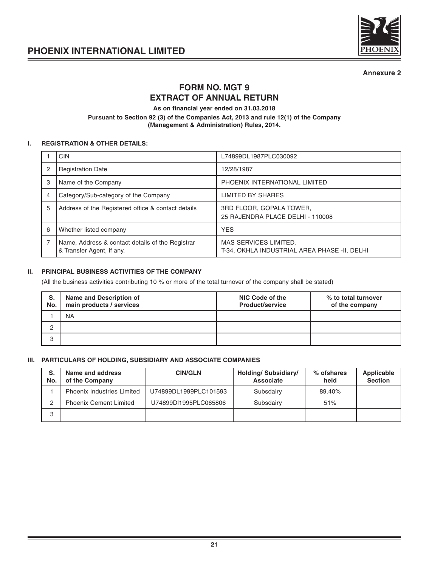



**Annexure 2**

## **FORM NO. MGT 9 EXTRACT OF ANNUAL RETURN**

**As on financial year ended on 31.03.2018**

**Pursuant to Section 92 (3) of the Companies Act, 2013 and rule 12(1) of the Company (Management & Administration) Rules, 2014.**

#### **I. REGISTRATION & OTHER DETAILS:**

|   | <b>CIN</b>                                                                    | L74899DL1987PLC030092                                                 |
|---|-------------------------------------------------------------------------------|-----------------------------------------------------------------------|
|   | <b>Registration Date</b>                                                      | 12/28/1987                                                            |
| 3 | Name of the Company                                                           | PHOENIX INTERNATIONAL LIMITED                                         |
|   | Category/Sub-category of the Company                                          | LIMITED BY SHARES                                                     |
| 5 | Address of the Registered office & contact details                            | 3RD FLOOR, GOPALA TOWER.<br>25 RAJENDRA PLACE DELHI - 110008          |
| 6 | Whether listed company                                                        | <b>YES</b>                                                            |
|   | Name, Address & contact details of the Registrar<br>& Transfer Agent, if any. | MAS SERVICES LIMITED,<br>T-34, OKHLA INDUSTRIAL AREA PHASE -II, DELHI |

#### **II. PRINCIPAL BUSINESS ACTIVITIES OF THE COMPANY**

(All the business activities contributing 10 % or more of the total turnover of the company shall be stated)

| S.<br>No. | Name and Description of<br>main products / services | NIC Code of the<br><b>Product/service</b> | % to total turnover<br>of the company |
|-----------|-----------------------------------------------------|-------------------------------------------|---------------------------------------|
|           | <b>NA</b>                                           |                                           |                                       |
| ◠         |                                                     |                                           |                                       |
| 3         |                                                     |                                           |                                       |

#### **III. PARTICULARS OF HOLDING, SUBSIDIARY AND ASSOCIATE COMPANIES**

| S.<br>No. | Name and address<br>of the Company | <b>CIN/GLN</b>        | <b>Holding/Subsidiary/</b><br>Associate | % ofshares<br>held | Applicable<br><b>Section</b> |
|-----------|------------------------------------|-----------------------|-----------------------------------------|--------------------|------------------------------|
|           | <b>Phoenix Industries Limited</b>  | U74899DL1999PLC101593 | Subsdairv                               | 89.40%             |                              |
|           | <b>Phoenix Cement Limited</b>      | U74899DI1995PLC065806 | Subsdairv                               | 51%                |                              |
|           |                                    |                       |                                         |                    |                              |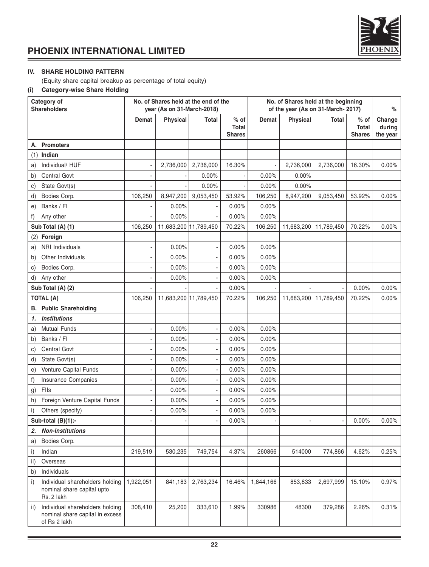

#### **IV. SHARE HOLDING PATTERN**

(Equity share capital breakup as percentage of total equity)

#### **(i) Category-wise Share Holding**

| Category of<br><b>Shareholders</b>                                                        |           | No. of Shares held at the end of the<br>vear (As on 31-March-2018) |           |                                         | No. of Shares held at the beginning<br>of the year (As on 31-March-2017) |                 |                       |                                  | %                            |
|-------------------------------------------------------------------------------------------|-----------|--------------------------------------------------------------------|-----------|-----------------------------------------|--------------------------------------------------------------------------|-----------------|-----------------------|----------------------------------|------------------------------|
|                                                                                           | Demat     | <b>Physical</b>                                                    | Total     | $%$ of<br><b>Total</b><br><b>Shares</b> | Demat                                                                    | <b>Physical</b> | Total                 | $%$ of<br>Total<br><b>Shares</b> | Change<br>during<br>the year |
| A. Promoters                                                                              |           |                                                                    |           |                                         |                                                                          |                 |                       |                                  |                              |
| Indian<br>(1)                                                                             |           |                                                                    |           |                                         |                                                                          |                 |                       |                                  |                              |
| Individual/ HUF<br>a)                                                                     |           | 2,736,000                                                          | 2,736,000 | 16.30%                                  |                                                                          | 2,736,000       | 2,736,000             | 16.30%                           | $0.00\%$                     |
| <b>Central Govt</b><br>b)                                                                 |           |                                                                    | 0.00%     |                                         | 0.00%                                                                    | 0.00%           |                       |                                  |                              |
| State Govt(s)<br>C)                                                                       |           |                                                                    | 0.00%     |                                         | 0.00%                                                                    | 0.00%           |                       |                                  |                              |
| d)<br>Bodies Corp.                                                                        | 106,250   | 8,947,200                                                          | 9,053,450 | 53.92%                                  | 106,250                                                                  | 8,947,200       | 9,053,450             | 53.92%                           | $0.00\%$                     |
| Banks / Fl<br>e)                                                                          |           | 0.00%                                                              |           | 0.00%                                   | 0.00%                                                                    |                 |                       |                                  |                              |
| f)<br>Any other                                                                           |           | 0.00%                                                              |           | 0.00%                                   | $0.00\%$                                                                 |                 |                       |                                  |                              |
| Sub Total (A) (1)                                                                         | 106,250   | 11,683,200 11,789,450                                              |           | 70.22%                                  | 106,250                                                                  | 11,683,200      | 11,789,450            | 70.22%                           | $0.00\%$                     |
| Foreign<br>(2)                                                                            |           |                                                                    |           |                                         |                                                                          |                 |                       |                                  |                              |
| NRI Individuals<br>a)                                                                     |           | 0.00%                                                              |           | 0.00%                                   | 0.00%                                                                    |                 |                       |                                  |                              |
| Other Individuals<br>b)                                                                   |           | 0.00%                                                              |           | 0.00%                                   | 0.00%                                                                    |                 |                       |                                  |                              |
| Bodies Corp.<br>C)                                                                        |           | 0.00%                                                              |           | $0.00\%$                                | 0.00%                                                                    |                 |                       |                                  |                              |
| Any other<br>d)                                                                           |           | 0.00%                                                              |           | $0.00\%$                                | 0.00%                                                                    |                 |                       |                                  |                              |
| Sub Total (A) (2)                                                                         |           |                                                                    |           | 0.00%                                   |                                                                          |                 |                       | 0.00%                            | $0.00\%$                     |
| <b>TOTAL (A)</b>                                                                          | 106,250   | 11,683,200 11,789,450                                              |           | 70.22%                                  | 106,250                                                                  |                 | 11,683,200 11,789,450 | 70.22%                           | $0.00\%$                     |
| <b>Public Shareholding</b><br>В.                                                          |           |                                                                    |           |                                         |                                                                          |                 |                       |                                  |                              |
| <b>Institutions</b><br>1.                                                                 |           |                                                                    |           |                                         |                                                                          |                 |                       |                                  |                              |
| <b>Mutual Funds</b><br>a)                                                                 |           | 0.00%                                                              |           | $0.00\%$                                | 0.00%                                                                    |                 |                       |                                  |                              |
| Banks / Fl<br>b)                                                                          |           | 0.00%                                                              |           | 0.00%                                   | 0.00%                                                                    |                 |                       |                                  |                              |
| <b>Central Govt</b><br>C)                                                                 |           | 0.00%                                                              |           | $0.00\%$                                | 0.00%                                                                    |                 |                       |                                  |                              |
| State Govt(s)<br>d)                                                                       |           | 0.00%                                                              |           | $0.00\%$                                | 0.00%                                                                    |                 |                       |                                  |                              |
| Venture Capital Funds<br>e)                                                               |           | 0.00%                                                              |           | 0.00%                                   | 0.00%                                                                    |                 |                       |                                  |                              |
| <b>Insurance Companies</b><br>f)                                                          |           | 0.00%                                                              |           | $0.00\%$                                | 0.00%                                                                    |                 |                       |                                  |                              |
| Flls<br>g)                                                                                |           | 0.00%                                                              |           | $0.00\%$                                | 0.00%                                                                    |                 |                       |                                  |                              |
| Foreign Venture Capital Funds<br>h)                                                       |           | 0.00%                                                              |           | 0.00%                                   | 0.00%                                                                    |                 |                       |                                  |                              |
| i)<br>Others (specify)                                                                    |           | 0.00%                                                              |           | 0.00%                                   | 0.00%                                                                    |                 |                       |                                  |                              |
| Sub-total $(B)(1)$ :-                                                                     |           |                                                                    |           | 0.00%                                   |                                                                          |                 |                       | 0.00%                            | 0.00%                        |
| <b>Non-Institutions</b><br>2.                                                             |           |                                                                    |           |                                         |                                                                          |                 |                       |                                  |                              |
| Bodies Corp.<br>a)                                                                        |           |                                                                    |           |                                         |                                                                          |                 |                       |                                  |                              |
| Indian<br>i)                                                                              | 219,519   | 530,235                                                            | 749,754   | 4.37%                                   | 260866                                                                   | 514000          | 774,866               | 4.62%                            | 0.25%                        |
| ii)<br>Overseas                                                                           |           |                                                                    |           |                                         |                                                                          |                 |                       |                                  |                              |
| Individuals<br>b)                                                                         |           |                                                                    |           |                                         |                                                                          |                 |                       |                                  |                              |
| i)<br>Individual shareholders holding<br>nominal share capital upto<br>Rs. 2 lakh         | 1,922,051 | 841,183                                                            | 2,763,234 | 16.46%                                  | 1,844,166                                                                | 853,833         | 2,697,999             | 15.10%                           | 0.97%                        |
| Individual shareholders holding<br>ii)<br>nominal share capital in excess<br>of Rs 2 lakh | 308,410   | 25,200                                                             | 333,610   | 1.99%                                   | 330986                                                                   | 48300           | 379,286               | 2.26%                            | 0.31%                        |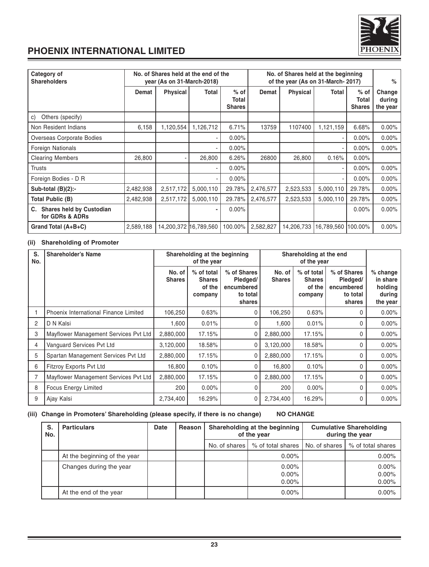

| Category of<br><b>Shareholders</b>                       |           | No. of Shares held at the end of the<br>year (As on 31-March-2018) |           |                                  | No. of Shares held at the beginning<br>of the year (As on 31-March-2017) | %               |                    |                                  |                              |
|----------------------------------------------------------|-----------|--------------------------------------------------------------------|-----------|----------------------------------|--------------------------------------------------------------------------|-----------------|--------------------|----------------------------------|------------------------------|
|                                                          | Demat     | <b>Physical</b>                                                    | Total     | $%$ of<br>Total<br><b>Shares</b> | Demat                                                                    | <b>Physical</b> | Total              | $%$ of<br>Total<br><b>Shares</b> | Change<br>during<br>the year |
| Others (specify)<br>C)                                   |           |                                                                    |           |                                  |                                                                          |                 |                    |                                  |                              |
| Non Resident Indians                                     | 6,158     | 1,120,554                                                          | 1,126,712 | 6.71%                            | 13759                                                                    | 1107400         | 1,121,159          | 6.68%                            | 0.00%                        |
| Overseas Corporate Bodies                                |           |                                                                    |           | $0.00\%$                         |                                                                          |                 |                    | $0.00\%$                         | $0.00\%$                     |
| <b>Foreign Nationals</b>                                 |           |                                                                    |           | $0.00\%$                         |                                                                          |                 | ٠                  | $0.00\%$                         | $0.00\%$                     |
| <b>Clearing Members</b>                                  | 26,800    |                                                                    | 26,800    | 6.26%                            | 26800                                                                    | 26,800          | 0.16%              | 0.00%                            |                              |
| <b>Trusts</b>                                            |           |                                                                    |           | $0.00\%$                         |                                                                          |                 |                    | $0.00\%$                         | 0.00%                        |
| Foreign Bodies - D R                                     |           |                                                                    |           | $0.00\%$                         |                                                                          |                 |                    | $0.00\%$                         | $0.00\%$                     |
| Sub-total (B)(2):-                                       | 2,482,938 | 2,517,172                                                          | 5,000,110 | 29.78%                           | 2,476,577                                                                | 2,523,533       | 5,000,110          | 29.78%                           | 0.00%                        |
| Total Public (B)                                         | 2,482,938 | 2,517,172                                                          | 5,000,110 | 29.78%                           | 2,476,577                                                                | 2,523,533       | 5,000,110          | 29.78%                           | 0.00%                        |
| <b>Shares held by Custodian</b><br>C.<br>for GDRs & ADRs |           |                                                                    |           | $0.00\%$                         |                                                                          |                 |                    | $0.00\%$                         | $0.00\%$                     |
| Grand Total (A+B+C)                                      | 2,589,188 | 14,200,372 16,789,560                                              |           | 100.00%                          | 2,582,827                                                                | 14,206,733      | 16,789,560 100.00% |                                  | $0.00\%$                     |

#### **(ii) Shareholding of Promoter**

| S.<br>No. | <b>Shareholder's Name</b>             |                         | Shareholding at the beginning<br>of the year     |                                                             | Shareholding at the end<br>of the year |                                                  |                                                             |                                                         |
|-----------|---------------------------------------|-------------------------|--------------------------------------------------|-------------------------------------------------------------|----------------------------------------|--------------------------------------------------|-------------------------------------------------------------|---------------------------------------------------------|
|           |                                       | No. of<br><b>Shares</b> | % of total<br><b>Shares</b><br>of the<br>company | % of Shares<br>Pledged/<br>encumbered<br>to total<br>shares | No. of<br><b>Shares</b>                | % of total<br><b>Shares</b><br>of the<br>company | % of Shares<br>Pledged/<br>encumbered<br>to total<br>shares | $%$ change<br>in share<br>holding<br>during<br>the year |
|           | Phoenix International Finance Limited | 106,250                 | 0.63%                                            | $\Omega$                                                    | 106,250                                | 0.63%                                            |                                                             | $0.00\%$                                                |
| 2         | D N Kalsi                             | 1.600                   | 0.01%                                            | 0                                                           | 1,600                                  | 0.01%                                            |                                                             | $0.00\%$                                                |
| 3         | Mayflower Management Services Pvt Ltd | 2,880,000               | 17.15%                                           | $\Omega$                                                    | 2,880,000                              | 17.15%                                           | 0                                                           | $0.00\%$                                                |
| 4         | Vanguard Services Pvt Ltd             | 3,120,000               | 18.58%                                           | 0                                                           | 3,120,000                              | 18.58%                                           |                                                             | $0.00\%$                                                |
| 5         | Spartan Management Services Pvt Ltd   | 2,880,000               | 17.15%                                           | 0                                                           | 2,880,000                              | 17.15%                                           |                                                             | $0.00\%$                                                |
| 6         | <b>Fitzroy Exports Pvt Ltd</b>        | 16,800                  | 0.10%                                            | 0                                                           | 16,800                                 | 0.10%                                            |                                                             | $0.00\%$                                                |
|           | Mayflower Management Services Pvt Ltd | 2.880.000               | 17.15%                                           | $\Omega$                                                    | 2,880,000                              | 17.15%                                           |                                                             | $0.00\%$                                                |
| 8         | <b>Focus Energy Limited</b>           | 200                     | $0.00\%$                                         | $\Omega$                                                    | 200                                    | $0.00\%$                                         | 0                                                           | $0.00\%$                                                |
| 9         | Ajay Kalsi                            | 2,734,400               | 16.29%                                           | 0                                                           | 2,734,400                              | 16.29%                                           |                                                             | $0.00\%$                                                |

#### **(iii) Change in Promoters' Shareholding (please specify, if there is no change) NO CHANGE**

| S.<br>No. | <b>Particulars</b>           | Date | Shareholding at the beginning<br><b>Cumulative Shareholding</b><br>Reason<br>during the year<br>of the year |                 |                                  |               |                         |
|-----------|------------------------------|------|-------------------------------------------------------------------------------------------------------------|-----------------|----------------------------------|---------------|-------------------------|
|           |                              |      |                                                                                                             | No. of shares I | % of total shares                | No. of shares | % of total shares       |
|           | At the beginning of the year |      |                                                                                                             |                 | $0.00\%$                         |               | $0.00\%$                |
|           | Changes during the year      |      |                                                                                                             |                 | $0.00\%$<br>$0.00\%$<br>$0.00\%$ |               | 0.00%<br>0.00%<br>0.00% |
|           | At the end of the year       |      |                                                                                                             |                 | $0.00\%$                         |               | 0.00%                   |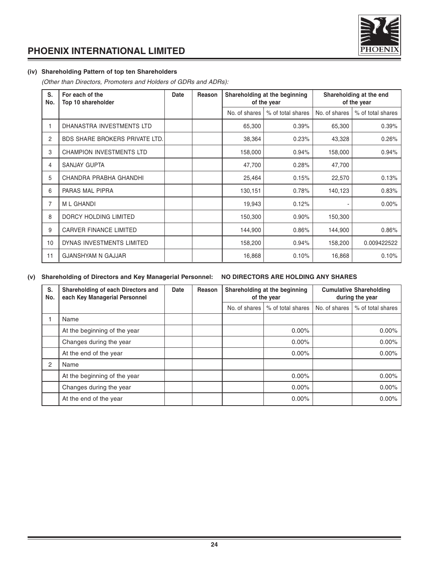

#### **(iv) Shareholding Pattern of top ten Shareholders**

(Other than Directors, Promoters and Holders of GDRs and ADRs):

| S.<br>No. | For each of the<br>Top 10 shareholder | Date | Reason |               | Shareholding at the beginning<br>of the year |               | Shareholding at the end<br>of the year |  |
|-----------|---------------------------------------|------|--------|---------------|----------------------------------------------|---------------|----------------------------------------|--|
|           |                                       |      |        | No. of shares | % of total shares                            | No. of shares | % of total shares                      |  |
|           | DHANASTRA INVESTMENTS LTD             |      |        | 65,300        | 0.39%                                        | 65,300        | 0.39%                                  |  |
| 2         | <b>BDS SHARE BROKERS PRIVATE LTD.</b> |      |        | 38,364        | 0.23%                                        | 43,328        | 0.26%                                  |  |
| 3         | CHAMPION INVESTMENTS LTD              |      |        | 158,000       | 0.94%                                        | 158,000       | 0.94%                                  |  |
| 4         | SANJAY GUPTA                          |      |        | 47,700        | 0.28%                                        | 47,700        |                                        |  |
| 5         | CHANDRA PRABHA GHANDHI                |      |        | 25,464        | 0.15%                                        | 22,570        | 0.13%                                  |  |
| 6         | PARAS MAL PIPRA                       |      |        | 130,151       | 0.78%                                        | 140,123       | 0.83%                                  |  |
| 7         | <b>ML GHANDI</b>                      |      |        | 19,943        | 0.12%                                        |               | 0.00%                                  |  |
| 8         | DORCY HOLDING LIMITED                 |      |        | 150,300       | 0.90%                                        | 150,300       |                                        |  |
| 9         | <b>CARVER FINANCE LIMITED</b>         |      |        | 144,900       | 0.86%                                        | 144,900       | 0.86%                                  |  |
| 10        | DYNAS INVESTMENTS LIMITED             |      |        | 158,200       | 0.94%                                        | 158,200       | 0.009422522                            |  |
| 11        | <b>GJANSHYAM N GAJJAR</b>             |      |        | 16,868        | 0.10%                                        | 16,868        | 0.10%                                  |  |

#### **(v) Shareholding of Directors and Key Managerial Personnel: NO DIRECTORS ARE HOLDING ANY SHARES**

| S.<br>No. | Shareholding of each Directors and<br>each Key Managerial Personnel | Date | Reason |               | Shareholding at the beginning<br>of the year | <b>Cumulative Shareholding</b><br>during the year |                   |
|-----------|---------------------------------------------------------------------|------|--------|---------------|----------------------------------------------|---------------------------------------------------|-------------------|
|           |                                                                     |      |        | No. of shares | % of total shares                            | No. of shares                                     | % of total shares |
|           | Name                                                                |      |        |               |                                              |                                                   |                   |
|           | At the beginning of the year                                        |      |        |               | $0.00\%$                                     |                                                   | $0.00\%$          |
|           | Changes during the year                                             |      |        |               | $0.00\%$                                     |                                                   | $0.00\%$          |
|           | At the end of the year                                              |      |        |               | $0.00\%$                                     |                                                   | $0.00\%$          |
| 2         | Name                                                                |      |        |               |                                              |                                                   |                   |
|           | At the beginning of the year                                        |      |        |               | $0.00\%$                                     |                                                   | $0.00\%$          |
|           | Changes during the year                                             |      |        |               | $0.00\%$                                     |                                                   | $0.00\%$          |
|           | At the end of the year                                              |      |        |               | 0.00%                                        |                                                   | $0.00\%$          |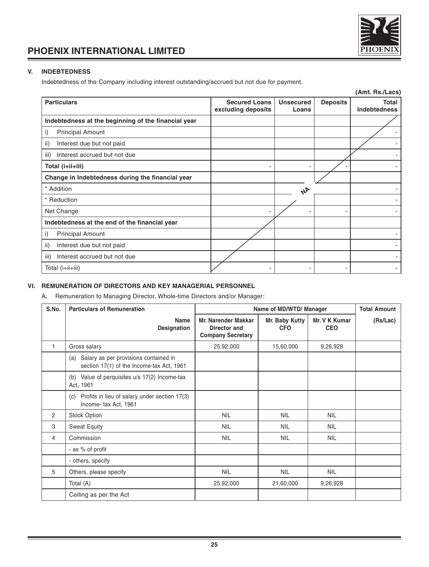

#### **V. INDEBTEDNESS**

Indebtedness of the Company including interest outstanding/accrued but not due for payment.

|                                                     |                                            |                           |                 | (Amt. Rs./Lacs)              |
|-----------------------------------------------------|--------------------------------------------|---------------------------|-----------------|------------------------------|
| <b>Particulars</b>                                  | <b>Secured Loans</b><br>excluding deposits | <b>Unsecured</b><br>Loans | <b>Deposits</b> | Total<br><b>Indebtedness</b> |
| Indebtedness at the beginning of the financial year |                                            |                           |                 |                              |
| <b>Principal Amount</b><br>i)                       |                                            |                           |                 |                              |
| ii)<br>Interest due but not paid                    |                                            |                           |                 |                              |
| iii)<br>Interest accrued but not due                |                                            |                           |                 |                              |
| Total (i+ii+iii)                                    |                                            |                           |                 |                              |
| Change in Indebtedness during the financial year    |                                            |                           |                 |                              |
| * Addition                                          |                                            | 4 <sup>k</sup>            |                 |                              |
| * Reduction                                         |                                            |                           |                 |                              |
| Net Change                                          |                                            |                           |                 |                              |
| Indebtedness at the end of the financial year       |                                            |                           |                 |                              |
| i)<br><b>Principal Amount</b>                       |                                            |                           |                 |                              |
| ii)<br>Interest due but not paid                    |                                            |                           |                 |                              |
| iii)<br>Interest accrued but not due                |                                            |                           |                 |                              |
| Total (i+ii+iii)                                    |                                            |                           |                 |                              |

#### **VI. REMUNERATION OF DIRECTORS AND KEY MANAGERIAL PERSONNEL**

A**.** Remuneration to Managing Director, Whole-time Directors and/or Manager:

| S.No. | <b>Particulars of Remuneration</b>                                                        | Name of MD/WTD/ Manager                                                |                              |                             | <b>Total Amount</b> |
|-------|-------------------------------------------------------------------------------------------|------------------------------------------------------------------------|------------------------------|-----------------------------|---------------------|
|       | Name<br>Designation                                                                       | <b>Mr. Narender Makkar</b><br>Director and<br><b>Company Secretary</b> | Mr. Baby Kutty<br><b>CFO</b> | Mr. V K Kumar<br><b>CEO</b> | (Rs/Lac)            |
| 1     | Gross salary                                                                              | 25,92,000                                                              | 15,60,000                    | 9,26,928                    |                     |
|       | Salary as per provisions contained in<br>(a)<br>section 17(1) of the Income-tax Act, 1961 |                                                                        |                              |                             |                     |
|       | (b) Value of perquisites u/s 17(2) Income-tax<br>Act, 1961                                |                                                                        |                              |                             |                     |
|       | Profits in lieu of salary under section 17(3)<br>(c)<br>Income- tax Act, 1961             |                                                                        |                              |                             |                     |
| 2     | <b>Stock Option</b>                                                                       | <b>NIL</b>                                                             | <b>NIL</b>                   | <b>NIL</b>                  |                     |
| 3     | <b>Sweat Equity</b>                                                                       | <b>NIL</b>                                                             | <b>NIL</b>                   | <b>NIL</b>                  |                     |
| 4     | Commission                                                                                | <b>NIL</b>                                                             | <b>NIL</b>                   | <b>NIL</b>                  |                     |
|       | - as % of profit                                                                          |                                                                        |                              |                             |                     |
|       | - others, specify                                                                         |                                                                        |                              |                             |                     |
| 5     | Others, please specify                                                                    | <b>NIL</b>                                                             | <b>NIL</b>                   | <b>NIL</b>                  |                     |
|       | Total (A)                                                                                 | 25,92,000                                                              | 21,60,000                    | 9,26,928                    |                     |
|       | Ceiling as per the Act                                                                    |                                                                        |                              |                             |                     |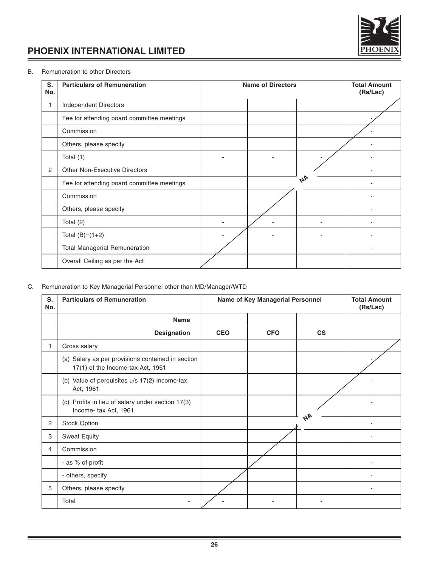

#### B. Remuneration to other Directors

| S.<br>No.      | <b>Particulars of Remuneration</b>         | <b>Name of Directors</b> |    | <b>Total Amount</b><br>(Rs/Lac) |
|----------------|--------------------------------------------|--------------------------|----|---------------------------------|
|                | Independent Directors                      |                          |    |                                 |
|                | Fee for attending board committee meetings |                          |    |                                 |
|                | Commission                                 |                          |    |                                 |
|                | Others, please specify                     |                          |    |                                 |
|                | Total (1)                                  |                          |    |                                 |
| $\overline{2}$ | <b>Other Non-Executive Directors</b>       |                          |    |                                 |
|                | Fee for attending board committee meetings |                          | 44 |                                 |
|                | Commission                                 |                          |    |                                 |
|                | Others, please specify                     |                          |    |                                 |
|                | Total (2)                                  |                          |    |                                 |
|                | Total $(B)=(1+2)$                          |                          |    |                                 |
|                | <b>Total Managerial Remuneration</b>       |                          |    |                                 |
|                | Overall Ceiling as per the Act             |                          |    |                                 |

#### C. Remuneration to Key Managerial Personnel other than MD/Manager/WTD

| S.<br>No.      | <b>Particulars of Remuneration</b>                                                       | Name of Key Managerial Personnel |            |               | <b>Total Amount</b><br>(Rs/Lac) |
|----------------|------------------------------------------------------------------------------------------|----------------------------------|------------|---------------|---------------------------------|
|                | <b>Name</b>                                                                              |                                  |            |               |                                 |
|                | Designation                                                                              | <b>CEO</b>                       | <b>CFO</b> | $\mathsf{cs}$ |                                 |
|                | Gross salary                                                                             |                                  |            |               |                                 |
|                | (a) Salary as per provisions contained in section<br>$17(1)$ of the Income-tax Act, 1961 |                                  |            |               |                                 |
|                | (b) Value of perquisites u/s 17(2) Income-tax<br>Act, 1961                               |                                  |            |               |                                 |
|                | (c) Profits in lieu of salary under section 17(3)<br>Income- tax Act, 1961               |                                  |            |               |                                 |
| $\overline{2}$ | Stock Option                                                                             |                                  |            | 44            |                                 |
| 3              | <b>Sweat Equity</b>                                                                      |                                  |            |               |                                 |
| 4              | Commission                                                                               |                                  |            |               |                                 |
|                | - as % of profit                                                                         |                                  |            |               |                                 |
|                | - others, specify                                                                        |                                  |            |               |                                 |
| 5              | Others, please specify                                                                   |                                  |            |               |                                 |
|                | Total                                                                                    |                                  |            |               |                                 |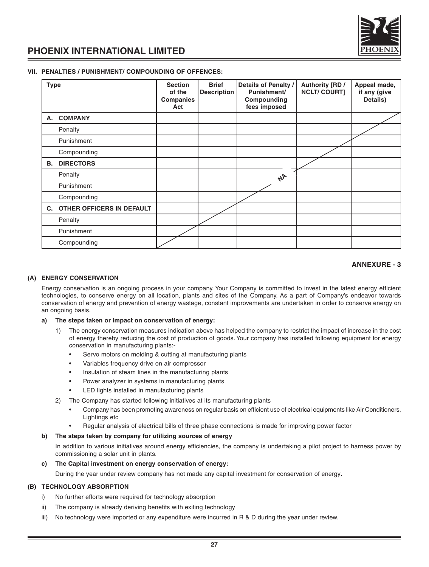

#### **VII. PENALTIES / PUNISHMENT/ COMPOUNDING OF OFFENCES:**

| <b>Type</b> |                           | <b>Section</b><br>of the<br>Companies<br>Act | <b>Brief</b><br><b>Description</b> | Details of Penalty /<br>Punishment/<br>Compounding<br>fees imposed | Authority [RD /<br><b>NCLT/COURT]</b> | Appeal made,<br>if any (give<br>Details) |
|-------------|---------------------------|----------------------------------------------|------------------------------------|--------------------------------------------------------------------|---------------------------------------|------------------------------------------|
| А.          | <b>COMPANY</b>            |                                              |                                    |                                                                    |                                       |                                          |
|             | Penalty                   |                                              |                                    |                                                                    |                                       |                                          |
|             | Punishment                |                                              |                                    |                                                                    |                                       |                                          |
|             | Compounding               |                                              |                                    |                                                                    |                                       |                                          |
| В.          | <b>DIRECTORS</b>          |                                              |                                    |                                                                    |                                       |                                          |
|             | Penalty                   |                                              |                                    | 44                                                                 |                                       |                                          |
|             | Punishment                |                                              |                                    |                                                                    |                                       |                                          |
|             | Compounding               |                                              |                                    |                                                                    |                                       |                                          |
| C.          | OTHER OFFICERS IN DEFAULT |                                              |                                    |                                                                    |                                       |                                          |
|             | Penalty                   |                                              |                                    |                                                                    |                                       |                                          |
|             | Punishment                |                                              |                                    |                                                                    |                                       |                                          |
|             | Compounding               |                                              |                                    |                                                                    |                                       |                                          |

#### **ANNEXURE - 3**

#### **(A) ENERGY CONSERVATION**

Energy conservation is an ongoing process in your company. Your Company is committed to invest in the latest energy efficient technologies, to conserve energy on all location, plants and sites of the Company. As a part of Company's endeavor towards conservation of energy and prevention of energy wastage, constant improvements are undertaken in order to conserve energy on an ongoing basis.

#### **a) The steps taken or impact on conservation of energy:**

- 1) The energy conservation measures indication above has helped the company to restrict the impact of increase in the cost of energy thereby reducing the cost of production of goods. Your company has installed following equipment for energy conservation in manufacturing plants:-
	- Servo motors on molding & cutting at manufacturing plants
	- Variables frequency drive on air compressor
	- Insulation of steam lines in the manufacturing plants
	- Power analyzer in systems in manufacturing plants
	- LED lights installed in manufacturing plants
- 2) The Company has started following initiatives at its manufacturing plants
	- Company has been promoting awareness on regular basis on efficient use of electrical equipments like Air Conditioners, Lightings etc
	- Regular analysis of electrical bills of three phase connections is made for improving power factor

#### **b) The steps taken by company for utilizing sources of energy**

In addition to various initiatives around energy efficiencies, the company is undertaking a pilot project to harness power by commissioning a solar unit in plants.

#### **c) The Capital investment on energy conservation of energy:**

During the year under review company has not made any capital investment for conservation of energy**.**

#### **(B) TECHNOLOGY ABSORPTION**

- i) No further efforts were required for technology absorption
- ii) The company is already deriving benefits with exiting technology
- iii) No technology were imported or any expenditure were incurred in R & D during the year under review.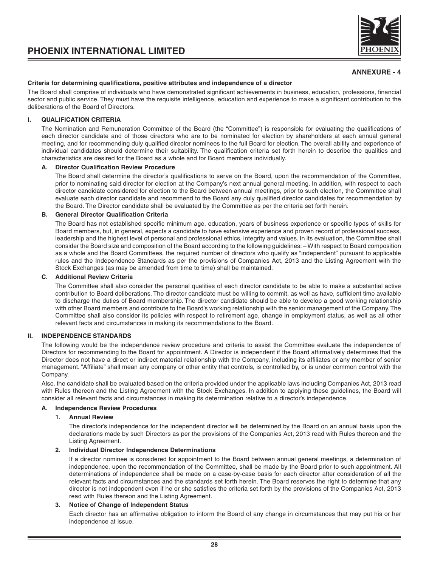

#### **Criteria for determining qualifications, positive attributes and independence of a director**

The Board shall comprise of individuals who have demonstrated significant achievements in business, education, professions, financial sector and public service. They must have the requisite intelligence, education and experience to make a significant contribution to the deliberations of the Board of Directors.

#### **I. QUALIFICATION CRITERIA**

The Nomination and Remuneration Committee of the Board (the "Committee") is responsible for evaluating the qualifications of each director candidate and of those directors who are to be nominated for election by shareholders at each annual general meeting, and for recommending duly qualified director nominees to the full Board for election. The overall ability and experience of individual candidates should determine their suitability. The qualification criteria set forth herein to describe the qualities and characteristics are desired for the Board as a whole and for Board members individually.

#### **A. Director Qualification Review Procedure**

The Board shall determine the director's qualifications to serve on the Board, upon the recommendation of the Committee, prior to nominating said director for election at the Company's next annual general meeting. In addition, with respect to each director candidate considered for election to the Board between annual meetings, prior to such election, the Committee shall evaluate each director candidate and recommend to the Board any duly qualified director candidates for recommendation by the Board. The Director candidate shall be evaluated by the Committee as per the criteria set forth herein.

#### **B. General Director Qualification Criteria**

The Board has not established specific minimum age, education, years of business experience or specific types of skills for Board members, but, in general, expects a candidate to have extensive experience and proven record of professional success, leadership and the highest level of personal and professional ethics, integrity and values. In its evaluation, the Committee shall consider the Board size and composition of the Board according to the following guidelines: – With respect to Board composition as a whole and the Board Committees, the required number of directors who qualify as "independent" pursuant to applicable rules and the Independence Standards as per the provisions of Companies Act, 2013 and the Listing Agreement with the Stock Exchanges (as may be amended from time to time) shall be maintained.

#### **C. Additional Review Criteria**

The Committee shall also consider the personal qualities of each director candidate to be able to make a substantial active contribution to Board deliberations. The director candidate must be willing to commit, as well as have, sufficient time available to discharge the duties of Board membership. The director candidate should be able to develop a good working relationship with other Board members and contribute to the Board's working relationship with the senior management of the Company. The Committee shall also consider its policies with respect to retirement age, change in employment status, as well as all other relevant facts and circumstances in making its recommendations to the Board.

#### **II. INDEPENDENCE STANDARDS**

The following would be the independence review procedure and criteria to assist the Committee evaluate the independence of Directors for recommending to the Board for appointment. A Director is independent if the Board affirmatively determines that the Director does not have a direct or indirect material relationship with the Company, including its affiliates or any member of senior management. "Affiliate" shall mean any company or other entity that controls, is controlled by, or is under common control with the Company.

Also, the candidate shall be evaluated based on the criteria provided under the applicable laws including Companies Act, 2013 read with Rules thereon and the Listing Agreement with the Stock Exchanges. In addition to applying these guidelines, the Board will consider all relevant facts and circumstances in making its determination relative to a director's independence.

#### **A. Independence Review Procedures**

#### **1. Annual Review**

The director's independence for the independent director will be determined by the Board on an annual basis upon the declarations made by such Directors as per the provisions of the Companies Act, 2013 read with Rules thereon and the Listing Agreement.

#### **2. Individual Director Independence Determinations**

If a director nominee is considered for appointment to the Board between annual general meetings, a determination of independence, upon the recommendation of the Committee, shall be made by the Board prior to such appointment. All determinations of independence shall be made on a case-by-case basis for each director after consideration of all the relevant facts and circumstances and the standards set forth herein. The Board reserves the right to determine that any director is not independent even if he or she satisfies the criteria set forth by the provisions of the Companies Act, 2013 read with Rules thereon and the Listing Agreement.

#### **3. Notice of Change of Independent Status**

Each director has an affirmative obligation to inform the Board of any change in circumstances that may put his or her independence at issue.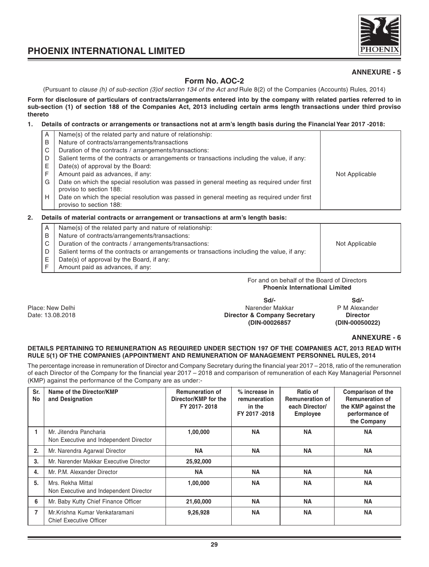

#### **Form No. AOC-2**

(Pursuant to clause (h) of sub-section (3)of section 134 of the Act and Rule 8(2) of the Companies (Accounts) Rules, 2014)

**Form for disclosure of particulars of contracts/arrangements entered into by the company with related parties referred to in sub-section (1) of section 188 of the Companies Act, 2013 including certain arms length transactions under third proviso thereto**

#### **1. Details of contracts or arrangements or transactions not at arm's length basis during the Financial Year 2017 -2018:**

| A | Name(s) of the related party and nature of relationship:                                    |                |
|---|---------------------------------------------------------------------------------------------|----------------|
| B | Nature of contracts/arrangements/transactions                                               |                |
| C | Duration of the contracts / arrangements/transactions:                                      |                |
| D | Salient terms of the contracts or arrangements or transactions including the value, if any: |                |
| Е | Date(s) of approval by the Board:                                                           |                |
| F | Amount paid as advances, if any:                                                            | Not Applicable |
| G | Date on which the special resolution was passed in general meeting as required under first  |                |
|   | proviso to section 188:                                                                     |                |
| Н | Date on which the special resolution was passed in general meeting as required under first  |                |
|   | proviso to section 188:                                                                     |                |

#### **2. Details of material contracts or arrangement or transactions at arm's length basis:**

| A  | Name(s) of the related party and nature of relationship:                                    |                |
|----|---------------------------------------------------------------------------------------------|----------------|
| B  | Nature of contracts/arrangements/transactions:                                              |                |
| C  | Duration of the contracts / arrangements/transactions:                                      | Not Applicable |
|    | Salient terms of the contracts or arrangements or transactions including the value, if any: |                |
| E. | Date(s) of approval by the Board, if any:                                                   |                |
|    | Amount paid as advances, if any:                                                            |                |

For and on behalf of the Board of Directors **Phoenix International Limited**

**Sd/- Sd/-** Place: New Delhi Narender Makkar P M Alexander Makkar P M Alexander Date: 13.08.2018 **Director & Company Secretary Director (DIN-00026857 (DIN-00050022)**

**ANNEXURE - 6**

#### **DETAILS PERTAINING TO REMUNERATION AS REQUIRED UNDER SECTION 197 OF THE COMPANIES ACT, 2013 READ WITH RULE 5(1) OF THE COMPANIES (APPOINTMENT AND REMUNERATION OF MANAGEMENT PERSONNEL RULES, 2014**

The percentage increase in remuneration of Director and Company Secretary during the financial year 2017 – 2018, ratio of the remuneration of each Director of the Company for the financial year 2017 – 2018 and comparison of remuneration of each Key Managerial Personnel (KMP) against the performance of the Company are as under:-

| Sr.<br>No | Name of the Director/KMP<br>and Designation                      | <b>Remuneration of</b><br>Director/KMP for the<br>FY 2017-2018 | % increase in<br>remuneration<br>in the<br>FY 2017-2018 | Ratio of<br><b>Remuneration of</b><br>each Director/<br><b>Employee</b> | Comparison of the<br><b>Remuneration of</b><br>the KMP against the<br>performance of<br>the Company |
|-----------|------------------------------------------------------------------|----------------------------------------------------------------|---------------------------------------------------------|-------------------------------------------------------------------------|-----------------------------------------------------------------------------------------------------|
|           | Mr. Jitendra Pancharia<br>Non Executive and Independent Director | 1,00,000                                                       | <b>NA</b>                                               | <b>NA</b>                                                               | <b>NA</b>                                                                                           |
| 2.        | Mr. Narendra Agarwal Director                                    | <b>NA</b>                                                      | <b>NA</b>                                               | <b>NA</b>                                                               | <b>NA</b>                                                                                           |
| 3.        | Mr. Narender Makkar Executive Director                           | 25,92,000                                                      |                                                         |                                                                         |                                                                                                     |
| 4.        | Mr. P.M. Alexander Director                                      | <b>NA</b>                                                      | <b>NA</b>                                               | <b>NA</b>                                                               | <b>NA</b>                                                                                           |
| 5.        | Mrs. Rekha Mittal<br>Non Executive and Independent Director      | 1,00,000                                                       | <b>NA</b>                                               | <b>NA</b>                                                               | <b>NA</b>                                                                                           |
| 6         | Mr. Baby Kutty Chief Finance Officer                             | 21,60,000                                                      | <b>NA</b>                                               | <b>NA</b>                                                               | <b>NA</b>                                                                                           |
| 7         | Mr.Krishna Kumar Venkataramani<br><b>Chief Executive Officer</b> | 9,26,928                                                       | <b>NA</b>                                               | <b>NA</b>                                                               | <b>NA</b>                                                                                           |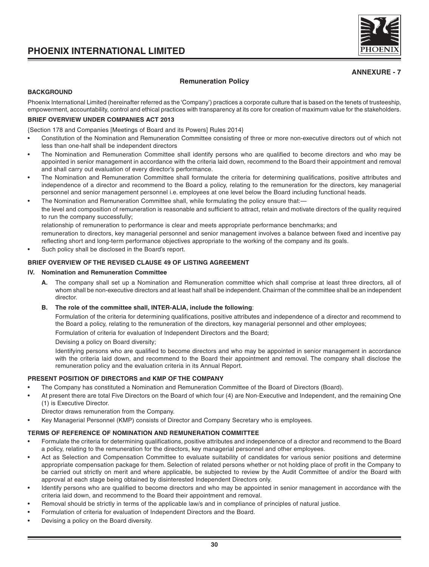

#### **Remuneration Policy**

#### **BACKGROUND**

Phoenix International Limited (hereinafter referred as the 'Company') practices a corporate culture that is based on the tenets of trusteeship, empowerment, accountability, control and ethical practices with transparency at its core for creation of maximum value for the stakeholders.

#### **BRIEF OVERVIEW UNDER COMPANIES ACT 2013**

{Section 178 and Companies [Meetings of Board and its Powers] Rules 2014}

- Constitution of the Nomination and Remuneration Committee consisting of three or more non-executive directors out of which not less than one-half shall be independent directors
- The Nomination and Remuneration Committee shall identify persons who are qualified to become directors and who may be appointed in senior management in accordance with the criteria laid down, recommend to the Board their appointment and removal and shall carry out evaluation of every director's performance.
- The Nomination and Remuneration Committee shall formulate the criteria for determining qualifications, positive attributes and independence of a director and recommend to the Board a policy, relating to the remuneration for the directors, key managerial personnel and senior management personnel i.e. employees at one level below the Board including functional heads.
- The Nomination and Remuneration Committee shall, while formulating the policy ensure that: the level and composition of remuneration is reasonable and sufficient to attract, retain and motivate directors of the quality required to run the company successfully; relationship of remuneration to performance is clear and meets appropriate performance benchmarks; and

remuneration to directors, key managerial personnel and senior management involves a balance between fixed and incentive pay reflecting short and long-term performance objectives appropriate to the working of the company and its goals.

Such policy shall be disclosed in the Board's report.

#### **BRIEF OVERVIEW OF THE REVISED CLAUSE 49 OF LISTING AGREEMENT**

#### **IV. Nomination and Remuneration Committee**

**A.** The company shall set up a Nomination and Remuneration committee which shall comprise at least three directors, all of whom shall be non-executive directors and at least half shall be independent. Chairman of the committee shall be an independent director.

#### **B. The role of the committee shall, INTER-ALIA, include the following**:

Formulation of the criteria for determining qualifications, positive attributes and independence of a director and recommend to the Board a policy, relating to the remuneration of the directors, key managerial personnel and other employees;

Formulation of criteria for evaluation of Independent Directors and the Board;

Devising a policy on Board diversity;

Identifying persons who are qualified to become directors and who may be appointed in senior management in accordance with the criteria laid down, and recommend to the Board their appointment and removal. The company shall disclose the remuneration policy and the evaluation criteria in its Annual Report.

#### **PRESENT POSITION OF DIRECTORS and KMP OF THE COMPANY**

- The Company has constituted a Nomination and Remuneration Committee of the Board of Directors (Board).
- At present there are total Five Directors on the Board of which four (4) are Non-Executive and Independent, and the remaining One (1) is Executive Director.

Director draws remuneration from the Company.

• Key Managerial Personnel (KMP) consists of Director and Company Secretary who is employees.

#### **TERMS OF REFERENCE OF NOMINATION AND REMUNERATION COMMITTEE**

- Formulate the criteria for determining qualifications, positive attributes and independence of a director and recommend to the Board a policy, relating to the remuneration for the directors, key managerial personnel and other employees.
- Act as Selection and Compensation Committee to evaluate suitability of candidates for various senior positions and determine appropriate compensation package for them. Selection of related persons whether or not holding place of profit in the Company to be carried out strictly on merit and where applicable, be subjected to review by the Audit Committee of and/or the Board with approval at each stage being obtained by disinterested Independent Directors only.
- Identify persons who are qualified to become directors and who may be appointed in senior management in accordance with the criteria laid down, and recommend to the Board their appointment and removal.
- Removal should be strictly in terms of the applicable law/s and in compliance of principles of natural justice.
- Formulation of criteria for evaluation of Independent Directors and the Board.
- Devising a policy on the Board diversity.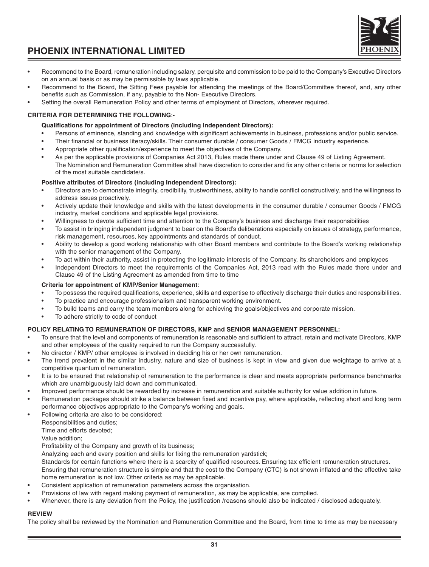#### **31**

## **PHOENIX INTERNATIONAL LIMITED**

- Recommend to the Board, remuneration including salary, perquisite and commission to be paid to the Company's Executive Directors on an annual basis or as may be permissible by laws applicable.
- Recommend to the Board, the Sitting Fees payable for attending the meetings of the Board/Committee thereof, and, any other benefits such as Commission, if any, payable to the Non- Executive Directors.
- Setting the overall Remuneration Policy and other terms of employment of Directors, wherever required.

#### **CRITERIA FOR DETERMINING THE FOLLOWING**:-

#### **Qualifications for appointment of Directors (including Independent Directors):**

- Persons of eminence, standing and knowledge with significant achievements in business, professions and/or public service.
- Their financial or business literacy/skills. Their consumer durable / consumer Goods / FMCG industry experience.
- Appropriate other qualification/experience to meet the objectives of the Company.
- As per the applicable provisions of Companies Act 2013, Rules made there under and Clause 49 of Listing Agreement. The Nomination and Remuneration Committee shall have discretion to consider and fix any other criteria or norms for selection of the most suitable candidate/s.

#### **Positive attributes of Directors (including Independent Directors):**

- Directors are to demonstrate integrity, credibility, trustworthiness, ability to handle conflict constructively, and the willingness to address issues proactively.
- Actively update their knowledge and skills with the latest developments in the consumer durable / consumer Goods / FMCG industry, market conditions and applicable legal provisions.
- Willingness to devote sufficient time and attention to the Company's business and discharge their responsibilities
- To assist in bringing independent judgment to bear on the Board's deliberations especially on issues of strategy, performance, risk management, resources, key appointments and standards of conduct.
- Ability to develop a good working relationship with other Board members and contribute to the Board's working relationship with the senior management of the Company.
- To act within their authority, assist in protecting the legitimate interests of the Company, its shareholders and employees
- Independent Directors to meet the requirements of the Companies Act, 2013 read with the Rules made there under and Clause 49 of the Listing Agreement as amended from time to time

#### **Criteria for appointment of KMP/Senior Management**:

- To possess the required qualifications, experience, skills and expertise to effectively discharge their duties and responsibilities.
- To practice and encourage professionalism and transparent working environment.
- To build teams and carry the team members along for achieving the goals/objectives and corporate mission.
- To adhere strictly to code of conduct

#### **POLICY RELATING TO REMUNERATION OF DIRECTORS, KMP and SENIOR MANAGEMENT PERSONNEL:**

- To ensure that the level and components of remuneration is reasonable and sufficient to attract, retain and motivate Directors, KMP and other employees of the quality required to run the Company successfully.
- No director / KMP/ other employee is involved in deciding his or her own remuneration.
- The trend prevalent in the similar industry, nature and size of business is kept in view and given due weightage to arrive at a competitive quantum of remuneration.
- It is to be ensured that relationship of remuneration to the performance is clear and meets appropriate performance benchmarks which are unambiguously laid down and communicated.
- Improved performance should be rewarded by increase in remuneration and suitable authority for value addition in future.
- Remuneration packages should strike a balance between fixed and incentive pay, where applicable, reflecting short and long term performance objectives appropriate to the Company's working and goals.
- Following criteria are also to be considered:
- Responsibilities and duties;

Time and efforts devoted;

Value addition;

Profitability of the Company and growth of its business;

Analyzing each and every position and skills for fixing the remuneration yardstick;

Standards for certain functions where there is a scarcity of qualified resources. Ensuring tax efficient remuneration structures. Ensuring that remuneration structure is simple and that the cost to the Company (CTC) is not shown inflated and the effective take home remuneration is not low. Other criteria as may be applicable.

- Consistent application of remuneration parameters across the organisation.
- Provisions of law with regard making payment of remuneration, as may be applicable, are complied.
- Whenever, there is any deviation from the Policy, the justification /reasons should also be indicated / disclosed adequately.

#### **REVIEW**

The policy shall be reviewed by the Nomination and Remuneration Committee and the Board, from time to time as may be necessary

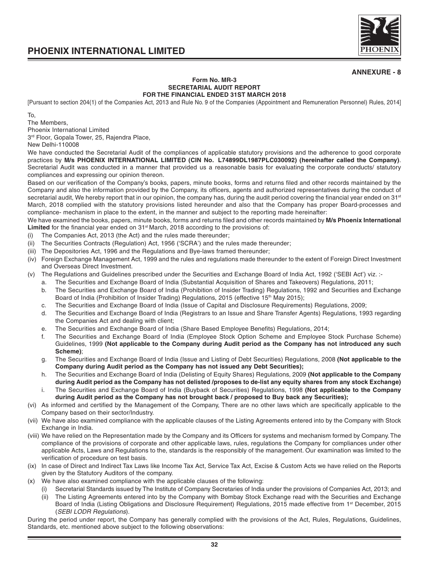

#### **Form No. MR-3 SECRETARIAL AUDIT REPORT FOR THE FINANCIAL ENDED 31ST MARCH 2018**

[Pursuant to section 204(1) of the Companies Act, 2013 and Rule No. 9 of the Companies (Appointment and Remuneration Personnel) Rules, 2014]

To,

The Members, Phoenix International Limited

3<sup>rd</sup> Floor, Gopala Tower, 25, Rajendra Place,

New Delhi-110008

We have conducted the Secretarial Audit of the compliances of applicable statutory provisions and the adherence to good corporate practices by **M/s PHOENIX INTERNATIONAL LIMITED (CIN No. L74899DL1987PLC030092) (hereinafter called the Company)**. Secretarial Audit was conducted in a manner that provided us a reasonable basis for evaluating the corporate conducts/ statutory compliances and expressing our opinion thereon.

Based on our verification of the Company's books, papers, minute books, forms and returns filed and other records maintained by the Company and also the information provided by the Company, its officers, agents and authorized representatives during the conduct of secretarial audit, We hereby report that in our opinion, the company has, during the audit period covering the financial year ended on 31<sup>st</sup> March, 2018 complied with the statutory provisions listed hereunder and also that the Company has proper Board-processes and compliance- mechanism in place to the extent, in the manner and subject to the reporting made hereinafter:

We have examined the books, papers, minute books, forms and returns filed and other records maintained by **M/s Phoenix International** Limited for the financial year ended on 31<sup>st</sup> March, 2018 according to the provisions of:

- (i) The Companies Act, 2013 (the Act) and the rules made thereunder;
- (ii) The Securities Contracts (Regulation) Act, 1956 ('SCRA') and the rules made thereunder;
- (iii) The Depositories Act, 1996 and the Regulations and Bye-laws framed thereunder;
- (iv) Foreign Exchange Management Act, 1999 and the rules and regulations made thereunder to the extent of Foreign Direct Investment and Overseas Direct Investment.
- (v) The Regulations and Guidelines prescribed under the Securities and Exchange Board of India Act, 1992 ('SEBI Act') viz. :
	- a. The Securities and Exchange Board of India (Substantial Acquisition of Shares and Takeovers) Regulations, 2011;
	- b. The Securities and Exchange Board of India (Prohibition of Insider Trading) Regulations, 1992 and Securities and Exchange Board of India (Prohibition of Insider Trading) Regulations, 2015 (effective 15<sup>th</sup> May 2015);
	- c. The Securities and Exchange Board of India (Issue of Capital and Disclosure Requirements) Regulations, 2009;
	- d. The Securities and Exchange Board of India (Registrars to an Issue and Share Transfer Agents) Regulations, 1993 regarding the Companies Act and dealing with client;
	- e. The Securities and Exchange Board of India (Share Based Employee Benefits) Regulations, 2014;
	- f. The Securities and Exchange Board of India (Employee Stock Option Scheme and Employee Stock Purchase Scheme) Guidelines, 1999 **(Not applicable to the Company during Audit period as the Company has not introduced any such Scheme)**;
	- g. The Securities and Exchange Board of India (Issue and Listing of Debt Securities) Regulations, 2008 **(Not applicable to the Company during Audit period as the Company has not issued any Debt Securities);**
	- h. The Securities and Exchange Board of India (Delisting of Equity Shares) Regulations, 2009 **(Not applicable to the Company during Audit period as the Company has not delisted /proposes to de-list any equity shares from any stock Exchange)**
	- i. The Securities and Exchange Board of India (Buyback of Securities) Regulations, 1998 **(Not applicable to the Company during Audit period as the Company has not brought back / proposed to Buy back any Securities);**
- (vi) As informed and certified by the Management of the Company, There are no other laws which are specifically applicable to the Company based on their sector/Industry.
- (vii) We have also examined compliance with the applicable clauses of the Listing Agreements entered into by the Company with Stock Exchange in India.
- (viii) We have relied on the Representation made by the Company and its Officers for systems and mechanism formed by Company. The compliance of the provisions of corporate and other applicable laws, rules, regulations the Company for compliances under other applicable Acts, Laws and Regulations to the, standards is the responsibly of the management. Our examination was limited to the verification of procedure on test basis.
- (ix) In case of Direct and Indirect Tax Laws like Income Tax Act, Service Tax Act, Excise & Custom Acts we have relied on the Reports given by the Statutory Auditors of the company.
- (x) We have also examined compliance with the applicable clauses of the following:
	- (i) Secretarial Standards issued by The Institute of Company Secretaries of India under the provisions of Companies Act, 2013; and
		- (ii) The Listing Agreements entered into by the Company with Bombay Stock Exchange read with the Securities and Exchange Board of India (Listing Obligations and Disclosure Requirement) Regulations, 2015 made effective from 1<sup>st</sup> December, 2015 (SEBI LODR Regulations).

During the period under report, the Company has generally complied with the provisions of the Act, Rules, Regulations, Guidelines, Standards, etc. mentioned above subject to the following observations: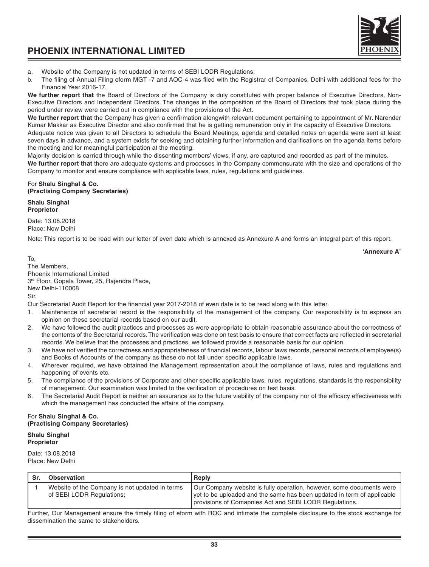a. Website of the Company is not updated in terms of SEBI LODR Regulations;

b. The filing of Annual Filing eform MGT -7 and AOC-4 was filed with the Registrar of Companies, Delhi with additional fees for the Financial Year 2016-17.

**We further report that** the Board of Directors of the Company is duly constituted with proper balance of Executive Directors, Non-Executive Directors and Independent Directors. The changes in the composition of the Board of Directors that took place during the period under review were carried out in compliance with the provisions of the Act.

**We further report that** the Company has given a confirmation alongwith relevant document pertaining to appointment of Mr. Narender Kumar Makkar as Executive Director and also confirmed that he is getting remuneration only in the capacity of Executive Directors.

Adequate notice was given to all Directors to schedule the Board Meetings, agenda and detailed notes on agenda were sent at least seven days in advance, and a system exists for seeking and obtaining further information and clarifications on the agenda items before the meeting and for meaningful participation at the meeting.

Majority decision is carried through while the dissenting members' views, if any, are captured and recorded as part of the minutes.

**We further report that** there are adequate systems and processes in the Company commensurate with the size and operations of the Company to monitor and ensure compliance with applicable laws, rules, regulations and guidelines.

#### For **Shalu Singhal & Co. (Practising Company Secretaries)**

**Shalu Singhal Proprietor**

Date: 13.08.2018 Place: New Delhi

Note: This report is to be read with our letter of even date which is annexed as Annexure A and forms an integral part of this report.

**'Annexure A'**

To, The Members, Phoenix International Limited 3rd Floor, Gopala Tower, 25, Rajendra Place, New Delhi-110008 Sir,

Our Secretarial Audit Report for the financial year 2017-2018 of even date is to be read along with this letter.

- 1. Maintenance of secretarial record is the responsibility of the management of the company. Our responsibility is to express an opinion on these secretarial records based on our audit.
- 2. We have followed the audit practices and processes as were appropriate to obtain reasonable assurance about the correctness of the contents of the Secretarial records. The verification was done on test basis to ensure that correct facts are reflected in secretarial records. We believe that the processes and practices, we followed provide a reasonable basis for our opinion.
- 3. We have not verified the correctness and appropriateness of financial records, labour laws records, personal records of employee(s) and Books of Accounts of the company as these do not fall under specific applicable laws.
- 4. Wherever required, we have obtained the Management representation about the compliance of laws, rules and regulations and happening of events etc.
- 5. The compliance of the provisions of Corporate and other specific applicable laws, rules, regulations, standards is the responsibility of management. Our examination was limited to the verification of procedures on test basis.
- 6. The Secretarial Audit Report is neither an assurance as to the future viability of the company nor of the efficacy effectiveness with which the management has conducted the affairs of the company.

#### For **Shalu Singhal & Co. (Practising Company Secretaries)**

#### **Shalu Singhal Proprietor**

Date: 13.08.2018 Place: New Delhi

| Sr. | Observation                                                                 | Reply                                                                                                                                                                                                    |
|-----|-----------------------------------------------------------------------------|----------------------------------------------------------------------------------------------------------------------------------------------------------------------------------------------------------|
|     | Website of the Company is not updated in terms<br>of SEBI LODR Regulations; | Our Company website is fully operation, however, some documents were<br>vet to be uploaded and the same has been updated in term of applicable<br>provisions of Comapnies Act and SEBI LODR Regulations. |

Further, Our Management ensure the timely filing of eform with ROC and intimate the complete disclosure to the stock exchange for dissemination the same to stakeholders.

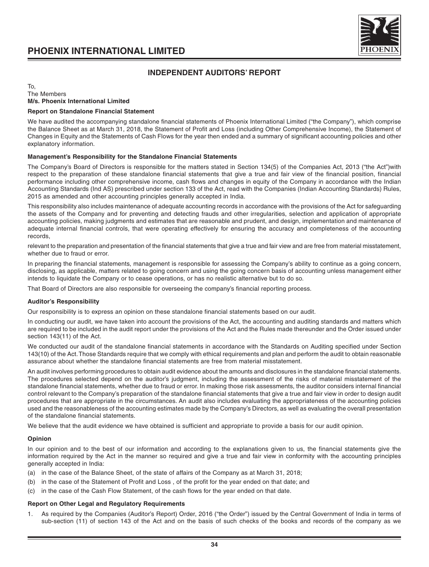

#### **INDEPENDENT AUDITORS' REPORT**

#### To, The Members **M/s. Phoenix International Limited**

#### **Report on Standalone Financial Statement**

We have audited the accompanying standalone financial statements of Phoenix International Limited ("the Company"), which comprise the Balance Sheet as at March 31, 2018, the Statement of Profit and Loss (including Other Comprehensive Income), the Statement of Changes in Equity and the Statements of Cash Flows for the year then ended and a summary of significant accounting policies and other explanatory information.

#### **Management's Responsibility for the Standalone Financial Statements**

The Company's Board of Directors is responsible for the matters stated in Section 134(5) of the Companies Act, 2013 ("the Act")with respect to the preparation of these standalone financial statements that give a true and fair view of the financial position, financial performance including other comprehensive income, cash flows and changes in equity of the Company in accordance with the Indian Accounting Standards (Ind AS) prescribed under section 133 of the Act, read with the Companies (Indian Accounting Standards) Rules, 2015 as amended and other accounting principles generally accepted in India.

This responsibility also includes maintenance of adequate accounting records in accordance with the provisions of the Act for safeguarding the assets of the Company and for preventing and detecting frauds and other irregularities, selection and application of appropriate accounting policies, making judgments and estimates that are reasonable and prudent, and design, implementation and maintenance of adequate internal financial controls, that were operating effectively for ensuring the accuracy and completeness of the accounting records,

relevant to the preparation and presentation of the financial statements that give a true and fair view and are free from material misstatement, whether due to fraud or error.

In preparing the financial statements, management is responsible for assessing the Company's ability to continue as a going concern, disclosing, as applicable, matters related to going concern and using the going concern basis of accounting unless management either intends to liquidate the Company or to cease operations, or has no realistic alternative but to do so.

That Board of Directors are also responsible for overseeing the company's financial reporting process.

#### **Auditor's Responsibility**

Our responsibility is to express an opinion on these standalone financial statements based on our audit.

In conducting our audit, we have taken into account the provisions of the Act, the accounting and auditing standards and matters which are required to be included in the audit report under the provisions of the Act and the Rules made thereunder and the Order issued under section 143(11) of the Act.

We conducted our audit of the standalone financial statements in accordance with the Standards on Auditing specified under Section 143(10) of the Act. Those Standards require that we comply with ethical requirements and plan and perform the audit to obtain reasonable assurance about whether the standalone financial statements are free from material misstatement.

An audit involves performing procedures to obtain audit evidence about the amounts and disclosures in the standalone financial statements. The procedures selected depend on the auditor's judgment, including the assessment of the risks of material misstatement of the standalone financial statements, whether due to fraud or error. In making those risk assessments, the auditor considers internal financial control relevant to the Company's preparation of the standalone financial statements that give a true and fair view in order to design audit procedures that are appropriate in the circumstances. An audit also includes evaluating the appropriateness of the accounting policies used and the reasonableness of the accounting estimates made by the Company's Directors, as well as evaluating the overall presentation of the standalone financial statements.

We believe that the audit evidence we have obtained is sufficient and appropriate to provide a basis for our audit opinion.

#### **Opinion**

In our opinion and to the best of our information and according to the explanations given to us, the financial statements give the information required by the Act in the manner so required and give a true and fair view in conformity with the accounting principles generally accepted in India:

- (a) in the case of the Balance Sheet, of the state of affairs of the Company as at March 31, 2018;
- (b) in the case of the Statement of Profit and Loss , of the profit for the year ended on that date; and
- (c) in the case of the Cash Flow Statement, of the cash flows for the year ended on that date.

#### **Report on Other Legal and Regulatory Requirements**

1. As required by the Companies (Auditor's Report) Order, 2016 ("the Order") issued by the Central Government of India in terms of sub-section (11) of section 143 of the Act and on the basis of such checks of the books and records of the company as we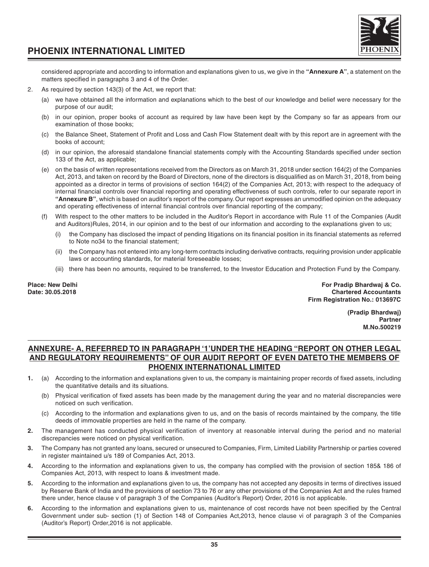



considered appropriate and according to information and explanations given to us, we give in the **"Annexure A"**, a statement on the matters specified in paragraphs 3 and 4 of the Order.

- 2. As required by section 143(3) of the Act, we report that:
	- (a) we have obtained all the information and explanations which to the best of our knowledge and belief were necessary for the purpose of our audit;
	- (b) in our opinion, proper books of account as required by law have been kept by the Company so far as appears from our examination of those books;
	- (c) the Balance Sheet, Statement of Profit and Loss and Cash Flow Statement dealt with by this report are in agreement with the books of account;
	- (d) in our opinion, the aforesaid standalone financial statements comply with the Accounting Standards specified under section 133 of the Act, as applicable;
	- (e) on the basis of written representations received from the Directors as on March 31, 2018 under section 164(2) of the Companies Act, 2013, and taken on record by the Board of Directors, none of the directors is disqualified as on March 31, 2018, from being appointed as a director in terms of provisions of section 164(2) of the Companies Act, 2013; with respect to the adequacy of internal financial controls over financial reporting and operating effectiveness of such controls, refer to our separate report in **"Annexure B"**, which is based on auditor's report of the company. Our report expresses an unmodified opinion on the adequacy and operating effectiveness of internal financial controls over financial reporting of the company;
	- (f) With respect to the other matters to be included in the Auditor's Report in accordance with Rule 11 of the Companies (Audit and Auditors)Rules, 2014, in our opinion and to the best of our information and according to the explanations given to us;
		- the Company has disclosed the impact of pending litigations on its financial position in its financial statements as referred to Note no34 to the financial statement;
		- (ii) the Company has not entered into any long-term contracts including derivative contracts, requiring provision under applicable laws or accounting standards, for material foreseeable losses;
		- (iii) there has been no amounts, required to be transferred, to the Investor Education and Protection Fund by the Company.

**Place: New Delhi For Pradip Bhardwaj & Co. Chartered Accountants Firm Registration No.: 013697C**

> **(Pradip Bhardwaj) Partner M.No.500219**

# **ANNEXURE- A, REFERRED TO IN PARAGRAPH '1'UNDER THE HEADING "REPORT ON OTHER LEGAL AND REGULATORY REQUIREMENTS" OF OUR AUDIT REPORT OF EVEN DATETO THE MEMBERS OF PHOENIX INTERNATIONAL LIMITED**

- **1.** (a) According to the information and explanations given to us, the company is maintaining proper records of fixed assets, including the quantitative details and its situations.
	- (b) Physical verification of fixed assets has been made by the management during the year and no material discrepancies were noticed on such verification.
	- (c) According to the information and explanations given to us, and on the basis of records maintained by the company, the title deeds of immovable properties are held in the name of the company.
- **2.** The management has conducted physical verification of inventory at reasonable interval during the period and no material discrepancies were noticed on physical verification.
- **3.** The Company has not granted any loans, secured or unsecured to Companies, Firm, Limited Liability Partnership or parties covered in register maintained u/s 189 of Companies Act, 2013.
- **4.** According to the information and explanations given to us, the company has complied with the provision of section 185& 186 of Companies Act, 2013, with respect to loans & investment made.
- **5.** According to the information and explanations given to us, the company has not accepted any deposits in terms of directives issued by Reserve Bank of India and the provisions of section 73 to 76 or any other provisions of the Companies Act and the rules framed there under, hence clause v of paragraph 3 of the Companies (Auditor's Report) Order, 2016 is not applicable.
- **6.** According to the information and explanations given to us, maintenance of cost records have not been specified by the Central Government under sub- section (1) of Section 148 of Companies Act,2013, hence clause vi of paragraph 3 of the Companies (Auditor's Report) Order,2016 is not applicable.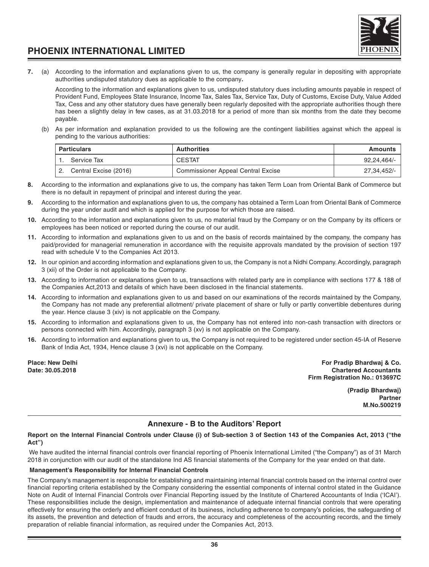

**7.** (a) According to the information and explanations given to us, the company is generally regular in depositing with appropriate authorities undisputed statutory dues as applicable to the company**.**

According to the information and explanations given to us, undisputed statutory dues including amounts payable in respect of Provident Fund, Employees State Insurance, Income Tax, Sales Tax, Service Tax, Duty of Customs, Excise Duty, Value Added Tax, Cess and any other statutory dues have generally been regularly deposited with the appropriate authorities though there has been a slightly delay in few cases, as at 31.03.2018 for a period of more than six months from the date they become payable.

(b) As per information and explanation provided to us the following are the contingent liabilities against which the appeal is pending to the various authorities:

| <b>Particulars</b>    | <b>Authorities</b>                        | Amounts       |
|-----------------------|-------------------------------------------|---------------|
| Service Tax           | <b>CESTAT</b>                             | $92.24.464/-$ |
| Central Excise (2016) | <b>Commissioner Appeal Central Excise</b> | 27.34.452/-   |

- **8.** According to the information and explanations give to us, the company has taken Term Loan from Oriental Bank of Commerce but there is no default in repayment of principal and interest during the year.
- **9.** According to the information and explanations given to us, the company has obtained a Term Loan from Oriental Bank of Commerce during the year under audit and which is applied for the purpose for which those are raised.
- **10.** According to the information and explanations given to us, no material fraud by the Company or on the Company by its officers or employees has been noticed or reported during the course of our audit.
- **11.** According to information and explanations given to us and on the basis of records maintained by the company, the company has paid/provided for managerial remuneration in accordance with the requisite approvals mandated by the provision of section 197 read with schedule V to the Companies Act 2013.
- **12.** In our opinion and according information and explanations given to us, the Company is not a Nidhi Company. Accordingly, paragraph 3 (xii) of the Order is not applicable to the Company.
- **13.** According to information or explanations given to us, transactions with related party are in compliance with sections 177 & 188 of the Companies Act,2013 and details of which have been disclosed in the financial statements.
- **14.** According to information and explanations given to us and based on our examinations of the records maintained by the Company, the Company has not made any preferential allotment/ private placement of share or fully or partly convertible debentures during the year. Hence clause 3 (xiv) is not applicable on the Company.
- **15.** According to information and explanations given to us, the Company has not entered into non-cash transaction with directors or persons connected with him. Accordingly, paragraph 3 (xv) is not applicable on the Company.
- **16.** According to information and explanations given to us, the Company is not required to be registered under section 45-IA of Reserve Bank of India Act, 1934, Hence clause 3 (xvi) is not applicable on the Company.

**Place: New Delhi For Pradip Bhardwaj & Co. Date: 30.05.2018 Chartered Accountants Firm Registration No.: 013697C**

> **(Pradip Bhardwaj) Partner M.No.500219**

# **Annexure - B to the Auditors' Report**

### **Report on the Internal Financial Controls under Clause (i) of Sub-section 3 of Section 143 of the Companies Act, 2013 ("the Act")**

 We have audited the internal financial controls over financial reporting of Phoenix International Limited ("the Company") as of 31 March 2018 in conjunction with our audit of the standalone Ind AS financial statements of the Company for the year ended on that date.

# **Management's Responsibility for Internal Financial Controls**

The Company's management is responsible for establishing and maintaining internal financial controls based on the internal control over financial reporting criteria established by the Company considering the essential components of internal control stated in the Guidance Note on Audit of Internal Financial Controls over Financial Reporting issued by the Institute of Chartered Accountants of India ('ICAI'). These responsibilities include the design, implementation and maintenance of adequate internal financial controls that were operating effectively for ensuring the orderly and efficient conduct of its business, including adherence to company's policies, the safeguarding of its assets, the prevention and detection of frauds and errors, the accuracy and completeness of the accounting records, and the timely preparation of reliable financial information, as required under the Companies Act, 2013.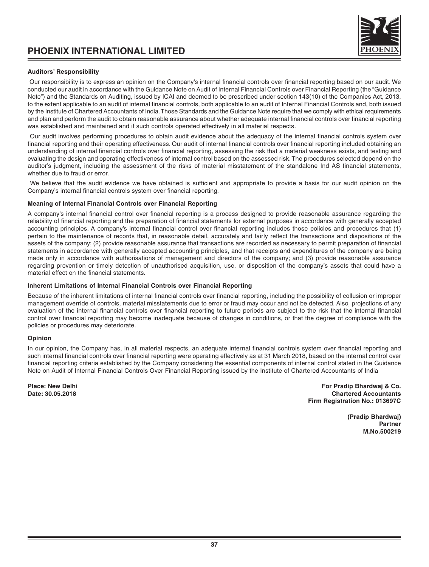

# **Auditors' Responsibility**

 Our responsibility is to express an opinion on the Company's internal financial controls over financial reporting based on our audit. We conducted our audit in accordance with the Guidance Note on Audit of Internal Financial Controls over Financial Reporting (the "Guidance Note") and the Standards on Auditing, issued by ICAI and deemed to be prescribed under section 143(10) of the Companies Act, 2013, to the extent applicable to an audit of internal financial controls, both applicable to an audit of Internal Financial Controls and, both issued by the Institute of Chartered Accountants of India. Those Standards and the Guidance Note require that we comply with ethical requirements and plan and perform the audit to obtain reasonable assurance about whether adequate internal financial controls over financial reporting was established and maintained and if such controls operated effectively in all material respects.

 Our audit involves performing procedures to obtain audit evidence about the adequacy of the internal financial controls system over financial reporting and their operating effectiveness. Our audit of internal financial controls over financial reporting included obtaining an understanding of internal financial controls over financial reporting, assessing the risk that a material weakness exists, and testing and evaluating the design and operating effectiveness of internal control based on the assessed risk. The procedures selected depend on the auditor's judgment, including the assessment of the risks of material misstatement of the standalone Ind AS financial statements, whether due to fraud or error.

 We believe that the audit evidence we have obtained is sufficient and appropriate to provide a basis for our audit opinion on the Company's internal financial controls system over financial reporting.

### **Meaning of Internal Financial Controls over Financial Reporting**

A company's internal financial control over financial reporting is a process designed to provide reasonable assurance regarding the reliability of financial reporting and the preparation of financial statements for external purposes in accordance with generally accepted accounting principles. A company's internal financial control over financial reporting includes those policies and procedures that (1) pertain to the maintenance of records that, in reasonable detail, accurately and fairly reflect the transactions and dispositions of the assets of the company; (2) provide reasonable assurance that transactions are recorded as necessary to permit preparation of financial statements in accordance with generally accepted accounting principles, and that receipts and expenditures of the company are being made only in accordance with authorisations of management and directors of the company; and (3) provide reasonable assurance regarding prevention or timely detection of unauthorised acquisition, use, or disposition of the company's assets that could have a material effect on the financial statements.

#### **Inherent Limitations of Internal Financial Controls over Financial Reporting**

Because of the inherent limitations of internal financial controls over financial reporting, including the possibility of collusion or improper management override of controls, material misstatements due to error or fraud may occur and not be detected. Also, projections of any evaluation of the internal financial controls over financial reporting to future periods are subject to the risk that the internal financial control over financial reporting may become inadequate because of changes in conditions, or that the degree of compliance with the policies or procedures may deteriorate.

#### **Opinion**

In our opinion, the Company has, in all material respects, an adequate internal financial controls system over financial reporting and such internal financial controls over financial reporting were operating effectively as at 31 March 2018, based on the internal control over financial reporting criteria established by the Company considering the essential components of internal control stated in the Guidance Note on Audit of Internal Financial Controls Over Financial Reporting issued by the Institute of Chartered Accountants of India

**Place: New Delhi For Pradip Bhardwaj & Co. Chartered Accountants Firm Registration No.: 013697C**

> **(Pradip Bhardwaj) Partner M.No.500219**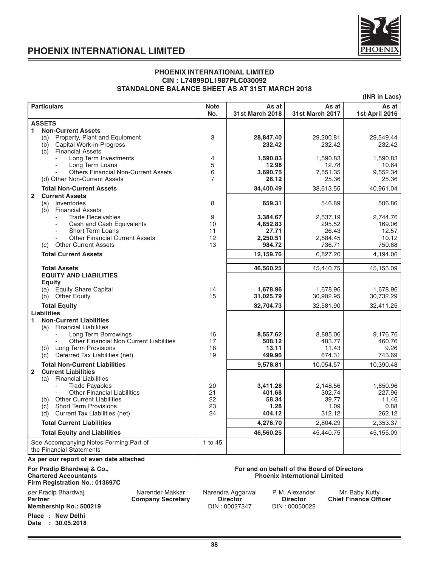

### **PHOENIX INTERNATIONAL LIMITED CIN : L74899DL1987PLC030092 STANDALONE BALANCE SHEET AS AT 31ST MARCH 2018**

**(INR in Lacs)**

| <b>Particulars</b>                                                 | <b>Note</b><br>No. | As at<br>31st March 2018 | As at<br><b>31st March 2017</b> | As at<br>1st April 2016 |  |  |  |  |
|--------------------------------------------------------------------|--------------------|--------------------------|---------------------------------|-------------------------|--|--|--|--|
| <b>ASSETS</b>                                                      |                    |                          |                                 |                         |  |  |  |  |
| <b>Non-Current Assets</b><br>1.                                    |                    |                          |                                 |                         |  |  |  |  |
| Property, Plant and Equipment<br>(a)                               | 3                  | 28,847.40                | 29,200.81                       | 29,549.44               |  |  |  |  |
| Capital Work-in-Progress<br>(b)<br><b>Financial Assets</b><br>(c)  |                    | 232.42                   | 232.42                          | 232.42                  |  |  |  |  |
| Long Term Investments                                              | 4                  | 1,590.83                 | 1,590.83                        | 1,590.83                |  |  |  |  |
| Long Term Loans                                                    | 5                  | 12.98                    | 12.78                           | 10.64                   |  |  |  |  |
| <b>Others Financial Non-Current Assets</b>                         | 6                  | 3.690.75                 | 7,551.35                        | 9,552.34                |  |  |  |  |
| (d) Other Non-Current Assets                                       | 7                  | 26.12                    | 25.36                           | 25.36                   |  |  |  |  |
| <b>Total Non-Current Assets</b>                                    |                    | 34,400.49                | 38,613.55                       | 40,961.04               |  |  |  |  |
| $\overline{2}$<br><b>Current Assets</b>                            |                    |                          |                                 |                         |  |  |  |  |
| Inventories<br>(a)<br><b>Financial Assets</b><br>(b)               | 8                  | 659.31                   | 546.89                          | 506.86                  |  |  |  |  |
| <b>Trade Receivables</b>                                           | 9                  | 3,384.67                 | 2,537.19                        | 2,744.76                |  |  |  |  |
| Cash and Cash Equivalents                                          | 10                 | 4,852.83                 | 295.52                          | 169.06                  |  |  |  |  |
| <b>Short Term Loans</b>                                            | 11                 | 27.71                    | 26.43                           | 12.57                   |  |  |  |  |
| <b>Other Financial Current Assets</b>                              | 12                 | 2,250.51                 | 2,684.45                        | 10.12                   |  |  |  |  |
| <b>Other Current Assets</b><br>(c)                                 | 13                 | 984.72                   | 736.71                          | 750.68                  |  |  |  |  |
| <b>Total Current Assets</b>                                        |                    | 12,159.76                | 6,827.20                        | 4,194.06                |  |  |  |  |
| <b>Total Assets</b>                                                |                    | 46,560.25                | 45,440.75                       | 45,155.09               |  |  |  |  |
| <b>EQUITY AND LIABILITIES</b>                                      |                    |                          |                                 |                         |  |  |  |  |
| Eauity                                                             |                    |                          |                                 |                         |  |  |  |  |
| (a) Equity Share Capital                                           | 14                 | 1,678.96                 | 1,678.96                        | 1,678.96                |  |  |  |  |
| (b) Other Equity                                                   | 15                 | 31,025.79                | 30,902.95                       | 30,732.29               |  |  |  |  |
| <b>Total Equity</b>                                                |                    | 32,704.73                | 32,581.90                       | 32,411.25               |  |  |  |  |
| <b>Liabilities</b>                                                 |                    |                          |                                 |                         |  |  |  |  |
| <b>Non-Current Liabilities</b><br>1.<br>(a) Financial Liabilities  |                    |                          |                                 |                         |  |  |  |  |
| Long Term Borrowings                                               | 16                 | 8,557.62                 | 8,885.06                        | 9,176.76                |  |  |  |  |
| <b>Other Financial Non Current Liabilities</b>                     | 17                 | 508.12                   | 483.77                          | 460.76                  |  |  |  |  |
| (b) Long Term Provisions                                           | 18                 | 13.11                    | 11.43                           | 9.26                    |  |  |  |  |
| Deferred Tax Liabilities (net)<br>(c)                              | 19                 | 499.96                   | 674.31                          | 743.69                  |  |  |  |  |
| <b>Total Non-Current Liabilities</b>                               |                    | 9,578.81                 | 10,054.57                       | 10,390.48               |  |  |  |  |
| $\overline{2}$<br><b>Current Liabilities</b>                       |                    |                          |                                 |                         |  |  |  |  |
| (a) Financial Liabilities                                          | 20                 |                          |                                 |                         |  |  |  |  |
| <b>Trade Pavables</b><br>÷<br><b>Other Financial Liabilities</b>   | 21                 | 3,411.28<br>401.68       | 2,148.56<br>302.74              | 1,850.96<br>227.96      |  |  |  |  |
| (b) Other Current Liabilities                                      | 22                 | 58.34                    | 39.77                           | 11.46                   |  |  |  |  |
| <b>Short Term Provisions</b><br>(c)                                | 23                 | 1.28                     | 1.09                            | 0.88                    |  |  |  |  |
| Current Tax Liabilities (net)<br>(d)                               | 24                 | 404.12                   | 312.12                          | 262.12                  |  |  |  |  |
| <b>Total Current Liabilities</b>                                   |                    | 4,276.70                 | 2,804.29                        | 2,353.37                |  |  |  |  |
| <b>Total Equity and Liabilities</b>                                |                    | 46,560.25                | 45,440.75                       | 45,155.09               |  |  |  |  |
| See Accompanying Notes Forming Part of<br>the Financial Statements | 1 to 45            |                          |                                 |                         |  |  |  |  |
| As per our report of even date attached                            |                    |                          |                                 |                         |  |  |  |  |

# For Pradip Bhardwaj & Co., Chartered Accountants

# **Firm Registration No.: 013697C**

per Pradip Bhardwaj **Narender Makkar** Narendra Aggarwal P. M. Alexander Narender Makkar Narendra Aggarwal P. M. Alexander Company Secretary Director **Membership No.: 500219** 

**Place : New Delhi Date : 30.05.2018**

# **For and on behalf of the Board of Directors<br>Phoenix International Limited**

**P. M. Alexander Mr. Baby Kutty<br>
Director Director Director Chief Finance Officer**<br>
DIN: 00027347 DIN: 00050022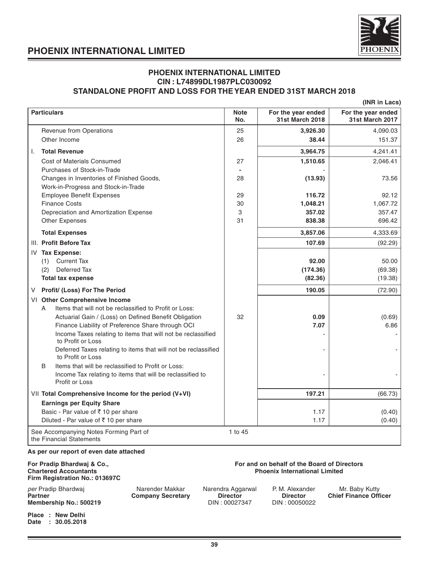

# **PHOENIX INTERNATIONAL LIMITED CIN : L74899DL1987PLC030092 STANDALONE PROFIT AND LOSS FOR THE YEAR ENDED 31ST MARCH 2018**

|                                                                                   |                    |                                              | (INR in Lacs)                                |
|-----------------------------------------------------------------------------------|--------------------|----------------------------------------------|----------------------------------------------|
| <b>Particulars</b>                                                                | <b>Note</b><br>No. | For the year ended<br><b>31st March 2018</b> | For the year ended<br><b>31st March 2017</b> |
| Revenue from Operations                                                           | 25                 | 3,926.30                                     | 4,090.03                                     |
| Other Income                                                                      | 26                 | 38.44                                        | 151.37                                       |
| <b>Total Revenue</b><br>Τ.                                                        |                    | 3,964.75                                     | 4,241.41                                     |
| Cost of Materials Consumed                                                        | 27                 | 1,510.65                                     | 2,046.41                                     |
| Purchases of Stock-in-Trade                                                       | $\blacksquare$     |                                              |                                              |
| Changes in Inventories of Finished Goods,                                         | 28                 | (13.93)                                      | 73.56                                        |
| Work-in-Progress and Stock-in-Trade                                               |                    |                                              |                                              |
| <b>Employee Benefit Expenses</b>                                                  | 29                 | 116.72                                       | 92.12                                        |
| <b>Finance Costs</b>                                                              | 30                 | 1,048.21                                     | 1,067.72                                     |
| Depreciation and Amortization Expense                                             | 3                  | 357.02                                       | 357.47                                       |
| Other Expenses                                                                    | 31                 | 838.38                                       | 696.42                                       |
| <b>Total Expenses</b>                                                             |                    | 3,857.06                                     | 4,333.69                                     |
| III. Profit Before Tax                                                            |                    | 107.69                                       | (92.29)                                      |
| IV Tax Expense:                                                                   |                    |                                              |                                              |
| (1) Current Tax                                                                   |                    | 92.00                                        | 50.00                                        |
| Deferred Tax<br>(2)                                                               |                    | (174.36)                                     | (69.38)                                      |
| <b>Total tax expense</b>                                                          |                    | (82.36)                                      | (19.38)                                      |
| Profit/ (Loss) For The Period<br>V                                                |                    | 190.05                                       | (72.90)                                      |
| VI Other Comprehensive Income                                                     |                    |                                              |                                              |
| Items that will not be reclassified to Profit or Loss:<br>A                       |                    |                                              |                                              |
| Actuarial Gain / (Loss) on Defined Benefit Obligation                             | 32                 | 0.09                                         | (0.69)                                       |
| Finance Liability of Preference Share through OCI                                 |                    | 7.07                                         | 6.86                                         |
| Income Taxes relating to items that will not be reclassified<br>to Profit or Loss |                    |                                              |                                              |
| Deferred Taxes relating to items that will not be reclassified                    |                    |                                              |                                              |
| to Profit or Loss                                                                 |                    |                                              |                                              |
| Items that will be reclassified to Profit or Loss:<br>B                           |                    |                                              |                                              |
| Income Tax relating to items that will be reclassified to<br>Profit or Loss       |                    |                                              |                                              |
| VII Total Comprehensive Income for the period (V+VI)                              |                    | 197.21                                       | (66.73)                                      |
| <b>Earnings per Equity Share</b>                                                  |                    |                                              |                                              |
| Basic - Par value of ₹10 per share                                                |                    | 1.17                                         | (0.40)                                       |
| Diluted - Par value of ₹ 10 per share                                             |                    | 1.17                                         | (0.40)                                       |
| See Accompanying Notes Forming Part of<br>the Financial Statements                | 1 to 45            |                                              |                                              |
| As per our report of even date attached                                           |                    |                                              |                                              |
| Pau Buadis, Blackmath 0, Oa                                                       |                    |                                              |                                              |

# **Firm Registration No.: 013697C**

# per Pradip Bhardwaj **Narender Makkar** Narendra Aggarwal P. M. Alexander Mr. Baby Kutty<br>**Partner Chief Finance Officer Chief Company Secretary Director Director** Chief Finance Officer **Partner Company Secretary Director Director Director Director Director Chief Finance Chief Finance Director Chief Finance Of Pinance Chief Finance Director Chief Finance Officer Pinance Chief Pinance Chief Pinance Chief P Membership No.: 500219**

**Place : New Delhi Date : 30.05.2018**

## **For Pradip Bhardwaj & Co., <br>Chartered Accountants and School Chartered Accountants and School Chartered Accountants and School Chartered Accountants and School Chartered Accountants and School Chartered Accountants and Sc Phoenix International Limited**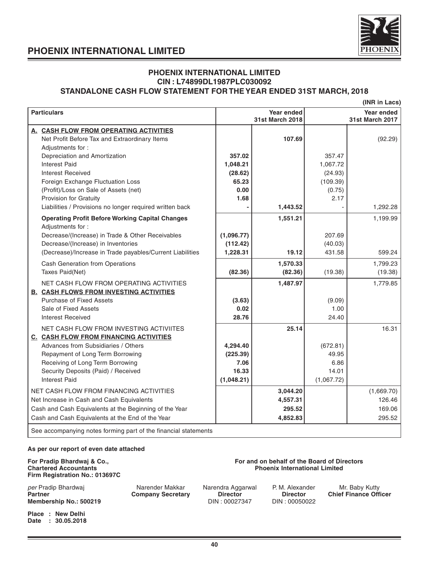

# **PHOENIX INTERNATIONAL LIMITED CIN : L74899DL1987PLC030092 STANDALONE CASH FLOW STATEMENT FOR THE YEAR ENDED 31ST MARCH, 2018**

|                                                                                                                                                                                                                                                                        |                                                     |                                      |                                                  | (INR in Lacs)                        |
|------------------------------------------------------------------------------------------------------------------------------------------------------------------------------------------------------------------------------------------------------------------------|-----------------------------------------------------|--------------------------------------|--------------------------------------------------|--------------------------------------|
| <b>Particulars</b>                                                                                                                                                                                                                                                     |                                                     | <b>Year ended</b><br>31st March 2018 |                                                  | Year ended<br><b>31st March 2017</b> |
| A. CASH FLOW FROM OPERATING ACTIVITIES<br>Net Profit Before Tax and Extraordinary Items                                                                                                                                                                                |                                                     | 107.69                               |                                                  | (92.29)                              |
| Adjustments for:<br>Depreciation and Amortization<br><b>Interest Paid</b>                                                                                                                                                                                              | 357.02<br>1,048.21                                  |                                      | 357.47<br>1.067.72                               |                                      |
| <b>Interest Received</b><br>Foreign Exchange Fluctuation Loss<br>(Profit)/Loss on Sale of Assets (net)<br>Provision for Gratuity                                                                                                                                       | (28.62)<br>65.23<br>0.00<br>1.68                    |                                      | (24.93)<br>(109.39)<br>(0.75)<br>2.17            |                                      |
| Liabilities / Provisions no longer required written back                                                                                                                                                                                                               |                                                     | 1,443.52                             |                                                  | 1,292.28                             |
| <b>Operating Profit Before Working Capital Changes</b><br>Adjustments for:<br>Decrease/(Increase) in Trade & Other Receivables<br>Decrease/(Increase) in Inventories<br>(Decrease)/Increase in Trade payables/Current Liabilities                                      | (1,096.77)<br>(112.42)<br>1,228.31                  | 1,551.21<br>19.12                    | 207.69<br>(40.03)<br>431.58                      | 1,199.99<br>599.24                   |
| Cash Generation from Operations<br>Taxes Paid(Net)                                                                                                                                                                                                                     | (82.36)                                             | 1,570.33<br>(82.36)                  | (19.38)                                          | 1,799.23<br>(19.38)                  |
| NET CASH FLOW FROM OPERATING ACTIVITIES<br><b>B. CASH FLOWS FROM INVESTING ACTIVITIES</b><br>Purchase of Fixed Assets<br>Sale of Fixed Assets<br><b>Interest Received</b>                                                                                              | (3.63)<br>0.02<br>28.76                             | 1,487.97                             | (9.09)<br>1.00<br>24.40                          | 1,779.85                             |
| NET CASH FLOW FROM INVESTING ACTIVIITES<br><b>C. CASH FLOW FROM FINANCING ACTIVITIES</b><br>Advances from Subsidiaries / Others<br>Repayment of Long Term Borrowing<br>Receiving of Long Term Borrowing<br>Security Deposits (Paid) / Received<br><b>Interest Paid</b> | 4,294.40<br>(225.39)<br>7.06<br>16.33<br>(1,048.21) | 25.14                                | (672.81)<br>49.95<br>6.86<br>14.01<br>(1,067.72) | 16.31                                |
| NET CASH FLOW FROM FINANCING ACTIVITIES<br>Net Increase in Cash and Cash Equivalents<br>Cash and Cash Equivalents at the Beginning of the Year                                                                                                                         |                                                     | 3,044.20<br>4,557.31<br>295.52       |                                                  | (1,669.70)<br>126.46<br>169.06       |
| Cash and Cash Equivalents at the End of the Year                                                                                                                                                                                                                       |                                                     | 4,852.83                             |                                                  | 295.52                               |
| See accompanying notes forming part of the financial statements                                                                                                                                                                                                        |                                                     |                                      |                                                  |                                      |

### **As per our report of even date attached**

# **Firm Registration No.: 013697C**

per Pradip Bhardwaj **Narender Makkar** Narendra Aggarwal P. M. Alexander Mr. Baby Kutty<br> **Partner Chief Finance Officer** Chief Company Secretary **Director** Director Chief Finance Officer **Membership No.: 500219** 

**Place : New Delhi Date : 30.05.2018**

### **For Pradip Bhardwaj & Co., <br>
Computer Chartered Accountants Chartered Accountants and Exercise Chartered Accountants Chartered Accountants Phoenix International Limited**

**Particle Company Secretary Director Director Director Director Chief Finance Chief Chief Chief Chief Chief Chief Chief Chief Chief Chief Chief Chief Chief Chief Chief Chief Chief Chief Chief Chief Chief Chief Chief Chief**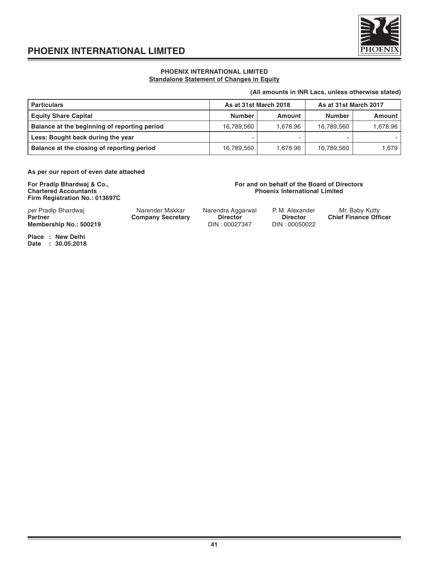

# **PHOENIX INTERNATIONAL LIMITED Standalone Statement of Changes in Equity**

### **(All amounts in INR Lacs, unless otherwise stated)**

| <b>Particulars</b>                           | As at 31st March 2018 |          |               | As at 31st March 2017 |  |  |
|----------------------------------------------|-----------------------|----------|---------------|-----------------------|--|--|
| <b>Equity Share Capital</b>                  | Number                | Amount   | <b>Number</b> | Amount                |  |  |
| Balance at the beginning of reporting period | 16,789,560            | 1.678.96 | 16.789.560    | .678.96 ا             |  |  |
| Less: Bought back during the year            |                       | -        |               |                       |  |  |
| Balance at the closing of reporting period   | 16,789,560            | 1.678.96 | 16,789,560    | 1.679                 |  |  |

**As per our report of even date attached**

**Firm Registration No.: 013697C**

### **For Pradip Bhardwaj & Co., <br>
Chartered Accountants Chartered Accountants and Exercise Chartered Accountants Chartered Accountants Phoenix International Limited**

| per Pradip Bhardwai<br><b>Partner</b><br>Membership No.: 500219 | Narender Makkar<br><b>Company Secretary</b> | Narendra Aggarwal<br><b>Director</b><br>DIN: 00027347 | P. M. Alexander<br><b>Director</b><br>DIN: 00050022 | Mr. Baby Kutty<br><b>Chief Finance Officer</b> |
|-----------------------------------------------------------------|---------------------------------------------|-------------------------------------------------------|-----------------------------------------------------|------------------------------------------------|
|                                                                 |                                             |                                                       |                                                     |                                                |

**Place : New Delhi Date : 30.05.2018**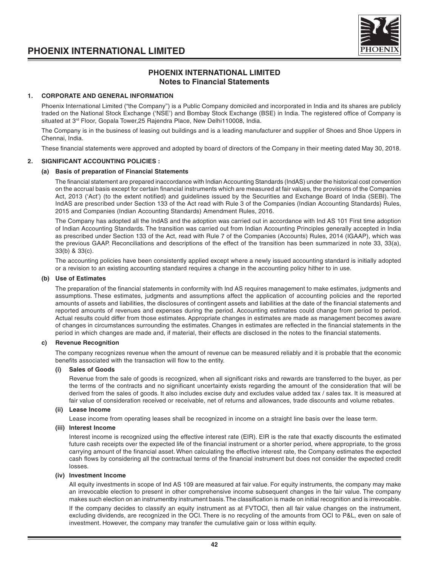



# **PHOENIX INTERNATIONAL LIMITED Notes to Financial Statements**

# **1. CORPORATE AND GENERAL INFORMATION**

Phoenix International Limited ("the Company") is a Public Company domiciled and incorporated in India and its shares are publicly traded on the National Stock Exchange ('NSE') and Bombay Stock Exchange (BSE) in India. The registered office of Company is situated at 3<sup>rd</sup> Floor, Gopala Tower, 25 Rajendra Place, New Delhi110008, India.

The Company is in the business of leasing out buildings and is a leading manufacturer and supplier of Shoes and Shoe Uppers in Chennai, India.

These financial statements were approved and adopted by board of directors of the Company in their meeting dated May 30, 2018.

### **2. SIGNIFICANT ACCOUNTING POLICIES :**

#### **(a) Basis of preparation of Financial Statements**

The financial statement are prepared inaccordance with Indian Accounting Standards (IndAS) under the historical cost convention on the accrual basis except for certain financial instruments which are measured at fair values, the provisions of the Companies Act, 2013 ('Act') (to the extent notified) and guidelines issued by the Securities and Exchange Board of India (SEBI). The IndAS are prescribed under Section 133 of the Act read with Rule 3 of the Companies (Indian Accounting Standards) Rules, 2015 and Companies (Indian Accounting Standards) Amendment Rules, 2016.

The Company has adopted all the IndAS and the adoption was carried out in accordance with Ind AS 101 First time adoption of Indian Accounting Standards. The transition was carried out from Indian Accounting Principles generally accepted in India as prescribed under Section 133 of the Act, read with Rule 7 of the Companies (Accounts) Rules, 2014 (IGAAP), which was the previous GAAP. Reconciliations and descriptions of the effect of the transition has been summarized in note 33, 33(a), 33(b) & 33(c).

The accounting policies have been consistently applied except where a newly issued accounting standard is initially adopted or a revision to an existing accounting standard requires a change in the accounting policy hither to in use.

# **(b) Use of Estimates**

The preparation of the financial statements in conformity with Ind AS requires management to make estimates, judgments and assumptions. These estimates, judgments and assumptions affect the application of accounting policies and the reported amounts of assets and liabilities, the disclosures of contingent assets and liabilities at the date of the financial statements and reported amounts of revenues and expenses during the period. Accounting estimates could change from period to period. Actual results could differ from those estimates. Appropriate changes in estimates are made as management becomes aware of changes in circumstances surrounding the estimates. Changes in estimates are reflected in the financial statements in the period in which changes are made and, if material, their effects are disclosed in the notes to the financial statements.

#### **c) Revenue Recognition**

The company recognizes revenue when the amount of revenue can be measured reliably and it is probable that the economic benefits associated with the transaction will flow to the entity.

#### **(i) Sales of Goods**

Revenue from the sale of goods is recognized, when all significant risks and rewards are transferred to the buyer, as per the terms of the contracts and no significant uncertainty exists regarding the amount of the consideration that will be derived from the sales of goods. It also includes excise duty and excludes value added tax / sales tax. It is measured at fair value of consideration received or receivable, net of returns and allowances, trade discounts and volume rebates.

#### **(ii) Lease Income**

Lease income from operating leases shall be recognized in income on a straight line basis over the lease term.

# **(iii) Interest Income**

Interest income is recognized using the effective interest rate (EIR). EIR is the rate that exactly discounts the estimated future cash receipts over the expected life of the financial instrument or a shorter period, where appropriate, to the gross carrying amount of the financial asset. When calculating the effective interest rate, the Company estimates the expected cash flows by considering all the contractual terms of the financial instrument but does not consider the expected credit losses.

#### **(iv) Investment Income**

All equity investments in scope of Ind AS 109 are measured at fair value. For equity instruments, the company may make an irrevocable election to present in other comprehensive income subsequent changes in the fair value. The company makes such election on an instrumentby instrument basis. The classification is made on initial recognition and is irrevocable.

If the company decides to classify an equity instrument as at FVTOCI, then all fair value changes on the instrument, excluding dividends, are recognized in the OCI. There is no recycling of the amounts from OCI to P&L, even on sale of investment. However, the company may transfer the cumulative gain or loss within equity.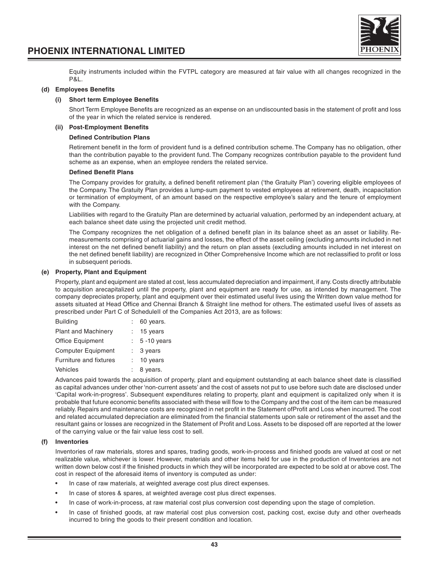



Equity instruments included within the FVTPL category are measured at fair value with all changes recognized in the P&L.

#### **(d) Employees Benefits**

#### **(i) Short term Employee Benefits**

Short Term Employee Benefits are recognized as an expense on an undiscounted basis in the statement of profit and loss of the year in which the related service is rendered.

### **(ii) Post-Employment Benefits**

#### **Defined Contribution Plans**

Retirement benefit in the form of provident fund is a defined contribution scheme. The Company has no obligation, other than the contribution payable to the provident fund. The Company recognizes contribution payable to the provident fund scheme as an expense, when an employee renders the related service.

#### **Defined Benefit Plans**

The Company provides for gratuity, a defined benefit retirement plan ('the Gratuity Plan') covering eligible employees of the Company. The Gratuity Plan provides a lump-sum payment to vested employees at retirement, death, incapacitation or termination of employment, of an amount based on the respective employee's salary and the tenure of employment with the Company.

Liabilities with regard to the Gratuity Plan are determined by actuarial valuation, performed by an independent actuary, at each balance sheet date using the projected unit credit method.

The Company recognizes the net obligation of a defined benefit plan in its balance sheet as an asset or liability. Remeasurements comprising of actuarial gains and losses, the effect of the asset ceiling (excluding amounts included in net interest on the net defined benefit liability) and the return on plan assets (excluding amounts included in net interest on the net defined benefit liability) are recognized in Other Comprehensive Income which are not reclassified to profit or loss in subsequent periods.

#### **(e) Property, Plant and Equipment**

Property, plant and equipment are stated at cost, less accumulated depreciation and impairment, if any. Costs directly attributable to acquisition arecapitalized until the property, plant and equipment are ready for use, as intended by management. The company depreciates property, plant and equipment over their estimated useful lives using the Written down value method for assets situated at Head Office and Chennai Branch & Straight line method for others. The estimated useful lives of assets as prescribed under Part C of ScheduleII of the Companies Act 2013, are as follows:

| <b>Building</b>            | 60 years.           |
|----------------------------|---------------------|
| <b>Plant and Machinery</b> | 15 years            |
| Office Equipment           | $5 - 10$ years      |
| <b>Computer Equipment</b>  | $: 3 \text{ years}$ |
| Furniture and fixtures     | 10 years            |
| Vehicles                   | 8 years.            |

Advances paid towards the acquisition of property, plant and equipment outstanding at each balance sheet date is classified as capital advances under other 'non-current assets' and the cost of assets not put to use before such date are disclosed under 'Capital work-in-progress'. Subsequent expenditures relating to property, plant and equipment is capitalized only when it is probable that future economic benefits associated with these will flow to the Company and the cost of the item can be measured reliably. Repairs and maintenance costs are recognized in net profit in the Statement ofProfit and Loss when incurred. The cost and related accumulated depreciation are eliminated from the financial statements upon sale or retirement of the asset and the resultant gains or losses are recognized in the Statement of Profit and Loss. Assets to be disposed off are reported at the lower of the carrying value or the fair value less cost to sell.

#### **(f) Inventories**

Inventories of raw materials, stores and spares, trading goods, work-in-process and finished goods are valued at cost or net realizable value, whichever is lower. However, materials and other items held for use in the production of Inventories are not written down below cost if the finished products in which they will be incorporated are expected to be sold at or above cost. The cost in respect of the aforesaid items of inventory is computed as under:

- In case of raw materials, at weighted average cost plus direct expenses.
- In case of stores & spares, at weighted average cost plus direct expenses.
- In case of work-in-process, at raw material cost plus conversion cost depending upon the stage of completion.
- In case of finished goods, at raw material cost plus conversion cost, packing cost, excise duty and other overheads incurred to bring the goods to their present condition and location.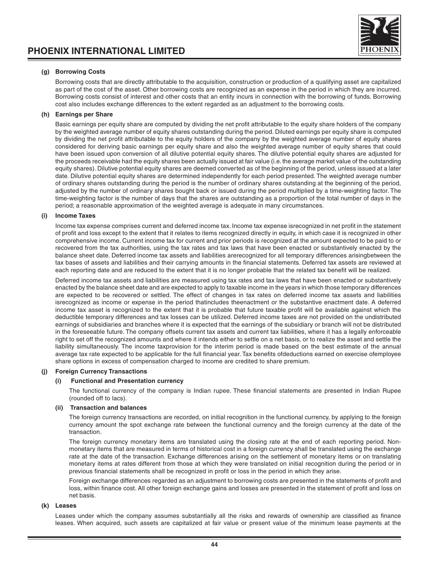

### **(g) Borrowing Costs**

Borrowing costs that are directly attributable to the acquisition, construction or production of a qualifying asset are capitalized as part of the cost of the asset. Other borrowing costs are recognized as an expense in the period in which they are incurred. Borrowing costs consist of interest and other costs that an entity incurs in connection with the borrowing of funds. Borrowing cost also includes exchange differences to the extent regarded as an adjustment to the borrowing costs.

#### **(h) Earnings per Share**

Basic earnings per equity share are computed by dividing the net profit attributable to the equity share holders of the company by the weighted average number of equity shares outstanding during the period. Diluted earnings per equity share is computed by dividing the net profit attributable to the equity holders of the company by the weighted average number of equity shares considered for deriving basic earnings per equity share and also the weighted average number of equity shares that could have been issued upon conversion of all dilutive potential equity shares. The dilutive potential equity shares are adjusted for the proceeds receivable had the equity shares been actually issued at fair value (i.e. the average market value of the outstanding equity shares). Dilutive potential equity shares are deemed converted as of the beginning of the period, unless issued at a later date. Dilutive potential equity shares are determined independently for each period presented. The weighted average number of ordinary shares outstanding during the period is the number of ordinary shares outstanding at the beginning of the period, adjusted by the number of ordinary shares bought back or issued during the period multiplied by a time-weighting factor. The time-weighting factor is the number of days that the shares are outstanding as a proportion of the total number of days in the period; a reasonable approximation of the weighted average is adequate in many circumstances.

#### **(i) Income Taxes**

Income tax expense comprises current and deferred income tax. Income tax expense isrecognized in net profit in the statement of profit and loss except to the extent that it relates to items recognized directly in equity, in which case it is recognized in other comprehensive income. Current income tax for current and prior periods is recognized at the amount expected to be paid to or recovered from the tax authorities, using the tax rates and tax laws that have been enacted or substantively enacted by the balance sheet date. Deferred income tax assets and liabilities arerecognized for all temporary differences arisingbetween the tax bases of assets and liabilities and their carrying amounts in the financial statements. Deferred tax assets are reviewed at each reporting date and are reduced to the extent that it is no longer probable that the related tax benefit will be realized.

Deferred income tax assets and liabilities are measured using tax rates and tax laws that have been enacted or substantively enacted by the balance sheet date and are expected to apply to taxable income in the years in which those temporary differences are expected to be recovered or settled. The effect of changes in tax rates on deferred income tax assets and liabilities isrecognized as income or expense in the period thatincludes theenactment or the substantive enactment date. A deferred income tax asset is recognized to the extent that it is probable that future taxable profit will be available against which the deductible temporary differences and tax losses can be utilized. Deferred income taxes are not provided on the undistributed earnings of subsidiaries and branches where it is expected that the earnings of the subsidiary or branch will not be distributed in the foreseeable future. The company offsets current tax assets and current tax liabilities, where it has a legally enforceable right to set off the recognized amounts and where it intends either to settle on a net basis, or to realize the asset and settle the liability simultaneously. The income taxprovision for the interim period is made based on the best estimate of the annual average tax rate expected to be applicable for the full financial year. Tax benefits ofdeductions earned on exercise ofemployee share options in excess of compensation charged to income are credited to share premium.

#### **(j) Foreign Currency Transactions**

#### **(i) Functional and Presentation currency**

The functional currency of the company is Indian rupee. These financial statements are presented in Indian Rupee (rounded off to lacs).

#### **(ii) Transaction and balances**

The foreign currency transactions are recorded, on initial recognition in the functional currency, by applying to the foreign currency amount the spot exchange rate between the functional currency and the foreign currency at the date of the transaction.

The foreign currency monetary items are translated using the closing rate at the end of each reporting period. Nonmonetary items that are measured in terms of historical cost in a foreign currency shall be translated using the exchange rate at the date of the transaction. Exchange differences arising on the settlement of monetary items or on translating monetary items at rates different from those at which they were translated on initial recognition during the period or in previous financial statements shall be recognized in profit or loss in the period in which they arise.

Foreign exchange differences regarded as an adjustment to borrowing costs are presented in the statements of profit and loss, within finance cost. All other foreign exchange gains and losses are presented in the statement of profit and loss on net basis.

# **(k) Leases**

Leases under which the company assumes substantially all the risks and rewards of ownership are classified as finance leases. When acquired, such assets are capitalized at fair value or present value of the minimum lease payments at the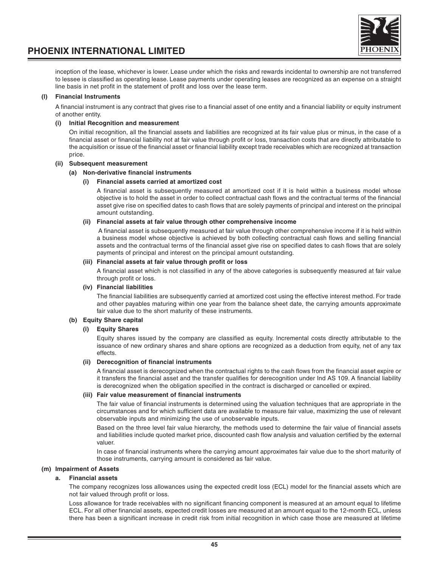

inception of the lease, whichever is lower. Lease under which the risks and rewards incidental to ownership are not transferred to lessee is classified as operating lease. Lease payments under operating leases are recognized as an expense on a straight line basis in net profit in the statement of profit and loss over the lease term.

# **(l) Financial Instruments**

A financial instrument is any contract that gives rise to a financial asset of one entity and a financial liability or equity instrument of another entity.

#### **(i) Initial Recognition and measurement**

On initial recognition, all the financial assets and liabilities are recognized at its fair value plus or minus, in the case of a financial asset or financial liability not at fair value through profit or loss, transaction costs that are directly attributable to the acquisition or issue of the financial asset or financial liability except trade receivables which are recognized at transaction price.

#### **(ii) Subsequent measurement**

#### **(a) Non-derivative financial instruments**

#### **(i) Financial assets carried at amortized cost**

A financial asset is subsequently measured at amortized cost if it is held within a business model whose objective is to hold the asset in order to collect contractual cash flows and the contractual terms of the financial asset give rise on specified dates to cash flows that are solely payments of principal and interest on the principal amount outstanding.

#### **(ii) Financial assets at fair value through other comprehensive income**

 A financial asset is subsequently measured at fair value through other comprehensive income if it is held within a business model whose objective is achieved by both collecting contractual cash flows and selling financial assets and the contractual terms of the financial asset give rise on specified dates to cash flows that are solely payments of principal and interest on the principal amount outstanding.

#### **(iii) Financial assets at fair value through profit or loss**

A financial asset which is not classified in any of the above categories is subsequently measured at fair value through profit or loss.

#### **(iv) Financial liabilities**

The financial liabilities are subsequently carried at amortized cost using the effective interest method. For trade and other payables maturing within one year from the balance sheet date, the carrying amounts approximate fair value due to the short maturity of these instruments.

### **(b) Equity Share capital**

## **(i) Equity Shares**

Equity shares issued by the company are classified as equity. Incremental costs directly attributable to the issuance of new ordinary shares and share options are recognized as a deduction from equity, net of any tax effects.

#### **(ii) Derecognition of financial instruments**

A financial asset is derecognized when the contractual rights to the cash flows from the financial asset expire or it transfers the financial asset and the transfer qualifies for derecognition under Ind AS 109. A financial liability is derecognized when the obligation specified in the contract is discharged or cancelled or expired.

#### **(iii) Fair value measurement of financial instruments**

The fair value of financial instruments is determined using the valuation techniques that are appropriate in the circumstances and for which sufficient data are available to measure fair value, maximizing the use of relevant observable inputs and minimizing the use of unobservable inputs.

Based on the three level fair value hierarchy, the methods used to determine the fair value of financial assets and liabilities include quoted market price, discounted cash flow analysis and valuation certified by the external valuer.

In case of financial instruments where the carrying amount approximates fair value due to the short maturity of those instruments, carrying amount is considered as fair value.

### **(m) Impairment of Assets**

### **a. Financial assets**

The company recognizes loss allowances using the expected credit loss (ECL) model for the financial assets which are not fair valued through profit or loss.

Loss allowance for trade receivables with no significant financing component is measured at an amount equal to lifetime ECL. For all other financial assets, expected credit losses are measured at an amount equal to the 12-month ECL, unless there has been a significant increase in credit risk from initial recognition in which case those are measured at lifetime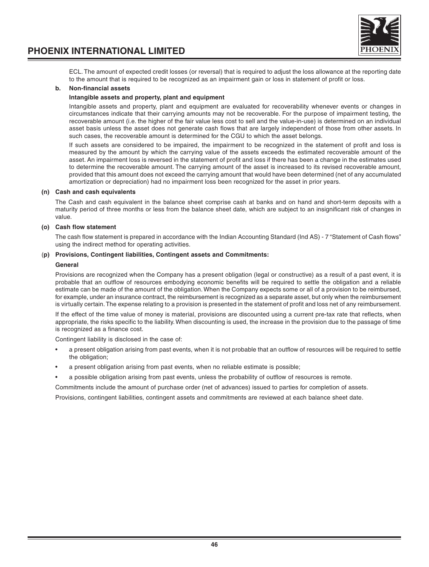

ECL. The amount of expected credit losses (or reversal) that is required to adjust the loss allowance at the reporting date to the amount that is required to be recognized as an impairment gain or loss in statement of profit or loss.

### **b. Non-financial assets**

#### **Intangible assets and property, plant and equipment**

Intangible assets and property, plant and equipment are evaluated for recoverability whenever events or changes in circumstances indicate that their carrying amounts may not be recoverable. For the purpose of impairment testing, the recoverable amount (i.e. the higher of the fair value less cost to sell and the value-in-use) is determined on an individual asset basis unless the asset does not generate cash flows that are largely independent of those from other assets. In such cases, the recoverable amount is determined for the CGU to which the asset belongs.

If such assets are considered to be impaired, the impairment to be recognized in the statement of profit and loss is measured by the amount by which the carrying value of the assets exceeds the estimated recoverable amount of the asset. An impairment loss is reversed in the statement of profit and loss if there has been a change in the estimates used to determine the recoverable amount. The carrying amount of the asset is increased to its revised recoverable amount, provided that this amount does not exceed the carrying amount that would have been determined (net of any accumulated amortization or depreciation) had no impairment loss been recognized for the asset in prior years.

#### **(n) Cash and cash equivalents**

The Cash and cash equivalent in the balance sheet comprise cash at banks and on hand and short-term deposits with a maturity period of three months or less from the balance sheet date, which are subject to an insignificant risk of changes in value.

#### **(o) Cash flow statement**

The cash flow statement is prepared in accordance with the Indian Accounting Standard (Ind AS) - 7 "Statement of Cash flows" using the indirect method for operating activities.

#### (**p) Provisions, Contingent liabilities, Contingent assets and Commitments:**

#### **General**

Provisions are recognized when the Company has a present obligation (legal or constructive) as a result of a past event, it is probable that an outflow of resources embodying economic benefits will be required to settle the obligation and a reliable estimate can be made of the amount of the obligation. When the Company expects some or all of a provision to be reimbursed, for example, under an insurance contract, the reimbursement is recognized as a separate asset, but only when the reimbursement is virtually certain. The expense relating to a provision is presented in the statement of profit and loss net of any reimbursement.

If the effect of the time value of money is material, provisions are discounted using a current pre-tax rate that reflects, when appropriate, the risks specific to the liability. When discounting is used, the increase in the provision due to the passage of time is recognized as a finance cost.

Contingent liability is disclosed in the case of:

- a present obligation arising from past events, when it is not probable that an outflow of resources will be required to settle the obligation;
- a present obligation arising from past events, when no reliable estimate is possible;
- a possible obligation arising from past events, unless the probability of outflow of resources is remote.

Commitments include the amount of purchase order (net of advances) issued to parties for completion of assets.

Provisions, contingent liabilities, contingent assets and commitments are reviewed at each balance sheet date.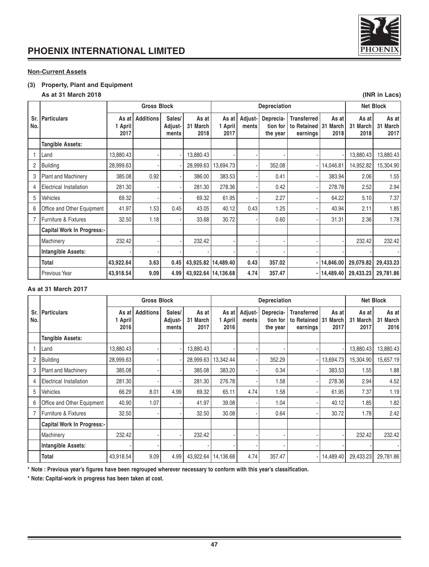

# **Non-Current Assets**

# **(3) Property, Plant and Equipment**

# **As at 31 March 2018 (INR in Lacs)**

|                |                                   | <b>Gross Block</b>       |                  |                            | Depreciation              |                          |                  |                                   |                                                  | <b>Net Block</b>       |                           |                              |
|----------------|-----------------------------------|--------------------------|------------------|----------------------------|---------------------------|--------------------------|------------------|-----------------------------------|--------------------------------------------------|------------------------|---------------------------|------------------------------|
| Sr.<br>No.     | <b>Particulars</b>                | As at<br>1 April<br>2017 | <b>Additions</b> | Sales/<br>Adjust-<br>ments | As at<br>31 March<br>2018 | As at<br>1 April<br>2017 | Adjust-<br>ments | Deprecia-<br>tion for<br>the year | <b>Transferred</b><br>to Retained 31<br>earnings | As at<br>March<br>2018 | As at<br>31 March<br>2018 | As at<br>31<br>March<br>2017 |
|                | <b>Tangible Assets:</b>           |                          |                  |                            |                           |                          |                  |                                   |                                                  |                        |                           |                              |
|                | Land                              | 13,880.43                |                  |                            | 13,880.43                 |                          |                  |                                   |                                                  |                        | 13,880.43                 | 13,880.43                    |
| $\overline{2}$ | <b>Building</b>                   | 28,999.63                |                  |                            | 28,999.63                 | 13,694.73                |                  | 352.08                            |                                                  | 14,046.81              | 14,952.82                 | 15,304.90                    |
| 3              | <b>Plant and Machinery</b>        | 385.08                   | 0.92             |                            | 386.00                    | 383.53                   |                  | 0.41                              |                                                  | 383.94                 | 2.06                      | 1.55                         |
| 4              | Electrical Installation           | 281.30                   |                  |                            | 281.30                    | 278.36                   |                  | 0.42                              |                                                  | 278.78                 | 2.52                      | 2.94                         |
| 5              | Vehicles                          | 69.32                    |                  |                            | 69.32                     | 61.95                    |                  | 2.27                              |                                                  | 64.22                  | 5.10                      | 7.37                         |
| 6              | Office and Other Equipment        | 41.97                    | 1.53             | 0.45                       | 43.05                     | 40.12                    | 0.43             | 1.25                              |                                                  | 40.94                  | 2.11                      | 1.85                         |
| 7              | Furniture & Fixtures              | 32.50                    | 1.18             |                            | 33.68                     | 30.72                    |                  | 0.60                              |                                                  | 31.31                  | 2.36                      | 1.78                         |
|                | <b>Capital Work In Progress:-</b> |                          |                  |                            |                           |                          |                  |                                   |                                                  |                        |                           |                              |
|                | Machinery                         | 232.42                   |                  |                            | 232.42                    |                          |                  |                                   |                                                  |                        | 232.42                    | 232.42                       |
|                | Intangible Assets:                |                          |                  |                            |                           |                          |                  |                                   |                                                  |                        |                           |                              |
|                | Total                             | 43,922.64                | 3.63             | 0.45                       |                           | 43,925.82   14,489.40    | 0.43             | 357.02                            |                                                  | - 14,846.00            | 29,079.82                 | 29,433.23                    |
|                | <b>Previous Year</b>              | 43,918.54                | 9.09             | 4.99                       |                           | 43,922.64 14,136.68      | 4.74             | 357.47                            |                                                  | -  14,489.40           | 29,433.23                 | 29,781.86                    |

# **As at 31 March 2017**

|                |                                | <b>Gross Block</b>       |                  |                            | Depreciation                 |                          |                  |                                   |                                                    | <b>Net Block</b>       |                           |                                     |
|----------------|--------------------------------|--------------------------|------------------|----------------------------|------------------------------|--------------------------|------------------|-----------------------------------|----------------------------------------------------|------------------------|---------------------------|-------------------------------------|
| Sr.<br>No.     | <b>Particulars</b>             | As at<br>1 April<br>2016 | <b>Additions</b> | Sales/<br>Adjust-<br>ments | As at<br>31<br>March<br>2017 | As at<br>1 April<br>2016 | Adjust-<br>ments | Deprecia-<br>tion for<br>the year | <b>Transferred</b><br>to Retained   31<br>earnings | As at<br>March<br>2017 | As at<br>31 March<br>2017 | As at<br>31<br><b>March</b><br>2016 |
|                | <b>Tangible Assets:</b>        |                          |                  |                            |                              |                          |                  |                                   |                                                    |                        |                           |                                     |
|                | Land                           | 13,880.43                |                  |                            | 13,880.43                    |                          |                  |                                   |                                                    |                        | 13,880.43                 | 13,880.43                           |
| $\overline{2}$ | <b>Building</b>                | 28,999.63                |                  |                            | 28.999.63                    | 13.342.44                |                  | 352.29                            |                                                    | 13,694.73              | 15,304.90                 | 15,657.19                           |
| 3              | <b>Plant and Machinery</b>     | 385.08                   |                  |                            | 385.08                       | 383.20                   |                  | 0.34                              |                                                    | 383.53                 | 1.55                      | 1.88                                |
| 4              | <b>Electrical Installation</b> | 281.30                   |                  |                            | 281.30                       | 276.78                   |                  | 1.58                              |                                                    | 278.36                 | 2.94                      | 4.52                                |
| 5              | Vehicles                       | 66.29                    | 8.01             | 4.99                       | 69.32                        | 65.11                    | 4.74             | 1.58                              |                                                    | 61.95                  | 7.37                      | 1.19                                |
| 6              | Office and Other Equipment     | 40.90                    | 1.07             |                            | 41.97                        | 39.08                    |                  | 1.04                              |                                                    | 40.12                  | 1.85                      | 1.82                                |
|                | Furniture & Fixtures           | 32.50                    |                  |                            | 32.50                        | 30.08                    |                  | 0.64                              |                                                    | 30.72                  | 1.78                      | 2.42                                |
|                | Capital Work In Progress:-     |                          |                  |                            |                              |                          |                  |                                   |                                                    |                        |                           |                                     |
|                | Machinery                      | 232.42                   |                  |                            | 232.42                       |                          |                  |                                   |                                                    |                        | 232.42                    | 232.42                              |
|                | Intangible Assets:             |                          |                  |                            |                              |                          |                  |                                   |                                                    |                        |                           |                                     |
|                | Total                          | 43,918.54                | 9.09             | 4.99                       | 43.922.64                    | 14,136.68                | 4.74             | 357.47                            | - 1                                                | 14,489.40              | 29,433.23                 | 29,781.86                           |

**\* Note : Previous year's figures have been regrouped wherever necessary to conform with this year's classification.**

**\* Note: Capital-work in progress has been taken at cost.**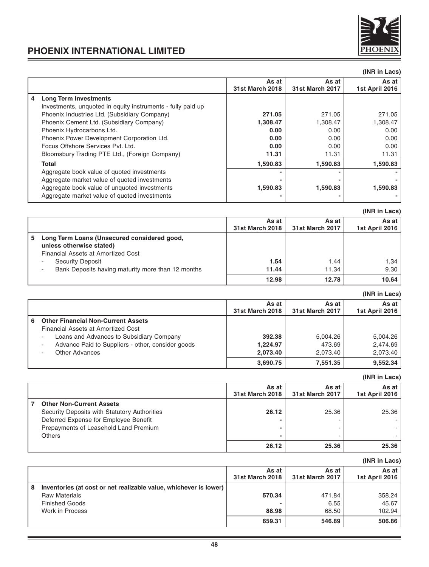

|   |                                                             |                          |                                 | (INR in Lacs)           |
|---|-------------------------------------------------------------|--------------------------|---------------------------------|-------------------------|
|   |                                                             | As at<br>31st March 2018 | As at<br><b>31st March 2017</b> | As at<br>1st April 2016 |
| 4 | <b>Long Term Investments</b>                                |                          |                                 |                         |
|   | Investments, unquoted in equity instruments - fully paid up |                          |                                 |                         |
|   | Phoenix Industries Ltd. (Subsidiary Company)                | 271.05                   | 271.05                          | 271.05                  |
|   | Phoenix Cement Ltd. (Subsidiary Company)                    | 1,308.47                 | 1,308.47                        | 1,308.47                |
|   | Phoenix Hydrocarbons Ltd.                                   | 0.00                     | 0.00                            | 0.00                    |
|   | Phoenix Power Development Corporation Ltd.                  | 0.00                     | 0.00                            | 0.00                    |
|   | Focus Offshore Services Pyt. Ltd.                           | 0.00                     | 0.00                            | 0.00                    |
|   | Bloomsbury Trading PTE Ltd., (Foreign Company)              | 11.31                    | 11.31                           | 11.31                   |
|   | <b>Total</b>                                                | 1,590.83                 | 1,590.83                        | 1,590.83                |
|   | Aggregate book value of quoted investments                  | ٠                        | ۰                               |                         |
|   | Aggregate market value of guoted investments                |                          |                                 |                         |
|   | Aggregate book value of unquoted investments                | 1,590.83                 | 1,590.83                        | 1,590.83                |
|   | Aggregate market value of guoted investments                |                          |                                 |                         |

|                                                                                                                     |                 |                 | ,  =……         |
|---------------------------------------------------------------------------------------------------------------------|-----------------|-----------------|----------------|
|                                                                                                                     | As at           | As at           | As at I        |
|                                                                                                                     | 31st March 2018 | 31st March 2017 | 1st April 2016 |
| Long Term Loans (Unsecured considered good,<br>5.<br>unless otherwise stated)<br>Financial Assets at Amortized Cost |                 |                 |                |
| Security Deposit                                                                                                    | 1.54            | 1.44            | 1.34           |
| Bank Deposits having maturity more than 12 months                                                                   | 11.44           | 11.34           | 9.30           |
|                                                                                                                     | 12.98           | 12.78           | 10.64          |

|   |                                                   |                          |                                 | (INR in Lacs)           |
|---|---------------------------------------------------|--------------------------|---------------------------------|-------------------------|
|   |                                                   | As at<br>31st March 2018 | As at<br><b>31st March 2017</b> | As at<br>1st April 2016 |
| 6 | <b>Other Financial Non-Current Assets</b>         |                          |                                 |                         |
|   | Financial Assets at Amortized Cost                |                          |                                 |                         |
|   | Loans and Advances to Subsidiary Company          | 392.38                   | 5.004.26                        | 5,004.26                |
|   | Advance Paid to Suppliers - other, consider goods | 1,224.97                 | 473.69                          | 2,474.69                |
|   | Other Advances                                    | 2,073.40                 | 2,073.40                        | 2,073.40                |
|   |                                                   | 3,690.75                 | 7.551.35                        | 9,552.34                |

|   |                                              |                          |                          | (INR in Lacs)           |
|---|----------------------------------------------|--------------------------|--------------------------|-------------------------|
|   |                                              | As at<br>31st March 2018 | As at<br>31st March 2017 | As at<br>1st April 2016 |
| 7 | <b>Other Non-Current Assets</b>              |                          |                          |                         |
|   | Security Deposits with Statutory Authorities | 26.12                    | 25.36                    | 25.36                   |
|   | Deferred Expense for Employee Benefit        |                          |                          |                         |
|   | Prepayments of Leasehold Land Premium        | -                        |                          |                         |
|   | <b>Others</b>                                | -                        |                          |                         |
|   |                                              | 26.12                    | 25.36                    | 25.36                   |

|   |                                                                   |                          |                          | unru in Lacs            |
|---|-------------------------------------------------------------------|--------------------------|--------------------------|-------------------------|
|   |                                                                   | As at<br>31st March 2018 | As at<br>31st March 2017 | As at<br>1st April 2016 |
| 8 | Inventories (at cost or net realizable value, whichever is lower) |                          |                          |                         |
|   | <b>Raw Materials</b>                                              | 570.34                   | 471.84                   | 358.24                  |
|   | <b>Finished Goods</b>                                             |                          | 6.55                     | 45.67                   |
|   | Work in Process                                                   | 88.98                    | 68.50                    | 102.94                  |
|   |                                                                   | 659.31                   | 546.89                   | 506.86                  |

**(INR in Lacs)**

# **(INR in Lacs)**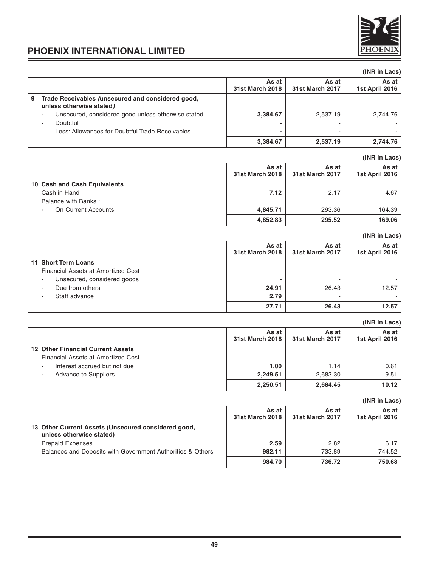

**(INR in Lacs)**

# **PHOENIX INTERNATIONAL LIMITED**

# **(INR in Lacs)** As at **As at As at As at As at As at As at As at As at As at As at As at As at As at As at As at As at As at As at As at As at As at As at As at As at As at As at As at As at As at As at As at As at As at As at As at As at 31st March 2018 31st March 2017 1st April 2016 9 Trade Receivables (unsecured and considered good, unless otherwise stated)** - Unsecured, considered good unless otherwise stated **3,384.67** 2,537.19 2,537.19 2,744.76 - Doubtful **-** - - Less: Allowances for Doubtful Trade Receivables **-** - - **3,384.67 2,537.19 2,744.76**

# **(INR in Lacs) As at** As at As at As at As at As at As at As at As at As at As at As at As at As at As at As at As at As at As at As at As at As at As at As at As at As at As at As at As at As at As at As at As at As at As at As at As a **31st March 2018 31st March 2017 1st April 2016 10 Cash and Cash Equivalents** Cash in Hand **7.12** 2.17 4.67 Balance with Banks : - On Current Accounts **4,845.71** 293.36 164.39 **4,852.83 295.52 169.06**

|                                    |                          |                          | (INR in Lacs)           |
|------------------------------------|--------------------------|--------------------------|-------------------------|
|                                    | As at<br>31st March 2018 | As at<br>31st March 2017 | As at<br>1st April 2016 |
| 11 Short Term Loans                |                          |                          |                         |
| Financial Assets at Amortized Cost |                          |                          |                         |
| Unsecured, considered goods        |                          | -                        |                         |
| Due from others                    | 24.91                    | 26.43                    | 12.57                   |
| Staff advance                      | 2.79                     |                          |                         |
|                                    | 27.71                    | 26.43                    | 12.57                   |

# **(INR in Lacs) As at As at As at As at As at As at As at As at As at As at As at As at As at As at As at As at As at As at As at As at As at As at As at As at As at As at As at As at 31st March 2018 31st March 2017 1st April 2016 12 Other Financial Current Assets** Financial Assets at Amortized Cost Interest accrued but not due **1.00** 1.00 1.14 1.14 0.61 Advance to Suppliers **2,249.51** 2,683.30 9.51 **2,250.51 2,684.45 10.12**

|                                                                                 |                          |                          | UNR III LACS.           |
|---------------------------------------------------------------------------------|--------------------------|--------------------------|-------------------------|
|                                                                                 | As at<br>31st March 2018 | As at<br>31st March 2017 | As at<br>1st April 2016 |
| 13 Other Current Assets (Unsecured considered good,<br>unless otherwise stated) |                          |                          |                         |
| <b>Prepaid Expenses</b>                                                         | 2.59                     | 2.82                     | 6.17                    |
| Balances and Deposits with Government Authorities & Others                      | 982.11                   | 733.89                   | 744.52                  |
|                                                                                 | 984.70                   | 736.72                   | 750.68                  |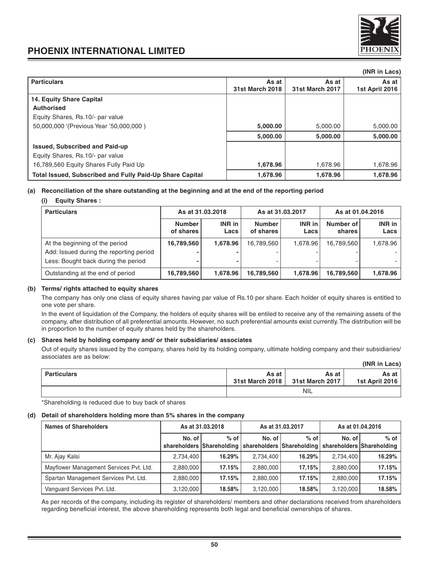

|                                                          |                 |                        | (INR in Lacs)  |
|----------------------------------------------------------|-----------------|------------------------|----------------|
| <b>Particulars</b>                                       | As at           | As at                  | As at          |
|                                                          | 31st March 2018 | <b>31st March 2017</b> | 1st April 2016 |
| 14. Equity Share Capital                                 |                 |                        |                |
| <b>Authorised</b>                                        |                 |                        |                |
| Equity Shares, Rs.10/- par value                         |                 |                        |                |
| 50,000,000 '(Previous Year '50,000,000)                  | 5,000.00        | 5,000.00               | 5,000.00       |
|                                                          | 5,000.00        | 5,000.00               | 5,000.00       |
| <b>Issued, Subscribed and Paid-up</b>                    |                 |                        |                |
| Equity Shares, Rs.10/- par value                         |                 |                        |                |
| 16,789,560 Equity Shares Fully Paid Up                   | 1,678.96        | 1,678.96               | 1,678.96       |
| Total Issued, Subscribed and Fully Paid-Up Share Capital | 1,678.96        | 1,678.96               | 1,678.96       |

## **(a) Reconciliation of the share outstanding at the beginning and at the end of the reporting period**

## **(i) Equity Shares :**

| <b>Particulars</b>                                                                                               |                            | As at 31.03.2018 |                            | As at 31.03.2017 | As at 01.04.2016    |                |  |
|------------------------------------------------------------------------------------------------------------------|----------------------------|------------------|----------------------------|------------------|---------------------|----------------|--|
|                                                                                                                  | <b>Number</b><br>of shares | INR in<br>Lacs   | <b>Number</b><br>of shares | INR in<br>Lacs   | Number of<br>shares | INR in<br>Lacs |  |
| At the beginning of the period<br>Add: Issued during the reporting period<br>Less: Bought back during the period | 16,789,560<br>-            | 1.678.96         | 16,789,560                 | 1.678.96         | 16,789,560          | 1.678.96       |  |
| Outstanding at the end of period                                                                                 | 16,789,560                 | 1,678.96         | 16,789,560                 | 1,678.96         | 16,789,560          | 1,678.96       |  |

### **(b) Terms/ rights attached to equity shares**

The company has only one class of equity shares having par value of Rs.10 per share. Each holder of equity shares is entitled to one vote per share.

In the event of liquidation of the Company, the holders of equity shares will be entiled to receive any of the remaining assets of the company, after distribution of all preferential amounts. However, no such preferential amounts exist currently. The distribution will be in proportion to the number of equity shares held by the shareholders.

### **(c) Shares held by holding company and/ or their subsidiaries/ associates**

Out of equity shares issued by the company, shares held by its holding company, ultimate holding company and their subsidiaries/ associates are as below: **(INR in Lacs)**

|             |       |                                            | (INH IN Lacs)           |
|-------------|-------|--------------------------------------------|-------------------------|
| Particulars | As at | As at<br>31st March 2018   31st March 2017 | As at<br>1st April 2016 |
|             |       | <b>NIL</b>                                 |                         |

\*Shareholding is reduced due to buy back of shares

### **(d) Detail of shareholders holding more than 5% shares in the company**

| <b>Names of Shareholders</b>            |           | As at 31.03.2018                                                    |           | As at 31.03.2017 | As at 01.04.2016 |                                   |  |
|-----------------------------------------|-----------|---------------------------------------------------------------------|-----------|------------------|------------------|-----------------------------------|--|
|                                         | No. of I  | $%$ of $ $<br>shareholders Shareholding   shareholders Shareholding | No. of I  | $%$ of           | No. of           | % of<br>shareholders Shareholding |  |
| Mr. Ajay Kalsi                          | 2,734,400 | 16.29%                                                              | 2,734,400 | 16.29%           | 2,734,400        | 16.29%                            |  |
| Mayflower Management Services Pvt. Ltd. | 2.880.000 | 17.15%                                                              | 2,880,000 | 17.15%           | 2.880.000        | 17.15%                            |  |
| Spartan Management Services Pvt. Ltd.   | 2.880.000 | 17.15%                                                              | 2,880,000 | 17.15%           | 2.880.000        | 17.15%                            |  |
| Vanguard Services Pvt. Ltd.             | 3,120,000 | 18.58%                                                              | 3,120,000 | 18.58%           | 3,120,000        | 18.58%                            |  |

As per records of the company, including its register of shareholders/ members and other declarations received from shareholders regarding beneficial interest, the above shareholding represents both legal and beneficial ownerships of shares.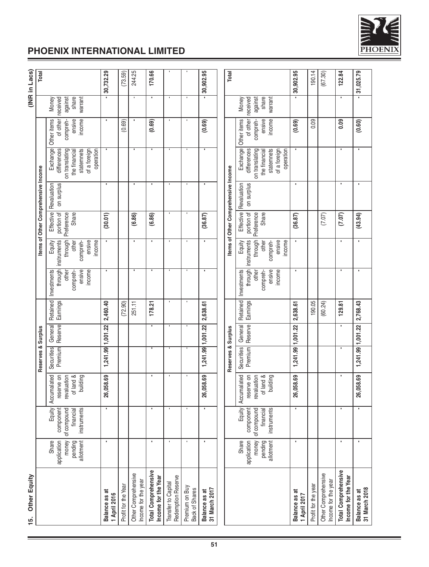

| (INR in Lacs)       | Total                               |                                                                                                       | 30,732.29                     | (73.59)             | 244.25                                     | 170.66                                            |                                           |                                  | 30,902.95                      | Total                               |                                                                                                       | 30,902.95                     | 190.14              | (67.30)                                    | 122.84                                     | 31,025.79                      |
|---------------------|-------------------------------------|-------------------------------------------------------------------------------------------------------|-------------------------------|---------------------|--------------------------------------------|---------------------------------------------------|-------------------------------------------|----------------------------------|--------------------------------|-------------------------------------|-------------------------------------------------------------------------------------------------------|-------------------------------|---------------------|--------------------------------------------|--------------------------------------------|--------------------------------|
|                     |                                     | share<br>against<br>warrant<br>received<br>Money                                                      |                               |                     |                                            | ٠                                                 | ×                                         |                                  |                                |                                     | share<br>against<br>warrant<br>Money<br>received                                                      |                               |                     |                                            |                                            |                                |
|                     |                                     | of other<br>compreh-<br>ensive<br>income<br>Other items                                               |                               | (0.69)              |                                            | (0.69)                                            |                                           |                                  | (0.69)                         |                                     | of other<br>ensive<br>Other items<br>compreh-<br>income                                               | (0.69)                        | 0.09                |                                            | 0.09                                       | (0.60)                         |
|                     |                                     | Exchange<br>on translating<br>statemnets<br>of a foreign<br>operation<br>differences<br>the financial |                               |                     |                                            | ٠                                                 |                                           | ٠                                | ٠                              |                                     | Exchange<br>on translating<br>statemnets<br>differences<br>of a foreign<br>operation<br>the financial |                               |                     |                                            |                                            | ٠                              |
|                     | Items of Other Comprehensive Income | Revaluation<br>on surplus                                                                             |                               |                     |                                            |                                                   |                                           | ٠                                |                                |                                     | on surplus<br>Revaluation                                                                             |                               |                     |                                            |                                            |                                |
|                     |                                     | Effective<br>portion of<br><b>Share</b><br>Preference                                                 | (30.01)                       |                     | (6.86)                                     | (6.86)                                            | $\blacksquare$                            | ٠                                | (36.87)                        | Items of Other Comprehensive Income | Effective<br>portion of<br>Share<br>Preference                                                        | (36.87)                       |                     | (7.07)                                     | (7.07)                                     | (43.94)                        |
|                     |                                     | through<br>instruments<br>income<br>ensive<br>Equity<br>compreh-<br>other                             |                               |                     | ٠                                          | ٠                                                 | ٠                                         | ٠                                | ٠                              |                                     | through<br>instruments<br>income<br>compreh-<br>Equity<br>other<br>ensive                             |                               |                     |                                            | ٠                                          | ٠                              |
|                     |                                     | through<br>income<br>ensive<br>Investments<br>other<br>compreh-                                       |                               |                     |                                            | ٠                                                 |                                           |                                  |                                |                                     | through<br>ensive<br>income<br>Investments<br>other<br>compreh-                                       |                               |                     |                                            |                                            |                                |
|                     |                                     | Retained<br>Earnings                                                                                  | 2,460.40                      | (72.90)             | 251.11                                     | 178.21                                            | ×                                         | ٠                                | 2,638.61                       |                                     | Retained<br>Earnings                                                                                  | 2,638.61                      | 190.05              | (60.24)                                    | 129.81                                     | 2,768.43                       |
|                     |                                     | Reserve<br>General                                                                                    | 1,241.99 1,001.22             |                     |                                            | ٠                                                 | ٠                                         |                                  | 1,241.99 1,001.22              |                                     | Reserve<br>General                                                                                    | $1,241.99$ $ 1,001.22$        |                     |                                            |                                            | 1,241.99 1,001.22              |
|                     | Reserves & Surplus                  | Premium<br>Securities                                                                                 |                               |                     |                                            |                                                   |                                           |                                  |                                | Reserves & Surplus                  | Premium<br>Securities                                                                                 |                               |                     |                                            |                                            |                                |
|                     |                                     | reserve on<br>Accumalated<br>of land &<br>building<br>revaluation                                     | 26,058.69                     |                     |                                            | ٠                                                 |                                           |                                  | 26,058.69                      |                                     | reserve on<br>Accumalated<br>of land &<br>revaluation<br>building                                     | 26,058.69                     |                     |                                            |                                            | 26,058.69                      |
|                     |                                     | instruments<br>Equity<br>componen<br>of compound<br>financia                                          |                               |                     |                                            |                                                   |                                           |                                  |                                |                                     | Equity<br>componen<br>of compound<br>financial<br>instruments                                         |                               |                     |                                            |                                            |                                |
|                     |                                     | money<br>Share<br>application<br>allotment<br>pending                                                 |                               |                     |                                            | ٠                                                 | ×                                         | $\blacksquare$                   | ٠                              |                                     | application<br>money<br>Share<br>allotment<br>pending                                                 |                               |                     |                                            | ٠                                          | ٠                              |
| Other Equity<br>15. |                                     |                                                                                                       | Balance as at<br>1 April 2016 | Profit for the Year | Other Comprehensive<br>Income for the year | <b>Total Comprehensive</b><br>Income for the Year | Redemption Reserve<br>Transfer to Capital | Premium on Buy<br>Back of Shares | 31 March 2017<br>Balance as at |                                     |                                                                                                       | Balance as at<br>1 April 2017 | Profit for the year | Other Comprehensive<br>Income for the year | Total Comprehensive<br>Income for the Year | 31 March 2018<br>Balance as at |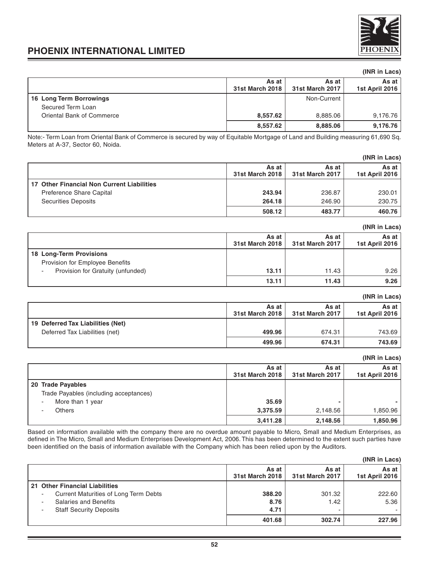

# **(INR in Lacs)**

|                           | As at<br>31st March 2018 | As at<br>31st March 2017 | As at I<br>1st April 2016 |
|---------------------------|--------------------------|--------------------------|---------------------------|
| 16 Long Term Borrowings   |                          | Non-Current              |                           |
| Secured Term Loan         |                          |                          |                           |
| Oriental Bank of Commerce | 8.557.62                 | 8,885.06                 | 9,176.76                  |
|                           | 8,557.62                 | 8,885.06                 | 9,176.76                  |

Note:- Term Loan from Oriental Bank of Commerce is secured by way of Equitable Mortgage of Land and Building measuring 61,690 Sq. Meters at A-37, Sector 60, Noida.

|                                            |                          |                          | (INR in Lacs)             |
|--------------------------------------------|--------------------------|--------------------------|---------------------------|
|                                            | As at<br>31st March 2018 | As at<br>31st March 2017 | As at I<br>1st April 2016 |
| 17 Other Financial Non Current Liabilities |                          |                          |                           |
| Preference Share Capital                   | 243.94                   | 236.87                   | 230.01                    |
| <b>Securities Deposits</b>                 | 264.18                   | 246.90                   | 230.75                    |
|                                            | 508.12                   | 483.77                   | 460.76                    |

|                                                            |                          |                          | (INR in Lacs)             |
|------------------------------------------------------------|--------------------------|--------------------------|---------------------------|
|                                                            | As at<br>31st March 2018 | As at<br>31st March 2017 | As at I<br>1st April 2016 |
| 18 Long-Term Provisions<br>Provision for Employee Benefits |                          |                          |                           |
| Provision for Gratuity (unfunded)                          | 13.11                    | 11.43                    | 9.26                      |
|                                                            | 13.11                    | 11.43                    | 9.26                      |

|                                   |                          |                          | (INR in Lacs)           |
|-----------------------------------|--------------------------|--------------------------|-------------------------|
|                                   | As at<br>31st March 2018 | As at<br>31st March 2017 | As at<br>1st April 2016 |
| 19 Deferred Tax Liabilities (Net) |                          |                          |                         |
| Deferred Tax Liabilities (net)    | 499.96                   | 674.31                   | 743.69                  |
|                                   | 499.96                   | 674.31                   | 743.69                  |

## **(INR in Lacs)**

|                                        | As at<br>31st March 2018 | As at<br>31st March 2017 | As at l<br>1st April 2016 |
|----------------------------------------|--------------------------|--------------------------|---------------------------|
| 20 Trade Payables                      |                          |                          |                           |
| Trade Payables (including acceptances) |                          |                          |                           |
| More than 1 year                       | 35.69                    | -                        |                           |
| <b>Others</b>                          | 3,375.59                 | 2,148.56                 | 1,850.96                  |
|                                        | 3,411.28                 | 2,148.56                 | 1,850.96                  |

Based on information available with the company there are no overdue amount payable to Micro, Small and Medium Enterprises, as defined in The Micro, Small and Medium Enterprises Development Act, 2006. This has been determined to the extent such parties have been identified on the basis of information available with the Company which has been relied upon by the Auditors.

|                                       |                          |                          | (INR in Lacs)           |
|---------------------------------------|--------------------------|--------------------------|-------------------------|
|                                       | As at<br>31st March 2018 | As at<br>31st March 2017 | As at<br>1st April 2016 |
| 21 Other Financial Liabilities        |                          |                          |                         |
| Current Maturities of Long Term Debts | 388.20                   | 301.32                   | 222.60                  |
| <b>Salaries and Benefits</b>          | 8.76                     | 1.42                     | 5.36                    |
| <b>Staff Security Deposits</b>        | 4.71                     | -                        |                         |
|                                       | 401.68                   | 302.74                   | 227.96                  |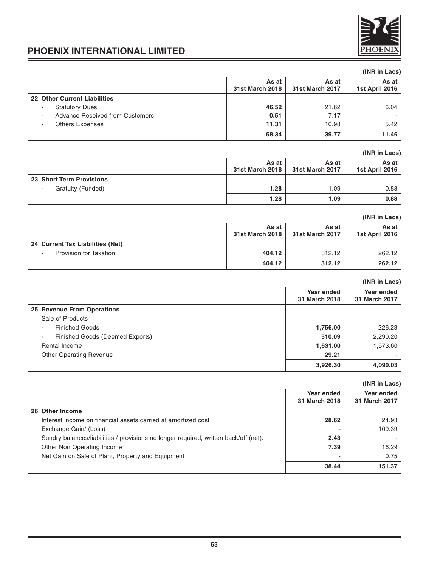

|                                        |                          |                                 | (INR in Lacs)             |
|----------------------------------------|--------------------------|---------------------------------|---------------------------|
|                                        | As at<br>31st March 2018 | As at<br><b>31st March 2017</b> | As at I<br>1st April 2016 |
| 22 Other Current Liabilities           |                          |                                 |                           |
| <b>Statutory Dues</b>                  | 46.52                    | 21.62                           | 6.04                      |
| <b>Advance Received from Customers</b> | 0.51                     | 7.17                            |                           |
| <b>Others Expenses</b>                 | 11.31                    | 10.98                           | 5.42                      |
|                                        | 58.34                    | 39.77                           | 11.46                     |

# **(INR in Lacs)**

|                          | As at<br>31st March 2018 | As at<br>31st March 2017 | As at l<br>1st April 2016 |
|--------------------------|--------------------------|--------------------------|---------------------------|
| 23 Short Term Provisions |                          |                          |                           |
| Gratuity (Funded)        | 1.28                     | .09                      | 0.88                      |
|                          | 1.28                     | 1.09                     | 0.88                      |

# **(INR in Lacs) As at As at As at As at As at As at As at As at As at As at As at As at As at As at As at As at As at As at As at As at As at As at As at As at As at As at As at As at 31st March 2018 31st March 2017 1st April 2016 24 Current Tax Liabilities (Net)** - Provision for Taxation **404.12** 312.12 262.12 **404.12 312.12 262.12**

|                                 |                                    | (INR in Lacs)               |
|---------------------------------|------------------------------------|-----------------------------|
|                                 | <b>Year ended</b><br>31 March 2018 | Year ended<br>31 March 2017 |
| 25 Revenue From Operations      |                                    |                             |
| Sale of Products                |                                    |                             |
| <b>Finished Goods</b>           | 1,756.00                           | 226.23                      |
| Finished Goods (Deemed Exports) | 510.09                             | 2,290.20                    |
| Rental Income                   | 1,631.00                           | 1,573.60                    |
| <b>Other Operating Revenue</b>  | 29.21                              |                             |
|                                 | 3,926.30                           | 4,090.03                    |

|                                                                                      |                             | (INR in Lacs)               |
|--------------------------------------------------------------------------------------|-----------------------------|-----------------------------|
|                                                                                      | Year ended<br>31 March 2018 | Year ended<br>31 March 2017 |
| 26 Other Income                                                                      |                             |                             |
| Interest income on financial assets carried at amortized cost                        | 28.62                       | 24.93                       |
| Exchange Gain/ (Loss)                                                                |                             | 109.39                      |
| Sundry balances/liabilities / provisions no longer required, written back/off (net). | 2.43                        |                             |
| Other Non Operating Income                                                           | 7.39                        | 16.29                       |
| Net Gain on Sale of Plant, Property and Equipment                                    |                             | 0.75                        |
|                                                                                      | 38.44                       | 151.37                      |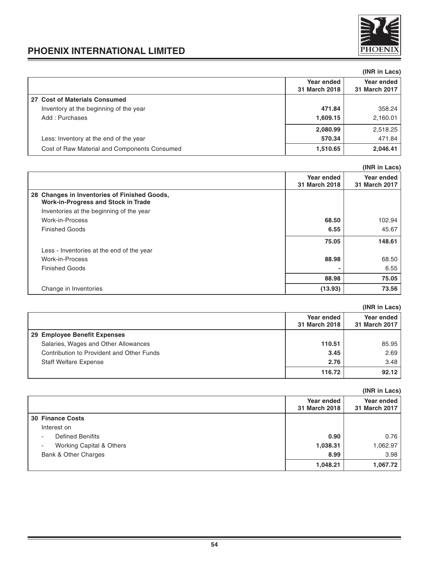

|                                              |                             | (INR in Lacs)               |
|----------------------------------------------|-----------------------------|-----------------------------|
|                                              | Year ended<br>31 March 2018 | Year ended<br>31 March 2017 |
| 27 Cost of Materials Consumed                |                             |                             |
| Inventory at the beginning of the year       | 471.84                      | 358.24                      |
| Add: Purchases                               | 1,609.15                    | 2,160.01                    |
|                                              | 2,080.99                    | 2,518.25                    |
| Less: Inventory at the end of the year       | 570.34                      | 471.84                      |
| Cost of Raw Material and Components Consumed | 1,510.65                    | 2,046.41                    |

|                                                                                            |               | (INR in Lacs) |
|--------------------------------------------------------------------------------------------|---------------|---------------|
|                                                                                            | Year ended    | Year ended    |
|                                                                                            | 31 March 2018 | 31 March 2017 |
| 28 Changes in Inventories of Finished Goods,<br><b>Work-in-Progress and Stock in Trade</b> |               |               |
| Inventories at the beginning of the year                                                   |               |               |
| Work-in-Process                                                                            | 68.50         | 102.94        |
| <b>Finished Goods</b>                                                                      | 6.55          | 45.67         |
|                                                                                            | 75.05         | 148.61        |
| Less - Inventories at the end of the year                                                  |               |               |
| Work-in-Process                                                                            | 88.98         | 68.50         |
| <b>Finished Goods</b>                                                                      |               | 6.55          |
|                                                                                            | 88.98         | 75.05         |
| Change in Inventories                                                                      | (13.93)       | 73.56         |

|                                           |                             | (INR in Lacs)               |
|-------------------------------------------|-----------------------------|-----------------------------|
|                                           | Year ended<br>31 March 2018 | Year ended<br>31 March 2017 |
| 29 Employee Benefit Expenses              |                             |                             |
| Salaries, Wages and Other Allowances      | 110.51                      | 85.95                       |
| Contribution to Provident and Other Funds | 3.45                        | 2.69                        |
| <b>Staff Welfare Expense</b>              | 2.76                        | 3.48                        |
|                                           | 116.72                      | 92.12                       |

|                                                      |                             | (INR in Lacs)               |
|------------------------------------------------------|-----------------------------|-----------------------------|
|                                                      | Year ended<br>31 March 2018 | Year ended<br>31 March 2017 |
| <b>30 Finance Costs</b>                              |                             |                             |
| Interest on                                          |                             |                             |
| <b>Defined Benifits</b><br>$\overline{\phantom{a}}$  | 0.90                        | 0.76                        |
| Working Capital & Others<br>$\overline{\phantom{a}}$ | 1,038.31                    | 1,062.97                    |
| Bank & Other Charges                                 | 8.99                        | 3.98                        |
|                                                      | 1,048.21                    | 1,067.72                    |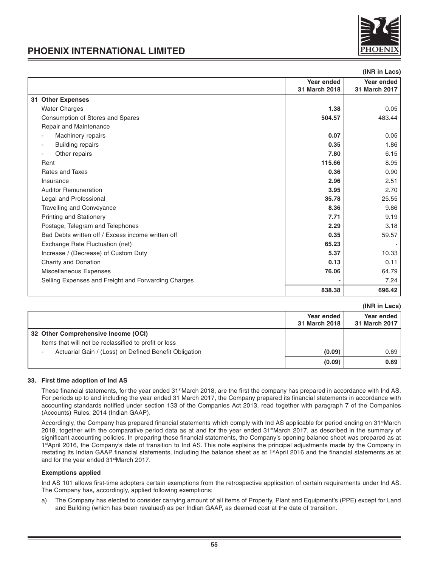

**(INR in Lacs)**

# **PHOENIX INTERNATIONAL LIMITED**

| unu ur Lacs                                         |               |               |
|-----------------------------------------------------|---------------|---------------|
| Year ended                                          |               | Year ended    |
|                                                     | 31 March 2018 | 31 March 2017 |
| 31 Other Expenses                                   |               |               |
| <b>Water Charges</b>                                | 1.38          | 0.05          |
| Consumption of Stores and Spares                    | 504.57        | 483.44        |
| Repair and Maintenance                              |               |               |
| Machinery repairs                                   | 0.07          | 0.05          |
| <b>Building repairs</b><br>$\overline{\phantom{a}}$ | 0.35          | 1.86          |
| Other repairs                                       | 7.80          | 6.15          |
| Rent                                                | 115.66        | 8.95          |
| Rates and Taxes                                     | 0.36          | 0.90          |
| Insurance                                           | 2.96          | 2.51          |
| <b>Auditor Remuneration</b>                         | 3.95          | 2.70          |
| Legal and Professional                              | 35.78         | 25.55         |
| <b>Travelling and Conveyance</b>                    | 8.36          | 9.86          |
| <b>Printing and Stationery</b>                      | 7.71          | 9.19          |
| Postage, Telegram and Telephones                    | 2.29          | 3.18          |
| Bad Debts written off / Excess income written off   | 0.35          | 59.57         |
| Exchange Rate Fluctuation (net)                     | 65.23         |               |
| Increase / (Decrease) of Custom Duty                | 5.37          | 10.33         |
| Charity and Donation                                | 0.13          | 0.11          |
| Miscellaneous Expenses                              | 76.06         | 64.79         |
| Selling Expenses and Freight and Forwarding Charges |               | 7.24          |
|                                                     | 838.38        | 696.42        |
|                                                     |               |               |

|  |  | (INR in Lacs) |
|--|--|---------------|
|--|--|---------------|

|                                                                                   |                             | (INR IN LACS)               |
|-----------------------------------------------------------------------------------|-----------------------------|-----------------------------|
|                                                                                   | Year ended<br>31 March 2018 | Year ended<br>31 March 2017 |
| 32 Other Comprehensive Income (OCI)                                               |                             |                             |
| Items that will not be reclassified to profit or loss                             |                             |                             |
| Actuarial Gain / (Loss) on Defined Benefit Obligation<br>$\overline{\phantom{a}}$ | (0.09)                      | 0.69                        |
|                                                                                   | (0.09)                      | 0.69                        |

# **33. First time adoption of Ind AS**

These financial statements, for the year ended 31<sup>st</sup>March 2018, are the first the company has prepared in accordance with Ind AS. For periods up to and including the year ended 31 March 2017, the Company prepared its financial statements in accordance with accounting standards notified under section 133 of the Companies Act 2013, read together with paragraph 7 of the Companies (Accounts) Rules, 2014 (Indian GAAP).

Accordingly, the Company has prepared financial statements which comply with Ind AS applicable for period ending on 31<sup>st</sup>March 2018, together with the comparative period data as at and for the year ended 31<sup>st</sup>March 2017, as described in the summary of significant accounting policies. In preparing these financial statements, the Company's opening balance sheet was prepared as at 1st April 2016, the Company's date of transition to Ind AS. This note explains the principal adjustments made by the Company in restating its Indian GAAP financial statements, including the balance sheet as at 1<sup>st</sup>April 2016 and the financial statements as at and for the year ended 31<sup>st</sup>March 2017.

### **Exemptions applied**

Ind AS 101 allows first-time adopters certain exemptions from the retrospective application of certain requirements under Ind AS. The Company has, accordingly, applied following exemptions:

a) The Company has elected to consider carrying amount of all items of Property, Plant and Equipment's (PPE) except for Land and Building (which has been revalued) as per Indian GAAP, as deemed cost at the date of transition.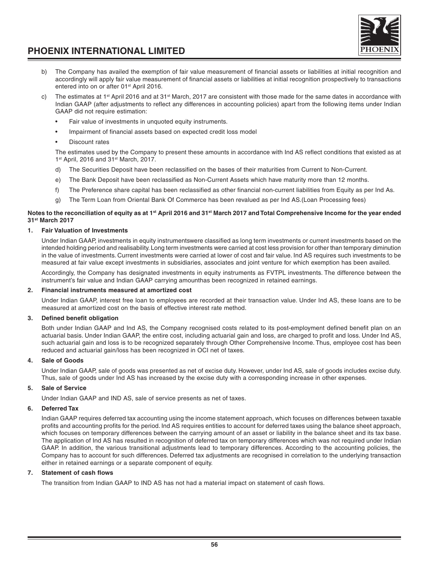

- b) The Company has availed the exemption of fair value measurement of financial assets or liabilities at initial recognition and accordingly will apply fair value measurement of financial assets or liabilities at initial recognition prospectively to transactions entered into on or after 01<sup>st</sup> April 2016.
- c) The estimates at  $1<sup>st</sup>$  April 2016 and at 31 $<sup>st</sup>$  March, 2017 are consistent with those made for the same dates in accordance with</sup> Indian GAAP (after adjustments to reflect any differences in accounting policies) apart from the following items under Indian GAAP did not require estimation:
	- Fair value of investments in unquoted equity instruments.
	- Impairment of financial assets based on expected credit loss model
	- Discount rates

The estimates used by the Company to present these amounts in accordance with Ind AS reflect conditions that existed as at 1st April, 2016 and 31st March, 2017.

- d) The Securities Deposit have been reclassified on the bases of their maturities from Current to Non-Current.
- e) The Bank Deposit have been reclassified as Non-Current Assets which have maturity more than 12 months.
- f) The Preference share capital has been reclassified as other financial non-current liabilities from Equity as per Ind As.
- The Term Loan from Oriental Bank Of Commerce has been revalued as per Ind AS.(Loan Processing fees)

## **Notes to the reconciliation of equity as at 1st April 2016 and 31st March 2017 and Total Comprehensive Income for the year ended 31st March 2017**

## **1. Fair Valuation of Investments**

Under Indian GAAP, investments in equity instrumentswere classified as long term investments or current investments based on the intended holding period and realisability. Long term investments were carried at cost less provision for other than temporary diminution in the value of investments. Current investments were carried at lower of cost and fair value. Ind AS requires such investments to be measured at fair value except investments in subsidiaries, associates and joint venture for which exemption has been availed.

Accordingly, the Company has designated investments in equity instruments as FVTPL investments. The difference between the instrument's fair value and Indian GAAP carrying amounthas been recognized in retained earnings.

# **2. Financial instruments measured at amortized cost**

Under Indian GAAP, interest free loan to employees are recorded at their transaction value. Under Ind AS, these loans are to be measured at amortized cost on the basis of effective interest rate method.

# **3. Defined benefit obligation**

Both under Indian GAAP and Ind AS, the Company recognised costs related to its post-employment defined benefit plan on an actuarial basis. Under Indian GAAP, the entire cost, including actuarial gain and loss, are charged to profit and loss. Under Ind AS, such actuarial gain and loss is to be recognized separately through Other Comprehensive Income. Thus, employee cost has been reduced and actuarial gain/loss has been recognized in OCI net of taxes.

# **4. Sale of Goods**

Under Indian GAAP, sale of goods was presented as net of excise duty. However, under Ind AS, sale of goods includes excise duty. Thus, sale of goods under Ind AS has increased by the excise duty with a corresponding increase in other expenses.

### **5. Sale of Service**

Under Indian GAAP and IND AS, sale of service presents as net of taxes.

### **6. Deferred Tax**

Indian GAAP requires deferred tax accounting using the income statement approach, which focuses on differences between taxable profits and accounting profits for the period. Ind AS requires entities to account for deferred taxes using the balance sheet approach, which focuses on temporary differences between the carrying amount of an asset or liability in the balance sheet and its tax base. The application of Ind AS has resulted in recognition of deferred tax on temporary differences which was not required under Indian GAAP. In addition, the various transitional adjustments lead to temporary differences. According to the accounting policies, the Company has to account for such differences. Deferred tax adjustments are recognised in correlation to the underlying transaction either in retained earnings or a separate component of equity.

### **7. Statement of cash flows**

The transition from Indian GAAP to IND AS has not had a material impact on statement of cash flows.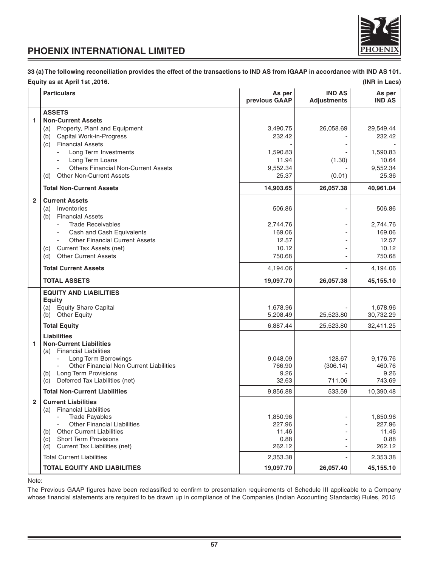

**33 (a) The following reconciliation provides the effect of the transactions to IND AS from IGAAP in accordance with IND AS 101. Equity as at April 1st ,2016. (INR in Lacs)**

# **Particulars As per IND AS As per previous GAAP Adjustments IND AS ASSETS 1 Non-Current Assets** (a) Property, Plant and Equipment 3,490.75 26,058.69 29,549.44 (b) Capital Work-in-Progress  $\overline{232.42}$   $\overline{232.42}$   $\overline{232.42}$   $\overline{232.42}$ (c) Financial Assets Long Term Investments 2008 - 1,590.83 - 1,590.83 - 1,590.83 11.94 (1.30) 10.64 (1.30) 10.64 Others Financial Non-Current Assets 6 0.9,552.34  $\vert$  9,552.34  $\vert$  9,552.34 (d) Other Non-Current Assets 25.36 (d) Other Non-Current Assets 25.36 **Total Non-Current Assets 14,903.65 26,057.38 40,961.04 2 Current Assets** (a) Inventories 606.86  $\vert$  506.86  $\vert$  506.86  $\vert$  506.86  $\vert$  506.86 (b) Financial Assets Trade Receivables 2,744.76 - 2,744.76 - 2,744.76 - 2,744.76 - 2,744.76 Cash and Cash Equivalents **169.06** - 169.06 - 169.06 - 169.06 Other Financial Current Assets 12.57 12.57 12.57 12.57 12.57 12.57 12.57 12.57 12.57 12.57 12.57 12.57 12.57 12.57 12.57 12.57 12.57 12.12 (c) Current Tax Assets (net) (d) Other Current Assets 750.68 - 750.68 **Total Current Assets** 4,194.06 - 4,194.06 **TOTAL ASSETS 19,097.70 26,057.38 45,155.10 EQUITY AND LIABILITIES Equity** (a) Equity Share Capital 1,678.96 - 1,678.96 - 1,678.96 - 1,678.96 (b) Other Equity 30,732.29 16 16 25,520 25,523.80 30,732.29 **Total Equity** 6,887.44 25,523.80 32,411.25 **Liabilities 1 Non-Current Liabilities** (a) Financial Liabilities Long Term Borrowings 2,176.76 160.76 (306.14) Other Financial Non Current Liabilities (306.14) 766.90 (306.14) 460.76<br>26. 9.26 (306.14) 460.76 (b) Long Term Provisions 8.26 - 9.26 - 9.26 - 9.26 - 9.26 - 9.26 - 9.26 - 9.26 - 9.26 - 9.26 - 9.26 - 9.26 - 9.26 - 9.26 - 9.26 - 9.26 - 9.26 - 9.26 - 9.26 - 9.26 - 9.26 - 9.26 - 9.27 - 9.27 - 9.27 - 9.27 - 9.27 - 9.27 - 9 (c) Deferred Tax Liabilities (net) 32.63 711.06 743.69 **Total Non-Current Liabilities** 9.856.88 l 533.59 l 10.390.48 **2 Current Liabilities** (a) Financial Liabilities 1,850.96 - 1,850.96 - 1,850.96 - 1,850.96 - 1,850.96 - 1,850.96 - 1,850.96 - 1,850.96 - 1,850.96 - 1,850.96 - 1<br>Qther Financial Liabilities - 1,950.96 - 1,950.96 - 1,950.96 - 1,950.96 - 1,950.96 - 1,950.96 - 1,950.96 - 1,9 - Other Financial Liabilities 227.96 - 227.96 227.96 - 227.96 227.96 227.96 227.96 227.96 227.96 227.96 227.96 227.96 227.96 227.96 227.96 227.96 227.96 227.96 227.96 227.96 227.96 227.96 227.96 227.96 227.96 227.96 227.96 (b) Other Current Liabilities  $\begin{bmatrix} 11.46 \\ 11.46 \end{bmatrix}$   $\begin{bmatrix} 11.46 \\ 0.88 \end{bmatrix}$   $\begin{bmatrix} 11.46 \\ 0.88 \end{bmatrix}$   $\begin{bmatrix} 11.46 \\ 0.88 \end{bmatrix}$   $\begin{bmatrix} 11.46 \\ 0.88 \end{bmatrix}$   $\begin{bmatrix} 11.46 \\ 0.88 \end{bmatrix}$ (c) Short Term Provisions (d) Current Tax Liabilities (net)  $262.12$   $-$  262.12 Total Current Liabilities 2.353.38 - 2.353.38 - 2.353.38 **TOTAL EQUITY AND LIABILITIES** 19,097.70 26,057.40 45,155.10

Note:

The Previous GAAP figures have been reclassified to confirm to presentation requirements of Schedule III applicable to a Company whose financial statements are required to be drawn up in compliance of the Companies (Indian Accounting Standards) Rules, 2015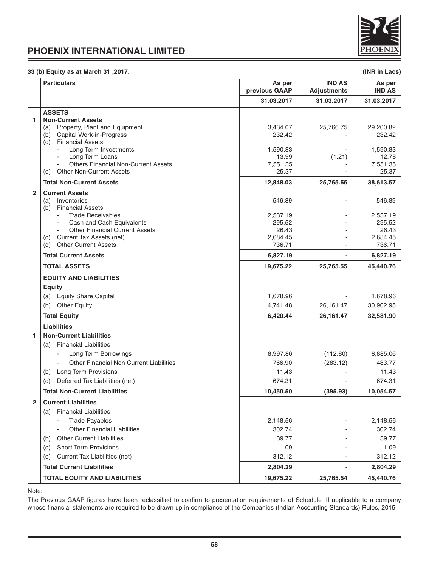

# **33 (b) Equity as at March 31 ,2017. (INR in Lacs)**

|                   | <b>Particulars</b>                                                                                                                                                                                                                                                                                                                                                                                                                                                                                                                                                   | As per<br>previous GAAP                                                                                                                  | <b>IND AS</b><br><b>Adjustments</b> | As per<br><b>IND AS</b>                                                                                                                   |
|-------------------|----------------------------------------------------------------------------------------------------------------------------------------------------------------------------------------------------------------------------------------------------------------------------------------------------------------------------------------------------------------------------------------------------------------------------------------------------------------------------------------------------------------------------------------------------------------------|------------------------------------------------------------------------------------------------------------------------------------------|-------------------------------------|-------------------------------------------------------------------------------------------------------------------------------------------|
|                   |                                                                                                                                                                                                                                                                                                                                                                                                                                                                                                                                                                      | 31.03.2017                                                                                                                               | 31.03.2017                          | 31.03.2017                                                                                                                                |
| 1<br>$\mathbf{2}$ | <b>ASSETS</b><br><b>Non-Current Assets</b><br>(a) Property, Plant and Equipment<br>(b) Capital Work-in-Progress<br><b>Financial Assets</b><br>(c)<br>Long Term Investments<br>Long Term Loans<br><b>Others Financial Non-Current Assets</b><br>(d) Other Non-Current Assets<br><b>Total Non-Current Assets</b><br><b>Current Assets</b><br>(a) Inventories<br><b>Financial Assets</b><br>(b)<br><b>Trade Receivables</b><br>Cash and Cash Equivalents<br><b>Other Financial Current Assets</b><br>(c) Current Tax Assets (net)<br><b>Other Current Assets</b><br>(d) | 3,434.07<br>232.42<br>1,590.83<br>13.99<br>7,551.35<br>25.37<br>12,848.03<br>546.89<br>2,537.19<br>295.52<br>26.43<br>2,684.45<br>736.71 | 25,766.75<br>(1.21)<br>25,765.55    | 29,200.82<br>232.42<br>1,590.83<br>12.78<br>7,551.35<br>25.37<br>38,613.57<br>546.89<br>2,537.19<br>295.52<br>26.43<br>2,684.45<br>736.71 |
|                   | <b>Total Current Assets</b>                                                                                                                                                                                                                                                                                                                                                                                                                                                                                                                                          | 6,827.19                                                                                                                                 |                                     | 6,827.19                                                                                                                                  |
|                   | <b>TOTAL ASSETS</b>                                                                                                                                                                                                                                                                                                                                                                                                                                                                                                                                                  | 19,675.22                                                                                                                                | 25,765.55                           | 45,440.76                                                                                                                                 |
|                   | <b>EQUITY AND LIABILITIES</b><br><b>Equity</b><br>(a) Equity Share Capital<br>(b) Other Equity                                                                                                                                                                                                                                                                                                                                                                                                                                                                       | 1,678.96<br>4,741.48                                                                                                                     | 26,161.47                           | 1,678.96<br>30,902.95                                                                                                                     |
|                   | <b>Total Equity</b><br><b>Liabilities</b>                                                                                                                                                                                                                                                                                                                                                                                                                                                                                                                            | 6,420.44                                                                                                                                 | 26,161.47                           | 32,581.90                                                                                                                                 |
| 1                 | <b>Non-Current Liabilities</b><br>(a) Financial Liabilities<br>Long Term Borrowings<br><b>Other Financial Non Current Liabilities</b><br>$\blacksquare$<br>(b) Long Term Provisions<br>Deferred Tax Liabilities (net)<br>(c)                                                                                                                                                                                                                                                                                                                                         | 8,997.86<br>766.90<br>11.43<br>674.31                                                                                                    | (112.80)<br>(283.12)                | 8,885.06<br>483.77<br>11.43<br>674.31                                                                                                     |
|                   | <b>Total Non-Current Liabilities</b>                                                                                                                                                                                                                                                                                                                                                                                                                                                                                                                                 | 10,450.50                                                                                                                                | (395.93)                            | 10,054.57                                                                                                                                 |
| $\mathbf{2}$      | <b>Current Liabilities</b><br><b>Financial Liabilities</b><br>(a)<br>- Trade Payables<br><b>Other Financial Liabilities</b><br><b>Other Current Liabilities</b><br>(b)<br><b>Short Term Provisions</b><br>(c)<br>(d) Current Tax Liabilities (net)<br><b>Total Current Liabilities</b>                                                                                                                                                                                                                                                                               | 2.148.56<br>302.74<br>39.77<br>1.09<br>312.12<br>2,804.29                                                                                |                                     | 2,148.56<br>302.74<br>39.77<br>1.09<br>312.12<br>2,804.29                                                                                 |
|                   | <b>TOTAL EQUITY AND LIABILITIES</b>                                                                                                                                                                                                                                                                                                                                                                                                                                                                                                                                  | 19,675.22                                                                                                                                | 25,765.54                           | 45,440.76                                                                                                                                 |

Note:

The Previous GAAP figures have been reclassified to confirm to presentation requirements of Schedule III applicable to a company whose financial statements are required to be drawn up in compliance of the Companies (Indian Accounting Standards) Rules, 2015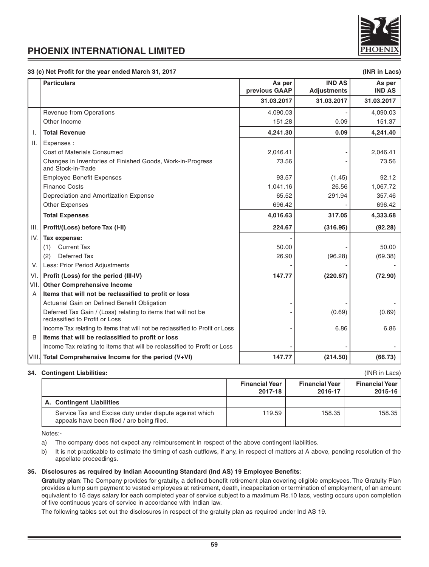

### **33 (c) Net Profit for the year ended March 31, 2017 (INR in Lacs)**

|                 | <b>Particulars</b>                                                                              | As per<br>previous GAAP | <b>IND AS</b><br><b>Adjustments</b> | As per<br><b>IND AS</b> |
|-----------------|-------------------------------------------------------------------------------------------------|-------------------------|-------------------------------------|-------------------------|
|                 |                                                                                                 | 31.03.2017              | 31.03.2017                          | 31.03.2017              |
|                 | <b>Revenue from Operations</b>                                                                  | 4,090.03                |                                     | 4,090.03                |
|                 | Other Income                                                                                    | 151.28                  | 0.09                                | 151.37                  |
| Τ.              | <b>Total Revenue</b>                                                                            | 4,241.30                | 0.09                                | 4,241.40                |
| $\mathbf{II}$ . | Expenses:                                                                                       |                         |                                     |                         |
|                 | Cost of Materials Consumed                                                                      | 2,046.41                |                                     | 2,046.41                |
|                 | Changes in Inventories of Finished Goods, Work-in-Progress<br>and Stock-in-Trade                | 73.56                   |                                     | 73.56                   |
|                 | <b>Employee Benefit Expenses</b>                                                                | 93.57                   | (1.45)                              | 92.12                   |
|                 | <b>Finance Costs</b>                                                                            | 1,041.16                | 26.56                               | 1,067.72                |
|                 | Depreciation and Amortization Expense                                                           | 65.52                   | 291.94                              | 357.46                  |
|                 | <b>Other Expenses</b>                                                                           | 696.42                  |                                     | 696.42                  |
|                 | <b>Total Expenses</b>                                                                           | 4,016.63                | 317.05                              | 4,333.68                |
| Ш.              | Profit/(Loss) before Tax (I-II)                                                                 | 224.67                  | (316.95)                            | (92.28)                 |
| IV.             | Tax expense:                                                                                    |                         |                                     |                         |
|                 | <b>Current Tax</b><br>(1)                                                                       | 50.00                   |                                     | 50.00                   |
|                 | Deferred Tax<br>(2)                                                                             | 26.90                   | (96.28)                             | (69.38)                 |
| V.              | Less: Prior Period Adjustments                                                                  |                         |                                     |                         |
| VI.             | Profit (Loss) for the period (III-IV)                                                           | 147.77                  | (220.67)                            | (72.90)                 |
| VII.            | <b>Other Comprehensive Income</b>                                                               |                         |                                     |                         |
| A               | Items that will not be reclassified to profit or loss                                           |                         |                                     |                         |
|                 | Actuarial Gain on Defined Benefit Obligation                                                    |                         |                                     |                         |
|                 | Deferred Tax Gain / (Loss) relating to items that will not be<br>reclassified to Profit or Loss |                         | (0.69)                              | (0.69)                  |
|                 | Income Tax relating to items that will not be reclassified to Profit or Loss                    |                         | 6.86                                | 6.86                    |
| B               | Items that will be reclassified to profit or loss                                               |                         |                                     |                         |
|                 | Income Tax relating to items that will be reclassified to Profit or Loss                        |                         |                                     |                         |
|                 | VIII. Total Comprehensive Income for the period (V+VI)                                          | 147.77                  | (214.50)                            | (66.73)                 |

#### **34. Contingent Liabilities:** (INR in Lacs)

|                                                                                                       | <b>Financial Year</b><br>2017-18 | <b>Financial Year</b><br>2016-17 | <b>Financial Year</b><br>$2015 - 16$ |
|-------------------------------------------------------------------------------------------------------|----------------------------------|----------------------------------|--------------------------------------|
| A. Contingent Liabilities                                                                             |                                  |                                  |                                      |
| Service Tax and Excise duty under dispute against which<br>appeals have been filed / are being filed. | 119.59                           | 158.35                           | 158.35                               |

Notes:-

- a) The company does not expect any reimbursement in respect of the above contingent liabilities.
- b) It is not practicable to estimate the timing of cash outflows, if any, in respect of matters at A above, pending resolution of the appellate proceedings.

## **35. Disclosures as required by Indian Accounting Standard (Ind AS) 19 Employee Benefits**:

**Gratuity plan**: The Company provides for gratuity, a defined benefit retirement plan covering eligible employees. The Gratuity Plan provides a lump sum payment to vested employees at retirement, death, incapacitation or termination of employment, of an amount equivalent to 15 days salary for each completed year of service subject to a maximum Rs.10 lacs, vesting occurs upon completion of five continuous years of service in accordance with Indian law.

The following tables set out the disclosures in respect of the gratuity plan as required under Ind AS 19.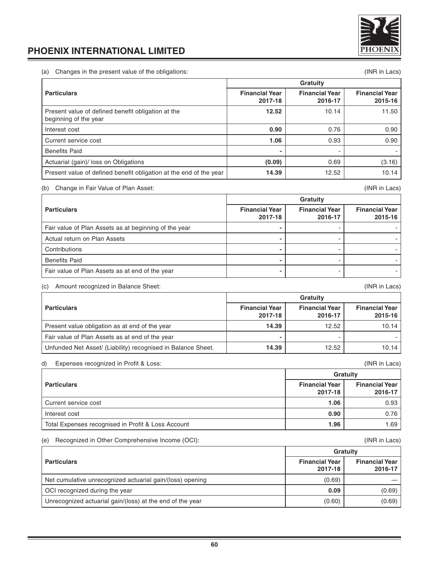

(a) Changes in the present value of the obligations: (INR in Lacs)

|                                                                             | Gratuity                         |                                  |                                  |
|-----------------------------------------------------------------------------|----------------------------------|----------------------------------|----------------------------------|
| <b>Particulars</b>                                                          | <b>Financial Year</b><br>2017-18 | <b>Financial Year</b><br>2016-17 | <b>Financial Year</b><br>2015-16 |
| Present value of defined benefit obligation at the<br>beginning of the year | 12.52                            | 10.14                            | 11.50                            |
| Interest cost                                                               | 0.90                             | 0.76                             | 0.90                             |
| Current service cost                                                        | 1.06                             | 0.93                             | 0.90                             |
| <b>Benefits Paid</b>                                                        |                                  |                                  |                                  |
| Actuarial (gain)/ loss on Obligations                                       | (0.09)                           | 0.69                             | (3.16)                           |
| Present value of defined benefit obligation at the end of the year          | 14.39                            | 12.52                            | 10.14                            |

## (b) Change in Fair Value of Plan Asset: (INR in Lacs)

|                                                       |                                  | Gratuity                         |                                  |  |
|-------------------------------------------------------|----------------------------------|----------------------------------|----------------------------------|--|
| <b>Particulars</b>                                    | <b>Financial Year</b><br>2017-18 | <b>Financial Year</b><br>2016-17 | <b>Financial Year</b><br>2015-16 |  |
| Fair value of Plan Assets as at beginning of the year |                                  |                                  |                                  |  |
| Actual return on Plan Assets                          |                                  |                                  |                                  |  |
| Contributions                                         |                                  |                                  |                                  |  |
| <b>Benefits Paid</b>                                  |                                  |                                  |                                  |  |
| Fair value of Plan Assets as at end of the year       |                                  |                                  |                                  |  |

# (c) Amount recognized in Balance Sheet: (INR in Lacs)

|                                                              | Gratuity                         |                                  |                                  |
|--------------------------------------------------------------|----------------------------------|----------------------------------|----------------------------------|
| <b>Particulars</b>                                           | <b>Financial Year</b><br>2017-18 | <b>Financial Year</b><br>2016-17 | <b>Financial Year</b><br>2015-16 |
| Present value obligation as at end of the year               | 14.39                            | 12.52                            | 10.14                            |
| Fair value of Plan Assets as at end of the year              |                                  |                                  |                                  |
| Unfunded Net Asset/ (Liability) recognised in Balance Sheet. | 14.39                            | 12.52                            | 10.14                            |

# d) Expenses recognized in Profit & Loss: (INR in Lacs)

|                                                    |                                  | Gratuity                         |
|----------------------------------------------------|----------------------------------|----------------------------------|
| <b>Particulars</b>                                 | <b>Financial Year</b><br>2017-18 | <b>Financial Year</b><br>2016-17 |
| Current service cost                               | 1.06                             | 0.93                             |
| Interest cost                                      | 0.90                             | 0.76                             |
| Total Expenses recognised in Profit & Loss Account | 1.96                             | 1.69                             |

### (e) Recognized in Other Comprehensive Income (OCI): (INR in Lacs)

|                                                           | Gratuity                         |                                  |
|-----------------------------------------------------------|----------------------------------|----------------------------------|
| <b>Particulars</b>                                        | <b>Financial Year</b><br>2017-18 | <b>Financial Year</b><br>2016-17 |
| Net cumulative unrecognized actuarial gain/(loss) opening | (0.69)                           |                                  |
| OCI recognized during the year                            | 0.09                             | (0.69)                           |
| Unrecognized actuarial gain/(loss) at the end of the year | (0.60)                           | (0.69)                           |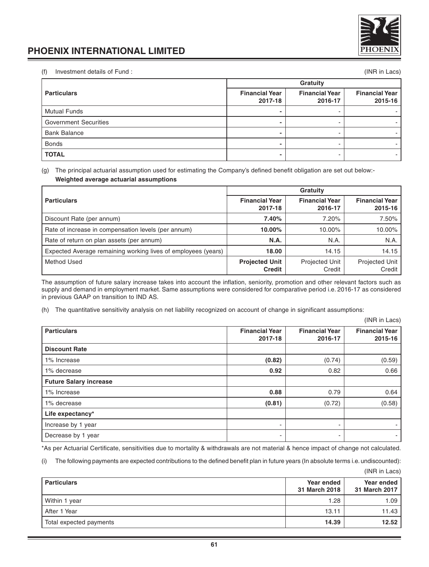

(f) Investment details of Fund : (INR in Lacs)

|                              | Gratuity                         |                                  |                                  |
|------------------------------|----------------------------------|----------------------------------|----------------------------------|
| <b>Particulars</b>           | <b>Financial Year</b><br>2017-18 | <b>Financial Year</b><br>2016-17 | <b>Financial Year</b><br>2015-16 |
| <b>Mutual Funds</b>          |                                  |                                  |                                  |
| <b>Government Securities</b> |                                  |                                  |                                  |
| <b>Bank Balance</b>          |                                  |                                  |                                  |
| <b>Bonds</b>                 |                                  |                                  |                                  |
| <b>TOTAL</b>                 |                                  |                                  |                                  |

(g) The principal actuarial assumption used for estimating the Company's defined benefit obligation are set out below:- **Weighted average actuarial assumptions**

|                                                               | Gratuity                               |                                  |                                  |  |
|---------------------------------------------------------------|----------------------------------------|----------------------------------|----------------------------------|--|
| <b>Particulars</b>                                            | <b>Financial Year</b><br>2017-18       | <b>Financial Year</b><br>2016-17 | <b>Financial Year</b><br>2015-16 |  |
| Discount Rate (per annum)                                     | 7.40%                                  | 7.20%                            | 7.50%                            |  |
| Rate of increase in compensation levels (per annum)           | 10.00%                                 | 10.00%                           | 10.00%                           |  |
| Rate of return on plan assets (per annum)                     | N.A.                                   | N.A.                             | N.A.                             |  |
| Expected Average remaining working lives of employees (years) | 18.00                                  | 14.15                            | 14.15                            |  |
| Method Used                                                   | <b>Projected Unit</b><br><b>Credit</b> | Projected Unit<br>Credit         | Projected Unit<br>Credit         |  |

The assumption of future salary increase takes into account the inflation, seniority, promotion and other relevant factors such as supply and demand in employment market. Same assumptions were considered for comparative period i.e. 2016-17 as considered in previous GAAP on transition to IND AS.

(h) The quantitative sensitivity analysis on net liability recognized on account of change in significant assumptions:

(INR in Lacs)

| <b>Particulars</b>            | <b>Financial Year</b><br>2017-18 | <b>Financial Year</b><br>2016-17 | <b>Financial Year</b><br>2015-16 |
|-------------------------------|----------------------------------|----------------------------------|----------------------------------|
| <b>Discount Rate</b>          |                                  |                                  |                                  |
| 1% Increase                   | (0.82)                           | (0.74)                           | (0.59)                           |
| 1% decrease                   | 0.92                             | 0.82                             | 0.66                             |
| <b>Future Salary increase</b> |                                  |                                  |                                  |
| 1% Increase                   | 0.88                             | 0.79                             | 0.64                             |
| 1% decrease                   | (0.81)                           | (0.72)                           | (0.58)                           |
| Life expectancy*              |                                  |                                  |                                  |
| Increase by 1 year            |                                  | ٠                                | $\overline{\phantom{a}}$         |
| Decrease by 1 year            | $\overline{\phantom{a}}$         | ۰                                | ٠                                |

\*As per Actuarial Certificate, sensitivities due to mortality & withdrawals are not material & hence impact of change not calculated.

(i) The following payments are expected contributions to the defined benefit plan in future years (In absolute terms i.e. undiscounted):

(INR in Lacs)

| <b>Particulars</b>      | Year ended<br>31 March 2018 | Year ended<br>31 March 2017 |
|-------------------------|-----------------------------|-----------------------------|
| Within 1 year           | 1.28                        | 1.09                        |
| After 1 Year            | 13.11                       | 11.43 l                     |
| Total expected payments | 14.39                       | 12.52                       |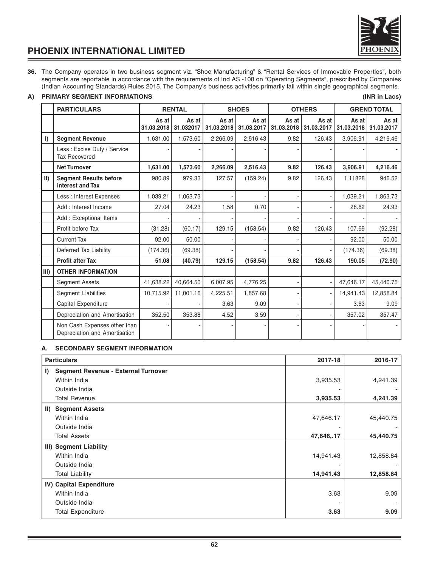

**36.** The Company operates in two business segment viz. "Shoe Manufacturing" & "Rental Services of Immovable Properties", both segments are reportable in accordance with the requirements of Ind AS -108 on "Operating Segments", prescribed by Companies (Indian Accounting Standards) Rules 2015. The Company's business activities primarily fall within single geographical segments.

# **A) PRIMARY SEGMENT INFORMATIONS (INR in Lacs)**

|             | <b>PARTICULARS</b>                                            |                     | <b>RENTAL</b>      |                     | <b>SHOES</b>        | <b>OTHERS</b>       |                     |                     | <b>GREND TOTAL</b>  |
|-------------|---------------------------------------------------------------|---------------------|--------------------|---------------------|---------------------|---------------------|---------------------|---------------------|---------------------|
|             |                                                               | As at<br>31.03.2018 | As at<br>31.032017 | As at<br>31.03.2018 | As at<br>31.03.2017 | As at<br>31.03.2018 | As at<br>31.03.2017 | As at<br>31.03.2018 | As at<br>31.03.2017 |
| $\vert$     | <b>Segment Revenue</b>                                        | 1,631.00            | 1,573.60           | 2.266.09            | 2,516.43            | 9.82                | 126.43              | 3.906.91            | 4,216.46            |
|             | Less: Excise Duty / Service<br><b>Tax Recovered</b>           |                     |                    |                     |                     |                     |                     |                     |                     |
|             | <b>Net Turnover</b>                                           | 1,631.00            | 1,573.60           | 2,266.09            | 2,516.43            | 9.82                | 126.43              | 3,906.91            | 4,216.46            |
| $\parallel$ | <b>Segment Results before</b><br>interest and Tax             | 980.89              | 979.33             | 127.57              | (159.24)            | 9.82                | 126.43              | 1.11828             | 946.52              |
|             | Less : Interest Expenses                                      | 1.039.21            | 1,063.73           |                     |                     |                     |                     | 1,039.21            | 1,863.73            |
|             | Add: Interest Income                                          | 27.04               | 24.23              | 1.58                | 0.70                |                     |                     | 28.62               | 24.93               |
|             | Add: Exceptional Items                                        |                     |                    |                     |                     |                     |                     |                     |                     |
|             | Profit before Tax                                             | (31.28)             | (60.17)            | 129.15              | (158.54)            | 9.82                | 126.43              | 107.69              | (92.28)             |
|             | <b>Current Tax</b>                                            | 92.00               | 50.00              |                     |                     |                     |                     | 92.00               | 50.00               |
|             | Deferred Tax Liability                                        | (174.36)            | (69.38)            |                     |                     |                     |                     | (174.36)            | (69.38)             |
|             | <b>Profit after Tax</b>                                       | 51.08               | (40.79)            | 129.15              | (158.54)            | 9.82                | 126.43              | 190.05              | (72.90)             |
| $III$ )     | <b>OTHER INFORMATION</b>                                      |                     |                    |                     |                     |                     |                     |                     |                     |
|             | <b>Segment Assets</b>                                         | 41,638.22           | 40,664.50          | 6,007.95            | 4,776.25            |                     |                     | 47,646.17           | 45,440.75           |
|             | <b>Segment Liabilities</b>                                    | 10,715.92           | 11,001.16          | 4,225.51            | 1,857.68            |                     |                     | 14,941.43           | 12,858.84           |
|             | Capital Expenditure                                           |                     |                    | 3.63                | 9.09                |                     |                     | 3.63                | 9.09                |
|             | Depreciation and Amortisation                                 | 352.50              | 353.88             | 4.52                | 3.59                |                     |                     | 357.02              | 357.47              |
|             | Non Cash Expenses other than<br>Depreciation and Amortisation |                     |                    |                     |                     |                     |                     |                     |                     |

# **A. SECONDARY SEGMENT INFORMATION**

|    | <b>Particulars</b>                         | 2017-18    | 2016-17   |
|----|--------------------------------------------|------------|-----------|
| I) | <b>Segment Revenue - External Turnover</b> |            |           |
|    | Within India                               | 3,935.53   | 4,241.39  |
|    | Outside India                              |            |           |
|    | <b>Total Revenue</b>                       | 3,935.53   | 4,241.39  |
|    | II) Segment Assets                         |            |           |
|    | Within India                               | 47,646.17  | 45,440.75 |
|    | Outside India                              |            |           |
|    | <b>Total Assets</b>                        | 47,646,.17 | 45,440.75 |
|    | III) Segment Liability                     |            |           |
|    | Within India                               | 14,941.43  | 12,858.84 |
|    | Outside India                              |            |           |
|    | <b>Total Liability</b>                     | 14,941.43  | 12,858.84 |
|    | IV) Capital Expenditure                    |            |           |
|    | Within India                               | 3.63       | 9.09      |
|    | Outside India                              |            |           |
|    | <b>Total Expenditure</b>                   | 3.63       | 9.09      |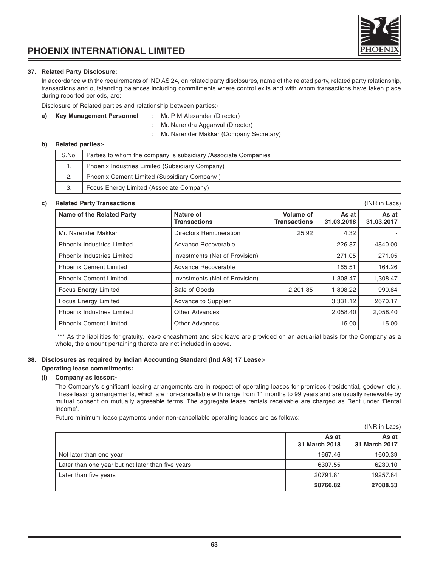# **37. Related Party Disclosure:**

In accordance with the requirements of IND AS 24, on related party disclosures, name of the related party, related party relationship, transactions and outstanding balances including commitments where control exits and with whom transactions have taken place during reported periods, are:

Disclosure of Related parties and relationship between parties:-

# **a) Key Management Personnel** : Mr. P M Alexander (Director)

- : Mr. Narendra Aggarwal (Director)
- : Mr. Narender Makkar (Company Secretary)

## **b) Related parties:-**

| S.No. | Parties to whom the company is subsidiary / Associate Companies |
|-------|-----------------------------------------------------------------|
|       | Phoenix Industries Limited (Subsidiary Company)                 |
|       | Phoenix Cement Limited (Subsidiary Company)                     |
|       | Focus Energy Limited (Associate Company)                        |

### **c) Related Party Transactions** (INR in Lacs)

Name of the Related Party **Nature of Asset As at Asset As at Asset Asset Asset Asset Asset Asset Asset Asset Asset Asset Asset Asset Asset Asset Asset Asset Asset Asset Asset Asset Asset Asset Asset Asset Asset Asset Asset Transactions** Mr. Narender Makkar **Directors Remuneration** 1 25.92 4.32 Phoenix Industries Limited Advance Recoverable 226.87 4840.00 Phoenix Industries Limited | Investments (Net of Provision) | 271.05 271.05 271.05 Phoenix Cement Limited Advance Recoverable 165.51 164.26 Phoenix Cement Limited Investments (Net of Provision) 1,308.47 1,308.47 1,308.47 Focus Energy Limited Sale of Goods 2,201.85 | 1,808.22 990.84 Focus Energy Limited **Advance to Supplier** 1 2670.17 **108** 2670.17 Phoenix Industries Limited **Dther Advances** 2,058.40 2,058.40 2,058.40 Phoenix Cement Limited **Communication Communication** Other Advances 15.00 15.00 15.00

\*\*\* As the liabilities for gratuity, leave encashment and sick leave are provided on an actuarial basis for the Company as a whole, the amount pertaining thereto are not included in above.

### **38. Disclosures as required by Indian Accounting Standard (Ind AS) 17 Lease:-**

# **Operating lease commitments:**

### **(i) Company as lessor:-**

The Company's significant leasing arrangements are in respect of operating leases for premises (residential, godown etc.). These leasing arrangements, which are non-cancellable with range from 11 months to 99 years and are usually renewable by mutual consent on mutually agreeable terms. The aggregate lease rentals receivable are charged as Rent under 'Rental Income'.

Future minimum lease payments under non-cancellable operating leases are as follows:

|                                                   |                        | (INR IN LACS)          |
|---------------------------------------------------|------------------------|------------------------|
|                                                   | As at<br>31 March 2018 | As at<br>31 March 2017 |
| Not later than one year                           | 1667.46                | 1600.39                |
| Later than one year but not later than five years | 6307.55                | 6230.10                |
| Later than five years                             | 20791.81               | 19257.84               |
|                                                   | 28766.82               | 27088.33               |

 $(1 \text{N})$  in Lacsons

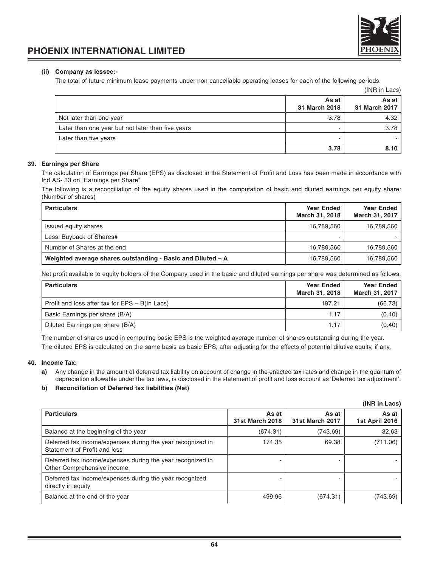

# **(ii) Company as lessee:-**

The total of future minimum lease payments under non cancellable operating leases for each of the following periods:

|                                                   |                        | (INR in Lacs)            |
|---------------------------------------------------|------------------------|--------------------------|
|                                                   | As at<br>31 March 2018 | As at I<br>31 March 2017 |
| Not later than one year                           | 3.78                   | 4.32                     |
| Later than one year but not later than five years |                        | 3.78                     |
| Later than five years                             |                        |                          |
|                                                   | 3.78                   | 8.10                     |

### **39. Earnings per Share**

The calculation of Earnings per Share (EPS) as disclosed in the Statement of Profit and Loss has been made in accordance with Ind AS- 33 on "Earnings per Share".

The following is a reconciliation of the equity shares used in the computation of basic and diluted earnings per equity share: (Number of shares)

| <b>Particulars</b>                                          | <b>Year Ended</b><br>March 31, 2018 | <b>Year Ended</b><br>March 31, 2017 |
|-------------------------------------------------------------|-------------------------------------|-------------------------------------|
| Issued equity shares                                        | 16,789,560                          | 16,789,560                          |
| Less: Buyback of Shares#                                    |                                     |                                     |
| Number of Shares at the end                                 | 16,789,560                          | 16,789,560                          |
| Weighted average shares outstanding - Basic and Diluted - A | 16,789,560                          | 16,789,560                          |

Net profit available to equity holders of the Company used in the basic and diluted earnings per share was determined as follows:

| <b>Particulars</b>                             | <b>Year Ended</b><br>March 31, 2018 | <b>Year Ended</b><br>March 31, 2017 |
|------------------------------------------------|-------------------------------------|-------------------------------------|
| Profit and loss after tax for EPS – B(In Lacs) | 197.21                              | (66.73)                             |
| Basic Earnings per share (B/A)                 | 1.17                                | (0.40)                              |
| Diluted Earnings per share (B/A)               | 1.17                                | (0.40)                              |

The number of shares used in computing basic EPS is the weighted average number of shares outstanding during the year. The diluted EPS is calculated on the same basis as basic EPS, after adjusting for the effects of potential dilutive equity, if any.

# **40. Income Tax:**

**a)** Any change in the amount of deferred tax liability on account of change in the enacted tax rates and change in the quantum of depreciation allowable under the tax laws, is disclosed in the statement of profit and loss account as 'Deferred tax adjustment'.

# **b) Reconciliation of Deferred tax liabilities (Net)**

|                                                                                            |                          |                                 | (INR in Lacs)           |
|--------------------------------------------------------------------------------------------|--------------------------|---------------------------------|-------------------------|
| <b>Particulars</b>                                                                         | As at<br>31st March 2018 | As at<br><b>31st March 2017</b> | As at<br>1st April 2016 |
| Balance at the beginning of the year                                                       | (674.31)                 | (743.69)                        | 32.63                   |
| Deferred tax income/expenses during the year recognized in<br>Statement of Profit and loss | 174.35                   | 69.38                           | (711.06)                |
| Deferred tax income/expenses during the year recognized in<br>Other Comprehensive income   |                          |                                 |                         |
| Deferred tax income/expenses during the year recognized<br>directly in equity              |                          |                                 |                         |
| Balance at the end of the year                                                             | 499.96                   | (674.31)                        | (743.69)                |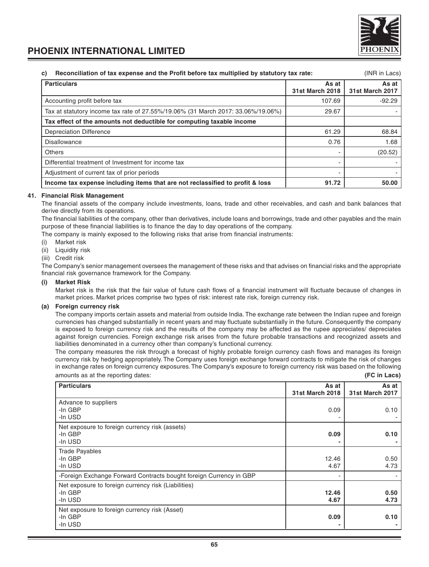

#### **c) Reconciliation of tax expense and the Profit before tax multiplied by statutory tax rate:** (INR in Lacs)

| <b>Particulars</b>                                                               | As at<br>31st March 2018 | As at<br><b>31st March 2017</b> |
|----------------------------------------------------------------------------------|--------------------------|---------------------------------|
| Accounting profit before tax                                                     | 107.69                   | $-92.29$                        |
| Tax at statutory income tax rate of 27.55%/19.06% (31 March 2017: 33.06%/19.06%) | 29.67                    |                                 |
| Tax effect of the amounts not deductible for computing taxable income            |                          |                                 |
| <b>Depreciation Difference</b>                                                   | 61.29                    | 68.84                           |
| <b>Disallowance</b>                                                              | 0.76                     | 1.68                            |
| Others                                                                           |                          | (20.52)                         |
| Differential treatment of Investment for income tax                              |                          |                                 |
| Adjustment of current tax of prior periods                                       |                          |                                 |
| Income tax expense including items that are not reclassified to profit & loss    | 91.72                    | 50.00                           |

## **41. Financial Risk Management**

The financial assets of the company include investments, loans, trade and other receivables, and cash and bank balances that derive directly from its operations.

The financial liabilities of the company, other than derivatives, include loans and borrowings, trade and other payables and the main purpose of these financial liabilities is to finance the day to day operations of the company.

The company is mainly exposed to the following risks that arise from financial instruments:

- (i) Market risk
- (ii) Liquidity risk
- (iii) Credit risk

The Company's senior management oversees the management of these risks and that advises on financial risks and the appropriate financial risk governance framework for the Company.

# **(i) Market Risk**

Market risk is the risk that the fair value of future cash flows of a financial instrument will fluctuate because of changes in market prices. Market prices comprise two types of risk: interest rate risk, foreign currency risk.

# **(a) Foreign currency risk**

The company imports certain assets and material from outside India. The exchange rate between the Indian rupee and foreign currencies has changed substantially in recent years and may fluctuate substantially in the future. Consequently the company is exposed to foreign currency risk and the results of the company may be affected as the rupee appreciates/ depreciates against foreign currencies. Foreign exchange risk arises from the future probable transactions and recognized assets and liabilities denominated in a currency other than company's functional currency.

The company measures the risk through a forecast of highly probable foreign currency cash flows and manages its foreign currency risk by hedging appropriately. The Company uses foreign exchange forward contracts to mitigate the risk of changes in exchange rates on foreign currency exposures. The Company's exposure to foreign currency risk was based on the following amounts as at the reporting dates: **(FC in Lacs)**

| <b>Particulars</b>                                                        | As at<br><b>31st March 2018</b> | As at<br><b>31st March 2017</b> |
|---------------------------------------------------------------------------|---------------------------------|---------------------------------|
| Advance to suppliers<br>-In GBP<br>-In USD                                | 0.09                            | 0.10                            |
| Net exposure to foreign currency risk (assets)<br>-In GBP<br>-In USD      | 0.09                            | 0.10                            |
| <b>Trade Payables</b><br>-In GBP<br>-In USD                               | 12.46<br>4.67                   | 0.50<br>4.73                    |
| -Foreign Exchange Forward Contracts bought foreign Currency in GBP        |                                 |                                 |
| Net exposure to foreign currency risk (Liabilities)<br>-In GBP<br>-In USD | 12.46<br>4.67                   | 0.50<br>4.73                    |
| Net exposure to foreign currency risk (Asset)<br>-In GBP<br>-In USD       | 0.09                            | 0.10                            |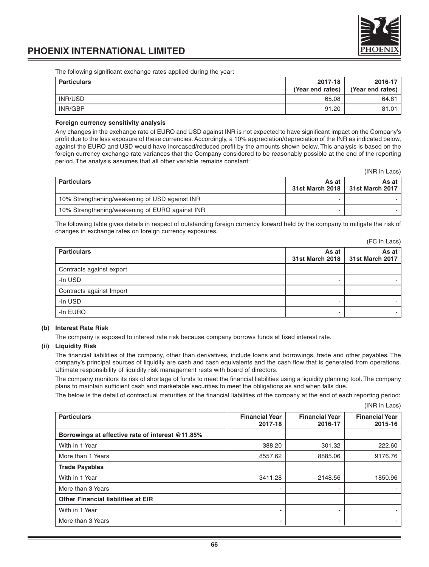

The following significant exchange rates applied during the year:

| <b>Particulars</b> | 2017-18<br>(Year end rates) | 2016-17<br>(Year end rates) |
|--------------------|-----------------------------|-----------------------------|
| INR/USD            | 65.08                       | 64.81                       |
| INR/GBP            | 91.20                       | 81.01                       |

#### **Foreign currency sensitivity analysis**

Any changes in the exchange rate of EURO and USD against INR is not expected to have significant impact on the Company's profit due to the less exposure of these currencies. Accordingly, a 10% appreciation/depreciation of the INR as indicated below, against the EURO and USD would have increased/reduced profit by the amounts shown below. This analysis is based on the foreign currency exchange rate variances that the Company considered to be reasonably possible at the end of the reporting period. The analysis assumes that all other variable remains constant:

(INR in Lacs)

| <b>Particulars</b>                              | As at | As at<br>31st March 2018   31st March 2017 |
|-------------------------------------------------|-------|--------------------------------------------|
| 10% Strengthening/weakening of USD against INR  |       |                                            |
| 10% Strengthening/weakening of EURO against INR |       |                                            |

The following table gives details in respect of outstanding foreign currency forward held by the company to mitigate the risk of changes in exchange rates on foreign currency exposures.

|                          |                          | (FC in Lacs)             |
|--------------------------|--------------------------|--------------------------|
| <b>Particulars</b>       | As at<br>31st March 2018 | As at<br>31st March 2017 |
| Contracts against export |                          |                          |
| -In USD                  |                          |                          |
| Contracts against Import |                          |                          |
| -In USD                  |                          |                          |
| -In EURO                 |                          |                          |

### **(b) Interest Rate Risk**

The company is exposed to interest rate risk because company borrows funds at fixed interest rate.

#### **(ii) Liquidity Risk**

The financial liabilities of the company, other than derivatives, include loans and borrowings, trade and other payables. The company's principal sources of liquidity are cash and cash equivalents and the cash flow that is generated from operations. Ultimate responsibility of liquidity risk management rests with board of directors.

The company monitors its risk of shortage of funds to meet the financial liabilities using a liquidity planning tool. The company plans to maintain sufficient cash and marketable securities to meet the obligations as and when falls due.

The below is the detail of contractual maturities of the financial liabilities of the company at the end of each reporting period:

(INR in Lacs)

| <b>Particulars</b>                               | <b>Financial Year</b><br>2017-18 | <b>Financial Year</b><br>2016-17 | <b>Financial Year</b><br>2015-16 |
|--------------------------------------------------|----------------------------------|----------------------------------|----------------------------------|
| Borrowings at effective rate of interest @11.85% |                                  |                                  |                                  |
| With in 1 Year                                   | 388.20                           | 301.32                           | 222.60                           |
| More than 1 Years                                | 8557.62                          | 8885.06                          | 9176.76                          |
| <b>Trade Payables</b>                            |                                  |                                  |                                  |
| With in 1 Year                                   | 3411.28                          | 2148.56                          | 1850.96                          |
| More than 3 Years                                |                                  |                                  |                                  |
| <b>Other Financial liabilities at EIR</b>        |                                  |                                  |                                  |
| With in 1 Year                                   |                                  |                                  |                                  |
| More than 3 Years                                |                                  | -                                |                                  |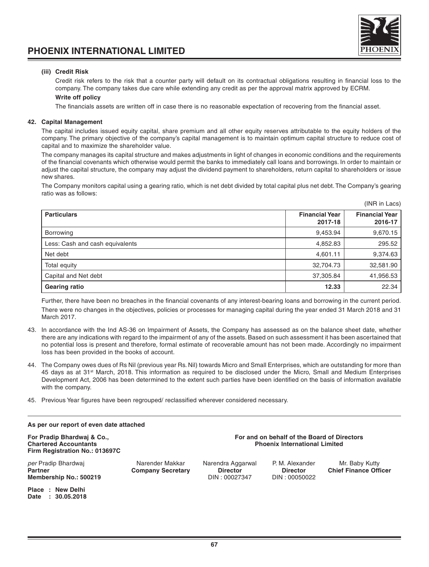# **(iii) Credit Risk**

Credit risk refers to the risk that a counter party will default on its contractual obligations resulting in financial loss to the company. The company takes due care while extending any credit as per the approval matrix approved by ECRM.

### **Write off policy**

The financials assets are written off in case there is no reasonable expectation of recovering from the financial asset.

#### **42. Capital Management**

The capital includes issued equity capital, share premium and all other equity reserves attributable to the equity holders of the company. The primary objective of the company's capital management is to maintain optimum capital structure to reduce cost of capital and to maximize the shareholder value.

The company manages its capital structure and makes adjustments in light of changes in economic conditions and the requirements of the financial covenants which otherwise would permit the banks to immediately call loans and borrowings. In order to maintain or adjust the capital structure, the company may adjust the dividend payment to shareholders, return capital to shareholders or issue new shares.

The Company monitors capital using a gearing ratio, which is net debt divided by total capital plus net debt. The Company's gearing ratio was as follows:

| <b>Particulars</b>              | <b>Financial Year</b><br>2017-18 | <b>Financial Year</b><br>2016-17 |
|---------------------------------|----------------------------------|----------------------------------|
| <b>Borrowing</b>                | 9,453.94                         | 9,670.15                         |
| Less: Cash and cash equivalents | 4,852.83                         | 295.52                           |
| Net debt                        | 4,601.11                         | 9,374.63                         |
| Total equity                    | 32,704.73                        | 32,581.90                        |
| Capital and Net debt            | 37,305.84                        | 41,956.53                        |
| <b>Gearing ratio</b>            | 12.33                            | 22.34                            |

Further, there have been no breaches in the financial covenants of any interest-bearing loans and borrowing in the current period. There were no changes in the objectives, policies or processes for managing capital during the year ended 31 March 2018 and 31 March 2017.

- 43. In accordance with the Ind AS-36 on Impairment of Assets, the Company has assessed as on the balance sheet date, whether there are any indications with regard to the impairment of any of the assets. Based on such assessment it has been ascertained that no potential loss is present and therefore, formal estimate of recoverable amount has not been made. Accordingly no impairment loss has been provided in the books of account.
- 44. The Company owes dues of Rs Nil (previous year Rs. Nil) towards Micro and Small Enterprises, which are outstanding for more than 45 days as at 31<sup>st</sup> March, 2018. This information as required to be disclosed under the Micro, Small and Medium Enterprises Development Act, 2006 has been determined to the extent such parties have been identified on the basis of information available with the company.
- 45. Previous Year figures have been regrouped/ reclassified wherever considered necessary.

| As per our report of even date attached                                                      |                                             |                                                                                     |                                                     |                                                |
|----------------------------------------------------------------------------------------------|---------------------------------------------|-------------------------------------------------------------------------------------|-----------------------------------------------------|------------------------------------------------|
| For Pradip Bhardwaj & Co.,<br><b>Chartered Accountants</b><br>Firm Registration No.: 013697C |                                             | For and on behalf of the Board of Directors<br><b>Phoenix International Limited</b> |                                                     |                                                |
| <i>per</i> Pradip Bhardwai<br><b>Partner</b><br>Membership No.: 500219                       | Narender Makkar<br><b>Company Secretary</b> | Narendra Aggarwal<br><b>Director</b><br>DIN: 00027347                               | P. M. Alexander<br><b>Director</b><br>DIN: 00050022 | Mr. Baby Kutty<br><b>Chief Finance Officer</b> |
| Place : New Delhi<br>: 30.05.2018<br>Date                                                    |                                             |                                                                                     |                                                     |                                                |



#### (INR in Lacs)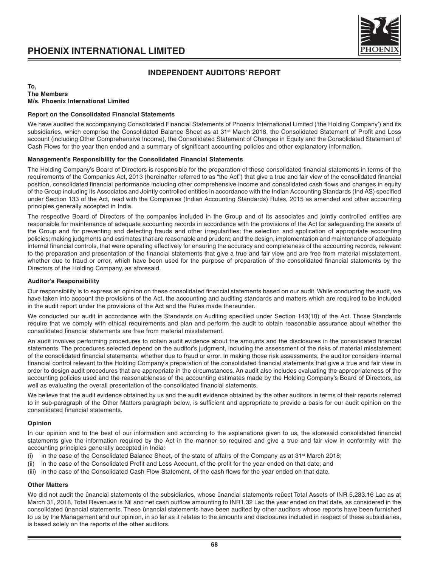

# **INDEPENDENT AUDITORS' REPORT**

#### **To, The Members M/s. Phoenix International Limited**

#### **Report on the Consolidated Financial Statements**

We have audited the accompanying Consolidated Financial Statements of Phoenix International Limited ('the Holding Company') and its subsidiaries, which comprise the Consolidated Balance Sheet as at 31<sup>st</sup> March 2018, the Consolidated Statement of Profit and Loss account (including Other Comprehensive Income), the Consolidated Statement of Changes in Equity and the Consolidated Statement of Cash Flows for the year then ended and a summary of significant accounting policies and other explanatory information.

# **Management's Responsibility for the Consolidated Financial Statements**

The Holding Company's Board of Directors is responsible for the preparation of these consolidated financial statements in terms of the requirements of the Companies Act, 2013 (hereinafter referred to as "the Act") that give a true and fair view of the consolidated financial position, consolidated financial performance including other comprehensive income and consolidated cash flows and changes in equity of the Group including its Associates and Jointly controlled entities in accordance with the Indian Accounting Standards (Ind AS) specified under Section 133 of the Act, read with the Companies (Indian Accounting Standards) Rules, 2015 as amended and other accounting principles generally accepted in India.

The respective Board of Directors of the companies included in the Group and of its associates and jointly controlled entities are responsible for maintenance of adequate accounting records in accordance with the provisions of the Act for safeguarding the assets of the Group and for preventing and detecting frauds and other irregularities; the selection and application of appropriate accounting policies; making judgments and estimates that are reasonable and prudent; and the design, implementation and maintenance of adequate internal financial controls, that were operating effectively for ensuring the accuracy and completeness of the accounting records, relevant to the preparation and presentation of the financial statements that give a true and fair view and are free from material misstatement, whether due to fraud or error, which have been used for the purpose of preparation of the consolidated financial statements by the Directors of the Holding Company, as aforesaid.

#### **Auditor's Responsibility**

Our responsibility is to express an opinion on these consolidated financial statements based on our audit. While conducting the audit, we have taken into account the provisions of the Act, the accounting and auditing standards and matters which are required to be included in the audit report under the provisions of the Act and the Rules made thereunder.

We conducted our audit in accordance with the Standards on Auditing specified under Section 143(10) of the Act. Those Standards require that we comply with ethical requirements and plan and perform the audit to obtain reasonable assurance about whether the consolidated financial statements are free from material misstatement.

An audit involves performing procedures to obtain audit evidence about the amounts and the disclosures in the consolidated financial statements. The procedures selected depend on the auditor's judgment, including the assessment of the risks of material misstatement of the consolidated financial statements, whether due to fraud or error. In making those risk assessments, the auditor considers internal financial control relevant to the Holding Company's preparation of the consolidated financial statements that give a true and fair view in order to design audit procedures that are appropriate in the circumstances. An audit also includes evaluating the appropriateness of the accounting policies used and the reasonableness of the accounting estimates made by the Holding Company's Board of Directors, as well as evaluating the overall presentation of the consolidated financial statements.

We believe that the audit evidence obtained by us and the audit evidence obtained by the other auditors in terms of their reports referred to in sub-paragraph of the Other Matters paragraph below, is sufficient and appropriate to provide a basis for our audit opinion on the consolidated financial statements.

### **Opinion**

In our opinion and to the best of our information and according to the explanations given to us, the aforesaid consolidated financial statements give the information required by the Act in the manner so required and give a true and fair view in conformity with the accounting principles generally accepted in India:

- (i) in the case of the Consolidated Balance Sheet, of the state of affairs of the Company as at  $31<sup>st</sup>$  March 2018;
- (ii) in the case of the Consolidated Profit and Loss Account, of the profit for the year ended on that date; and
- (iii) in the case of the Consolidated Cash Flow Statement, of the cash flows for the year ended on that date.

#### **Other Matters**

We did not audit the ûnancial statements of the subsidiaries, whose ûnancial statements reûect Total Assets of INR 5,283.16 Lac as at March 31, 2018, Total Revenues is Nil and net cash outflow amounting to INR1.32 Lac the year ended on that date, as considered in the consolidated ûnancial statements. These ûnancial statements have been audited by other auditors whose reports have been furnished to us by the Management and our opinion, in so far as it relates to the amounts and disclosures included in respect of these subsidiaries, is based solely on the reports of the other auditors.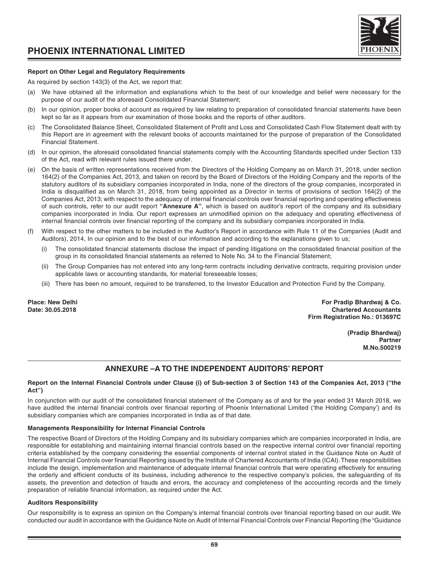

### **Report on Other Legal and Regulatory Requirements**

As required by section 143(3) of the Act, we report that:

- (a) We have obtained all the information and explanations which to the best of our knowledge and belief were necessary for the purpose of our audit of the aforesaid Consolidated Financial Statement;
- (b) In our opinion, proper books of account as required by law relating to preparation of consolidated financial statements have been kept so far as it appears from our examination of those books and the reports of other auditors.
- (c) The Consolidated Balance Sheet, Consolidated Statement of Profit and Loss and Consolidated Cash Flow Statement dealt with by this Report are in agreement with the relevant books of accounts maintained for the purpose of preparation of the Consolidated Financial Statement.
- (d) In our opinion, the aforesaid consolidated financial statements comply with the Accounting Standards specified under Section 133 of the Act, read with relevant rules issued there under.
- (e) On the basis of written representations received from the Directors of the Holding Company as on March 31, 2018, under section 164(2) of the Companies Act, 2013, and taken on record by the Board of Directors of the Holding Company and the reports of the statutory auditors of its subsidiary companies incorporated in India, none of the directors of the group companies, incorporated in India is disqualified as on March 31, 2018, from being appointed as a Director in terms of provisions of section 164(2) of the Companies Act, 2013; with respect to the adequacy of internal financial controls over financial reporting and operating effectiveness of such controls, refer to our audit report **"Annexure A"**, which is based on auditor's report of the company and its subsidiary companies incorporated in India. Our report expresses an unmodified opinion on the adequacy and operating effectiveness of internal financial controls over financial reporting of the company and its subsidiary companies incorporated in India.
- With respect to the other matters to be included in the Auditor's Report in accordance with Rule 11 of the Companies (Audit and Auditors), 2014, In our opinion and to the best of our information and according to the explanations given to us;
	- The consolidated financial statements disclose the impact of pending litigations on the consolidated financial position of the group in its consolidated financial statements as referred to Note No. 34 to the Financial Statement;
	- (ii) The Group Companies has not entered into any long-term contracts including derivative contracts, requiring provision under applicable laws or accounting standards, for material foreseeable losses;
	- (iii) There has been no amount, required to be transferred, to the Investor Education and Protection Fund by the Company.

**Place: New Delhi For Pradip Bhardwaj & Co. Date: 30.05.2018 Chartered Accountants Firm Registration No.: 013697C**

> **(Pradip Bhardwaj) Partner M.No.500219**

# **ANNEXURE –A TO THE INDEPENDENT AUDITORS' REPORT**

### **Report on the Internal Financial Controls under Clause (i) of Sub-section 3 of Section 143 of the Companies Act, 2013 ("the Act")**

In conjunction with our audit of the consolidated financial statement of the Company as of and for the year ended 31 March 2018, we have audited the internal financial controls over financial reporting of Phoenix International Limited ('the Holding Company') and its subsidiary companies which are companies incorporated in India as of that date.

### **Managements Responsibility for Internal Financial Controls**

The respective Board of Directors of the Holding Company and its subsidiary companies which are companies incorporated in India, are responsible for establishing and maintaining internal financial controls based on the respective internal control over financial reporting criteria established by the company considering the essential components of internal control stated in the Guidance Note on Audit of Internal Financial Controls over financial Reporting issued by the Institute of Chartered Accountants of India (ICAI). These responsibilities include the design, implementation and maintenance of adequate internal financial controls that were operating effectively for ensuring the orderly and efficient conducts of its business, including adherence to the respective company's policies, the safeguarding of its assets, the prevention and detection of frauds and errors, the accuracy and completeness of the accounting records and the timely preparation of reliable financial information, as required under the Act.

### **Auditors Responsibility**

Our responsibility is to express an opinion on the Company's internal financial controls over financial reporting based on our audit. We conducted our audit in accordance with the Guidance Note on Audit of Internal Financial Controls over Financial Reporting (the "Guidance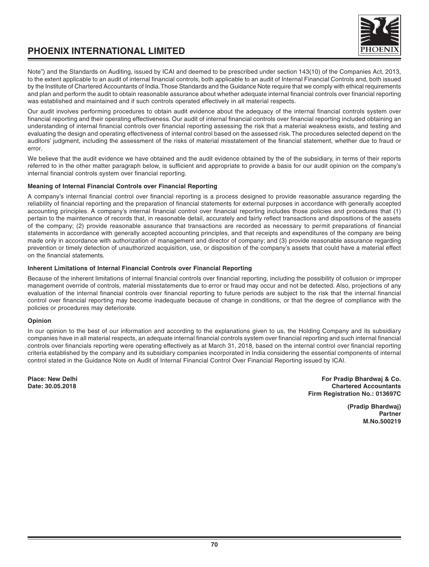

Note") and the Standards on Auditing, issued by ICAI and deemed to be prescribed under section 143(10) of the Companies Act, 2013, to the extent applicable to an audit of internal financial controls, both applicable to an audit of Internal Financial Controls and, both issued by the Institute of Chartered Accountants of India. Those Standards and the Guidance Note require that we comply with ethical requirements and plan and perform the audit to obtain reasonable assurance about whether adequate internal financial controls over financial reporting was established and maintained and if such controls operated effectively in all material respects.

Our audit involves performing procedures to obtain audit evidence about the adequacy of the internal financial controls system over financial reporting and their operating effectiveness. Our audit of internal financial controls over financial reporting included obtaining an understanding of internal financial controls over financial reporting assessing the risk that a material weakness exists, and testing and evaluating the design and operating effectiveness of internal control based on the assessed risk. The procedures selected depend on the auditors' judgment, including the assessment of the risks of material misstatement of the financial statement, whether due to fraud or error.

We believe that the audit evidence we have obtained and the audit evidence obtained by the of the subsidiary, in terms of their reports referred to in the other matter paragraph below, is sufficient and appropriate to provide a basis for our audit opinion on the company's internal financial controls system over financial reporting.

# **Meaning of Internal Financial Controls over Financial Reporting**

A company's internal financial control over financial reporting is a process designed to provide reasonable assurance regarding the reliability of financial reporting and the preparation of financial statements for external purposes in accordance with generally accepted accounting principles. A company's internal financial control over financial reporting includes those policies and procedures that (1) pertain to the maintenance of records that, in reasonable detail, accurately and fairly reflect transactions and dispositions of the assets of the company; (2) provide reasonable assurance that transactions are recorded as necessary to permit preparations of financial statements in accordance with generally accepted accounting principles, and that receipts and expenditures of the company are being made only in accordance with authorization of management and director of company; and (3) provide reasonable assurance regarding prevention or timely detection of unauthorized acquisition, use, or disposition of the company's assets that could have a material effect on the financial statements.

### **Inherent Limitations of Internal Financial Controls over Financial Reporting**

Because of the inherent limitations of internal financial controls over financial reporting, including the possibility of collusion or improper management override of controls, material misstatements due to error or fraud may occur and not be detected. Also, projections of any evaluation of the internal financial controls over financial reporting to future periods are subject to the risk that the internal financial control over financial reporting may become inadequate because of change in conditions, or that the degree of compliance with the policies or procedures may deteriorate.

### **Opinion**

In our opinion to the best of our information and according to the explanations given to us, the Holding Company and its subsidiary companies have in all material respects, an adequate internal financial controls system over financial reporting and such internal financial controls over financials reporting were operating effectively as at March 31, 2018, based on the internal control over financial reporting criteria established by the company and its subsidiary companies incorporated in India considering the essential components of internal control stated in the Guidance Note on Audit of Internal Financial Control Over Financial Reporting issued by ICAI.

**Place: New Delhi For Pradip Bhardwaj & Co. Chartered Accountants Firm Registration No.: 013697C**

> **(Pradip Bhardwaj) Partner M.No.500219**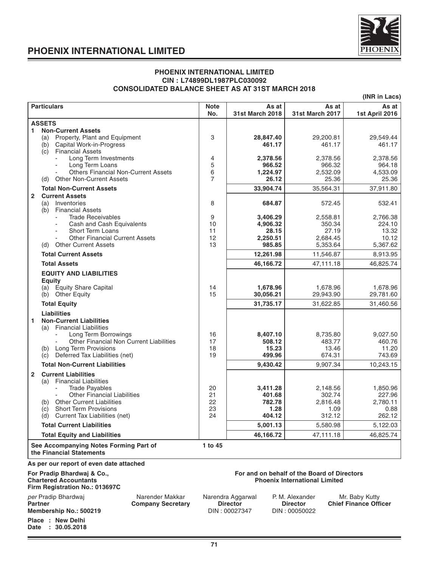

**Place : New Delhi Date : 30.05.2018**

### **PHOENIX INTERNATIONAL LIMITED CIN : L74899DL1987PLC030092 CONSOLIDATED BALANCE SHEET AS AT 31ST MARCH 2018**

**(INR in Lacs)**

| <b>Particulars</b>                                                                                                                                                                                                                                               | <b>Note</b><br>No.         | As at<br>31st March 2018                              | As at<br><b>31st March 2017</b>                                                     | As at<br>1st April 2016                          |
|------------------------------------------------------------------------------------------------------------------------------------------------------------------------------------------------------------------------------------------------------------------|----------------------------|-------------------------------------------------------|-------------------------------------------------------------------------------------|--------------------------------------------------|
| <b>ASSETS</b>                                                                                                                                                                                                                                                    |                            |                                                       |                                                                                     |                                                  |
| <b>Non-Current Assets</b><br>1.<br>(a) Property, Plant and Equipment<br>Capital Work-in-Progress<br>(b)<br><b>Financial Assets</b><br>(c)                                                                                                                        | 3                          | 28,847.40<br>461.17                                   | 29,200.81<br>461.17                                                                 | 29,549.44<br>461.17                              |
| Long Term Investments<br>Long Term Loans<br><b>Others Financial Non-Current Assets</b><br><b>Other Non-Current Assets</b><br>(d)                                                                                                                                 | 4<br>5<br>6<br>7           | 2,378.56<br>966.52<br>1,224.97<br>26.12               | 2,378.56<br>966.32<br>2,532.09<br>25.36                                             | 2,378.56<br>964.18<br>4,533.09<br>25.36          |
| <b>Total Non-Current Assets</b>                                                                                                                                                                                                                                  |                            | 33,904.74                                             | 35,564.31                                                                           | 37,911.80                                        |
| $\mathbf{2}$<br><b>Current Assets</b>                                                                                                                                                                                                                            |                            |                                                       |                                                                                     |                                                  |
| Inventories<br>(a)<br><b>Financial Assets</b><br>(b)                                                                                                                                                                                                             | 8                          | 684.87                                                | 572.45                                                                              | 532.41                                           |
| <b>Trade Receivables</b><br>Cash and Cash Equivalents<br><b>Short Term Loans</b><br><b>Other Financial Current Assets</b><br><b>Other Current Assets</b><br>(d)                                                                                                  | 9<br>10<br>11<br>12<br>13  | 3,406.29<br>4,906.32<br>28.15<br>2,250.51<br>985.85   | 2,558.81<br>350.34<br>27.19<br>2,684.45<br>5,353.64                                 | 2,766.38<br>224.10<br>13.32<br>10.12<br>5,367.62 |
| <b>Total Current Assets</b>                                                                                                                                                                                                                                      |                            | 12,261.98                                             | 11,546.87                                                                           | 8,913.95                                         |
| <b>Total Assets</b>                                                                                                                                                                                                                                              |                            | 46,166.72                                             | 47,111.18                                                                           | 46,825.74                                        |
| <b>EQUITY AND LIABILITIES</b><br>Equity<br>(a) Equity Share Capital                                                                                                                                                                                              | 14                         | 1,678.96                                              | 1,678.96                                                                            | 1,678.96                                         |
| (b) Other Equity                                                                                                                                                                                                                                                 | 15                         | 30,056.21                                             | 29,943.90                                                                           | 29,781.60                                        |
| <b>Total Equity</b>                                                                                                                                                                                                                                              |                            | 31,735.17                                             | 31,622.85                                                                           | 31,460.56                                        |
| <b>Liabilities</b><br><b>Non-Current Liabilities</b><br>1<br>(a) Financial Liabilities<br>Long Term Borrowings<br>Other Financial Non Current Liabilities<br>Long Term Provisions<br>(b)<br>Deferred Tax Liabilities (net)<br>(c)                                | 16<br>17<br>18<br>19       | 8,407.10<br>508.12<br>15.23<br>499.96                 | 8,735.80<br>483.77<br>13.46<br>674.31                                               | 9,027.50<br>460.76<br>11.20<br>743.69            |
| <b>Total Non-Current Liabilities</b>                                                                                                                                                                                                                             |                            | 9,430.42                                              | 9,907.34                                                                            | 10,243.15                                        |
| $\mathbf{2}$<br><b>Current Liabilities</b><br><b>Financial Liabilities</b><br>(a)<br><b>Trade Pavables</b><br><b>Other Financial Liabilities</b><br>(b) Other Current Liabilities<br><b>Short Term Provisions</b><br>(c)<br>Current Tax Liabilities (net)<br>(d) | 20<br>21<br>22<br>23<br>24 | 3,411.28<br>401.68<br>782.78<br>1.28<br>404.12        | 2,148.56<br>302.74<br>2,816.48<br>1.09<br>312.12                                    | 1,850.96<br>227.96<br>2,780.11<br>0.88<br>262.12 |
| <b>Total Current Liabilities</b>                                                                                                                                                                                                                                 |                            | 5,001.13                                              | 5,580.98                                                                            | 5,122.03                                         |
| <b>Total Equity and Liabilities</b>                                                                                                                                                                                                                              |                            | 46,166.72                                             | 47,111.18                                                                           | 46,825.74                                        |
| See Accompanying Notes Forming Part of<br>the Financial Statements                                                                                                                                                                                               | 1 to 45                    |                                                       |                                                                                     |                                                  |
| As per our report of even date attached                                                                                                                                                                                                                          |                            |                                                       |                                                                                     |                                                  |
| For Pradip Bhardwaj & Co.,<br><b>Chartered Accountants</b><br>Firm Registration No.: 013697C                                                                                                                                                                     |                            |                                                       | For and on behalf of the Board of Directors<br><b>Phoenix International Limited</b> |                                                  |
| Narender Makkar<br>per Pradip Bhardwaj<br><b>Partner</b><br><b>Company Secretary</b><br>Membership No.: 500219                                                                                                                                                   |                            | Narendra Aggarwal<br><b>Director</b><br>DIN: 00027347 | P. M. Alexander<br><b>Director</b><br>DIN: 00050022                                 | Mr. Baby Kutty<br><b>Chief Finance Officer</b>   |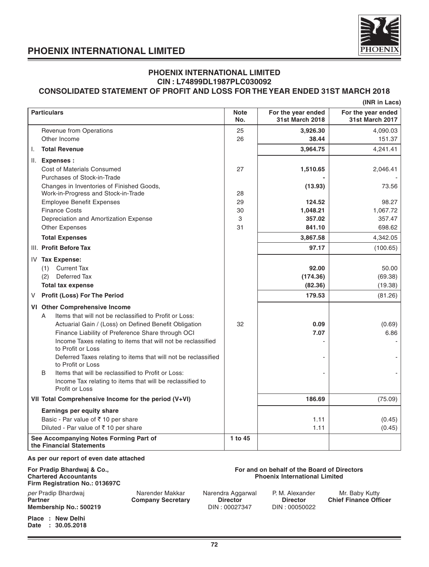

### **PHOENIX INTERNATIONAL LIMITED CIN : L74899DL1987PLC030092 CONSOLIDATED STATEMENT OF PROFIT AND LOSS FOR THE YEAR ENDED 31ST MARCH 2018**

|  | (INR in Lacs) |
|--|---------------|

| <b>Particulars</b>                                                                                                                                                                                                                                                                                                                                                                                                                                                                                                                                                              | <b>Note</b><br>No. | For the year ended<br>31st March 2018                  | For the year ended<br><b>31st March 2017</b>             |
|---------------------------------------------------------------------------------------------------------------------------------------------------------------------------------------------------------------------------------------------------------------------------------------------------------------------------------------------------------------------------------------------------------------------------------------------------------------------------------------------------------------------------------------------------------------------------------|--------------------|--------------------------------------------------------|----------------------------------------------------------|
| <b>Revenue from Operations</b>                                                                                                                                                                                                                                                                                                                                                                                                                                                                                                                                                  | 25                 | 3.926.30                                               | 4,090.03                                                 |
| Other Income                                                                                                                                                                                                                                                                                                                                                                                                                                                                                                                                                                    | 26                 | 38.44                                                  | 151.37                                                   |
| <b>Total Revenue</b><br>I.                                                                                                                                                                                                                                                                                                                                                                                                                                                                                                                                                      |                    | 3,964.75                                               | 4,241.41                                                 |
| II.<br><b>Expenses:</b>                                                                                                                                                                                                                                                                                                                                                                                                                                                                                                                                                         |                    |                                                        |                                                          |
| <b>Cost of Materials Consumed</b>                                                                                                                                                                                                                                                                                                                                                                                                                                                                                                                                               | 27                 | 1,510.65                                               | 2,046.41                                                 |
| Purchases of Stock-in-Trade                                                                                                                                                                                                                                                                                                                                                                                                                                                                                                                                                     |                    |                                                        |                                                          |
| Changes in Inventories of Finished Goods,                                                                                                                                                                                                                                                                                                                                                                                                                                                                                                                                       | 28                 | (13.93)                                                | 73.56                                                    |
| Work-in-Progress and Stock-in-Trade<br><b>Employee Benefit Expenses</b>                                                                                                                                                                                                                                                                                                                                                                                                                                                                                                         | 29                 | 124.52                                                 | 98.27                                                    |
| <b>Finance Costs</b>                                                                                                                                                                                                                                                                                                                                                                                                                                                                                                                                                            | 30                 | 1,048.21                                               | 1,067.72                                                 |
| Depreciation and Amortization Expense                                                                                                                                                                                                                                                                                                                                                                                                                                                                                                                                           | 3                  | 357.02                                                 | 357.47                                                   |
| <b>Other Expenses</b>                                                                                                                                                                                                                                                                                                                                                                                                                                                                                                                                                           | 31                 | 841.10                                                 | 698.62                                                   |
| <b>Total Expenses</b>                                                                                                                                                                                                                                                                                                                                                                                                                                                                                                                                                           |                    | 3,867.58                                               | 4,342.05                                                 |
| III. Profit Before Tax                                                                                                                                                                                                                                                                                                                                                                                                                                                                                                                                                          |                    | 97.17                                                  | (100.65)                                                 |
| IV Tax Expense:<br>(1) Current Tax<br>Deferred Tax<br>(2)<br><b>Total tax expense</b><br>Profit (Loss) For The Period<br>V<br>VI Other Comprehensive Income<br>Items that will not be reclassified to Profit or Loss:<br>A<br>Actuarial Gain / (Loss) on Defined Benefit Obligation<br>Finance Liability of Preference Share through OCI<br>Income Taxes relating to items that will not be reclassified<br>to Profit or Loss<br>Deferred Taxes relating to items that will not be reclassified<br>to Profit or Loss<br>B<br>Items that will be reclassified to Profit or Loss: | 32                 | 92.00<br>(174.36)<br>(82.36)<br>179.53<br>0.09<br>7.07 | 50.00<br>(69.38)<br>(19.38)<br>(81.26)<br>(0.69)<br>6.86 |
| Income Tax relating to items that will be reclassified to<br>Profit or Loss                                                                                                                                                                                                                                                                                                                                                                                                                                                                                                     |                    |                                                        |                                                          |
| VII Total Comprehensive Income for the period (V+VI)                                                                                                                                                                                                                                                                                                                                                                                                                                                                                                                            |                    | 186.69                                                 | (75.09)                                                  |
| Earnings per equity share                                                                                                                                                                                                                                                                                                                                                                                                                                                                                                                                                       |                    |                                                        |                                                          |
| Basic - Par value of ₹10 per share                                                                                                                                                                                                                                                                                                                                                                                                                                                                                                                                              |                    | 1.11                                                   | (0.45)                                                   |
| Diluted - Par value of ₹10 per share                                                                                                                                                                                                                                                                                                                                                                                                                                                                                                                                            |                    | 1.11                                                   | (0.45)                                                   |
| See Accompanying Notes Forming Part of<br>the Financial Statements                                                                                                                                                                                                                                                                                                                                                                                                                                                                                                              | 1 to 45            |                                                        |                                                          |

### **As per our report of even date attached**

# **Firm Registration No.: 013697C**

**Date : 30.05.2018**

### **For Pradip Bhardwaj & Co., <br>Chartered Accountants Community Chartered Accountants Chartered Accountants Chartered Accountants Chartered Accountants Phoenix International Limited**

| $1$ $1111$ $115$ $13031$ $13031$ $13031$ $13031$ |                          |                   |                 |                              |
|--------------------------------------------------|--------------------------|-------------------|-----------------|------------------------------|
| per Pradip Bhardwaj                              | Narender Makkar          | Narendra Aggarwal | P. M. Alexander | Mr. Baby Kutty               |
| <b>Partner</b>                                   | <b>Company Secretary</b> | <b>Director</b>   | <b>Director</b> | <b>Chief Finance Officer</b> |
| Membership No.: 500219                           |                          | DIN : 00027347    | DIN: 00050022   |                              |
| Place: New Delhi                                 |                          |                   |                 |                              |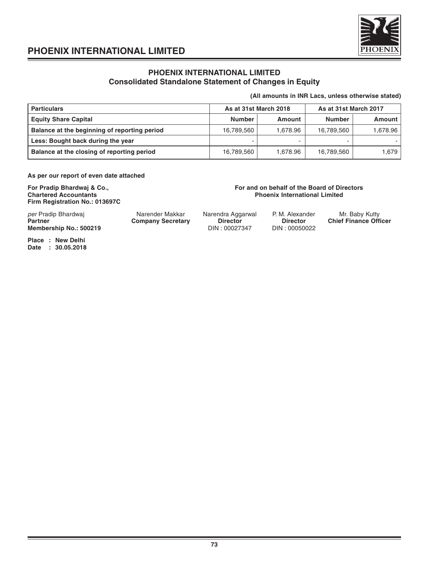

### **PHOENIX INTERNATIONAL LIMITED Consolidated Standalone Statement of Changes in Equity**

### **(All amounts in INR Lacs, unless otherwise stated)**

| <b>Particulars</b>                           |               | As at 31st March 2018 | As at 31st March 2017 |          |  |
|----------------------------------------------|---------------|-----------------------|-----------------------|----------|--|
| <b>Equity Share Capital</b>                  | <b>Number</b> | Amount                | <b>Number</b>         | Amount   |  |
| Balance at the beginning of reporting period | 16,789,560    | 1.678.96              | 16.789.560            | 1,678.96 |  |
| Less: Bought back during the year            |               |                       |                       |          |  |
| Balance at the closing of reporting period   | 16,789,560    | 1.678.96              | 16,789,560            | 1,679    |  |

**As per our report of even date attached**

**Firm Registration No.: 013697C**

### **For Pradip Bhardwaj & Co., <br>Chartered Accountants and School Chartered Accountants and School Chartered Accountants and School Chartered Accountants Phoenix International Limited**

per Pradip Bhardwaj **Narender Makkar** Narendra Aggarwal P. M. Alexander Mr. Baby Kutty<br>**Partner Chief Finance Official Company Secretary Director Director Chief Finance Official Company Secretary Membership No.: 500219** 

**Partner Chief Finance Officer**<br> **PIN: 00050022**<br> **PIN: 00050022** 

**Place : New Delhi Date : 30.05.2018**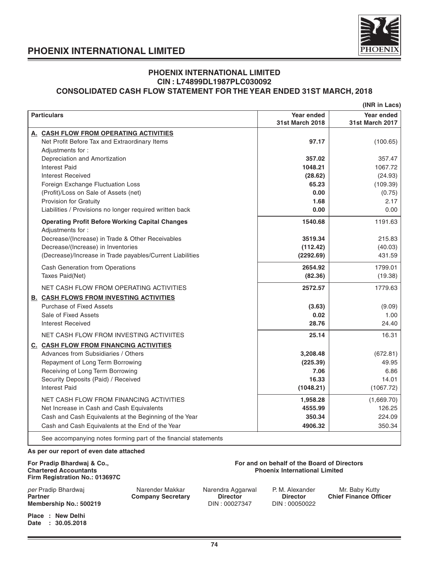

### **PHOENIX INTERNATIONAL LIMITED CIN : L74899DL1987PLC030092 CONSOLIDATED CASH FLOW STATEMENT FOR THE YEAR ENDED 31ST MARCH, 2018**

|                                                                            |                                      | (INR in Lacs)                        |
|----------------------------------------------------------------------------|--------------------------------------|--------------------------------------|
| <b>Particulars</b>                                                         | Year ended<br><b>31st March 2018</b> | Year ended<br><b>31st March 2017</b> |
| A. CASH FLOW FROM OPERATING ACTIVITIES                                     |                                      |                                      |
| Net Profit Before Tax and Extraordinary Items                              | 97.17                                | (100.65)                             |
| Adjustments for:                                                           |                                      |                                      |
| Depreciation and Amortization                                              | 357.02                               | 357.47                               |
| <b>Interest Paid</b>                                                       | 1048.21                              | 1067.72                              |
| <b>Interest Received</b>                                                   | (28.62)                              | (24.93)                              |
| Foreign Exchange Fluctuation Loss                                          | 65.23                                | (109.39)                             |
| (Profit)/Loss on Sale of Assets (net)                                      | 0.00                                 | (0.75)                               |
| Provision for Gratuity                                                     | 1.68                                 | 2.17                                 |
| Liabilities / Provisions no longer required written back                   | 0.00                                 | 0.00                                 |
| <b>Operating Profit Before Working Capital Changes</b><br>Adjustments for: | 1540.68                              | 1191.63                              |
| Decrease/(Increase) in Trade & Other Receivables                           | 3519.34                              | 215.83                               |
| Decrease/(Increase) in Inventories                                         | (112.42)                             | (40.03)                              |
| (Decrease)/Increase in Trade payables/Current Liabilities                  | (2292.69)                            | 431.59                               |
| Cash Generation from Operations                                            | 2654.92                              | 1799.01                              |
| Taxes Paid(Net)                                                            | (82.36)                              | (19.38)                              |
| NET CASH FLOW FROM OPERATING ACTIVITIES                                    | 2572.57                              | 1779.63                              |
| <b>B. CASH FLOWS FROM INVESTING ACTIVITIES</b>                             |                                      |                                      |
| <b>Purchase of Fixed Assets</b>                                            | (3.63)                               | (9.09)                               |
| Sale of Fixed Assets                                                       | 0.02                                 | 1.00                                 |
| <b>Interest Received</b>                                                   | 28.76                                | 24.40                                |
| NET CASH FLOW FROM INVESTING ACTIVIITES                                    | 25.14                                | 16.31                                |
| <b>C. CASH FLOW FROM FINANCING ACTIVITIES</b>                              |                                      |                                      |
| Advances from Subsidiaries / Others                                        | 3,208.48                             | (672.81)                             |
| Repayment of Long Term Borrowing                                           | (225.39)                             | 49.95                                |
| Receiving of Long Term Borrowing                                           | 7.06                                 | 6.86                                 |
| Security Deposits (Paid) / Received                                        | 16.33                                | 14.01                                |
| <b>Interest Paid</b>                                                       | (1048.21)                            | (1067.72)                            |
| NET CASH FLOW FROM FINANCING ACTIVITIES                                    | 1,958.28                             | (1,669.70)                           |
| Net Increase in Cash and Cash Equivalents                                  | 4555.99                              | 126.25                               |
| Cash and Cash Equivalents at the Beginning of the Year                     | 350.34                               | 224.09                               |
| Cash and Cash Equivalents at the End of the Year                           | 4906.32                              | 350.34                               |
| See accompanying notes forming part of the financial statements            |                                      |                                      |

### **As per our report of even date attached**

## **Firm Registration No.: 013697C**

per Pradip Bhardwaj **Narender Makkar** Narendra Aggarwal P. M. Alexander Mr. Baby Kutty<br> **Partner Chief Finance Officer Chief Company Secretary Director Director Chief Finance Officer Membership No.: 500219** 

**Place : New Delhi**

**Date : 30.05.2018**

### **For Pradip Bhardwaj & Co., <br>
Chartered Accountants Chartered Accountants Accountants Chartered Accountants Chartered Accountants Chartered** Accountants Accountants Accountants and Directors **Chartered Accountants** Charter **Phoenix International Limited**

**Partner Company Secretary Company Secretary Director Director Director Chief Chief Chief Chief Chief Chief Chief Chief Chief Chief Chief Chief Chief Chief Chief Chief Chief Chief Chief Chief Chief Chief Chief Chief Chief**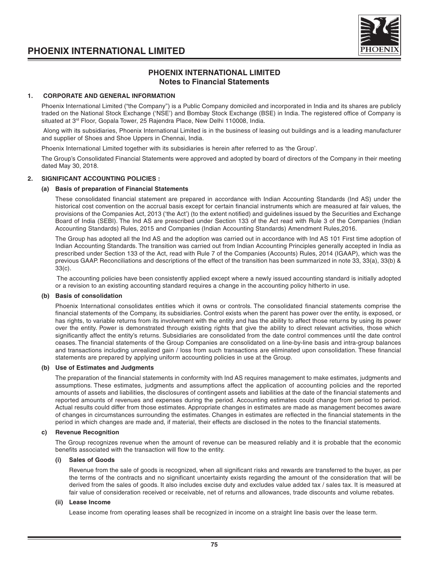

### **PHOENIX INTERNATIONAL LIMITED Notes to Financial Statements**

### **1. CORPORATE AND GENERAL INFORMATION**

Phoenix International Limited ("the Company") is a Public Company domiciled and incorporated in India and its shares are publicly traded on the National Stock Exchange ('NSE') and Bombay Stock Exchange (BSE) in India. The registered office of Company is situated at 3<sup>rd</sup> Floor, Gopala Tower, 25 Rajendra Place, New Delhi 110008, India.

 Along with its subsidiaries, Phoenix International Limited is in the business of leasing out buildings and is a leading manufacturer and supplier of Shoes and Shoe Uppers in Chennai, India.

Phoenix International Limited together with its subsidiaries is herein after referred to as 'the Group'.

The Group's Consolidated Financial Statements were approved and adopted by board of directors of the Company in their meeting dated May 30, 2018.

### **2. SIGNIFICANT ACCOUNTING POLICIES :**

### **(a) Basis of preparation of Financial Statements**

These consolidated financial statement are prepared in accordance with Indian Accounting Standards (Ind AS) under the historical cost convention on the accrual basis except for certain financial instruments which are measured at fair values, the provisions of the Companies Act, 2013 ('the Act') (to the extent notified) and guidelines issued by the Securities and Exchange Board of India (SEBI). The Ind AS are prescribed under Section 133 of the Act read with Rule 3 of the Companies (Indian Accounting Standards) Rules, 2015 and Companies (Indian Accounting Standards) Amendment Rules,2016.

The Group has adopted all the Ind AS and the adoption was carried out in accordance with Ind AS 101 First time adoption of Indian Accounting Standards. The transition was carried out from Indian Accounting Principles generally accepted in India as prescribed under Section 133 of the Act, read with Rule 7 of the Companies (Accounts) Rules, 2014 (IGAAP), which was the previous GAAP. Reconciliations and descriptions of the effect of the transition has been summarized in note 33, 33(a), 33(b) & 33(c).

 The accounting policies have been consistently applied except where a newly issued accounting standard is initially adopted or a revision to an existing accounting standard requires a change in the accounting policy hitherto in use.

### **(b) Basis of consolidation**

Phoenix International consolidates entities which it owns or controls. The consolidated financial statements comprise the financial statements of the Company, its subsidiaries. Control exists when the parent has power over the entity, is exposed, or has rights, to variable returns from its involvement with the entity and has the ability to affect those returns by using its power over the entity. Power is demonstrated through existing rights that give the ability to direct relevant activities, those which significantly affect the entity's returns. Subsidiaries are consolidated from the date control commences until the date control ceases. The financial statements of the Group Companies are consolidated on a line-by-line basis and intra-group balances and transactions including unrealized gain / loss from such transactions are eliminated upon consolidation. These financial statements are prepared by applying uniform accounting policies in use at the Group.

#### **(b) Use of Estimates and Judgments**

The preparation of the financial statements in conformity with Ind AS requires management to make estimates, judgments and assumptions. These estimates, judgments and assumptions affect the application of accounting policies and the reported amounts of assets and liabilities, the disclosures of contingent assets and liabilities at the date of the financial statements and reported amounts of revenues and expenses during the period. Accounting estimates could change from period to period. Actual results could differ from those estimates. Appropriate changes in estimates are made as management becomes aware of changes in circumstances surrounding the estimates. Changes in estimates are reflected in the financial statements in the period in which changes are made and, if material, their effects are disclosed in the notes to the financial statements.

#### **c) Revenue Recognition**

The Group recognizes revenue when the amount of revenue can be measured reliably and it is probable that the economic benefits associated with the transaction will flow to the entity.

### **(i) Sales of Goods**

Revenue from the sale of goods is recognized, when all significant risks and rewards are transferred to the buyer, as per the terms of the contracts and no significant uncertainty exists regarding the amount of the consideration that will be derived from the sales of goods. It also includes excise duty and excludes value added tax / sales tax. It is measured at fair value of consideration received or receivable, net of returns and allowances, trade discounts and volume rebates.

### **(ii) Lease Income**

Lease income from operating leases shall be recognized in income on a straight line basis over the lease term.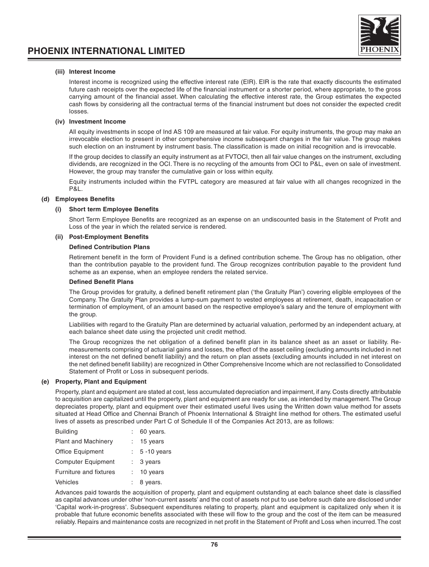#### **(iii) Interest Income**

Interest income is recognized using the effective interest rate (EIR). EIR is the rate that exactly discounts the estimated future cash receipts over the expected life of the financial instrument or a shorter period, where appropriate, to the gross carrying amount of the financial asset. When calculating the effective interest rate, the Group estimates the expected cash flows by considering all the contractual terms of the financial instrument but does not consider the expected credit losses.

#### **(iv) Investment Income**

All equity investments in scope of Ind AS 109 are measured at fair value. For equity instruments, the group may make an irrevocable election to present in other comprehensive income subsequent changes in the fair value. The group makes such election on an instrument by instrument basis. The classification is made on initial recognition and is irrevocable.

If the group decides to classify an equity instrument as at FVTOCI, then all fair value changes on the instrument, excluding dividends, are recognized in the OCI. There is no recycling of the amounts from OCI to P&L, even on sale of investment. However, the group may transfer the cumulative gain or loss within equity.

Equity instruments included within the FVTPL category are measured at fair value with all changes recognized in the P&L.

### **(d) Employees Benefits**

#### **(i) Short term Employee Benefits**

Short Term Employee Benefits are recognized as an expense on an undiscounted basis in the Statement of Profit and Loss of the year in which the related service is rendered.

### **(ii) Post-Employment Benefits**

### **Defined Contribution Plans**

Retirement benefit in the form of Provident Fund is a defined contribution scheme. The Group has no obligation, other than the contribution payable to the provident fund. The Group recognizes contribution payable to the provident fund scheme as an expense, when an employee renders the related service.

#### **Defined Benefit Plans**

The Group provides for gratuity, a defined benefit retirement plan ('the Gratuity Plan') covering eligible employees of the Company. The Gratuity Plan provides a lump-sum payment to vested employees at retirement, death, incapacitation or termination of employment, of an amount based on the respective employee's salary and the tenure of employment with the group.

Liabilities with regard to the Gratuity Plan are determined by actuarial valuation, performed by an independent actuary, at each balance sheet date using the projected unit credit method.

The Group recognizes the net obligation of a defined benefit plan in its balance sheet as an asset or liability. Remeasurements comprising of actuarial gains and losses, the effect of the asset ceiling (excluding amounts included in net interest on the net defined benefit liability) and the return on plan assets (excluding amounts included in net interest on the net defined benefit liability) are recognized in Other Comprehensive Income which are not reclassified to Consolidated Statement of Profit or Loss in subsequent periods.

### **(e) Property, Plant and Equipment**

Property, plant and equipment are stated at cost, less accumulated depreciation and impairment, if any. Costs directly attributable to acquisition are capitalized until the property, plant and equipment are ready for use, as intended by management. The Group depreciates property, plant and equipment over their estimated useful lives using the Written down value method for assets situated at Head Office and Chennai Branch of Phoenix International & Straight line method for others. The estimated useful lives of assets as prescribed under Part C of Schedule II of the Companies Act 2013, are as follows:

| <b>Building</b>            | 60 years.        |
|----------------------------|------------------|
| <b>Plant and Machinery</b> | 15 years         |
| <b>Office Equipment</b>    | $: 5 - 10$ years |
| <b>Computer Equipment</b>  | 3 years          |
| Furniture and fixtures     | 10 years         |
| Vehicles                   | 8 years.         |

Advances paid towards the acquisition of property, plant and equipment outstanding at each balance sheet date is classified as capital advances under other 'non-current assets' and the cost of assets not put to use before such date are disclosed under 'Capital work-in-progress'. Subsequent expenditures relating to property, plant and equipment is capitalized only when it is probable that future economic benefits associated with these will flow to the group and the cost of the item can be measured reliably. Repairs and maintenance costs are recognized in net profit in the Statement of Profit and Loss when incurred. The cost

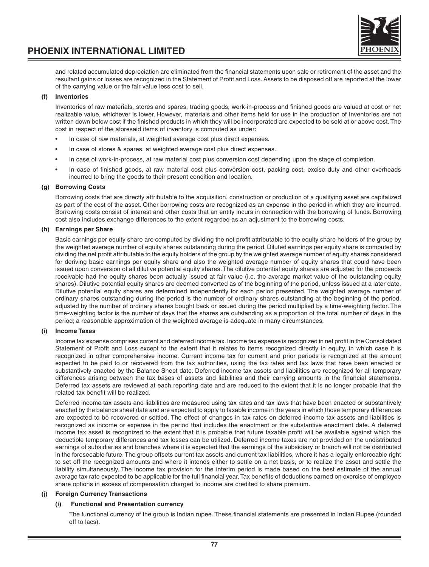

and related accumulated depreciation are eliminated from the financial statements upon sale or retirement of the asset and the resultant gains or losses are recognized in the Statement of Profit and Loss. Assets to be disposed off are reported at the lower of the carrying value or the fair value less cost to sell.

### **(f) Inventories**

Inventories of raw materials, stores and spares, trading goods, work-in-process and finished goods are valued at cost or net realizable value, whichever is lower. However, materials and other items held for use in the production of Inventories are not written down below cost if the finished products in which they will be incorporated are expected to be sold at or above cost. The cost in respect of the aforesaid items of inventory is computed as under:

- In case of raw materials, at weighted average cost plus direct expenses.
- In case of stores & spares, at weighted average cost plus direct expenses.
- In case of work-in-process, at raw material cost plus conversion cost depending upon the stage of completion.
- In case of finished goods, at raw material cost plus conversion cost, packing cost, excise duty and other overheads incurred to bring the goods to their present condition and location.

#### **(g) Borrowing Costs**

Borrowing costs that are directly attributable to the acquisition, construction or production of a qualifying asset are capitalized as part of the cost of the asset. Other borrowing costs are recognized as an expense in the period in which they are incurred. Borrowing costs consist of interest and other costs that an entity incurs in connection with the borrowing of funds. Borrowing cost also includes exchange differences to the extent regarded as an adjustment to the borrowing costs.

### **(h) Earnings per Share**

Basic earnings per equity share are computed by dividing the net profit attributable to the equity share holders of the group by the weighted average number of equity shares outstanding during the period. Diluted earnings per equity share is computed by dividing the net profit attributable to the equity holders of the group by the weighted average number of equity shares considered for deriving basic earnings per equity share and also the weighted average number of equity shares that could have been issued upon conversion of all dilutive potential equity shares. The dilutive potential equity shares are adjusted for the proceeds receivable had the equity shares been actually issued at fair value (i.e. the average market value of the outstanding equity shares). Dilutive potential equity shares are deemed converted as of the beginning of the period, unless issued at a later date. Dilutive potential equity shares are determined independently for each period presented. The weighted average number of ordinary shares outstanding during the period is the number of ordinary shares outstanding at the beginning of the period, adjusted by the number of ordinary shares bought back or issued during the period multiplied by a time-weighting factor. The time-weighting factor is the number of days that the shares are outstanding as a proportion of the total number of days in the period; a reasonable approximation of the weighted average is adequate in many circumstances.

### **(i) Income Taxes**

Income tax expense comprises current and deferred income tax. Income tax expense is recognized in net profit in the Consolidated Statement of Profit and Loss except to the extent that it relates to items recognized directly in equity, in which case it is recognized in other comprehensive income. Current income tax for current and prior periods is recognized at the amount expected to be paid to or recovered from the tax authorities, using the tax rates and tax laws that have been enacted or substantively enacted by the Balance Sheet date. Deferred income tax assets and liabilities are recognized for all temporary differences arising between the tax bases of assets and liabilities and their carrying amounts in the financial statements. Deferred tax assets are reviewed at each reporting date and are reduced to the extent that it is no longer probable that the related tax benefit will be realized.

Deferred income tax assets and liabilities are measured using tax rates and tax laws that have been enacted or substantively enacted by the balance sheet date and are expected to apply to taxable income in the years in which those temporary differences are expected to be recovered or settled. The effect of changes in tax rates on deferred income tax assets and liabilities is recognized as income or expense in the period that includes the enactment or the substantive enactment date. A deferred income tax asset is recognized to the extent that it is probable that future taxable profit will be available against which the deductible temporary differences and tax losses can be utilized. Deferred income taxes are not provided on the undistributed earnings of subsidiaries and branches where it is expected that the earnings of the subsidiary or branch will not be distributed in the foreseeable future. The group offsets current tax assets and current tax liabilities, where it has a legally enforceable right to set off the recognized amounts and where it intends either to settle on a net basis, or to realize the asset and settle the liability simultaneously. The income tax provision for the interim period is made based on the best estimate of the annual average tax rate expected to be applicable for the full financial year. Tax benefits of deductions earned on exercise of employee share options in excess of compensation charged to income are credited to share premium.

### **(j) Foreign Currency Transactions**

### **Functional and Presentation currency**

The functional currency of the group is Indian rupee. These financial statements are presented in Indian Rupee (rounded off to lacs).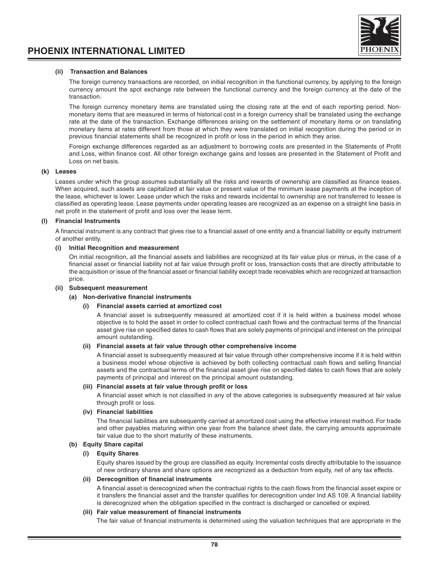



#### **(ii) Transaction and Balances**

The foreign currency transactions are recorded, on initial recognition in the functional currency, by applying to the foreign currency amount the spot exchange rate between the functional currency and the foreign currency at the date of the transaction.

The foreign currency monetary items are translated using the closing rate at the end of each reporting period. Nonmonetary items that are measured in terms of historical cost in a foreign currency shall be translated using the exchange rate at the date of the transaction. Exchange differences arising on the settlement of monetary items or on translating monetary items at rates different from those at which they were translated on initial recognition during the period or in previous financial statements shall be recognized in profit or loss in the period in which they arise.

Foreign exchange differences regarded as an adjustment to borrowing costs are presented in the Statements of Profit and Loss, within finance cost. All other foreign exchange gains and losses are presented in the Statement of Profit and Loss on net basis.

#### **(k) Leases**

Leases under which the group assumes substantially all the risks and rewards of ownership are classified as finance leases. When acquired, such assets are capitalized at fair value or present value of the minimum lease payments at the inception of the lease, whichever is lower. Lease under which the risks and rewards incidental to ownership are not transferred to lessee is classified as operating lease. Lease payments under operating leases are recognized as an expense on a straight line basis in net profit in the statement of profit and loss over the lease term.

### **(l) Financial Instruments**

A financial instrument is any contract that gives rise to a financial asset of one entity and a financial liability or equity instrument of another entity.

#### **(i) Initial Recognition and measurement**

On initial recognition, all the financial assets and liabilities are recognized at its fair value plus or minus, in the case of a financial asset or financial liability not at fair value through profit or loss, transaction costs that are directly attributable to the acquisition or issue of the financial asset or financial liability except trade receivables which are recognized at transaction price.

#### **(ii) Subsequent measurement**

### **(a) Non-derivative financial instruments**

### **(i) Financial assets carried at amortized cost**

A financial asset is subsequently measured at amortized cost if it is held within a business model whose objective is to hold the asset in order to collect contractual cash flows and the contractual terms of the financial asset give rise on specified dates to cash flows that are solely payments of principal and interest on the principal amount outstanding.

#### **(ii) Financial assets at fair value through other comprehensive income**

A financial asset is subsequently measured at fair value through other comprehensive income if it is held within a business model whose objective is achieved by both collecting contractual cash flows and selling financial assets and the contractual terms of the financial asset give rise on specified dates to cash flows that are solely payments of principal and interest on the principal amount outstanding.

#### **(iii) Financial assets at fair value through profit or loss**

A financial asset which is not classified in any of the above categories is subsequently measured at fair value through profit or loss.

### **(iv) Financial liabilities**

The financial liabilities are subsequently carried at amortized cost using the effective interest method. For trade and other payables maturing within one year from the balance sheet date, the carrying amounts approximate fair value due to the short maturity of these instruments.

### **(b) Equity Share capital**

#### **(i) Equity Shares**

Equity shares issued by the group are classified as equity. Incremental costs directly attributable to the issuance of new ordinary shares and share options are recognized as a deduction from equity, net of any tax effects.

### **(ii) Derecognition of financial instruments**

A financial asset is derecognized when the contractual rights to the cash flows from the financial asset expire or it transfers the financial asset and the transfer qualifies for derecognition under Ind AS 109. A financial liability is derecognized when the obligation specified in the contract is discharged or cancelled or expired.

### **(iii) Fair value measurement of financial instruments**

The fair value of financial instruments is determined using the valuation techniques that are appropriate in the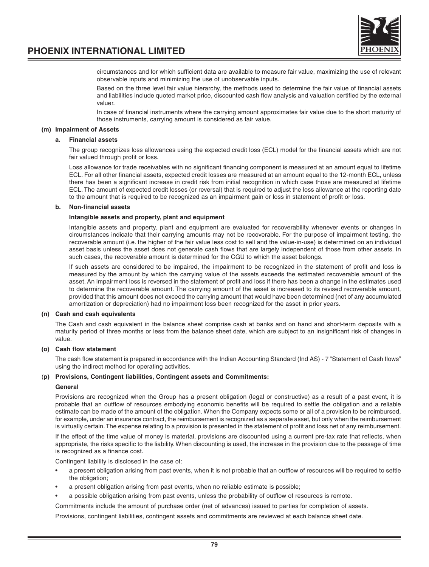

circumstances and for which sufficient data are available to measure fair value, maximizing the use of relevant observable inputs and minimizing the use of unobservable inputs.

Based on the three level fair value hierarchy, the methods used to determine the fair value of financial assets and liabilities include quoted market price, discounted cash flow analysis and valuation certified by the external valuer.

In case of financial instruments where the carrying amount approximates fair value due to the short maturity of those instruments, carrying amount is considered as fair value.

### **(m) Impairment of Assets**

#### **a. Financial assets**

The group recognizes loss allowances using the expected credit loss (ECL) model for the financial assets which are not fair valued through profit or loss.

Loss allowance for trade receivables with no significant financing component is measured at an amount equal to lifetime ECL. For all other financial assets, expected credit losses are measured at an amount equal to the 12-month ECL, unless there has been a significant increase in credit risk from initial recognition in which case those are measured at lifetime ECL. The amount of expected credit losses (or reversal) that is required to adjust the loss allowance at the reporting date to the amount that is required to be recognized as an impairment gain or loss in statement of profit or loss.

#### **b. Non-financial assets**

#### **Intangible assets and property, plant and equipment**

Intangible assets and property, plant and equipment are evaluated for recoverability whenever events or changes in circumstances indicate that their carrying amounts may not be recoverable. For the purpose of impairment testing, the recoverable amount (i.e. the higher of the fair value less cost to sell and the value-in-use) is determined on an individual asset basis unless the asset does not generate cash flows that are largely independent of those from other assets. In such cases, the recoverable amount is determined for the CGU to which the asset belongs.

If such assets are considered to be impaired, the impairment to be recognized in the statement of profit and loss is measured by the amount by which the carrying value of the assets exceeds the estimated recoverable amount of the asset. An impairment loss is reversed in the statement of profit and loss if there has been a change in the estimates used to determine the recoverable amount. The carrying amount of the asset is increased to its revised recoverable amount, provided that this amount does not exceed the carrying amount that would have been determined (net of any accumulated amortization or depreciation) had no impairment loss been recognized for the asset in prior years.

#### **(n) Cash and cash equivalents**

The Cash and cash equivalent in the balance sheet comprise cash at banks and on hand and short-term deposits with a maturity period of three months or less from the balance sheet date, which are subject to an insignificant risk of changes in value.

### **(o) Cash flow statement**

The cash flow statement is prepared in accordance with the Indian Accounting Standard (Ind AS) - 7 "Statement of Cash flows" using the indirect method for operating activities.

### (**p) Provisions, Contingent liabilities, Contingent assets and Commitments:**

#### **General**

Provisions are recognized when the Group has a present obligation (legal or constructive) as a result of a past event, it is probable that an outflow of resources embodying economic benefits will be required to settle the obligation and a reliable estimate can be made of the amount of the obligation. When the Company expects some or all of a provision to be reimbursed, for example, under an insurance contract, the reimbursement is recognized as a separate asset, but only when the reimbursement is virtually certain. The expense relating to a provision is presented in the statement of profit and loss net of any reimbursement.

If the effect of the time value of money is material, provisions are discounted using a current pre-tax rate that reflects, when appropriate, the risks specific to the liability. When discounting is used, the increase in the provision due to the passage of time is recognized as a finance cost.

Contingent liability is disclosed in the case of:

- a present obligation arising from past events, when it is not probable that an outflow of resources will be required to settle the obligation;
- a present obligation arising from past events, when no reliable estimate is possible;
- a possible obligation arising from past events, unless the probability of outflow of resources is remote.

Commitments include the amount of purchase order (net of advances) issued to parties for completion of assets.

Provisions, contingent liabilities, contingent assets and commitments are reviewed at each balance sheet date.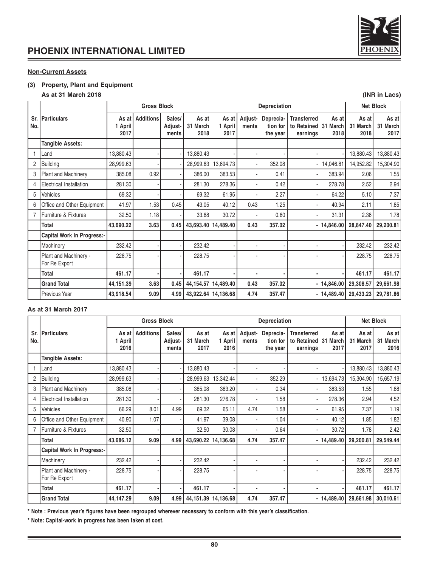

### **Non-Current Assets**

### **(3) Property, Plant and Equipment**

### **As at 31 March 2018 (INR in Lacs)**

|            | <b>Gross Block</b><br>Depreciation     |                          |                  |                            |                           |                          | <b>Net Block</b> |                                   |                                                          |               |                           |                           |
|------------|----------------------------------------|--------------------------|------------------|----------------------------|---------------------------|--------------------------|------------------|-----------------------------------|----------------------------------------------------------|---------------|---------------------------|---------------------------|
| Sr.<br>No. | <b>Particulars</b>                     | As at<br>1 April<br>2017 | <b>Additions</b> | Sales/<br>Adjust-<br>ments | As at<br>31 March<br>2018 | As at<br>1 April<br>2017 | Adjust-<br>ments | Deprecia-<br>tion for<br>the year | <b>Transferred</b><br>to Retained   31 March<br>earnings | As at<br>2018 | As at<br>31 March<br>2018 | As at<br>31 March<br>2017 |
|            | <b>Tangible Assets:</b>                |                          |                  |                            |                           |                          |                  |                                   |                                                          |               |                           |                           |
|            | Land                                   | 13,880.43                |                  |                            | 13,880.43                 |                          |                  |                                   |                                                          |               | 13,880.43                 | 13,880.43                 |
| 2          | <b>Building</b>                        | 28,999.63                |                  |                            | 28,999.63                 | 13,694.73                |                  | 352.08                            |                                                          | 14,046.81     | 14,952.82                 | 15,304.90                 |
| 3          | <b>Plant and Machinery</b>             | 385.08                   | 0.92             |                            | 386.00                    | 383.53                   |                  | 0.41                              |                                                          | 383.94        | 2.06                      | 1.55                      |
| 4          | Electrical Installation                | 281.30                   |                  |                            | 281.30                    | 278.36                   |                  | 0.42                              |                                                          | 278.78        | 2.52                      | 2.94                      |
| 5          | Vehicles                               | 69.32                    |                  |                            | 69.32                     | 61.95                    |                  | 2.27                              |                                                          | 64.22         | 5.10                      | 7.37                      |
| 6          | Office and Other Equipment             | 41.97                    | 1.53             | 0.45                       | 43.05                     | 40.12                    | 0.43             | 1.25                              |                                                          | 40.94         | 2.11                      | 1.85                      |
|            | Furniture & Fixtures                   | 32.50                    | 1.18             |                            | 33.68                     | 30.72                    |                  | 0.60                              |                                                          | 31.31         | 2.36                      | 1.78                      |
|            | <b>Total</b>                           | 43,690.22                | 3.63             | 0.45                       |                           | 43,693.40   14,489.40    | 0.43             | 357.02                            |                                                          | - 14,846.00   | 28,847.40                 | 29,200.81                 |
|            | <b>Capital Work In Progress:-</b>      |                          |                  |                            |                           |                          |                  |                                   |                                                          |               |                           |                           |
|            | Machinery                              | 232.42                   |                  |                            | 232.42                    |                          |                  |                                   |                                                          |               | 232.42                    | 232.42                    |
|            | Plant and Machinery -<br>For Re Export | 228.75                   |                  |                            | 228.75                    |                          |                  |                                   |                                                          |               | 228.75                    | 228.75                    |
|            | <b>Total</b>                           | 461.17                   |                  |                            | 461.17                    |                          |                  |                                   |                                                          |               | 461.17                    | 461.17                    |
|            | <b>Grand Total</b>                     | 44,151.39                | 3.63             | 0.45                       | 44,154.57                 | 14,489.40                | 0.43             | 357.02                            |                                                          | -  14,846.00  | 29,308.57                 | 29,661.98                 |
|            | Previous Year                          | 43,918.54                | 9.09             | 4.99                       |                           | 43,922.64   14,136.68    | 4.74             | 357.47                            |                                                          | -  14,489.40  | 29,433.23                 | 29,781.86                 |

### **As at 31 March 2017**

|            | <b>Gross Block</b><br>Depreciation     |                          |                  |                            |                           |                          | <b>Net Block</b> |                                   |                                                 |                                     |                           |                           |
|------------|----------------------------------------|--------------------------|------------------|----------------------------|---------------------------|--------------------------|------------------|-----------------------------------|-------------------------------------------------|-------------------------------------|---------------------------|---------------------------|
| Sr.<br>No. | <b>Particulars</b>                     | As at<br>1 April<br>2016 | <b>Additions</b> | Sales/<br>Adjust-<br>ments | As at<br>31 March<br>2017 | As at<br>1 April<br>2016 | Adjust-<br>ments | Deprecia-<br>tion for<br>the year | <b>Transferred</b><br>to Retained I<br>earnings | As at<br>31<br><b>March</b><br>2017 | As at<br>31 March<br>2017 | As at<br>31 March<br>2016 |
|            | <b>Tangible Assets:</b>                |                          |                  |                            |                           |                          |                  |                                   |                                                 |                                     |                           |                           |
|            | Land                                   | 13,880.43                |                  |                            | 13,880.43                 |                          |                  |                                   |                                                 |                                     | 13,880.43                 | 13,880.43                 |
| 2          | <b>Building</b>                        | 28,999.63                |                  |                            | 28,999.63                 | 13,342.44                |                  | 352.29                            |                                                 | 13,694.73                           | 15,304.90                 | 15,657.19                 |
| 3          | <b>Plant and Machinery</b>             | 385.08                   |                  |                            | 385.08                    | 383.20                   |                  | 0.34                              |                                                 | 383.53                              | 1.55                      | 1.88                      |
| 4          | <b>Electrical Installation</b>         | 281.30                   |                  |                            | 281.30                    | 276.78                   |                  | 1.58                              |                                                 | 278.36                              | 2.94                      | 4.52                      |
| 5          | Vehicles                               | 66.29                    | 8.01             | 4.99                       | 69.32                     | 65.11                    | 4.74             | 1.58                              |                                                 | 61.95                               | 7.37                      | 1.19                      |
| 6          | Office and Other Equipment             | 40.90                    | 1.07             |                            | 41.97                     | 39.08                    |                  | 1.04                              |                                                 | 40.12                               | 1.85                      | 1.82                      |
|            | Furniture & Fixtures                   | 32.50                    |                  |                            | 32.50                     | 30.08                    |                  | 0.64                              |                                                 | 30.72                               | 1.78                      | 2.42                      |
|            | <b>Total</b>                           | 43,686.12                | 9.09             | 4.99                       | 43,690.22   14,136.68     |                          | 4.74             | 357.47                            |                                                 | -  14,489.40                        | 29.200.81                 | 29,549.44                 |
|            | <b>Capital Work In Progress:-</b>      |                          |                  |                            |                           |                          |                  |                                   |                                                 |                                     |                           |                           |
|            | Machinery                              | 232.42                   |                  |                            | 232.42                    |                          |                  |                                   |                                                 |                                     | 232.42                    | 232.42                    |
|            | Plant and Machinery -<br>For Re Export | 228.75                   |                  |                            | 228.75                    |                          |                  |                                   |                                                 |                                     | 228.75                    | 228.75                    |
|            | Total                                  | 461.17                   |                  |                            | 461.17                    |                          |                  |                                   |                                                 |                                     | 461.17                    | 461.17                    |
|            | <b>Grand Total</b>                     | 44,147.29                | 9.09             | 4.99                       |                           | 44, 151.39   14, 136.68  | 4.74             | 357.47                            |                                                 | -  14,489.40                        | 29,661.98                 | 30,010.61                 |

**\* Note : Previous year's figures have been regrouped wherever necessary to conform with this year's classification.**

**\* Note: Capital-work in progress has been taken at cost.**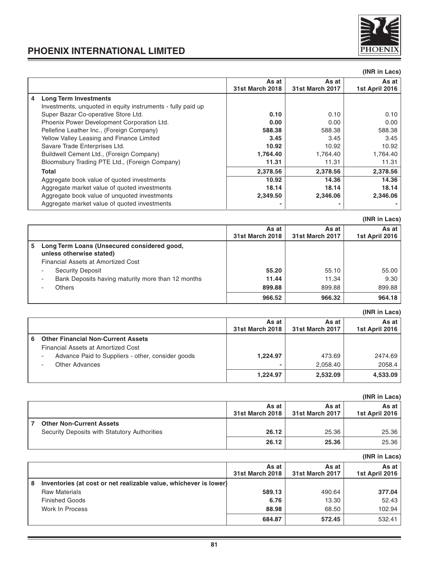

|                                                             |                          |                                 | (INR in Lacs)           |
|-------------------------------------------------------------|--------------------------|---------------------------------|-------------------------|
|                                                             | As at<br>31st March 2018 | As at<br><b>31st March 2017</b> | As at<br>1st April 2016 |
| 4<br><b>Long Term Investments</b>                           |                          |                                 |                         |
| Investments, unquoted in equity instruments - fully paid up |                          |                                 |                         |
| Super Bazar Co-operative Store Ltd.                         | 0.10                     | 0.10                            | 0.10                    |
| Phoenix Power Development Corporation Ltd.                  | 0.00                     | 0.00                            | 0.00                    |
| Pellefine Leather Inc., (Foreign Company)                   | 588.38                   | 588.38                          | 588.38                  |
| Yellow Valley Leasing and Finance Limited                   | 3.45                     | 3.45                            | 3.45                    |
| Savare Trade Enterprises Ltd.                               | 10.92                    | 10.92                           | 10.92                   |
| Buildwell Cement Ltd., (Foreign Company)                    | 1,764.40                 | 1,764.40                        | 1,764.40                |
| Bloomsbury Trading PTE Ltd., (Foreign Company)              | 11.31                    | 11.31                           | 11.31                   |
| <b>Total</b>                                                | 2,378.56                 | 2,378.56                        | 2,378.56                |
| Aggregate book value of quoted investments                  | 10.92                    | 14.36                           | 14.36                   |
| Aggregate market value of quoted investments                | 18.14                    | 18.14                           | 18.14                   |
| Aggregate book value of unquoted investments                | 2,349.50                 | 2.346.06                        | 2,346.06                |
| Aggregate market value of guoted investments                | -                        | ۰                               |                         |

|                                                                               |                          |                                 | (INR in Lacs)           |
|-------------------------------------------------------------------------------|--------------------------|---------------------------------|-------------------------|
|                                                                               | As at<br>31st March 2018 | As at<br><b>31st March 2017</b> | As at<br>1st April 2016 |
| Long Term Loans (Unsecured considered good,<br>5.<br>unless otherwise stated) |                          |                                 |                         |
| Financial Assets at Amortized Cost                                            |                          |                                 |                         |
| Security Deposit                                                              | 55.20                    | 55.10                           | 55.00                   |
| Bank Deposits having maturity more than 12 months                             | 11.44                    | 11.34                           | 9.30                    |
| <b>Others</b>                                                                 | 899.88                   | 899.88                          | 899.88                  |
|                                                                               | 966.52                   | 966.32                          | 964.18                  |

**(INR in Lacs)**

|   |                                                                                 | As at<br>31st March 2018 | As at<br>31st March 2017 | As at<br>1st April 2016 |
|---|---------------------------------------------------------------------------------|--------------------------|--------------------------|-------------------------|
| 6 | <b>Other Financial Non-Current Assets</b><br>Financial Assets at Amortized Cost |                          |                          |                         |
|   | Advance Paid to Suppliers - other, consider goods                               | 1.224.97                 | 473.69                   | 2474.69                 |
|   | Other Advances                                                                  |                          | 2.058.40                 | 2058.4                  |
|   |                                                                                 | 1.224.97                 | 2.532.09                 | 4,533.09                |

|                                              |                          |                          | (INR in Lacs)             |
|----------------------------------------------|--------------------------|--------------------------|---------------------------|
|                                              | As at<br>31st March 2018 | As at<br>31st March 2017 | As at I<br>1st April 2016 |
| <b>Other Non-Current Assets</b>              |                          |                          |                           |
| Security Deposits with Statutory Authorities | 26.12                    | 25.36                    | 25.36                     |
|                                              | 26.12                    | 25.36                    | 25.36                     |

|   |                                                                   |                          |                          | (INR in Lacs)             |
|---|-------------------------------------------------------------------|--------------------------|--------------------------|---------------------------|
|   |                                                                   | As at<br>31st March 2018 | As at<br>31st March 2017 | As at I<br>1st April 2016 |
| 8 | Inventories (at cost or net realizable value, whichever is lower) |                          |                          |                           |
|   | <b>Raw Materials</b>                                              | 589.13                   | 490.64                   | 377.04                    |
|   | <b>Finished Goods</b>                                             | 6.76                     | 13.30                    | 52.43                     |
|   | Work In Process                                                   | 88.98                    | 68.50                    | 102.94                    |
|   |                                                                   | 684.87                   | 572.45                   | 532.41                    |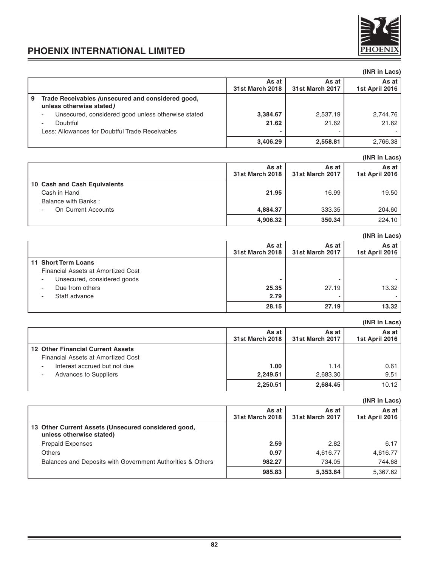

### **(INR in Lacs)** As at **As at As at As at As at As at As at As at As at As at As at As at As at As at As at April 2016 31st March 2018 31st March 2017 1st April 2016 9 Trade Receivables (unsecured and considered good, unless otherwise stated)** - Unsecured, considered good unless otherwise stated **3,384.67** 2,537.19 2,537.19 2,744.76 - Doubtful **21.62** 21.62 21.62 **Less: Allowances for Doubtful Trade Receivables 3,406.29 2,558.81** 2,766.38

### **(INR in Lacs) As at** As at As at As at As at As at As at As at As at As at As at As at As at As at As at As at As at As at As at As at As at As at As at As at As at As at As at As at As at As at As at As at As at As at As at As at As a **31st March 2018 31st March 2017 1st April 2016 10 Cash and Cash Equivalents** Cash in Hand **21.95** 16.99 19.50 Balance with Banks : - On Current Accounts **4,884.37** 333.35 204.60 **4,906.32 350.34** 224.10

|                                    |                          |                          | (INR in Lacs)           |
|------------------------------------|--------------------------|--------------------------|-------------------------|
|                                    | As at<br>31st March 2018 | As at<br>31st March 2017 | As at<br>1st April 2016 |
| 11 Short Term Loans                |                          |                          |                         |
| Financial Assets at Amortized Cost |                          |                          |                         |
| Unsecured, considered goods        |                          |                          |                         |
| Due from others                    | 25.35                    | 27.19                    | 13.32                   |
| Staff advance                      | 2.79                     | $\overline{\phantom{a}}$ |                         |
|                                    | 28.15                    | 27.19                    | 13.32                   |

### **(INR in Lacs) As at As at As at As at As at As at As at As at As at As at As at As at As at As at As at As at As at As at As at As at As at As at As at As at As at As at As at As at 31st March 2018 31st March 2017 1st April 2016 12 Other Financial Current Assets** Financial Assets at Amortized Cost Interest accrued but not due **1.00** 1.00 1.14 1.14 0.61 Advances to Suppliers **2,249.51** 2,683.30 9.51 **2,250.51 2,684.45 10.12**

|                                                                                 |                          |                                 | (INR in Lacs)           |
|---------------------------------------------------------------------------------|--------------------------|---------------------------------|-------------------------|
|                                                                                 | As at<br>31st March 2018 | As at<br><b>31st March 2017</b> | As at<br>1st April 2016 |
| 13 Other Current Assets (Unsecured considered good,<br>unless otherwise stated) |                          |                                 |                         |
| <b>Prepaid Expenses</b>                                                         | 2.59                     | 2.82                            | 6.17                    |
| <b>Others</b>                                                                   | 0.97                     | 4,616.77                        | 4,616.77                |
| Balances and Deposits with Government Authorities & Others                      | 982.27                   | 734.05                          | 744.68                  |
|                                                                                 | 985.83                   | 5,353.64                        | 5,367.62                |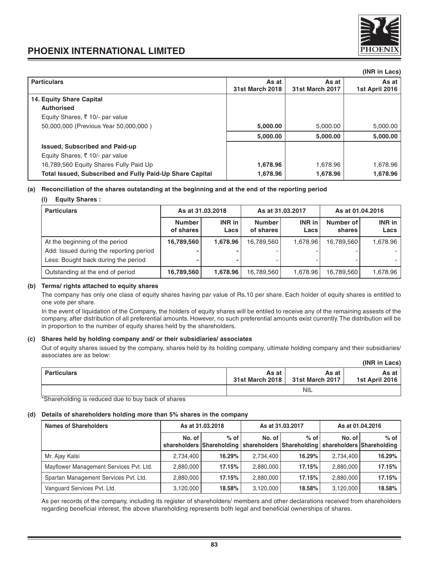

|                          |                                 | (INR in Lacs)           |
|--------------------------|---------------------------------|-------------------------|
| As at<br>31st March 2018 | As at<br><b>31st March 2017</b> | As at<br>1st April 2016 |
|                          |                                 |                         |
|                          |                                 |                         |
|                          |                                 |                         |
| 5,000.00                 | 5,000.00                        | 5,000.00                |
| 5,000.00                 | 5,000.00                        | 5,000.00                |
|                          |                                 |                         |
|                          |                                 |                         |
| 1,678.96                 | 1,678.96                        | 1,678.96                |
| 1,678.96                 | 1,678.96                        | 1,678.96                |
|                          |                                 |                         |

### **(a) Reconciliation of the shares outstanding at the beginning and at the end of the reporting period**

| <b>Equity Shares:</b><br>(i)                                                   |                            |                                      |                            |                  |                     |                |
|--------------------------------------------------------------------------------|----------------------------|--------------------------------------|----------------------------|------------------|---------------------|----------------|
| <b>Particulars</b>                                                             |                            | As at 31.03.2018<br>As at 31.03.2017 |                            | As at 01.04.2016 |                     |                |
|                                                                                | <b>Number</b><br>of shares | INR in<br>Lacs                       | <b>Number</b><br>of shares | INR in<br>Lacs   | Number of<br>shares | INR in<br>Lacs |
| At the beginning of the period                                                 | 16,789,560                 | 1.678.96                             | 16,789,560                 | 1.678.96         | 16,789,560          | 1.678.96       |
| Add: Issued during the reporting period<br>Less: Bought back during the period |                            |                                      |                            |                  |                     |                |
| Outstanding at the end of period                                               | 16,789,560                 | 1,678.96                             | 16,789,560                 | 1,678.96         | 16,789,560          | 1,678.96       |

### **(b) Terms/ rights attached to equity shares**

The company has only one class of equity shares having par value of Rs.10 per share. Each holder of equity shares is entitled to one vote per share.

In the event of liquidation of the Company, the holders of equity shares will be entiled to receive any of the remaining assests of the company, after distribution of all preferential amounts. However, no such preferential amounts exist currently. The distribution will be in proportion to the number of equity shares held by the shareholders.

### **(c) Shares held by holding company and/ or their subsidiaries/ associates**

Out of equity shares issued by the company, shares held by its holding company, ultimate holding company and their subsidiaries/ associates are as below: **(INR in Lacs)**

|             |       |                                            | (INN III Lacs)          |
|-------------|-------|--------------------------------------------|-------------------------|
| Particulars | As at | As at<br>31st March 2018   31st March 2017 | As at<br>1st April 2016 |
|             |       | <b>NIL</b>                                 |                         |

\*Shareholding is reduced due to buy back of shares

### **(d) Details of shareholders holding more than 5% shares in the company**

| <b>Names of Shareholders</b>            |           | As at 31.03.2018                                                    |           | As at 31.03.2017 |           | As at 01.04.2016                    |
|-----------------------------------------|-----------|---------------------------------------------------------------------|-----------|------------------|-----------|-------------------------------------|
|                                         | No. of I  | $%$ of $ $<br>shareholders Shareholding   shareholders Shareholding | No. of I  | $%$ of           | No. of    | $%$ of<br>shareholders Shareholding |
| Mr. Ajay Kalsi                          | 2.734.400 | 16.29%                                                              | 2,734,400 | 16.29%           | 2.734.400 | 16.29%                              |
| Mayflower Management Services Pvt. Ltd. | 2.880.000 | 17.15%                                                              | 2.880.000 | 17.15%           | 2.880.000 | 17.15%                              |
| Spartan Management Services Pvt. Ltd.   | 2.880.000 | 17.15%                                                              | 2,880,000 | 17.15%           | 2.880.000 | 17.15%                              |
| Vanguard Services Pvt. Ltd.             | 3,120,000 | 18.58%                                                              | 3,120,000 | 18.58%           | 3.120.000 | 18.58%                              |

As per records of the company, including its register of shareholders/ members and other declarations received from shareholders regarding beneficial interest, the above shareholding represents both legal and beneficial ownerships of shares.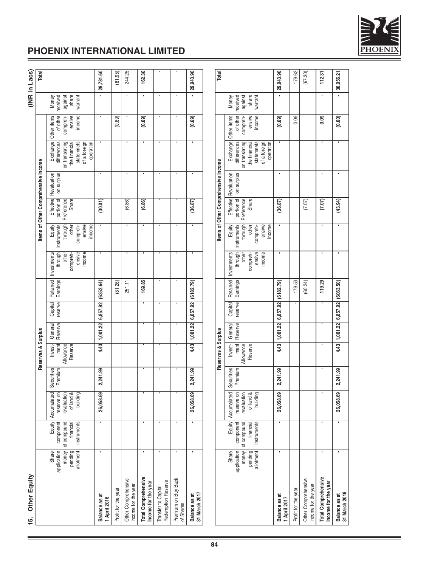

| Other Equity<br>$\frac{15}{10}$                   |                                                              |                                                                |                                                                            |                       |                                         |                    |                                        |                      |                                                                 |                                                                           |                                   |                                     |                                                                                                       |                                                         |                                                  | (INR in Lacs) |
|---------------------------------------------------|--------------------------------------------------------------|----------------------------------------------------------------|----------------------------------------------------------------------------|-----------------------|-----------------------------------------|--------------------|----------------------------------------|----------------------|-----------------------------------------------------------------|---------------------------------------------------------------------------|-----------------------------------|-------------------------------------|-------------------------------------------------------------------------------------------------------|---------------------------------------------------------|--------------------------------------------------|---------------|
|                                                   |                                                              |                                                                |                                                                            |                       | Reserves & Surplus                      |                    |                                        |                      |                                                                 |                                                                           |                                   | Items of Other Comprehensive Income |                                                                                                       |                                                         |                                                  | Total         |
|                                                   | application<br>Share<br>money<br>pending<br>allotment        | Equity<br>of compound<br>instruments<br>financial<br>component | of land &<br>Accumalated<br>reserve on<br>building<br>revaluation          | Securities<br>Premium | Allowance<br>Reserve<br>Invest-<br>ment | Reserve<br>General | reserve<br>Capital                     | Retained<br>Earnings | ensive<br>Investments<br>income<br>through<br>compreh-<br>other | instruments<br>ensive<br>Equity<br>income<br>through<br>other<br>compreh- | Share<br>portion of<br>Preference | on surplus<br>Effective Revaluation | Exchange<br>differences<br>on translating<br>statemnets<br>of a foreign<br>the financial              | Other items<br>ensive<br>income<br>of other<br>compreh- | share<br>received<br>against<br>warrant<br>Money |               |
| Balance as at<br>1 April 2016                     | ٠                                                            |                                                                | 26,058.69                                                                  | 2,241.99              | 4.43                                    | 1,001.22           | 6,857.92                               | (6352.64)            |                                                                 |                                                                           | (30.01)                           |                                     |                                                                                                       |                                                         |                                                  | 29,781.60     |
| Profit for the year                               |                                                              |                                                                |                                                                            |                       |                                         |                    |                                        | (81.26)              |                                                                 |                                                                           |                                   |                                     |                                                                                                       | (0.69)                                                  |                                                  | (81.95)       |
| Other Comprehensive<br>Income for the year        |                                                              |                                                                |                                                                            |                       |                                         |                    |                                        | 251.11               |                                                                 |                                                                           | (6.86)                            |                                     |                                                                                                       |                                                         |                                                  | 244.25        |
| <b>Total Comprehensive</b><br>Income for the year | ٠                                                            |                                                                |                                                                            | ٠                     |                                         |                    |                                        | 169.85               |                                                                 |                                                                           | (6.86)                            |                                     |                                                                                                       | (0.69)                                                  | ٠                                                | 162.30        |
| Redemption Reserve<br>Transfer to Capital         |                                                              |                                                                |                                                                            |                       |                                         |                    |                                        |                      |                                                                 |                                                                           |                                   |                                     |                                                                                                       |                                                         |                                                  |               |
| Premium on Buy Back<br>of Shares                  |                                                              |                                                                |                                                                            |                       |                                         |                    |                                        |                      |                                                                 |                                                                           |                                   |                                     |                                                                                                       |                                                         |                                                  |               |
| Balance as at<br>31 March 2017                    | ٠                                                            |                                                                | 26,058.69                                                                  | 2,241.99              | 4.43                                    | 1,001.22           | 6,857.92                               | (6182.79)            |                                                                 |                                                                           | (36.87)                           |                                     |                                                                                                       | (0.69)                                                  |                                                  | 29,943.90     |
|                                                   |                                                              |                                                                |                                                                            |                       |                                         |                    |                                        |                      |                                                                 |                                                                           |                                   |                                     |                                                                                                       |                                                         |                                                  |               |
|                                                   |                                                              |                                                                |                                                                            |                       | Reserves & Surplus                      |                    |                                        |                      |                                                                 |                                                                           |                                   | Items of Other Comprehensive Income |                                                                                                       |                                                         |                                                  | Total         |
|                                                   | pending<br>allotment<br>application<br>money<br><b>Share</b> | component<br>of compound<br>instruments<br>financial           | Equity   Accumalated<br>reserve on<br>of land &<br>building<br>revaluation | Securities<br>Premium | Invest-<br>ment<br>Allowance<br>Reserve | Reserve<br>General | Capital<br>reserve                     | Retained<br>Earnings | through<br>ensive<br>income<br>Investments<br>other<br>compreh- | Equity<br>instruments<br>ensive<br>income<br>through<br>other<br>compreh- | portion of<br>Preference<br>Share | Effective Revaluation<br>on surplus | Exchange<br>statemnets<br>on translating<br>of a foreign<br>operation<br>differences<br>the financial | Other items<br>ensive<br>income<br>of other<br>compreh- | share<br>received<br>against<br>warrant<br>Money |               |
| Balance as at<br>1 April 2017                     |                                                              |                                                                | 26,058.69                                                                  | 2,241.99              |                                         | 4.43 1,001.22      | 6,857.92                               | (6182.79)            |                                                                 |                                                                           | (36.87)                           |                                     |                                                                                                       | (0.69)                                                  |                                                  | 29,943.90     |
| Profit for the year                               |                                                              |                                                                |                                                                            |                       |                                         |                    |                                        | 179.53               |                                                                 |                                                                           |                                   |                                     |                                                                                                       | 0.09                                                    |                                                  | 179.62        |
| Other Comprehensive<br>Income for the year        |                                                              |                                                                |                                                                            |                       |                                         |                    |                                        | (60.24)              |                                                                 |                                                                           | (7.07)                            |                                     |                                                                                                       |                                                         |                                                  | (67.30)       |
| Total Comprehensive<br>Income for the year        | ٠                                                            |                                                                |                                                                            | ٠                     |                                         |                    |                                        | 119.29               |                                                                 |                                                                           | (7.07)                            |                                     |                                                                                                       | 0.09                                                    |                                                  | 112.31        |
| 31 March 2018<br>Balance as at                    |                                                              |                                                                | 26,058.69                                                                  | 2,241.99              |                                         |                    | 4 43   1,001 22   6,857 92   (6063.50) |                      |                                                                 |                                                                           | (43.94)                           |                                     |                                                                                                       | (0.60)                                                  |                                                  | 30,056.21     |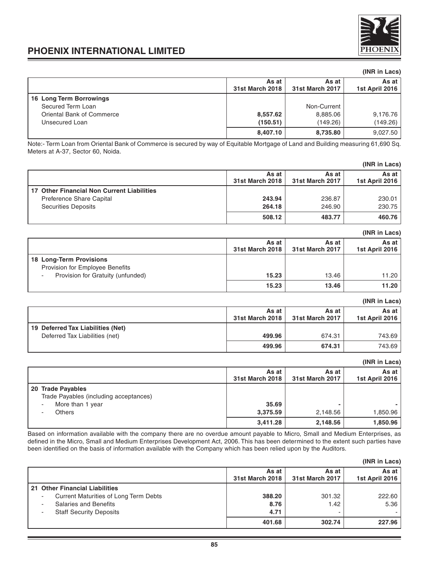

### **(INR in Lacs)**

|                           | As at<br>31st March 2018 | As at<br>31st March 2017 | As at I<br>1st April 2016 |
|---------------------------|--------------------------|--------------------------|---------------------------|
| 16 Long Term Borrowings   |                          |                          |                           |
| Secured Term Loan         |                          | Non-Current              |                           |
| Oriental Bank of Commerce | 8,557.62                 | 8,885.06                 | 9,176.76                  |
| Unsecured Loan            | (150.51)                 | (149.26)                 | (149.26)                  |
|                           | 8,407.10                 | 8,735.80                 | 9,027.50                  |

Note:- Term Loan from Oriental Bank of Commerce is secured by way of Equitable Mortgage of Land and Building measuring 61,690 Sq. Meters at A-37, Sector 60, Noida.

|                                            |                          |                          | (INR in Lacs)           |
|--------------------------------------------|--------------------------|--------------------------|-------------------------|
|                                            | As at<br>31st March 2018 | As at<br>31st March 2017 | As at<br>1st April 2016 |
| 17 Other Financial Non Current Liabilities |                          |                          |                         |
| Preference Share Capital                   | 243.94                   | 236.87                   | 230.01                  |
| <b>Securities Deposits</b>                 | 264.18                   | 246.90                   | 230.75                  |
|                                            | 508.12                   | 483.77                   | 460.76                  |

|                                   |                          |                          | (INR in Lacs)           |
|-----------------------------------|--------------------------|--------------------------|-------------------------|
|                                   | As at<br>31st March 2018 | As at<br>31st March 2017 | As at<br>1st April 2016 |
| 18 Long-Term Provisions           |                          |                          |                         |
| Provision for Employee Benefits   |                          |                          |                         |
| Provision for Gratuity (unfunded) | 15.23                    | 13.46                    | 11.20                   |
|                                   | 15.23                    | 13.46                    | 11.20                   |

|                                   |                          |                          | (INR in Lacs)           |
|-----------------------------------|--------------------------|--------------------------|-------------------------|
|                                   | As at<br>31st March 2018 | As at<br>31st March 2017 | As at<br>1st April 2016 |
| 19 Deferred Tax Liabilities (Net) |                          |                          |                         |
| Deferred Tax Liabilities (net)    | 499.96                   | 674.31                   | 743.69                  |
|                                   | 499.96                   | 674.31                   | 743.69                  |

### **(INR in Lacs)**

|                                                                                                  | As at                         | As at                | As at                |
|--------------------------------------------------------------------------------------------------|-------------------------------|----------------------|----------------------|
|                                                                                                  | 31st March 2018               | 31st March 2017      | 1st April 2016       |
| 20 Trade Payables<br>Trade Payables (including acceptances)<br>More than 1 year<br><b>Others</b> | 35.69<br>3,375.59<br>3,411.28 | 2,148.56<br>2,148.56 | 1,850.96<br>1,850.96 |

Based on information available with the company there are no overdue amount payable to Micro, Small and Medium Enterprises, as defined in the Micro, Small and Medium Enterprises Development Act, 2006. This has been determined to the extent such parties have been identified on the basis of information available with the Company which has been relied upon by the Auditors.

|                                       |                          |                          | (INR in Lacs)           |
|---------------------------------------|--------------------------|--------------------------|-------------------------|
|                                       | As at<br>31st March 2018 | As at<br>31st March 2017 | As at<br>1st April 2016 |
| 21 Other Financial Liabilities        |                          |                          |                         |
| Current Maturities of Long Term Debts | 388.20                   | 301.32                   | 222.60                  |
| Salaries and Benefits                 | 8.76                     | 1.42                     | 5.36                    |
| <b>Staff Security Deposits</b>        | 4.71                     | -                        |                         |
|                                       | 401.68                   | 302.74                   | 227.96                  |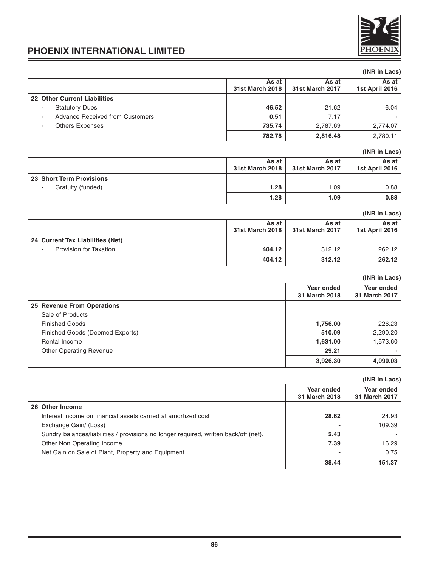

### **(INR in Lacs) As at** As at As at As at As at As at As at As at As at As at As at As April 2016 **31st March 2018 31st March 2017 1st April 2016 22 Other Current Liabilities** - Statutory Dues **46.52** 21.62 6.04 Advance Received from Customers **1.17** 17 - Others Expenses **735.74** 2,787.69 2,774.07 **782.78 2,816.48** 2,780.11

### **(INR in Lacs)**

|                          | As at<br>31st March 2018 | As at<br>31st March 2017 | As at l<br>1st April 2016 |
|--------------------------|--------------------------|--------------------------|---------------------------|
| 23 Short Term Provisions |                          |                          |                           |
| Gratuity (funded)        | 1.28                     | .09                      | 0.88                      |
|                          | 1.28                     | 1.09                     | 0.88                      |

### **(INR in Lacs) As at As at As at As at As at As at As at As at As at As at As at As at As at As at As at As at As at As at As at As at As at As at As at As at As at As at As at As at 31st March 2018 31st March 2017 1st April 2016 24 Current Tax Liabilities (Net)** Provision for Taxation **404.12 404.12** 312.12 **409.12** 312.12 **404.12 312.12 262.12**

|                                 |               | (INR in Lacs) |
|---------------------------------|---------------|---------------|
|                                 | Year ended    | Year ended    |
|                                 | 31 March 2018 | 31 March 2017 |
| 25 Revenue From Operations      |               |               |
| Sale of Products                |               |               |
| <b>Finished Goods</b>           | 1,756.00      | 226.23        |
| Finished Goods (Deemed Exports) | 510.09        | 2,290.20      |
| Rental Income                   | 1,631.00      | 1,573.60      |
| <b>Other Operating Revenue</b>  | 29.21         |               |
|                                 | 3,926.30      | 4,090.03      |

|                                                                                      |                             | (INR in Lacs)               |
|--------------------------------------------------------------------------------------|-----------------------------|-----------------------------|
|                                                                                      | Year ended<br>31 March 2018 | Year ended<br>31 March 2017 |
| 26 Other Income                                                                      |                             |                             |
| Interest income on financial assets carried at amortized cost                        | 28.62                       | 24.93                       |
| Exchange Gain/ (Loss)                                                                |                             | 109.39                      |
| Sundry balances/liabilities / provisions no longer required, written back/off (net). | 2.43                        |                             |
| Other Non Operating Income                                                           | 7.39                        | 16.29                       |
| Net Gain on Sale of Plant, Property and Equipment                                    |                             | 0.75                        |
|                                                                                      | 38.44                       | 151.37                      |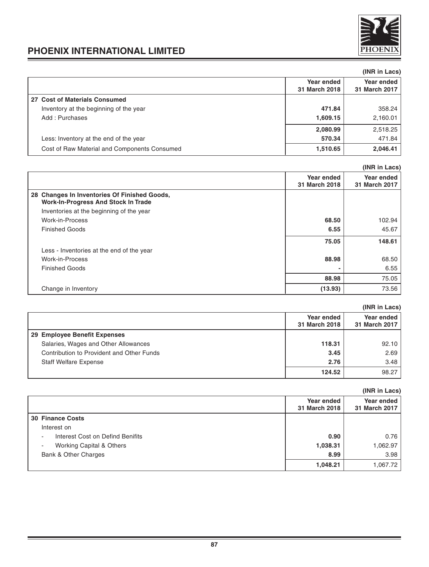

|                                              |                             | (INR in Lacs)               |
|----------------------------------------------|-----------------------------|-----------------------------|
|                                              | Year ended<br>31 March 2018 | Year ended<br>31 March 2017 |
| 27 Cost of Materials Consumed                |                             |                             |
| Inventory at the beginning of the year       | 471.84                      | 358.24                      |
| Add: Purchases                               | 1,609.15                    | 2,160.01                    |
|                                              | 2,080.99                    | 2,518.25                    |
| Less: Inventory at the end of the year       | 570.34                      | 471.84                      |
| Cost of Raw Material and Components Consumed | 1,510.65                    | 2,046.41                    |

|                                                                                            |                             | (INR in Lacs)               |
|--------------------------------------------------------------------------------------------|-----------------------------|-----------------------------|
|                                                                                            | Year ended<br>31 March 2018 | Year ended<br>31 March 2017 |
|                                                                                            |                             |                             |
| 28 Changes In Inventories Of Finished Goods,<br><b>Work-In-Progress And Stock In Trade</b> |                             |                             |
| Inventories at the beginning of the year                                                   |                             |                             |
| Work-in-Process                                                                            | 68.50                       | 102.94                      |
| <b>Finished Goods</b>                                                                      | 6.55                        | 45.67                       |
|                                                                                            | 75.05                       | 148.61                      |
| Less - Inventories at the end of the year                                                  |                             |                             |
| Work-in-Process                                                                            | 88.98                       | 68.50                       |
| <b>Finished Goods</b>                                                                      |                             | 6.55                        |
|                                                                                            | 88.98                       | 75.05                       |
| Change in Inventory                                                                        | (13.93)                     | 73.56                       |

|                                           |                             | (INR in Lacs)               |
|-------------------------------------------|-----------------------------|-----------------------------|
|                                           | Year ended<br>31 March 2018 | Year ended<br>31 March 2017 |
| 29 Employee Benefit Expenses              |                             |                             |
| Salaries, Wages and Other Allowances      | 118.31                      | 92.10                       |
| Contribution to Provident and Other Funds | 3.45                        | 2.69                        |
| <b>Staff Welfare Expense</b>              | 2.76                        | 3.48                        |
|                                           | 124.52                      | 98.27                       |

|                                            |                             | (INR in Lacs)               |
|--------------------------------------------|-----------------------------|-----------------------------|
|                                            | Year ended<br>31 March 2018 | Year ended<br>31 March 2017 |
| <b>30 Finance Costs</b>                    |                             |                             |
| Interest on                                |                             |                             |
| Interest Cost on Defind Benifits<br>$\sim$ | 0.90                        | 0.76                        |
| Working Capital & Others<br>۰.             | 1,038.31                    | 1,062.97                    |
| Bank & Other Charges                       | 8.99                        | 3.98                        |
|                                            | 1,048.21                    | 1.067.72                    |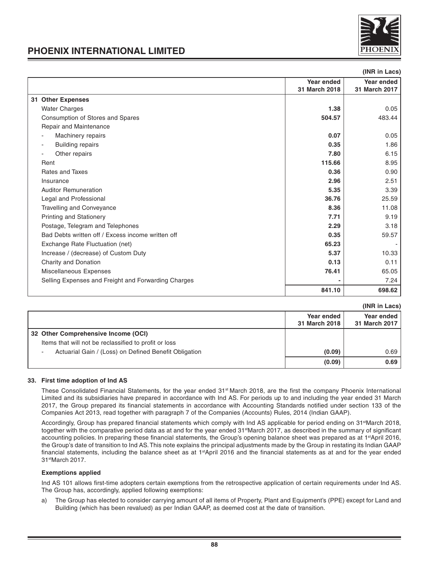

**(INR in Lacs)**

### **PHOENIX INTERNATIONAL LIMITED**

|                                                     |               | unu ur Lacs   |
|-----------------------------------------------------|---------------|---------------|
|                                                     | Year ended    | Year ended    |
|                                                     | 31 March 2018 | 31 March 2017 |
| 31 Other Expenses                                   |               |               |
| <b>Water Charges</b>                                | 1.38          | 0.05          |
| Consumption of Stores and Spares                    | 504.57        | 483.44        |
| Repair and Maintenance                              |               |               |
| Machinery repairs                                   | 0.07          | 0.05          |
| <b>Building repairs</b><br>$\overline{\phantom{a}}$ | 0.35          | 1.86          |
| Other repairs                                       | 7.80          | 6.15          |
| Rent                                                | 115.66        | 8.95          |
| Rates and Taxes                                     | 0.36          | 0.90          |
| Insurance                                           | 2.96          | 2.51          |
| <b>Auditor Remuneration</b>                         | 5.35          | 3.39          |
| Legal and Professional                              | 36.76         | 25.59         |
| <b>Travelling and Conveyance</b>                    | 8.36          | 11.08         |
| <b>Printing and Stationery</b>                      | 7.71          | 9.19          |
| Postage, Telegram and Telephones                    | 2.29          | 3.18          |
| Bad Debts written off / Excess income written off   | 0.35          | 59.57         |
| Exchange Rate Fluctuation (net)                     | 65.23         |               |
| Increase / (decrease) of Custom Duty                | 5.37          | 10.33         |
| Charity and Donation                                | 0.13          | 0.11          |
| Miscellaneous Expenses                              | 76.41         | 65.05         |
| Selling Expenses and Freight and Forwarding Charges |               | 7.24          |
|                                                     | 841.10        | 698.62        |
|                                                     |               |               |

|  |  | (INR in Lacs) |
|--|--|---------------|
|--|--|---------------|

|                                                                                              |                             | (INK IN LACS)               |
|----------------------------------------------------------------------------------------------|-----------------------------|-----------------------------|
|                                                                                              | Year ended<br>31 March 2018 | Year ended<br>31 March 2017 |
| 32 Other Comprehensive Income (OCI)<br>Items that will not be reclassified to profit or loss |                             |                             |
| Actuarial Gain / (Loss) on Defined Benefit Obligation<br>٠                                   | (0.09)                      | 0.69                        |
|                                                                                              | (0.09)                      | 0.69                        |

### **33. First time adoption of Ind AS**

These Consolidated Financial Statements, for the year ended 31<sup>st</sup> March 2018, are the first the company Phoenix International Limited and its subsidiaries have prepared in accordance with Ind AS. For periods up to and including the year ended 31 March 2017, the Group prepared its financial statements in accordance with Accounting Standards notified under section 133 of the Companies Act 2013, read together with paragraph 7 of the Companies (Accounts) Rules, 2014 (Indian GAAP).

Accordingly, Group has prepared financial statements which comply with Ind AS applicable for period ending on 31<sup>st</sup>March 2018, together with the comparative period data as at and for the year ended 31<sup>st</sup>March 2017, as described in the summary of significant accounting policies. In preparing these financial statements, the Group's opening balance sheet was prepared as at 1<sup>st</sup>April 2016, the Group's date of transition to Ind AS. This note explains the principal adjustments made by the Group in restating its Indian GAAP financial statements, including the balance sheet as at 1<sup>st</sup>April 2016 and the financial statements as at and for the year ended 31stMarch 2017.

### **Exemptions applied**

Ind AS 101 allows first-time adopters certain exemptions from the retrospective application of certain requirements under Ind AS. The Group has, accordingly, applied following exemptions:

a) The Group has elected to consider carrying amount of all items of Property, Plant and Equipment's (PPE) except for Land and Building (which has been revalued) as per Indian GAAP, as deemed cost at the date of transition.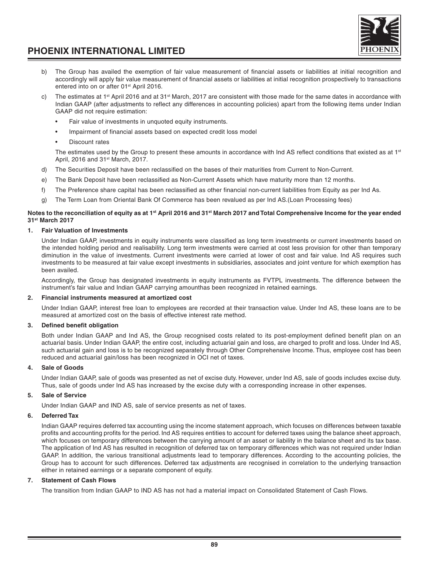

- b) The Group has availed the exemption of fair value measurement of financial assets or liabilities at initial recognition and accordingly will apply fair value measurement of financial assets or liabilities at initial recognition prospectively to transactions entered into on or after 01<sup>st</sup> April 2016.
- c) The estimates at 1<sup>st</sup> April 2016 and at 31<sup>st</sup> March, 2017 are consistent with those made for the same dates in accordance with Indian GAAP (after adjustments to reflect any differences in accounting policies) apart from the following items under Indian GAAP did not require estimation:
	- Fair value of investments in unquoted equity instruments.
	- Impairment of financial assets based on expected credit loss model
	- Discount rates

The estimates used by the Group to present these amounts in accordance with Ind AS reflect conditions that existed as at  $1<sup>st</sup>$ April, 2016 and 31<sup>st</sup> March, 2017.

- d) The Securities Deposit have been reclassified on the bases of their maturities from Current to Non-Current.
- e) The Bank Deposit have been reclassified as Non-Current Assets which have maturity more than 12 months.
- f) The Preference share capital has been reclassified as other financial non-current liabilities from Equity as per Ind As.
- g) The Term Loan from Oriental Bank Of Commerce has been revalued as per Ind AS.(Loan Processing fees)

### **Notes to the reconciliation of equity as at 1st April 2016 and 31st March 2017 and Total Comprehensive Income for the year ended 31st March 2017**

### **1. Fair Valuation of Investments**

Under Indian GAAP, investments in equity instruments were classified as long term investments or current investments based on the intended holding period and realisability. Long term investments were carried at cost less provision for other than temporary diminution in the value of investments. Current investments were carried at lower of cost and fair value. Ind AS requires such investments to be measured at fair value except investments in subsidiaries, associates and joint venture for which exemption has been availed.

Accordingly, the Group has designated investments in equity instruments as FVTPL investments. The difference between the instrument's fair value and Indian GAAP carrying amounthas been recognized in retained earnings.

### **2. Financial instruments measured at amortized cost**

Under Indian GAAP, interest free loan to employees are recorded at their transaction value. Under Ind AS, these loans are to be measured at amortized cost on the basis of effective interest rate method.

### **3. Defined benefit obligation**

Both under Indian GAAP and Ind AS, the Group recognised costs related to its post-employment defined benefit plan on an actuarial basis. Under Indian GAAP, the entire cost, including actuarial gain and loss, are charged to profit and loss. Under Ind AS, such actuarial gain and loss is to be recognized separately through Other Comprehensive Income. Thus, employee cost has been reduced and actuarial gain/loss has been recognized in OCI net of taxes.

### **4. Sale of Goods**

Under Indian GAAP, sale of goods was presented as net of excise duty. However, under Ind AS, sale of goods includes excise duty. Thus, sale of goods under Ind AS has increased by the excise duty with a corresponding increase in other expenses.

### **5. Sale of Service**

Under Indian GAAP and IND AS, sale of service presents as net of taxes.

### **6. Deferred Tax**

Indian GAAP requires deferred tax accounting using the income statement approach, which focuses on differences between taxable profits and accounting profits for the period. Ind AS requires entities to account for deferred taxes using the balance sheet approach, which focuses on temporary differences between the carrying amount of an asset or liability in the balance sheet and its tax base. The application of Ind AS has resulted in recognition of deferred tax on temporary differences which was not required under Indian GAAP. In addition, the various transitional adjustments lead to temporary differences. According to the accounting policies, the Group has to account for such differences. Deferred tax adjustments are recognised in correlation to the underlying transaction either in retained earnings or a separate component of equity.

### **7. Statement of Cash Flows**

The transition from Indian GAAP to IND AS has not had a material impact on Consolidated Statement of Cash Flows.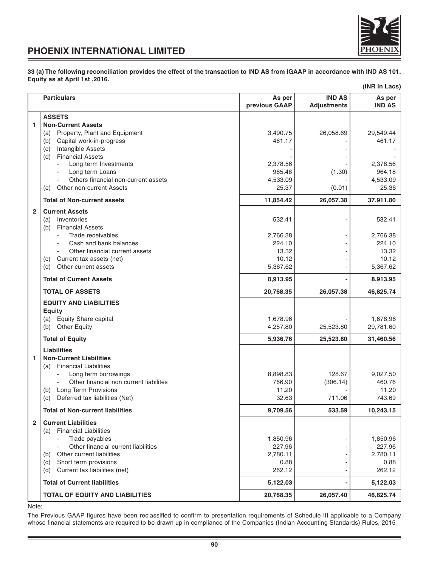

**33 (a) The following reconciliation provides the effect of the transaction to IND AS from IGAAP in accordance with IND AS 101. Equity as at April 1st ,2016.**

|                |                                                               |                         |                                     | (INR in Lacs)           |
|----------------|---------------------------------------------------------------|-------------------------|-------------------------------------|-------------------------|
|                | <b>Particulars</b>                                            | As per<br>previous GAAP | <b>IND AS</b><br><b>Adjustments</b> | As per<br><b>IND AS</b> |
|                | <b>ASSETS</b>                                                 |                         |                                     |                         |
| 1              | <b>Non-Current Assets</b>                                     |                         |                                     |                         |
|                | Property, Plant and Equipment<br>(a)                          | 3,490.75                | 26,058.69                           | 29,549.44               |
|                | Capital work-in-progress<br>(b)                               | 461.17                  |                                     | 461.17                  |
|                | Intangible Assets<br>(c)                                      |                         |                                     |                         |
|                | <b>Financial Assets</b><br>(d)                                |                         |                                     |                         |
|                | Long term Investments<br>$\overline{\phantom{a}}$             | 2,378.56                |                                     | 2,378.56                |
|                | Long term Loans<br>Others financial non-current assets        | 965.48<br>4,533.09      | (1.30)                              | 964.18<br>4,533.09      |
|                | Other non-current Assets<br>(e)                               | 25.37                   | (0.01)                              | 25.36                   |
|                | <b>Total of Non-current assets</b>                            | 11,854.42               | 26,057.38                           | 37,911.80               |
|                |                                                               |                         |                                     |                         |
| $\overline{2}$ | <b>Current Assets</b>                                         |                         |                                     |                         |
|                | Inventories<br>(a)<br><b>Financial Assets</b>                 | 532.41                  |                                     | 532.41                  |
|                | (b)<br>Trade receivables                                      | 2,766.38                |                                     | 2,766.38                |
|                | Cash and bank balances                                        | 224.10                  |                                     | 224.10                  |
|                | Other financial current assets                                | 13.32                   |                                     | 13.32                   |
|                | Current tax assets (net)<br>(c)                               | 10.12                   |                                     | 10.12                   |
|                | Other current assets<br>(d)                                   | 5,367.62                |                                     | 5,367.62                |
|                | <b>Total of Current Assets</b>                                | 8,913.95                |                                     | 8,913.95                |
|                | <b>TOTAL OF ASSETS</b>                                        | 20,768.35               | 26,057.38                           | 46,825.74               |
|                | <b>EQUITY AND LIABILITIES</b>                                 |                         |                                     |                         |
|                | <b>Equity</b>                                                 |                         |                                     |                         |
|                | (a) Equity Share capital                                      | 1,678.96                |                                     | 1,678.96                |
|                | (b) Other Equity                                              | 4,257.80                | 25,523.80                           | 29,781.60               |
|                | <b>Total of Equity</b>                                        | 5,936.76                | 25,523.80                           | 31,460.56               |
|                | <b>Liabilities</b>                                            |                         |                                     |                         |
| 1              | <b>Non-Current Liabilities</b>                                |                         |                                     |                         |
|                | (a) Financial Liabilities                                     |                         |                                     |                         |
|                | Long term borrowings                                          | 8,898.83                | 128.67                              | 9,027.50                |
|                | Other financial non current liabilites                        | 766.90                  | (306.14)                            | 460.76                  |
|                | (b) Long Term Provisions                                      | 11.20                   |                                     | 11.20                   |
|                | Deferred tax liabilities (Net)<br>(c)                         | 32.63                   | 711.06                              | 743.69                  |
|                | <b>Total of Non-current liabilities</b>                       | 9,709.56                | 533.59                              | 10,243.15               |
| $\mathbf{2}$   | <b>Current Liabilities</b>                                    |                         |                                     |                         |
|                | <b>Financial Liabilities</b><br>(a)                           |                         |                                     |                         |
|                | Trade payables                                                | 1,850.96                |                                     | 1,850.96                |
|                | Other financial current liabilities                           | 227.96                  |                                     | 227.96                  |
|                | Other current liabilities<br>(b)                              | 2,780.11                |                                     | 2,780.11                |
|                | Short term provisions<br>(c)<br>Current tax liabilities (net) | 0.88<br>262.12          |                                     | 0.88<br>262.12          |
|                | (d)<br><b>Total of Current liabilities</b>                    | 5,122.03                |                                     | 5,122.03                |
|                |                                                               |                         |                                     |                         |
|                | TOTAL OF EQUITY AND LIABILITIES                               | 20,768.35               | 26,057.40                           | 46,825.74               |

Note:

The Previous GAAP figures have been reclassified to confirm to presentation requirements of Schedule III applicable to a Company whose financial statements are required to be drawn up in compliance of the Companies (Indian Accounting Standards) Rules, 2015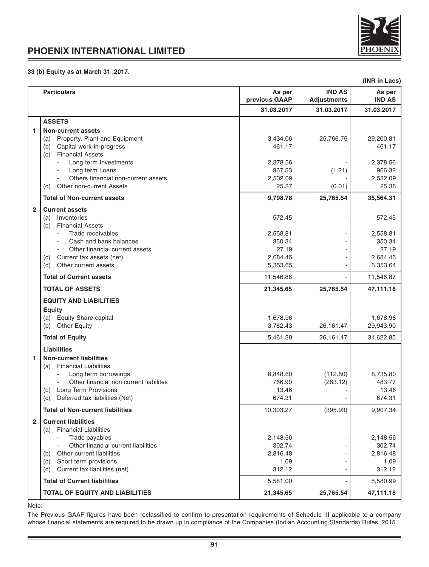

### **33 (b) Equity as at March 31 ,2017.**

|                         |                                                                                                           |                         |                                     | (INR in Lacs)           |
|-------------------------|-----------------------------------------------------------------------------------------------------------|-------------------------|-------------------------------------|-------------------------|
|                         | <b>Particulars</b>                                                                                        | As per<br>previous GAAP | <b>IND AS</b><br><b>Adjustments</b> | As per<br><b>IND AS</b> |
|                         |                                                                                                           | 31.03.2017              | 31.03.2017                          | 31.03.2017              |
|                         | <b>ASSETS</b>                                                                                             |                         |                                     |                         |
| 1                       | <b>Non-current assets</b>                                                                                 |                         |                                     |                         |
|                         | Property, Plant and Equipment<br>(a)<br>Capital work-in-progress<br>(b)<br><b>Financial Assets</b><br>(c) | 3,434.06<br>461.17      | 25,766.75                           | 29,200.81<br>461.17     |
|                         | Long term Investments                                                                                     | 2,378.56                |                                     | 2,378.56                |
|                         | Long term Loans<br>$\blacksquare$                                                                         | 967.53                  | (1.21)                              | 966.32                  |
|                         | Others financial non-current assets                                                                       | 2,532.09                |                                     | 2,532.09                |
|                         | Other non-current Assets<br>(d)                                                                           | 25.37                   | (0.01)                              | 25.36                   |
|                         | <b>Total of Non-current assets</b>                                                                        | 9,798.78                | 25,765.54                           | 35,564.31               |
| $\overline{2}$          | <b>Current assets</b><br>Inventories<br>(a)<br><b>Financial Assets</b><br>(b)                             | 572.45                  |                                     | 572.45                  |
|                         | Trade receivables<br>$\blacksquare$                                                                       | 2,558.81                |                                     | 2,558.81                |
|                         | Cash and bank balances                                                                                    | 350.34                  |                                     | 350.34                  |
|                         | Other financial current assets<br>$\blacksquare$<br>Current tax assets (net)<br>(c)                       | 27.19<br>2,684.45       |                                     | 27.19<br>2,684.45       |
|                         | Other current assets<br>(d)                                                                               | 5,353.65                |                                     | 5,353.64                |
|                         | <b>Total of Current assets</b>                                                                            | 11,546.88               |                                     | 11,546.87               |
|                         | <b>TOTAL OF ASSETS</b>                                                                                    | 21,345.65               | 25,765.54                           | 47,111.18               |
|                         | <b>EQUITY AND LIABILITIES</b>                                                                             |                         |                                     |                         |
|                         | Equity                                                                                                    |                         |                                     |                         |
|                         | <b>Equity Share capital</b><br>(a)                                                                        | 1,678.96                |                                     | 1,678.96                |
|                         | <b>Other Equity</b><br>(b)                                                                                | 3,782.43                | 26,161.47                           | 29,943.90               |
|                         | <b>Total of Equity</b>                                                                                    | 5,461.39                | 26,161.47                           | 31,622.85               |
|                         | Liabilities                                                                                               |                         |                                     |                         |
| 1                       | <b>Non-current liabilities</b><br>(a) Financial Liabilities                                               |                         |                                     |                         |
|                         | Long term borrowings                                                                                      | 8,848.60                | (112.80)                            | 8,735.80                |
|                         | Other financial non current liabilites<br>(b) Long Term Provisions                                        | 766.90<br>13.46         | (283.12)                            | 483.77<br>13.46         |
|                         | Deferred tax liabilities (Net)<br>(c)                                                                     | 674.31                  |                                     | 674.31                  |
|                         | <b>Total of Non-current liabilities</b>                                                                   | 10,303.27               | (395.93)                            | 9,907.34                |
| $\overline{\mathbf{2}}$ | <b>Current liabilities</b>                                                                                |                         |                                     |                         |
|                         | (a) Financial Liabilities                                                                                 |                         |                                     |                         |
|                         | Trade payables                                                                                            | 2,148.56                |                                     | 2,148.56                |
|                         | Other financial current liabilities                                                                       | 302.74                  |                                     | 302.74                  |
|                         | (b) Other current liabilities                                                                             | 2,816.48                |                                     | 2,816.48                |
|                         | Short term provisions<br>(c)<br>Current tax liabilities (net)<br>(d)                                      | 1.09<br>312.12          |                                     | 1.09<br>312.12          |
|                         | <b>Total of Current liabilities</b>                                                                       | 5,581.00                |                                     | 5,580.99                |
|                         | TOTAL OF EQUITY AND LIABILITIES                                                                           | 21,345.65               | 25,765.54                           |                         |
|                         |                                                                                                           |                         |                                     | 47,111.18               |

Note:

The Previous GAAP figures have been reclassified to confirm to presentation requirements of Schedule III applicable to a company whose financial statements are required to be drawn up in compliance of the Companies (Indian Accounting Standards) Rules, 2015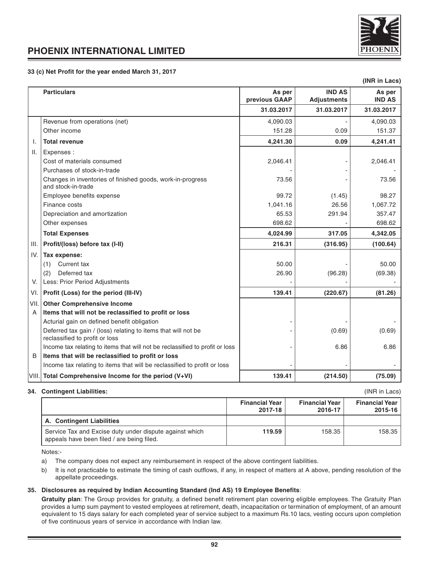

### **33 (c) Net Profit for the year ended March 31, 2017**

|                 |                                                                                                 |                         |                                     | (INR in Lacs)           |
|-----------------|-------------------------------------------------------------------------------------------------|-------------------------|-------------------------------------|-------------------------|
|                 | <b>Particulars</b>                                                                              | As per<br>previous GAAP | <b>IND AS</b><br><b>Adjustments</b> | As per<br><b>IND AS</b> |
|                 |                                                                                                 | 31.03.2017              | 31.03.2017                          | 31.03.2017              |
|                 | Revenue from operations (net)                                                                   | 4,090.03                |                                     | 4,090.03                |
|                 | Other income                                                                                    | 151.28                  | 0.09                                | 151.37                  |
| Ι.              | <b>Total revenue</b>                                                                            | 4,241.30                | 0.09                                | 4,241.41                |
| $\mathbf{II}$ . | Expenses :                                                                                      |                         |                                     |                         |
|                 | Cost of materials consumed                                                                      | 2,046.41                |                                     | 2,046.41                |
|                 | Purchases of stock-in-trade                                                                     |                         |                                     |                         |
|                 | Changes in inventories of finished goods, work-in-progress<br>and stock-in-trade                | 73.56                   |                                     | 73.56                   |
|                 | Employee benefits expense                                                                       | 99.72                   | (1.45)                              | 98.27                   |
|                 | Finance costs                                                                                   | 1,041.16                | 26.56                               | 1,067.72                |
|                 | Depreciation and amortization                                                                   | 65.53                   | 291.94                              | 357.47                  |
|                 | Other expenses                                                                                  | 698.62                  |                                     | 698.62                  |
|                 | <b>Total Expenses</b>                                                                           | 4,024.99                | 317.05                              | 4,342.05                |
| III.            | Profit/(loss) before tax (I-II)                                                                 | 216.31                  | (316.95)                            | (100.64)                |
| IV.             | Tax expense:                                                                                    |                         |                                     |                         |
|                 | Current tax<br>(1)                                                                              | 50.00                   |                                     | 50.00                   |
|                 | Deferred tax<br>(2)                                                                             | 26.90                   | (96.28)                             | (69.38)                 |
| V.              | Less: Prior Period Adjustments                                                                  |                         |                                     |                         |
| VI.             | Profit (Loss) for the period (III-IV)                                                           | 139.41                  | (220.67)                            | (81.26)                 |
| VII.            | <b>Other Comprehensive Income</b>                                                               |                         |                                     |                         |
| A               | Items that will not be reclassified to profit or loss                                           |                         |                                     |                         |
|                 | Acturial gain on defined benefit obligation                                                     |                         |                                     |                         |
|                 | Deferred tax gain / (loss) relating to items that will not be<br>reclassified to profit or loss |                         | (0.69)                              | (0.69)                  |
|                 | Income tax relating to items that will not be reclassified to profit or loss                    |                         | 6.86                                | 6.86                    |
| В               | Items that will be reclassified to profit or loss                                               |                         |                                     |                         |
|                 | Income tax relating to items that will be reclassified to profit or loss                        |                         |                                     |                         |
|                 | VIII. Total Comprehensive Income for the period (V+VI)                                          | 139.41                  | (214.50)                            | (75.09)                 |

#### **34. Contingent Liabilities:** (INR in Lacs)

|                                                                                                       | <b>Financial Year</b><br>2017-18 | <b>Financial Year</b><br>2016-17 | <b>Financial Year</b><br>2015-16 |
|-------------------------------------------------------------------------------------------------------|----------------------------------|----------------------------------|----------------------------------|
| A. Contingent Liabilities                                                                             |                                  |                                  |                                  |
| Service Tax and Excise duty under dispute against which<br>appeals have been filed / are being filed. | 119.59                           | 158.35                           | 158.35                           |

Notes:-

- a) The company does not expect any reimbursement in respect of the above contingent liabilities.
- b) It is not practicable to estimate the timing of cash outflows, if any, in respect of matters at A above, pending resolution of the appellate proceedings.

### **35. Disclosures as required by Indian Accounting Standard (Ind AS) 19 Employee Benefits**:

Gratuity plan: The Group provides for gratuity, a defined benefit retirement plan covering eligible employees. The Gratuity Plan provides a lump sum payment to vested employees at retirement, death, incapacitation or termination of employment, of an amount equivalent to 15 days salary for each completed year of service subject to a maximum Rs.10 lacs, vesting occurs upon completion of five continuous years of service in accordance with Indian law.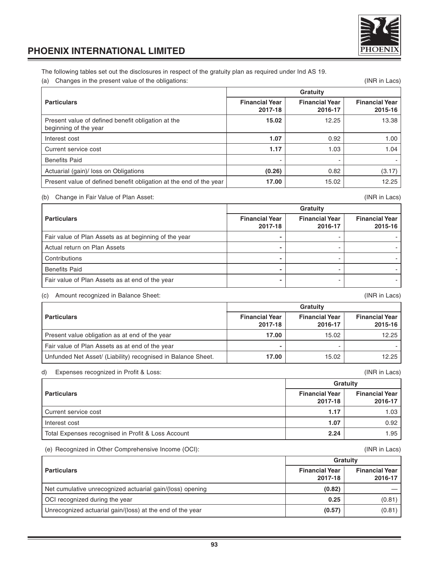

The following tables set out the disclosures in respect of the gratuity plan as required under Ind AS 19.

(a) Changes in the present value of the obligations: (INR in Lacs)

|                                                                             | Gratuity                         |                                  |                                  |
|-----------------------------------------------------------------------------|----------------------------------|----------------------------------|----------------------------------|
| <b>Particulars</b>                                                          | <b>Financial Year</b><br>2017-18 | <b>Financial Year</b><br>2016-17 | <b>Financial Year</b><br>2015-16 |
| Present value of defined benefit obligation at the<br>beginning of the year | 15.02                            | 12.25                            | 13.38                            |
| Interest cost                                                               | 1.07                             | 0.92                             | 1.00                             |
| Current service cost                                                        | 1.17                             | 1.03                             | 1.04                             |
| <b>Benefits Paid</b>                                                        |                                  |                                  |                                  |
| Actuarial (gain)/ loss on Obligations                                       | (0.26)                           | 0.82                             | (3.17)                           |
| Present value of defined benefit obligation at the end of the year          | 17.00                            | 15.02                            | 12.25                            |

### (b) Change in Fair Value of Plan Asset: (INR in Lacs)

|                                                       | Gratuity                         |                                  |                                  |
|-------------------------------------------------------|----------------------------------|----------------------------------|----------------------------------|
| <b>Particulars</b>                                    | <b>Financial Year</b><br>2017-18 | <b>Financial Year</b><br>2016-17 | <b>Financial Year</b><br>2015-16 |
| Fair value of Plan Assets as at beginning of the year |                                  |                                  |                                  |
| Actual return on Plan Assets                          |                                  |                                  |                                  |
| Contributions                                         |                                  |                                  |                                  |
| <b>Benefits Paid</b>                                  |                                  |                                  |                                  |
| Fair value of Plan Assets as at end of the year       |                                  |                                  |                                  |

### (c) Amount recognized in Balance Sheet: (INR in Lacs)

**Gratuity** Particulars **Particulars Particulars Particulars Particulars Particulars Particulars Particulars Particulars Particulars Particulars Particulars Particulars Particulars Particulars Particulars 2017-18 2016-17 2015-16** Present value obligation as at end of the year **17.00** 15.02 15.02 12.25 Fair value of Plan Assets as at end of the year **-** - - Unfunded Net Asset/ (Liability) recognised in Balance Sheet. **17.00** 17.00 15.02 15.02 12.25

### d) Expenses recognized in Profit & Loss: (INR in Lacs)

|                                                    | Gratuity                         |                                  |
|----------------------------------------------------|----------------------------------|----------------------------------|
| <b>Particulars</b>                                 | <b>Financial Year</b><br>2017-18 | <b>Financial Year</b><br>2016-17 |
| Current service cost                               | 1.17                             | 1.03                             |
| Interest cost                                      | 1.07                             | 0.92                             |
| Total Expenses recognised in Profit & Loss Account | 2.24                             | 1.95                             |

(e) Recognized in Other Comprehensive Income (OCI): (INR in Lacs)

|                                                           | Gratuity                         |                                  |
|-----------------------------------------------------------|----------------------------------|----------------------------------|
| <b>Particulars</b>                                        | <b>Financial Year</b><br>2017-18 | <b>Financial Year</b><br>2016-17 |
| Net cumulative unrecognized actuarial gain/(loss) opening | (0.82)                           |                                  |
| OCI recognized during the year                            | 0.25                             | (0.81)                           |
| Unrecognized actuarial gain/(loss) at the end of the year | (0.57)                           | (0.81)                           |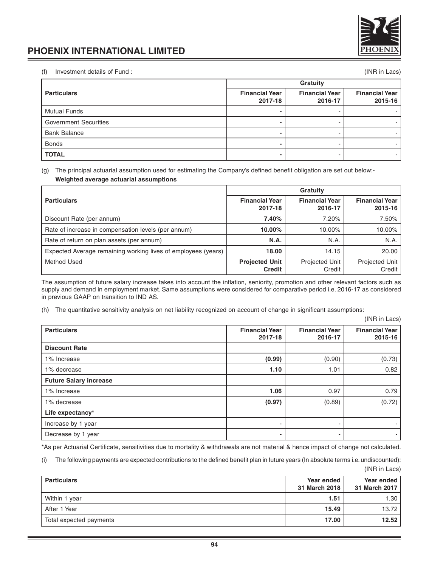

(f) Investment details of Fund : (INR in Lacs)

|                              | Gratuity                         |                                  |                                  |
|------------------------------|----------------------------------|----------------------------------|----------------------------------|
| <b>Particulars</b>           | <b>Financial Year</b><br>2017-18 | <b>Financial Year</b><br>2016-17 | <b>Financial Year</b><br>2015-16 |
| <b>Mutual Funds</b>          |                                  |                                  |                                  |
| <b>Government Securities</b> |                                  |                                  |                                  |
| <b>Bank Balance</b>          |                                  |                                  |                                  |
| <b>Bonds</b>                 |                                  |                                  |                                  |
| <b>TOTAL</b>                 |                                  |                                  |                                  |

(g) The principal actuarial assumption used for estimating the Company's defined benefit obligation are set out below:- **Weighted average actuarial assumptions**

|                                                               | Gratuity                               |                                  |                                  |
|---------------------------------------------------------------|----------------------------------------|----------------------------------|----------------------------------|
| <b>Particulars</b>                                            | <b>Financial Year</b><br>2017-18       | <b>Financial Year</b><br>2016-17 | <b>Financial Year</b><br>2015-16 |
| Discount Rate (per annum)                                     | 7.40%                                  | 7.20%                            | 7.50%                            |
| Rate of increase in compensation levels (per annum)           | 10.00%                                 | 10.00%                           | 10.00%                           |
| Rate of return on plan assets (per annum)                     | N.A.                                   | N.A.                             | N.A.                             |
| Expected Average remaining working lives of employees (years) | 18.00                                  | 14.15                            | 20.00                            |
| <b>Method Used</b>                                            | <b>Projected Unit</b><br><b>Credit</b> | Projected Unit  <br>Credit       | Projected Unit<br>Credit         |

The assumption of future salary increase takes into account the inflation, seniority, promotion and other relevant factors such as supply and demand in employment market. Same assumptions were considered for comparative period i.e. 2016-17 as considered in previous GAAP on transition to IND AS.

(h) The quantitative sensitivity analysis on net liability recognized on account of change in significant assumptions:

|                               |                                  |                                  | (INR in Lacs)                    |
|-------------------------------|----------------------------------|----------------------------------|----------------------------------|
| <b>Particulars</b>            | <b>Financial Year</b><br>2017-18 | <b>Financial Year</b><br>2016-17 | <b>Financial Year</b><br>2015-16 |
| <b>Discount Rate</b>          |                                  |                                  |                                  |
| 1% Increase                   | (0.99)                           | (0.90)                           | (0.73)                           |
| 1% decrease                   | 1.10                             | 1.01                             | 0.82                             |
| <b>Future Salary increase</b> |                                  |                                  |                                  |
| 1% Increase                   | 1.06                             | 0.97                             | 0.79                             |
| 1% decrease                   | (0.97)                           | (0.89)                           | (0.72)                           |
| Life expectancy*              |                                  |                                  |                                  |
| Increase by 1 year            | ۰                                | ٠                                |                                  |
| Decrease by 1 year            | ۰                                | ٠                                |                                  |

\*As per Actuarial Certificate, sensitivities due to mortality & withdrawals are not material & hence impact of change not calculated.

(i) The following payments are expected contributions to the defined benefit plan in future years (In absolute terms i.e. undiscounted): (INR in Lacs)

| <b>Particulars</b>      | Year ended<br>31 March 2018 | Year ended<br>31 March 2017 |
|-------------------------|-----------------------------|-----------------------------|
| Within 1 year           | 1.51                        | 1.30 l                      |
| After 1 Year            | 15.49                       | 13.72                       |
| Total expected payments | 17.00                       | 12.52                       |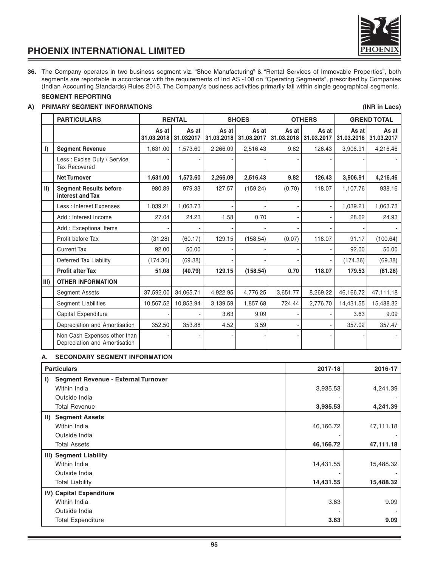

**36.** The Company operates in two business segment viz. "Shoe Manufacturing" & "Rental Services of Immovable Properties", both segments are reportable in accordance with the requirements of Ind AS -108 on "Operating Segments", prescribed by Companies (Indian Accounting Standards) Rules 2015. The Company's business activities primarily fall within single geographical segments.

### **SEGMENT REPORTING**

### **A) PRIMARY SEGMENT INFORMATIONS (INR in Lacs)**

|             | <b>PARTICULARS</b>                                            |                     | <b>RENTAL</b>      |                     | <b>SHOES</b>        |                     | <b>OTHERS</b>       |                     | <b>GREND TOTAL</b>  |
|-------------|---------------------------------------------------------------|---------------------|--------------------|---------------------|---------------------|---------------------|---------------------|---------------------|---------------------|
|             |                                                               | As at<br>31.03.2018 | As at<br>31.032017 | As at<br>31.03.2018 | As at<br>31.03.2017 | As at<br>31.03.2018 | As at<br>31.03.2017 | As at<br>31.03.2018 | As at<br>31.03.2017 |
| $\vert$     | <b>Segment Revenue</b>                                        | 1,631.00            | 1,573.60           | 2,266.09            | 2,516.43            | 9.82                | 126.43              | 3,906.91            | 4,216.46            |
|             | Less: Excise Duty / Service<br><b>Tax Recovered</b>           |                     |                    |                     |                     |                     |                     |                     |                     |
|             | <b>Net Turnover</b>                                           | 1,631.00            | 1,573.60           | 2,266.09            | 2,516.43            | 9.82                | 126.43              | 3,906.91            | 4,216.46            |
| $\parallel$ | <b>Segment Results before</b><br>interest and Tax             | 980.89              | 979.33             | 127.57              | (159.24)            | (0.70)              | 118.07              | 1,107.76            | 938.16              |
|             | Less : Interest Expenses                                      | 1.039.21            | 1,063.73           |                     |                     |                     |                     | 1,039.21            | 1,063.73            |
|             | Add: Interest Income                                          | 27.04               | 24.23              | 1.58                | 0.70                |                     |                     | 28.62               | 24.93               |
|             | Add: Exceptional Items                                        |                     |                    |                     |                     |                     |                     |                     |                     |
|             | Profit before Tax                                             | (31.28)             | (60.17)            | 129.15              | (158.54)            | (0.07)              | 118.07              | 91.17               | (100.64)            |
|             | <b>Current Tax</b>                                            | 92.00               | 50.00              |                     |                     |                     |                     | 92.00               | 50.00               |
|             | Deferred Tax Liability                                        | (174.36)            | (69.38)            |                     |                     |                     |                     | (174.36)            | (69.38)             |
|             | <b>Profit after Tax</b>                                       | 51.08               | (40.79)            | 129.15              | (158.54)            | 0.70                | 118.07              | 179.53              | (81.26)             |
| III)        | <b>OTHER INFORMATION</b>                                      |                     |                    |                     |                     |                     |                     |                     |                     |
|             | <b>Segment Assets</b>                                         | 37,592.00           | 34,065.71          | 4,922.95            | 4,776.25            | 3,651.77            | 8,269.22            | 46,166.72           | 47,111.18           |
|             | <b>Segment Liabilities</b>                                    | 10,567.52           | 10,853.94          | 3,139.59            | 1,857.68            | 724.44              | 2,776.70            | 14,431.55           | 15,488.32           |
|             | Capital Expenditure                                           |                     |                    | 3.63                | 9.09                |                     |                     | 3.63                | 9.09                |
|             | Depreciation and Amortisation                                 | 352.50              | 353.88             | 4.52                | 3.59                |                     |                     | 357.02              | 357.47              |
|             | Non Cash Expenses other than<br>Depreciation and Amortisation |                     |                    |                     |                     |                     |                     |                     |                     |

### **A. SECONDARY SEGMENT INFORMATION**

| <b>Particulars</b>                                  | 2017-18   | 2016-17   |
|-----------------------------------------------------|-----------|-----------|
| Segment Revenue - External Turnover<br>$\mathbf{I}$ |           |           |
| Within India                                        | 3,935.53  | 4,241.39  |
| Outside India                                       |           |           |
| <b>Total Revenue</b>                                | 3,935.53  | 4,241.39  |
| <b>Segment Assets</b><br>$\vert \vert \vert$        |           |           |
| Within India                                        | 46,166.72 | 47,111.18 |
| Outside India                                       |           |           |
| <b>Total Assets</b>                                 | 46,166.72 | 47,111.18 |
| III) Segment Liability                              |           |           |
| Within India                                        | 14,431.55 | 15,488.32 |
| Outside India                                       |           |           |
| <b>Total Liability</b>                              | 14,431.55 | 15,488.32 |
| IV) Capital Expenditure                             |           |           |
| Within India                                        | 3.63      | 9.09      |
| Outside India                                       |           |           |
| <b>Total Expenditure</b>                            | 3.63      | 9.09      |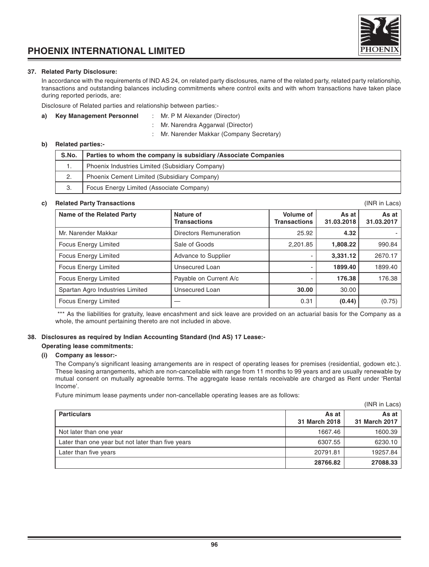### **37. Related Party Disclosure:**

In accordance with the requirements of IND AS 24, on related party disclosures, name of the related party, related party relationship, transactions and outstanding balances including commitments where control exits and with whom transactions have taken place during reported periods, are:

Disclosure of Related parties and relationship between parties:-

### **a) Key Management Personnel** : Mr. P M Alexander (Director)

- 
- : Mr. Narendra Aggarwal (Director) : Mr. Narender Makkar (Company Secretary)

### **b) Related parties:-**

| S.No. | Parties to whom the company is subsidiary / Associate Companies |
|-------|-----------------------------------------------------------------|
| ι.    | Phoenix Industries Limited (Subsidiary Company)                 |
| 2.    | Phoenix Cement Limited (Subsidiary Company)                     |
| 3.    | Focus Energy Limited (Associate Company)                        |

### **c) Related Party Transactions** (INR in Lacs)

Name of the Related Party **Nature of Asset As at Asset As at Asset Asset Asset Asset Asset Asset Asset Asset Asset Asset Asset Asset Asset Asset Asset Asset Asset Asset Asset Asset Asset Asset Asset Asset Asset Asset Asset Transactions Transactions 31.03.2018 31.03.2017** Mr. Narender Makkar **Directors Remuneration** 1 25.92 4.32 Focus Energy Limited Sale of Goods 2,201.85 **1,808.22** 990.84 Focus Energy Limited **Advance to Supplier**  $\begin{array}{|c|c|c|c|c|c|c|c|} \hline \end{array}$  **3,331.12** 2670.17 Focus Energy Limited **Consecured Loan 1899.40** 1899.40 **1899.40** 1899.40 Focus Energy Limited **Payable on Current A/c** | 176.38 | 176.38 Spartan Agro Industries Limited | Unsecured Loan | 30.00 | 30.00 Focus Energy Limited — 0.31 **(0.44)** (0.75)

\*\*\* As the liabilities for gratuity, leave encashment and sick leave are provided on an actuarial basis for the Company as a whole, the amount pertaining thereto are not included in above.

### **38. Disclosures as required by Indian Accounting Standard (Ind AS) 17 Lease:-**

### **Operating lease commitments:**

### **(i) Company as lessor:-**

The Company's significant leasing arrangements are in respect of operating leases for premises (residential, godown etc.). These leasing arrangements, which are non-cancellable with range from 11 months to 99 years and are usually renewable by mutual consent on mutually agreeable terms. The aggregate lease rentals receivable are charged as Rent under 'Rental Income'.

Future minimum lease payments under non-cancellable operating leases are as follows:

|                                                   |                        | (INR in Lacs)            |
|---------------------------------------------------|------------------------|--------------------------|
| <b>Particulars</b>                                | As at<br>31 March 2018 | As at I<br>31 March 2017 |
| Not later than one year                           | 1667.46                | 1600.39                  |
| Later than one year but not later than five years | 6307.55                | 6230.10                  |
| Later than five years                             | 20791.81               | 19257.84                 |
|                                                   | 28766.82               | 27088.33                 |

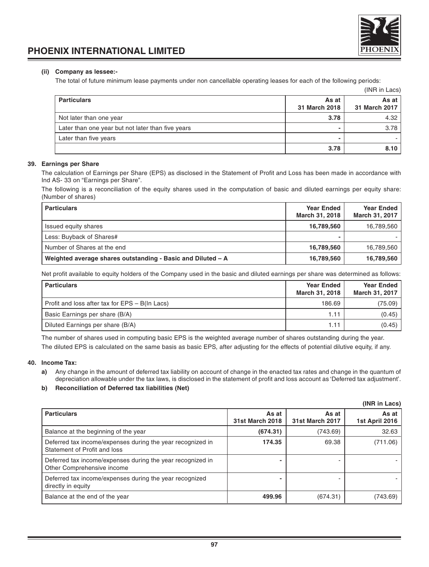

### **(ii) Company as lessee:-**

The total of future minimum lease payments under non cancellable operating leases for each of the following periods:

|                                                   |                        | (INR in Lacs)            |
|---------------------------------------------------|------------------------|--------------------------|
| <b>Particulars</b>                                | As at<br>31 March 2018 | As at I<br>31 March 2017 |
| Not later than one year                           | 3.78                   | 4.32                     |
| Later than one year but not later than five years |                        | 3.78                     |
| Later than five years                             |                        |                          |
|                                                   | 3.78                   | 8.10                     |

### **39. Earnings per Share**

The calculation of Earnings per Share (EPS) as disclosed in the Statement of Profit and Loss has been made in accordance with Ind AS- 33 on "Earnings per Share".

The following is a reconciliation of the equity shares used in the computation of basic and diluted earnings per equity share: (Number of shares)

| <b>Particulars</b>                                          | <b>Year Ended</b><br>March 31, 2018 | Year Ended<br>March 31, 2017 |
|-------------------------------------------------------------|-------------------------------------|------------------------------|
| Issued equity shares                                        | 16,789,560                          | 16,789,560                   |
| Less: Buyback of Shares#                                    |                                     |                              |
| Number of Shares at the end                                 | 16,789,560                          | 16,789,560                   |
| Weighted average shares outstanding - Basic and Diluted - A | 16,789,560                          | 16,789,560                   |

Net profit available to equity holders of the Company used in the basic and diluted earnings per share was determined as follows:

| <b>Particulars</b>                             | <b>Year Ended</b><br>March 31, 2018 | <b>Year Ended</b><br>March 31, 2017 |
|------------------------------------------------|-------------------------------------|-------------------------------------|
| Profit and loss after tax for EPS - B(In Lacs) | 186.69                              | (75.09)                             |
| Basic Earnings per share (B/A)                 | 1.11                                | (0.45)                              |
| Diluted Earnings per share (B/A)               | 1.11                                | (0.45)                              |

The number of shares used in computing basic EPS is the weighted average number of shares outstanding during the year. The diluted EPS is calculated on the same basis as basic EPS, after adjusting for the effects of potential dilutive equity, if any.

### **40. Income Tax:**

**a)** Any change in the amount of deferred tax liability on account of change in the enacted tax rates and change in the quantum of depreciation allowable under the tax laws, is disclosed in the statement of profit and loss account as 'Deferred tax adjustment'.

### **b) Reconciliation of Deferred tax liabilities (Net)**

|                                                                                            |                          |                                 | (INR in Lacs)           |
|--------------------------------------------------------------------------------------------|--------------------------|---------------------------------|-------------------------|
| <b>Particulars</b>                                                                         | As at<br>31st March 2018 | As at<br><b>31st March 2017</b> | As at<br>1st April 2016 |
| Balance at the beginning of the year                                                       | (674.31)                 | (743.69)                        | 32.63                   |
| Deferred tax income/expenses during the year recognized in<br>Statement of Profit and loss | 174.35                   | 69.38                           | (711.06)                |
| Deferred tax income/expenses during the year recognized in<br>Other Comprehensive income   |                          |                                 |                         |
| Deferred tax income/expenses during the year recognized<br>directly in equity              |                          |                                 |                         |
| Balance at the end of the year                                                             | 499.96                   | (674.31)                        | (743.69)                |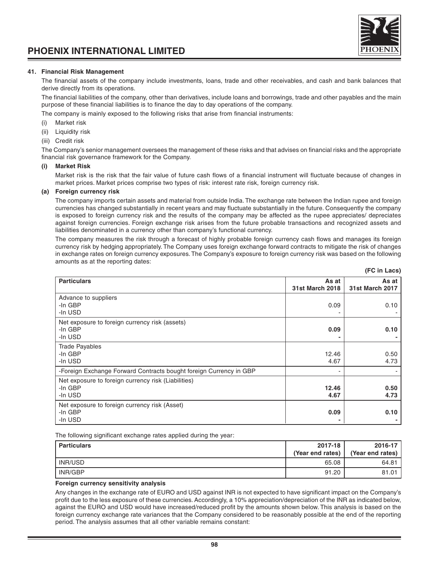### **41. Financial Risk Management**

The financial assets of the company include investments, loans, trade and other receivables, and cash and bank balances that derive directly from its operations.

The financial liabilities of the company, other than derivatives, include loans and borrowings, trade and other payables and the main purpose of these financial liabilities is to finance the day to day operations of the company.

The company is mainly exposed to the following risks that arise from financial instruments:

- (i) Market risk
- (ii) Liquidity risk
- (iii) Credit risk

The Company's senior management oversees the management of these risks and that advises on financial risks and the appropriate financial risk governance framework for the Company.

#### **(i) Market Risk**

Market risk is the risk that the fair value of future cash flows of a financial instrument will fluctuate because of changes in market prices. Market prices comprise two types of risk: interest rate risk, foreign currency risk.

#### **(a) Foreign currency risk**

The company imports certain assets and material from outside India. The exchange rate between the Indian rupee and foreign currencies has changed substantially in recent years and may fluctuate substantially in the future. Consequently the company is exposed to foreign currency risk and the results of the company may be affected as the rupee appreciates/ depreciates against foreign currencies. Foreign exchange risk arises from the future probable transactions and recognized assets and liabilities denominated in a currency other than company's functional currency.

The company measures the risk through a forecast of highly probable foreign currency cash flows and manages its foreign currency risk by hedging appropriately. The Company uses foreign exchange forward contracts to mitigate the risk of changes in exchange rates on foreign currency exposures. The Company's exposure to foreign currency risk was based on the following amounts as at the reporting dates:

|                                                                           |                                 | $U$ $V$ $III$ Laver             |
|---------------------------------------------------------------------------|---------------------------------|---------------------------------|
| <b>Particulars</b>                                                        | As at<br><b>31st March 2018</b> | As at<br><b>31st March 2017</b> |
| Advance to suppliers<br>-In GBP<br>-In USD                                | 0.09                            | 0.10                            |
| Net exposure to foreign currency risk (assets)<br>-In GBP<br>-In USD      | 0.09                            | 0.10                            |
| <b>Trade Payables</b><br>-In GBP<br>-In USD                               | 12.46<br>4.67                   | 0.50<br>4.73                    |
| -Foreign Exchange Forward Contracts bought foreign Currency in GBP        |                                 |                                 |
| Net exposure to foreign currency risk (Liabilities)<br>-In GBP<br>-In USD | 12.46<br>4.67                   | 0.50<br>4.73                    |
| Net exposure to foreign currency risk (Asset)<br>-In GBP<br>-In USD       | 0.09                            | 0.10                            |

The following significant exchange rates applied during the year:

| <b>Particulars</b> | 2017-18<br>(Year end rates) | 2016-17<br>(Year end rates) |
|--------------------|-----------------------------|-----------------------------|
| INR/USD            | 65.08                       | 64.81                       |
| INR/GBP            | 91.20                       | 81.01                       |

#### **Foreign currency sensitivity analysis**

Any changes in the exchange rate of EURO and USD against INR is not expected to have significant impact on the Company's profit due to the less exposure of these currencies. Accordingly, a 10% appreciation/depreciation of the INR as indicated below, against the EURO and USD would have increased/reduced profit by the amounts shown below. This analysis is based on the foreign currency exchange rate variances that the Company considered to be reasonably possible at the end of the reporting period. The analysis assumes that all other variable remains constant:



#### **(FC in Lacs)**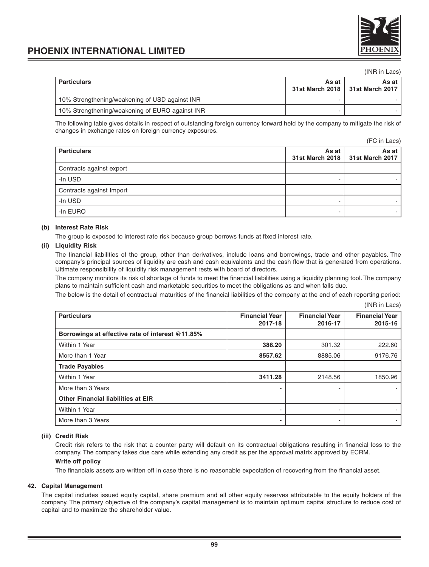

### (INR in Lacs)

| <b>Particulars</b>                              | As at | As at I<br>31st March 2018   31st March 2017 |
|-------------------------------------------------|-------|----------------------------------------------|
| 10% Strengthening/weakening of USD against INR  |       |                                              |
| 10% Strengthening/weakening of EURO against INR |       |                                              |

The following table gives details in respect of outstanding foreign currency forward held by the company to mitigate the risk of changes in exchange rates on foreign currency exposures.

(FC in Lacs)

| <b>Particulars</b>       | As at | As at I<br>31st March 2018   31st March 2017 |
|--------------------------|-------|----------------------------------------------|
| Contracts against export |       |                                              |
| -In USD                  |       |                                              |
| Contracts against Import |       |                                              |
| -In USD                  |       |                                              |
| -In EURO                 |       |                                              |

### **(b) Interest Rate Risk**

The group is exposed to interest rate risk because group borrows funds at fixed interest rate.

#### **(ii) Liquidity Risk**

The financial liabilities of the group, other than derivatives, include loans and borrowings, trade and other payables. The company's principal sources of liquidity are cash and cash equivalents and the cash flow that is generated from operations. Ultimate responsibility of liquidity risk management rests with board of directors.

The company monitors its risk of shortage of funds to meet the financial liabilities using a liquidity planning tool. The company plans to maintain sufficient cash and marketable securities to meet the obligations as and when falls due.

The below is the detail of contractual maturities of the financial liabilities of the company at the end of each reporting period: (INR in Lacs)

| <b>Particulars</b>                               | <b>Financial Year</b><br>2017-18 | <b>Financial Year</b><br>2016-17 | <b>Financial Year</b><br>2015-16 |
|--------------------------------------------------|----------------------------------|----------------------------------|----------------------------------|
| Borrowings at effective rate of interest @11.85% |                                  |                                  |                                  |
| Within 1 Year                                    | 388.20                           | 301.32                           | 222.60                           |
| More than 1 Year                                 | 8557.62                          | 8885.06                          | 9176.76                          |
| <b>Trade Payables</b>                            |                                  |                                  |                                  |
| Within 1 Year                                    | 3411.28                          | 2148.56                          | 1850.96                          |
| More than 3 Years                                |                                  |                                  |                                  |
| <b>Other Financial liabilities at EIR</b>        |                                  |                                  |                                  |
| Within 1 Year                                    |                                  |                                  |                                  |
| More than 3 Years                                |                                  |                                  |                                  |

#### **(iii) Credit Risk**

Credit risk refers to the risk that a counter party will default on its contractual obligations resulting in financial loss to the company. The company takes due care while extending any credit as per the approval matrix approved by ECRM.

### **Write off policy**

The financials assets are written off in case there is no reasonable expectation of recovering from the financial asset.

### **42. Capital Management**

The capital includes issued equity capital, share premium and all other equity reserves attributable to the equity holders of the company. The primary objective of the company's capital management is to maintain optimum capital structure to reduce cost of capital and to maximize the shareholder value.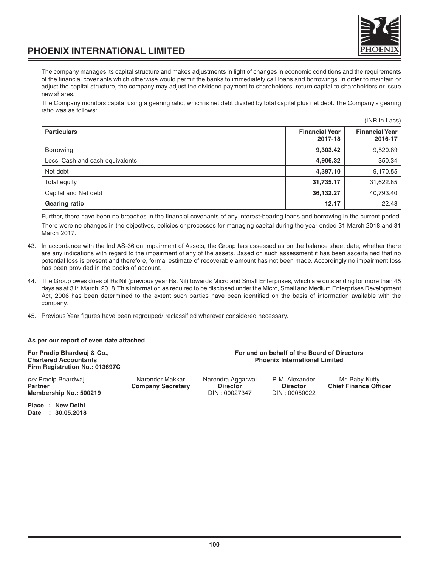

 $(1)$ 

### **PHOENIX INTERNATIONAL LIMITED**

The company manages its capital structure and makes adjustments in light of changes in economic conditions and the requirements of the financial covenants which otherwise would permit the banks to immediately call loans and borrowings. In order to maintain or adjust the capital structure, the company may adjust the dividend payment to shareholders, return capital to shareholders or issue new shares.

The Company monitors capital using a gearing ratio, which is net debt divided by total capital plus net debt. The Company's gearing ratio was as follows:

|                                 |                                  | (INR IN LACS)                    |
|---------------------------------|----------------------------------|----------------------------------|
| <b>Particulars</b>              | <b>Financial Year</b><br>2017-18 | <b>Financial Year</b><br>2016-17 |
| Borrowing                       | 9,303.42                         | 9,520.89                         |
| Less: Cash and cash equivalents | 4,906.32                         | 350.34                           |
| Net debt                        | 4,397.10                         | 9,170.55                         |
| Total equity                    | 31,735.17                        | 31,622.85                        |
| Capital and Net debt            | 36,132.27                        | 40,793.40                        |
| Gearing ratio                   | 12.17                            | 22.48                            |

Further, there have been no breaches in the financial covenants of any interest-bearing loans and borrowing in the current period. There were no changes in the objectives, policies or processes for managing capital during the year ended 31 March 2018 and 31 March 2017.

- 43. In accordance with the Ind AS-36 on Impairment of Assets, the Group has assessed as on the balance sheet date, whether there are any indications with regard to the impairment of any of the assets. Based on such assessment it has been ascertained that no potential loss is present and therefore, formal estimate of recoverable amount has not been made. Accordingly no impairment loss has been provided in the books of account.
- 44. The Group owes dues of Rs Nil (previous year Rs. Nil) towards Micro and Small Enterprises, which are outstanding for more than 45 days as at 31st March, 2018. This information as required to be disclosed under the Micro, Small and Medium Enterprises Development Act, 2006 has been determined to the extent such parties have been identified on the basis of information available with the company.
- 45. Previous Year figures have been regrouped/ reclassified wherever considered necessary.

| As per our report of even date attached |
|-----------------------------------------|
|-----------------------------------------|

**For Pradip Bhardwaj & Co., <br>Chartered Accountants and School Chartered Accountants and School Chartered Accountants and School Chartered Accountants Firm Registration No.: 013697C**

per Pradip Bhardwaj **Narender Makkar** Narendra Aggarwal P. M. Alexander Mr. Baby Kutty Company Secretary **Director** Director Chief Finance Officer **Membership No.: 500219** 

**Partner Company Secretary Director Director Director Director Company Secretary Director Chief Finance Officer** 

**Phoenix International Limited** 

**Place : New Delhi Date : 30.05.2018**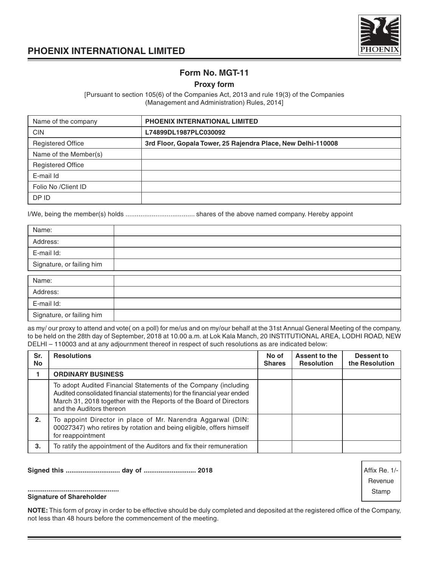

Affix Re. 1/- Revenue **Stamp** 

### **PHOENIX INTERNATIONAL LIMITED**

### **Form No. MGT-11**

### **Proxy form**

[Pursuant to section 105(6) of the Companies Act, 2013 and rule 19(3) of the Companies (Management and Administration) Rules, 2014]

| Name of the company      | <b>PHOENIX INTERNATIONAL LIMITED</b>                         |
|--------------------------|--------------------------------------------------------------|
| <b>CIN</b>               | L74899DL1987PLC030092                                        |
| <b>Registered Office</b> | 3rd Floor, Gopala Tower, 25 Rajendra Place, New Delhi-110008 |
| Name of the Member(s)    |                                                              |
| <b>Registered Office</b> |                                                              |
| E-mail Id                |                                                              |
| Folio No / Client ID     |                                                              |
| DP ID                    |                                                              |

I/We, being the member(s) holds ..................................... shares of the above named company. Hereby appoint

| Name:                     |  |
|---------------------------|--|
| Address:                  |  |
| E-mail Id:                |  |
| Signature, or failing him |  |
|                           |  |
| Name:                     |  |
| Address:                  |  |
| E-mail Id:                |  |
| Signature, or failing him |  |

as my/ our proxy to attend and vote( on a poll) for me/us and on my/our behalf at the 31st Annual General Meeting of the company, to be held on the 28th day of September, 2018 at 10.00 a.m. at Lok Kala Manch, 20 INSTITUTIONAL AREA, LODHI ROAD, NEW DELHI – 110003 and at any adjournment thereof in respect of such resolutions as are indicated below:

| Sr.<br>No | <b>Resolutions</b>                                                                                                                                                                                                                           | No of<br><b>Shares</b> | Assent to the<br><b>Resolution</b> | Dessent to<br>the Resolution |
|-----------|----------------------------------------------------------------------------------------------------------------------------------------------------------------------------------------------------------------------------------------------|------------------------|------------------------------------|------------------------------|
|           | <b>ORDINARY BUSINESS</b>                                                                                                                                                                                                                     |                        |                                    |                              |
|           | To adopt Audited Financial Statements of the Company (including<br>Audited consolidated financial statements) for the financial year ended<br>March 31, 2018 together with the Reports of the Board of Directors<br>and the Auditors thereon |                        |                                    |                              |
| 2.        | To appoint Director in place of Mr. Narendra Aggarwal (DIN:<br>00027347) who retires by rotation and being eligible, offers himself<br>for reappointment                                                                                     |                        |                                    |                              |
| 3.        | To ratify the appointment of the Auditors and fix their remuneration                                                                                                                                                                         |                        |                                    |                              |

### **Signed this ............................. day of ............................ 2018**

#### **................................................ Signature of Shareholder**

**NOTE:** This form of proxy in order to be effective should be duly completed and deposited at the registered office of the Company, not less than 48 hours before the commencement of the meeting.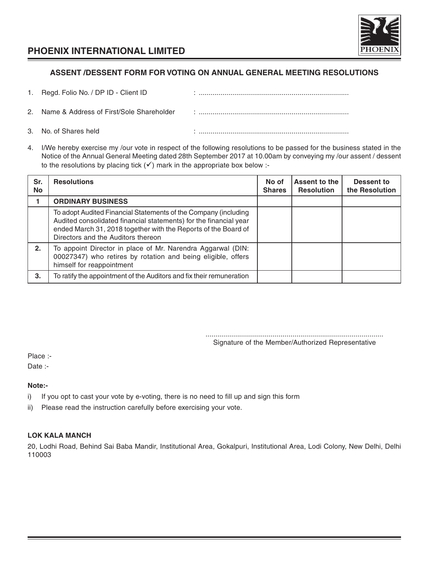

### **ASSENT /DESSENT FORM FOR VOTING ON ANNUAL GENERAL MEETING RESOLUTIONS**

| 1. Regd. Folio No. / DP ID - Client ID      |  |
|---------------------------------------------|--|
| 2. Name & Address of First/Sole Shareholder |  |

- 3. No. of Shares held **in the state of Shares held** in the state of Shares held **in the state of Shares held**
- 4. I/We hereby exercise my /our vote in respect of the following resolutions to be passed for the business stated in the Notice of the Annual General Meeting dated 28th September 2017 at 10.00am by conveying my /our assent / dessent to the resolutions by placing tick  $(v')$  mark in the appropriate box below :-

| Sr.<br><b>No</b> | <b>Resolutions</b>                                                                                                                                                                                                                           | No of<br><b>Shares</b> | Assent to the<br><b>Resolution</b> | Dessent to<br>the Resolution |
|------------------|----------------------------------------------------------------------------------------------------------------------------------------------------------------------------------------------------------------------------------------------|------------------------|------------------------------------|------------------------------|
|                  | <b>ORDINARY BUSINESS</b>                                                                                                                                                                                                                     |                        |                                    |                              |
|                  | To adopt Audited Financial Statements of the Company (including<br>Audited consolidated financial statements) for the financial year<br>ended March 31, 2018 together with the Reports of the Board of<br>Directors and the Auditors thereon |                        |                                    |                              |
| 2.               | To appoint Director in place of Mr. Narendra Aggarwal (DIN:<br>00027347) who retires by rotation and being eligible, offers<br>himself for reappointment                                                                                     |                        |                                    |                              |
| 3.               | To ratify the appointment of the Auditors and fix their remuneration                                                                                                                                                                         |                        |                                    |                              |

.......................................................................................... Signature of the Member/Authorized Representative

Place :-

Date :-

### **Note:-**

- i) If you opt to cast your vote by e-voting, there is no need to fill up and sign this form
- ii) Please read the instruction carefully before exercising your vote.

### **LOK KALA MANCH**

20, Lodhi Road, Behind Sai Baba Mandir, Institutional Area, Gokalpuri, Institutional Area, Lodi Colony, New Delhi, Delhi 110003